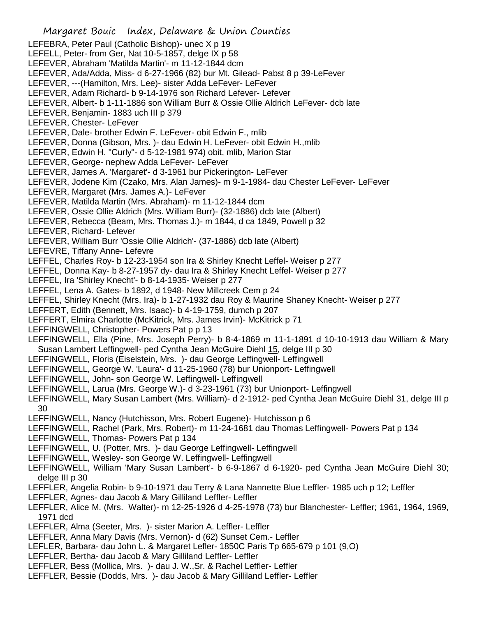- Margaret Bouic Index, Delaware & Union Counties LEFEBRA, Peter Paul (Catholic Bishop)- unec X p 19 LEFELL, Peter- from Ger, Nat 10-5-1857, delge IX p 58 LEFEVER, Abraham 'Matilda Martin'- m 11-12-1844 dcm LEFEVER, Ada/Adda, Miss- d 6-27-1966 (82) bur Mt. Gilead- Pabst 8 p 39-LeFever LEFEVER, ---(Hamilton, Mrs. Lee)- sister Adda LeFever- LeFever LEFEVER, Adam Richard- b 9-14-1976 son Richard Lefever- Lefever LEFEVER, Albert- b 1-11-1886 son William Burr & Ossie Ollie Aldrich LeFever- dcb late LEFEVER, Benjamin- 1883 uch III p 379 LEFEVER, Chester- LeFever LEFEVER, Dale- brother Edwin F. LeFever- obit Edwin F., mlib LEFEVER, Donna (Gibson, Mrs. )- dau Edwin H. LeFever- obit Edwin H.,mlib LEFEVER, Edwin H. "Curly"- d 5-12-1981 974) obit, mlib, Marion Star LEFEVER, George- nephew Adda LeFever- LeFever LEFEVER, James A. 'Margaret'- d 3-1961 bur Pickerington- LeFever LEFEVER, Jodene Kim (Czako, Mrs. Alan James)- m 9-1-1984- dau Chester LeFever- LeFever LEFEVER, Margaret (Mrs. James A.)- LeFever LEFEVER, Matilda Martin (Mrs. Abraham)- m 11-12-1844 dcm LEFEVER, Ossie Ollie Aldrich (Mrs. William Burr)- (32-1886) dcb late (Albert) LEFEVER, Rebecca (Beam, Mrs. Thomas J.)- m 1844, d ca 1849, Powell p 32 LEFEVER, Richard- Lefever LEFEVER, William Burr 'Ossie Ollie Aldrich'- (37-1886) dcb late (Albert) LEFEVRE, Tiffany Anne- Lefevre LEFFEL, Charles Roy- b 12-23-1954 son Ira & Shirley Knecht Leffel- Weiser p 277 LEFFEL, Donna Kay- b 8-27-1957 dy- dau Ira & Shirley Knecht Leffel- Weiser p 277 LEFFEL, Ira 'Shirley Knecht'- b 8-14-1935- Weiser p 277 LEFFEL, Lena A. Gates- b 1892, d 1948- New Millcreek Cem p 24 LEFFEL, Shirley Knecht (Mrs. Ira)- b 1-27-1932 dau Roy & Maurine Shaney Knecht- Weiser p 277 LEFFERT, Edith (Bennett, Mrs. Isaac)- b 4-19-1759, dumch p 207 LEFFERT, Elmira Charlotte (McKitrick, Mrs. James Irvin)- McKitrick p 71 LEFFINGWELL, Christopher- Powers Pat p p 13 LEFFINGWELL, Ella (Pine, Mrs. Joseph Perry)- b 8-4-1869 m 11-1-1891 d 10-10-1913 dau William & Mary Susan Lambert Leffingwell- ped Cyntha Jean McGuire Diehl 15, delge III p 30 LEFFINGWELL, Floris (Eiselstein, Mrs. )- dau George Leffingwell- Leffingwell LEFFINGWELL, George W. 'Laura'- d 11-25-1960 (78) bur Unionport- Leffingwell LEFFINGWELL, John- son George W. Leffingwell- Leffingwell LEFFINGWELL, Larua (Mrs. George W.)- d 3-23-1961 (73) bur Unionport- Leffingwell LEFFINGWELL, Mary Susan Lambert (Mrs. William)- d 2-1912- ped Cyntha Jean McGuire Diehl 31, delge III p 30 LEFFINGWELL, Nancy (Hutchisson, Mrs. Robert Eugene)- Hutchisson p 6 LEFFINGWELL, Rachel (Park, Mrs. Robert)- m 11-24-1681 dau Thomas Leffingwell- Powers Pat p 134 LEFFINGWELL, Thomas- Powers Pat p 134 LEFFINGWELL, U. (Potter, Mrs. )- dau George Leffingwell- Leffingwell LEFFINGWELL, Wesley- son George W. Leffingwell- Leffingwell LEFFINGWELL, William 'Mary Susan Lambert'- b 6-9-1867 d 6-1920- ped Cyntha Jean McGuire Diehl 30; delge III p 30 LEFFLER, Angelia Robin- b 9-10-1971 dau Terry & Lana Nannette Blue Leffler- 1985 uch p 12; Leffler LEFFLER, Agnes- dau Jacob & Mary Gilliland Leffler- Leffler LEFFLER, Alice M. (Mrs. Walter)- m 12-25-1926 d 4-25-1978 (73) bur Blanchester- Leffler; 1961, 1964, 1969, 1971 dcd LEFFLER, Alma (Seeter, Mrs. )- sister Marion A. Leffler- Leffler LEFFLER, Anna Mary Davis (Mrs. Vernon)- d (62) Sunset Cem.- Leffler LEFLER, Barbara- dau John L. & Margaret Lefler- 1850C Paris Tp 665-679 p 101 (9,O) LEFFLER, Bertha- dau Jacob & Mary Gilliland Leffler- Leffler
- LEFFLER, Bess (Mollica, Mrs. )- dau J. W.,Sr. & Rachel Leffler- Leffler
- LEFFLER, Bessie (Dodds, Mrs. )- dau Jacob & Mary Gilliland Leffler- Leffler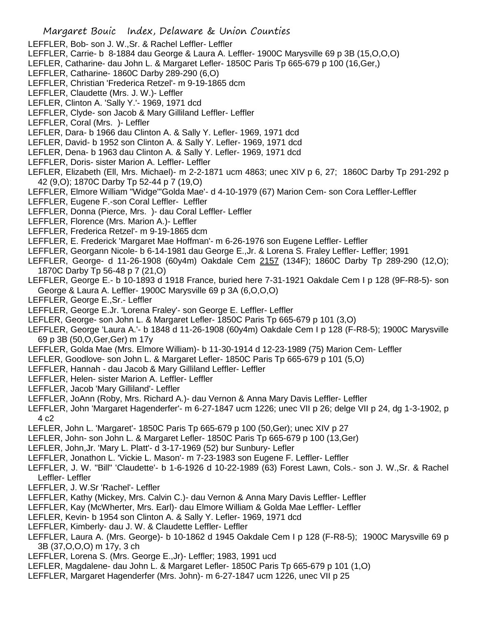- Margaret Bouic Index, Delaware & Union Counties LEFFLER, Bob- son J. W.,Sr. & Rachel Leffler- Leffler LEFFLER, Carrie- b 8-1884 dau George & Laura A. Leffler- 1900C Marysville 69 p 3B (15,O,O,O) LEFLER, Catharine- dau John L. & Margaret Lefler- 1850C Paris Tp 665-679 p 100 (16,Ger,) LEFFLER, Catharine- 1860C Darby 289-290 (6,O) LEFFLER, Christian 'Frederica Retzel'- m 9-19-1865 dcm LEFFLER, Claudette (Mrs. J. W.)- Leffler LEFLER, Clinton A. 'Sally Y.'- 1969, 1971 dcd LEFFLER, Clyde- son Jacob & Mary Gilliland Leffler- Leffler LEFFLER, Coral (Mrs. )- Leffler LEFLER, Dara- b 1966 dau Clinton A. & Sally Y. Lefler- 1969, 1971 dcd LEFLER, David- b 1952 son Clinton A. & Sally Y. Lefler- 1969, 1971 dcd LEFLER, Dena- b 1963 dau Clinton A. & Sally Y. Lefler- 1969, 1971 dcd LEFFLER, Doris- sister Marion A. Leffler- Leffler LEFLER, Elizabeth (Ell, Mrs. Michael)- m 2-2-1871 ucm 4863; unec XIV p 6, 27; 1860C Darby Tp 291-292 p 42 (9,O); 1870C Darby Tp 52-44 p 7 (19,O) LEFFLER, Elmore William "Widge"'Golda Mae'- d 4-10-1979 (67) Marion Cem- son Cora Leffler-Leffler LEFFLER, Eugene F.-son Coral Leffler- Leffler LEFFLER, Donna (Pierce, Mrs. )- dau Coral Leffler- Leffler LEFFLER, Florence (Mrs. Marion A.)- Leffler LEFFLER, Frederica Retzel'- m 9-19-1865 dcm LEFFLER, E. Frederick 'Margaret Mae Hoffman'- m 6-26-1976 son Eugene Leffler- Leffler LEFFLER, Georgann Nicole- b 6-14-1981 dau George E.,Jr. & Lorena S. Fraley Leffler- Leffler; 1991 LEFFLER, George- d 11-26-1908 (60y4m) Oakdale Cem 2157 (134F); 1860C Darby Tp 289-290 (12,O); 1870C Darby Tp 56-48 p 7 (21,O) LEFFLER, George E.- b 10-1893 d 1918 France, buried here 7-31-1921 Oakdale Cem I p 128 (9F-R8-5)- son George & Laura A. Leffler- 1900C Marysville 69 p 3A (6,O,O,O) LEFFLER, George E.,Sr.- Leffler LEFFLER, George E.Jr. 'Lorena Fraley'- son George E. Leffler- Leffler LEFLER, George- son John L. & Margaret Lefler- 1850C Paris Tp 665-679 p 101 (3,O) LEFFLER, George 'Laura A.'- b 1848 d 11-26-1908 (60y4m) Oakdale Cem I p 128 (F-R8-5); 1900C Marysville 69 p 3B (50,O,Ger,Ger) m 17y LEFFLER, Golda Mae (Mrs. Elmore William)- b 11-30-1914 d 12-23-1989 (75) Marion Cem- Leffler LEFLER, Goodlove- son John L. & Margaret Lefler- 1850C Paris Tp 665-679 p 101 (5,O) LEFFLER, Hannah - dau Jacob & Mary Gilliland Leffler- Leffler LEFFLER, Helen- sister Marion A. Leffler- Leffler LEFFLER, Jacob 'Mary Gilliland'- Leffler LEFFLER, JoAnn (Roby, Mrs. Richard A.)- dau Vernon & Anna Mary Davis Leffler- Leffler LEFFLER, John 'Margaret Hagenderfer'- m 6-27-1847 ucm 1226; unec VII p 26; delge VII p 24, dg 1-3-1902, p 4 c2 LEFLER, John L. 'Margaret'- 1850C Paris Tp 665-679 p 100 (50,Ger); unec XIV p 27 LEFLER, John- son John L. & Margaret Lefler- 1850C Paris Tp 665-679 p 100 (13,Ger) LEFLER, John,Jr. 'Mary L. Platt'- d 3-17-1969 (52) bur Sunbury- Lefler LEFFLER, Jonathon L. 'Vickie L. Mason'- m 7-23-1983 son Eugene F. Leffler- Leffler LEFFLER, J. W. "Bill" 'Claudette'- b 1-6-1926 d 10-22-1989 (63) Forest Lawn, Cols.- son J. W.,Sr. & Rachel Leffler- Leffler LEFFLER, J. W.Sr 'Rachel'- Leffler LEFFLER, Kathy (Mickey, Mrs. Calvin C.)- dau Vernon & Anna Mary Davis Leffler- Leffler LEFFLER, Kay (McWherter, Mrs. Earl)- dau Elmore William & Golda Mae Leffler- Leffler LEFLER, Kevin- b 1954 son Clinton A. & Sally Y. Lefler- 1969, 1971 dcd LEFFLER, Kimberly- dau J. W. & Claudette Leffler- Leffler LEFFLER, Laura A. (Mrs. George)- b 10-1862 d 1945 Oakdale Cem I p 128 (F-R8-5); 1900C Marysville 69 p 3B (37,O,O,O) m 17y, 3 ch
- LEFFLER, Lorena S. (Mrs. George E.,Jr)- Leffler; 1983, 1991 ucd
- LEFLER, Magdalene- dau John L. & Margaret Lefler- 1850C Paris Tp 665-679 p 101 (1,O)
- LEFFLER, Margaret Hagenderfer (Mrs. John)- m 6-27-1847 ucm 1226, unec VII p 25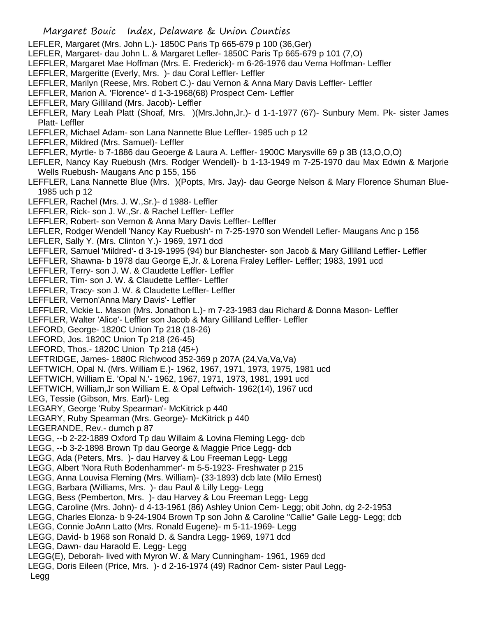- LEFLER, Margaret (Mrs. John L.)- 1850C Paris Tp 665-679 p 100 (36,Ger)
- LEFLER, Margaret- dau John L. & Margaret Lefler- 1850C Paris Tp 665-679 p 101 (7,O)
- LEFFLER, Margaret Mae Hoffman (Mrs. E. Frederick)- m 6-26-1976 dau Verna Hoffman- Leffler
- LEFFLER, Margeritte (Everly, Mrs. )- dau Coral Leffler- Leffler
- LEFFLER, Marilyn (Reese, Mrs. Robert C.)- dau Vernon & Anna Mary Davis Leffler- Leffler
- LEFFLER, Marion A. 'Florence'- d 1-3-1968(68) Prospect Cem- Leffler
- LEFFLER, Mary Gilliland (Mrs. Jacob)- Leffler
- LEFFLER, Mary Leah Platt (Shoaf, Mrs. )(Mrs.John,Jr.)- d 1-1-1977 (67)- Sunbury Mem. Pk- sister James Platt- Leffler
- LEFFLER, Michael Adam- son Lana Nannette Blue Leffler- 1985 uch p 12
- LEFFLER, Mildred (Mrs. Samuel)- Leffler
- LEFFLER, Myrtle- b 7-1886 dau Geoerge & Laura A. Leffler- 1900C Marysville 69 p 3B (13,O,O,O)
- LEFLER, Nancy Kay Ruebush (Mrs. Rodger Wendell)- b 1-13-1949 m 7-25-1970 dau Max Edwin & Marjorie Wells Ruebush- Maugans Anc p 155, 156
- LEFFLER, Lana Nannette Blue (Mrs. )(Popts, Mrs. Jay)- dau George Nelson & Mary Florence Shuman Blue-1985 uch p 12
- LEFFLER, Rachel (Mrs. J. W.,Sr.)- d 1988- Leffler
- LEFFLER, Rick- son J. W.,Sr. & Rachel Leffler- Leffler
- LEFFLER, Robert- son Vernon & Anna Mary Davis Leffler- Leffler
- LEFLER, Rodger Wendell 'Nancy Kay Ruebush'- m 7-25-1970 son Wendell Lefler- Maugans Anc p 156
- LEFLER, Sally Y. (Mrs. Clinton Y.)- 1969, 1971 dcd
- LEFFLER, Samuel 'Mildred'- d 3-19-1995 (94) bur Blanchester- son Jacob & Mary Gilliland Leffler- Leffler
- LEFFLER, Shawna- b 1978 dau George E,Jr. & Lorena Fraley Leffler- Leffler; 1983, 1991 ucd
- LEFFLER, Terry- son J. W. & Claudette Leffler- Leffler
- LEFFLER, Tim- son J. W. & Claudette Leffler- Leffler
- LEFFLER, Tracy- son J. W. & Claudette Leffler- Leffler
- LEFFLER, Vernon'Anna Mary Davis'- Leffler
- LEFFLER, Vickie L. Mason (Mrs. Jonathon L.)- m 7-23-1983 dau Richard & Donna Mason- Leffler
- LEFFLER, Walter 'Alice'- Leffler son Jacob & Mary Gilliland Leffler- Leffler
- LEFORD, George- 1820C Union Tp 218 (18-26)
- LEFORD, Jos. 1820C Union Tp 218 (26-45)
- LEFORD, Thos.- 1820C Union Tp 218 (45+)
- LEFTRIDGE, James- 1880C Richwood 352-369 p 207A (24,Va,Va,Va)
- LEFTWICH, Opal N. (Mrs. William E.)- 1962, 1967, 1971, 1973, 1975, 1981 ucd
- LEFTWICH, William E. 'Opal N.'- 1962, 1967, 1971, 1973, 1981, 1991 ucd
- LEFTWICH, William,Jr son William E. & Opal Leftwich- 1962(14), 1967 ucd
- LEG, Tessie (Gibson, Mrs. Earl)- Leg
- LEGARY, George 'Ruby Spearman'- McKitrick p 440
- LEGARY, Ruby Spearman (Mrs. George)- McKitrick p 440
- LEGERANDE, Rev.- dumch p 87
- LEGG, --b 2-22-1889 Oxford Tp dau Willaim & Lovina Fleming Legg- dcb
- LEGG, --b 3-2-1898 Brown Tp dau George & Maggie Price Legg- dcb
- LEGG, Ada (Peters, Mrs. )- dau Harvey & Lou Freeman Legg- Legg
- LEGG, Albert 'Nora Ruth Bodenhammer'- m 5-5-1923- Freshwater p 215
- LEGG, Anna Louvisa Fleming (Mrs. William)- (33-1893) dcb late (Milo Ernest)
- LEGG, Barbara (Williams, Mrs. )- dau Paul & Lilly Legg- Legg
- LEGG, Bess (Pemberton, Mrs. )- dau Harvey & Lou Freeman Legg- Legg
- LEGG, Caroline (Mrs. John)- d 4-13-1961 (86) Ashley Union Cem- Legg; obit John, dg 2-2-1953
- LEGG, Charles Elonza- b 9-24-1904 Brown Tp son John & Caroline "Callie" Gaile Legg- Legg; dcb
- LEGG, Connie JoAnn Latto (Mrs. Ronald Eugene)- m 5-11-1969- Legg
- LEGG, David- b 1968 son Ronald D. & Sandra Legg- 1969, 1971 dcd
- LEGG, Dawn- dau Haraold E. Legg- Legg
- LEGG(E), Deborah- lived with Myron W. & Mary Cunningham- 1961, 1969 dcd
- LEGG, Doris Eileen (Price, Mrs. )- d 2-16-1974 (49) Radnor Cem- sister Paul Legg-
- Legg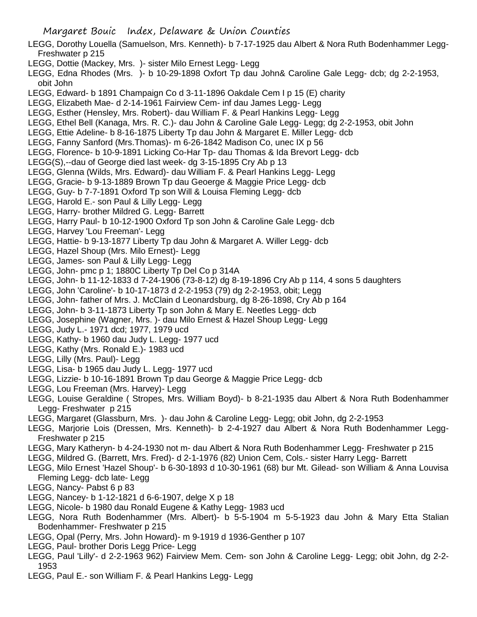- LEGG, Dorothy Louella (Samuelson, Mrs. Kenneth)- b 7-17-1925 dau Albert & Nora Ruth Bodenhammer Legg-Freshwater p 215
- LEGG, Dottie (Mackey, Mrs. )- sister Milo Ernest Legg- Legg
- LEGG, Edna Rhodes (Mrs. )- b 10-29-1898 Oxfort Tp dau John& Caroline Gale Legg- dcb; dg 2-2-1953, obit John
- LEGG, Edward- b 1891 Champaign Co d 3-11-1896 Oakdale Cem I p 15 (E) charity
- LEGG, Elizabeth Mae- d 2-14-1961 Fairview Cem- inf dau James Legg- Legg
- LEGG, Esther (Hensley, Mrs. Robert)- dau William F. & Pearl Hankins Legg- Legg
- LEGG, Ethel Bell (Kanaga, Mrs. R. C.)- dau John & Caroline Gale Legg- Legg; dg 2-2-1953, obit John
- LEGG, Ettie Adeline- b 8-16-1875 Liberty Tp dau John & Margaret E. Miller Legg- dcb
- LEGG, Fanny Sanford (Mrs.Thomas)- m 6-26-1842 Madison Co, unec IX p 56
- LEGG, Florence- b 10-9-1891 Licking Co-Har Tp- dau Thomas & Ida Brevort Legg- dcb
- LEGG(S),--dau of George died last week- dg 3-15-1895 Cry Ab p 13
- LEGG, Glenna (Wilds, Mrs. Edward)- dau William F. & Pearl Hankins Legg- Legg
- LEGG, Gracie- b 9-13-1889 Brown Tp dau Geoerge & Maggie Price Legg- dcb
- LEGG, Guy- b 7-7-1891 Oxford Tp son Will & Louisa Fleming Legg- dcb
- LEGG, Harold E.- son Paul & Lilly Legg- Legg
- LEGG, Harry- brother Mildred G. Legg- Barrett
- LEGG, Harry Paul- b 10-12-1900 Oxford Tp son John & Caroline Gale Legg- dcb
- LEGG, Harvey 'Lou Freeman'- Legg
- LEGG, Hattie- b 9-13-1877 Liberty Tp dau John & Margaret A. Willer Legg- dcb
- LEGG, Hazel Shoup (Mrs. Milo Ernest)- Legg
- LEGG, James- son Paul & Lilly Legg- Legg
- LEGG, John- pmc p 1; 1880C Liberty Tp Del Co p 314A
- LEGG, John- b 11-12-1833 d 7-24-1906 (73-8-12) dg 8-19-1896 Cry Ab p 114, 4 sons 5 daughters
- LEGG, John 'Caroline'- b 10-17-1873 d 2-2-1953 (79) dg 2-2-1953, obit; Legg
- LEGG, John- father of Mrs. J. McClain d Leonardsburg, dg 8-26-1898, Cry Ab p 164
- LEGG, John- b 3-11-1873 Liberty Tp son John & Mary E. Neetles Legg- dcb
- LEGG, Josephine (Wagner, Mrs. )- dau Milo Ernest & Hazel Shoup Legg- Legg
- LEGG, Judy L.- 1971 dcd; 1977, 1979 ucd
- LEGG, Kathy- b 1960 dau Judy L. Legg- 1977 ucd
- LEGG, Kathy (Mrs. Ronald E.)- 1983 ucd
- LEGG, Lilly (Mrs. Paul)- Legg
- LEGG, Lisa- b 1965 dau Judy L. Legg- 1977 ucd
- LEGG, Lizzie- b 10-16-1891 Brown Tp dau George & Maggie Price Legg- dcb
- LEGG, Lou Freeman (Mrs. Harvey)- Legg
- LEGG, Louise Geraldine ( Stropes, Mrs. William Boyd)- b 8-21-1935 dau Albert & Nora Ruth Bodenhammer Legg- Freshwater p 215
- LEGG, Margaret (Glassburn, Mrs. )- dau John & Caroline Legg- Legg; obit John, dg 2-2-1953
- LEGG, Marjorie Lois (Dressen, Mrs. Kenneth)- b 2-4-1927 dau Albert & Nora Ruth Bodenhammer Legg-Freshwater p 215
- LEGG, Mary Katheryn- b 4-24-1930 not m- dau Albert & Nora Ruth Bodenhammer Legg- Freshwater p 215
- LEGG, Mildred G. (Barrett, Mrs. Fred)- d 2-1-1976 (82) Union Cem, Cols.- sister Harry Legg- Barrett
- LEGG, Milo Ernest 'Hazel Shoup'- b 6-30-1893 d 10-30-1961 (68) bur Mt. Gilead- son William & Anna Louvisa Fleming Legg- dcb late- Legg
- LEGG, Nancy- Pabst 6 p 83
- LEGG, Nancey- b 1-12-1821 d 6-6-1907, delge X p 18
- LEGG, Nicole- b 1980 dau Ronald Eugene & Kathy Legg- 1983 ucd
- LEGG, Nora Ruth Bodenhammer (Mrs. Albert)- b 5-5-1904 m 5-5-1923 dau John & Mary Etta Stalian Bodenhammer- Freshwater p 215
- LEGG, Opal (Perry, Mrs. John Howard)- m 9-1919 d 1936-Genther p 107
- LEGG, Paul- brother Doris Legg Price- Legg
- LEGG, Paul 'Lilly'- d 2-2-1963 962) Fairview Mem. Cem- son John & Caroline Legg- Legg; obit John, dg 2-2- 1953
- LEGG, Paul E.- son William F. & Pearl Hankins Legg- Legg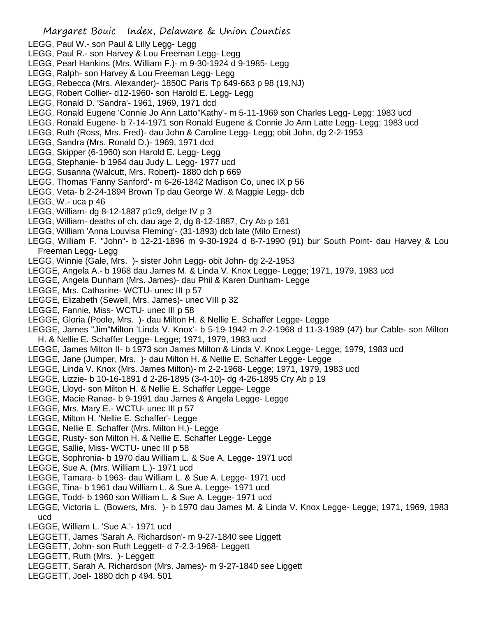- LEGG, Paul W.- son Paul & Lilly Legg- Legg
- LEGG, Paul R.- son Harvey & Lou Freeman Legg- Legg
- LEGG, Pearl Hankins (Mrs. William F.)- m 9-30-1924 d 9-1985- Legg
- LEGG, Ralph- son Harvey & Lou Freeman Legg- Legg
- LEGG, Rebecca (Mrs. Alexander)- 1850C Paris Tp 649-663 p 98 (19,NJ)
- LEGG, Robert Collier- d12-1960- son Harold E. Legg- Legg
- LEGG, Ronald D. 'Sandra'- 1961, 1969, 1971 dcd
- LEGG, Ronald Eugene 'Connie Jo Ann Latto''Kathy'- m 5-11-1969 son Charles Legg- Legg; 1983 ucd
- LEGG, Ronald Eugene- b 7-14-1971 son Ronald Eugene & Connie Jo Ann Latte Legg- Legg; 1983 ucd
- LEGG, Ruth (Ross, Mrs. Fred)- dau John & Caroline Legg- Legg; obit John, dg 2-2-1953
- LEGG, Sandra (Mrs. Ronald D.)- 1969, 1971 dcd
- LEGG, Skipper (6-1960) son Harold E. Legg- Legg
- LEGG, Stephanie- b 1964 dau Judy L. Legg- 1977 ucd
- LEGG, Susanna (Walcutt, Mrs. Robert)- 1880 dch p 669
- LEGG, Thomas 'Fanny Sanford'- m 6-26-1842 Madison Co, unec IX p 56
- LEGG, Veta- b 2-24-1894 Brown Tp dau George W. & Maggie Legg- dcb
- LEGG, W.- uca p 46
- LEGG, William- dg 8-12-1887 p1c9, delge IV p 3
- LEGG, William- deaths of ch. dau age 2, dg 8-12-1887, Cry Ab p 161
- LEGG, William 'Anna Louvisa Fleming'- (31-1893) dcb late (Milo Ernest)
- LEGG, William F. "John"- b 12-21-1896 m 9-30-1924 d 8-7-1990 (91) bur South Point- dau Harvey & Lou Freeman Legg- Legg
- LEGG, Winnie (Gale, Mrs. )- sister John Legg- obit John- dg 2-2-1953
- LEGGE, Angela A.- b 1968 dau James M. & Linda V. Knox Legge- Legge; 1971, 1979, 1983 ucd
- LEGGE, Angela Dunham (Mrs. James)- dau Phil & Karen Dunham- Legge
- LEGGE, Mrs. Catharine- WCTU- unec III p 57
- LEGGE, Elizabeth (Sewell, Mrs. James)- unec VIII p 32
- LEGGE, Fannie, Miss- WCTU- unec III p 58
- LEGGE, Gloria (Poole, Mrs. )- dau Milton H. & Nellie E. Schaffer Legge- Legge
- LEGGE, James "Jim"Milton 'Linda V. Knox'- b 5-19-1942 m 2-2-1968 d 11-3-1989 (47) bur Cable- son Milton H. & Nellie E. Schaffer Legge- Legge; 1971, 1979, 1983 ucd
- LEGGE, James Milton II- b 1973 son James Milton & Linda V. Knox Legge- Legge; 1979, 1983 ucd
- LEGGE, Jane (Jumper, Mrs. )- dau Milton H. & Nellie E. Schaffer Legge- Legge
- LEGGE, Linda V. Knox (Mrs. James Milton)- m 2-2-1968- Legge; 1971, 1979, 1983 ucd
- LEGGE, Lizzie- b 10-16-1891 d 2-26-1895 (3-4-10)- dg 4-26-1895 Cry Ab p 19
- LEGGE, Lloyd- son Milton H. & Nellie E. Schaffer Legge- Legge
- LEGGE, Macie Ranae- b 9-1991 dau James & Angela Legge- Legge
- LEGGE, Mrs. Mary E.- WCTU- unec III p 57
- LEGGE, Milton H. 'Nellie E. Schaffer'- Legge
- LEGGE, Nellie E. Schaffer (Mrs. Milton H.)- Legge
- LEGGE, Rusty- son Milton H. & Nellie E. Schaffer Legge- Legge
- LEGGE, Sallie, Miss- WCTU- unec III p 58
- LEGGE, Sophronia- b 1970 dau William L. & Sue A. Legge- 1971 ucd
- LEGGE, Sue A. (Mrs. William L.)- 1971 ucd
- LEGGE, Tamara- b 1963- dau William L. & Sue A. Legge- 1971 ucd
- LEGGE, Tina- b 1961 dau William L. & Sue A. Legge- 1971 ucd
- LEGGE, Todd- b 1960 son William L. & Sue A. Legge- 1971 ucd
- LEGGE, Victoria L. (Bowers, Mrs. )- b 1970 dau James M. & Linda V. Knox Legge- Legge; 1971, 1969, 1983 ucd
- LEGGE, William L. 'Sue A.'- 1971 ucd
- LEGGETT, James 'Sarah A. Richardson'- m 9-27-1840 see Liggett
- LEGGETT, John- son Ruth Leggett- d 7-2.3-1968- Leggett
- LEGGETT, Ruth (Mrs. )- Leggett
- LEGGETT, Sarah A. Richardson (Mrs. James)- m 9-27-1840 see Liggett
- LEGGETT, Joel- 1880 dch p 494, 501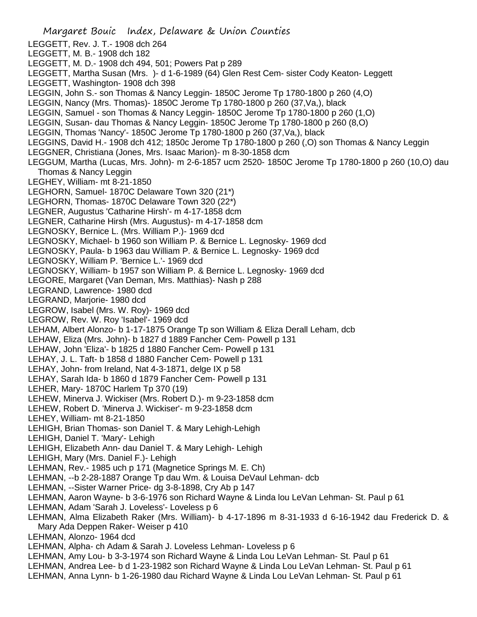Margaret Bouic Index, Delaware & Union Counties LEGGETT, Rev. J. T.- 1908 dch 264 LEGGETT, M. B.- 1908 dch 182 LEGGETT, M. D.- 1908 dch 494, 501; Powers Pat p 289 LEGGETT, Martha Susan (Mrs. )- d 1-6-1989 (64) Glen Rest Cem- sister Cody Keaton- Leggett LEGGETT, Washington- 1908 dch 398 LEGGIN, John S.- son Thomas & Nancy Leggin- 1850C Jerome Tp 1780-1800 p 260 (4,O) LEGGIN, Nancy (Mrs. Thomas)- 1850C Jerome Tp 1780-1800 p 260 (37,Va,), black LEGGIN, Samuel - son Thomas & Nancy Leggin- 1850C Jerome Tp 1780-1800 p 260 (1,O) LEGGIN, Susan- dau Thomas & Nancy Leggin- 1850C Jerome Tp 1780-1800 p 260 (8,O) LEGGIN, Thomas 'Nancy'- 1850C Jerome Tp 1780-1800 p 260 (37,Va,), black LEGGINS, David H.- 1908 dch 412; 1850c Jerome Tp 1780-1800 p 260 (,O) son Thomas & Nancy Leggin LEGGNER, Christiana (Jones, Mrs. Isaac Marion)- m 8-30-1858 dcm LEGGUM, Martha (Lucas, Mrs. John)- m 2-6-1857 ucm 2520- 1850C Jerome Tp 1780-1800 p 260 (10,O) dau Thomas & Nancy Leggin LEGHEY, William- mt 8-21-1850 LEGHORN, Samuel- 1870C Delaware Town 320 (21\*) LEGHORN, Thomas- 1870C Delaware Town 320 (22\*) LEGNER, Augustus 'Catharine Hirsh'- m 4-17-1858 dcm LEGNER, Catharine Hirsh (Mrs. Augustus)- m 4-17-1858 dcm LEGNOSKY, Bernice L. (Mrs. William P.)- 1969 dcd LEGNOSKY, Michael- b 1960 son William P. & Bernice L. Legnosky- 1969 dcd LEGNOSKY, Paula- b 1963 dau William P. & Bernice L. Legnosky- 1969 dcd LEGNOSKY, William P. 'Bernice L.'- 1969 dcd LEGNOSKY, William- b 1957 son William P. & Bernice L. Legnosky- 1969 dcd LEGORE, Margaret (Van Deman, Mrs. Matthias)- Nash p 288 LEGRAND, Lawrence- 1980 dcd LEGRAND, Marjorie- 1980 dcd LEGROW, Isabel (Mrs. W. Roy)- 1969 dcd LEGROW, Rev. W. Roy 'Isabel'- 1969 dcd LEHAM, Albert Alonzo- b 1-17-1875 Orange Tp son William & Eliza Derall Leham, dcb LEHAW, Eliza (Mrs. John)- b 1827 d 1889 Fancher Cem- Powell p 131 LEHAW, John 'Eliza'- b 1825 d 1880 Fancher Cem- Powell p 131 LEHAY, J. L. Taft- b 1858 d 1880 Fancher Cem- Powell p 131 LEHAY, John- from Ireland, Nat 4-3-1871, delge IX p 58 LEHAY, Sarah Ida- b 1860 d 1879 Fancher Cem- Powell p 131 LEHER, Mary- 1870C Harlem Tp 370 (19) LEHEW, Minerva J. Wickiser (Mrs. Robert D.)- m 9-23-1858 dcm LEHEW, Robert D. 'Minerva J. Wickiser'- m 9-23-1858 dcm LEHEY, William- mt 8-21-1850 LEHIGH, Brian Thomas- son Daniel T. & Mary Lehigh-Lehigh LEHIGH, Daniel T. 'Mary'- Lehigh LEHIGH, Elizabeth Ann- dau Daniel T. & Mary Lehigh- Lehigh LEHIGH, Mary (Mrs. Daniel F.)- Lehigh LEHMAN, Rev.- 1985 uch p 171 (Magnetice Springs M. E. Ch) LEHMAN, --b 2-28-1887 Orange Tp dau Wm. & Louisa DeVaul Lehman- dcb LEHMAN, --Sister Warner Price- dg 3-8-1898, Cry Ab p 147 LEHMAN, Aaron Wayne- b 3-6-1976 son Richard Wayne & Linda lou LeVan Lehman- St. Paul p 61 LEHMAN, Adam 'Sarah J. Loveless'- Loveless p 6 LEHMAN, Alma Elizabeth Raker (Mrs. William)- b 4-17-1896 m 8-31-1933 d 6-16-1942 dau Frederick D. & Mary Ada Deppen Raker- Weiser p 410 LEHMAN, Alonzo- 1964 dcd LEHMAN, Alpha- ch Adam & Sarah J. Loveless Lehman- Loveless p 6 LEHMAN, Amy Lou- b 3-3-1974 son Richard Wayne & Linda Lou LeVan Lehman- St. Paul p 61 LEHMAN, Andrea Lee- b d 1-23-1982 son Richard Wayne & Linda Lou LeVan Lehman- St. Paul p 61 LEHMAN, Anna Lynn- b 1-26-1980 dau Richard Wayne & Linda Lou LeVan Lehman- St. Paul p 61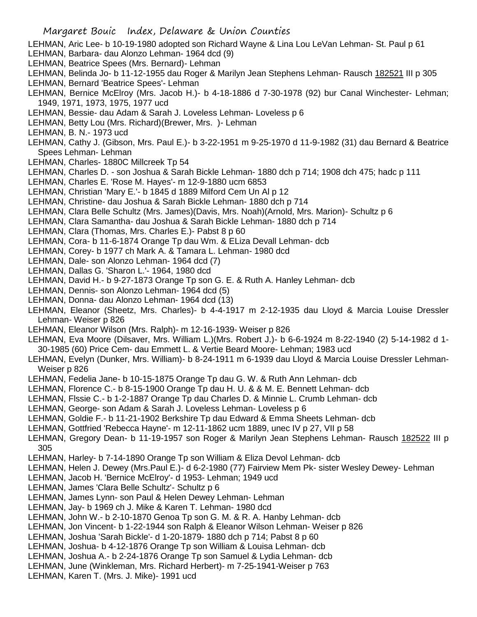- LEHMAN, Aric Lee- b 10-19-1980 adopted son Richard Wayne & Lina Lou LeVan Lehman- St. Paul p 61
- LEHMAN, Barbara- dau Alonzo Lehman- 1964 dcd (9)
- LEHMAN, Beatrice Spees (Mrs. Bernard)- Lehman
- LEHMAN, Belinda Jo- b 11-12-1955 dau Roger & Marilyn Jean Stephens Lehman- Rausch 182521 III p 305 LEHMAN, Bernard 'Beatrice Spees'- Lehman
- LEHMAN, Bernice McElroy (Mrs. Jacob H.)- b 4-18-1886 d 7-30-1978 (92) bur Canal Winchester- Lehman; 1949, 1971, 1973, 1975, 1977 ucd
- LEHMAN, Bessie- dau Adam & Sarah J. Loveless Lehman- Loveless p 6
- LEHMAN, Betty Lou (Mrs. Richard)(Brewer, Mrs. )- Lehman
- LEHMAN, B. N.- 1973 ucd
- LEHMAN, Cathy J. (Gibson, Mrs. Paul E.)- b 3-22-1951 m 9-25-1970 d 11-9-1982 (31) dau Bernard & Beatrice Spees Lehman- Lehman
- LEHMAN, Charles- 1880C Millcreek Tp 54
- LEHMAN, Charles D. son Joshua & Sarah Bickle Lehman- 1880 dch p 714; 1908 dch 475; hadc p 111
- LEHMAN, Charles E. 'Rose M. Hayes'- m 12-9-1880 ucm 6853
- LEHMAN, Christian 'Mary E.'- b 1845 d 1889 Milford Cem Un Al p 12
- LEHMAN, Christine- dau Joshua & Sarah Bickle Lehman- 1880 dch p 714
- LEHMAN, Clara Belle Schultz (Mrs. James)(Davis, Mrs. Noah)(Arnold, Mrs. Marion)- Schultz p 6
- LEHMAN, Clara Samantha- dau Joshua & Sarah Bickle Lehman- 1880 dch p 714
- LEHMAN, Clara (Thomas, Mrs. Charles E.)- Pabst 8 p 60
- LEHMAN, Cora- b 11-6-1874 Orange Tp dau Wm. & ELiza Devall Lehman- dcb
- LEHMAN, Corey- b 1977 ch Mark A. & Tamara L. Lehman- 1980 dcd
- LEHMAN, Dale- son Alonzo Lehman- 1964 dcd (7)
- LEHMAN, Dallas G. 'Sharon L.'- 1964, 1980 dcd
- LEHMAN, David H.- b 9-27-1873 Orange Tp son G. E. & Ruth A. Hanley Lehman- dcb
- LEHMAN, Dennis- son Alonzo Lehman- 1964 dcd (5)
- LEHMAN, Donna- dau Alonzo Lehman- 1964 dcd (13)
- LEHMAN, Eleanor (Sheetz, Mrs. Charles)- b 4-4-1917 m 2-12-1935 dau Lloyd & Marcia Louise Dressler Lehman- Weiser p 826
- LEHMAN, Eleanor Wilson (Mrs. Ralph)- m 12-16-1939- Weiser p 826
- LEHMAN, Eva Moore (Dilsaver, Mrs. William L.)(Mrs. Robert J.)- b 6-6-1924 m 8-22-1940 (2) 5-14-1982 d 1- 30-1985 (60) Price Cem- dau Emmett L. & Vertie Beard Moore- Lehman; 1983 ucd
- LEHMAN, Evelyn (Dunker, Mrs. William)- b 8-24-1911 m 6-1939 dau Lloyd & Marcia Louise Dressler Lehman-Weiser p 826
- LEHMAN, Fedelia Jane- b 10-15-1875 Orange Tp dau G. W. & Ruth Ann Lehman- dcb
- LEHMAN, Florence C.- b 8-15-1900 Orange Tp dau H. U. & & M. E. Bennett Lehman- dcb
- LEHMAN, Flssie C.- b 1-2-1887 Orange Tp dau Charles D. & Minnie L. Crumb Lehman- dcb
- LEHMAN, George- son Adam & Sarah J. Loveless Lehman- Loveless p 6
- LEHMAN, Goldie F.- b 11-21-1902 Berkshire Tp dau Edward & Emma Sheets Lehman- dcb
- LEHMAN, Gottfried 'Rebecca Hayne'- m 12-11-1862 ucm 1889, unec IV p 27, VII p 58
- LEHMAN, Gregory Dean- b 11-19-1957 son Roger & Marilyn Jean Stephens Lehman- Rausch 182522 III p 305
- LEHMAN, Harley- b 7-14-1890 Orange Tp son William & Eliza Devol Lehman- dcb
- LEHMAN, Helen J. Dewey (Mrs.Paul E.)- d 6-2-1980 (77) Fairview Mem Pk- sister Wesley Dewey- Lehman
- LEHMAN, Jacob H. 'Bernice McElroy'- d 1953- Lehman; 1949 ucd
- LEHMAN, James 'Clara Belle Schultz'- Schultz p 6
- LEHMAN, James Lynn- son Paul & Helen Dewey Lehman- Lehman
- LEHMAN, Jay- b 1969 ch J. Mike & Karen T. Lehman- 1980 dcd
- LEHMAN, John W.- b 2-10-1870 Genoa Tp son G. M. & R. A. Hanby Lehman- dcb
- LEHMAN, Jon Vincent- b 1-22-1944 son Ralph & Eleanor Wilson Lehman- Weiser p 826
- LEHMAN, Joshua 'Sarah Bickle'- d 1-20-1879- 1880 dch p 714; Pabst 8 p 60
- LEHMAN, Joshua- b 4-12-1876 Orange Tp son William & Louisa Lehman- dcb
- LEHMAN, Joshua A.- b 2-24-1876 Orange Tp son Samuel & Lydia Lehman- dcb
- LEHMAN, June (Winkleman, Mrs. Richard Herbert)- m 7-25-1941-Weiser p 763
- LEHMAN, Karen T. (Mrs. J. Mike)- 1991 ucd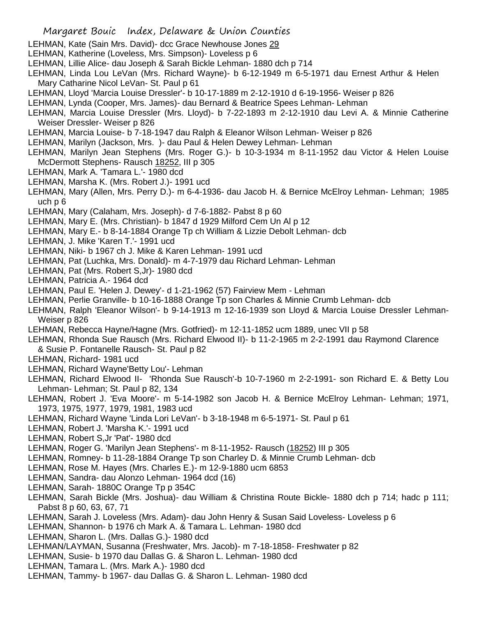- LEHMAN, Kate (Sain Mrs. David)- dcc Grace Newhouse Jones 29
- LEHMAN, Katherine (Loveless, Mrs. Simpson)- Loveless p 6
- LEHMAN, Lillie Alice- dau Joseph & Sarah Bickle Lehman- 1880 dch p 714
- LEHMAN, Linda Lou LeVan (Mrs. Richard Wayne)- b 6-12-1949 m 6-5-1971 dau Ernest Arthur & Helen Mary Catharine Nicol LeVan- St. Paul p 61
- LEHMAN, Lloyd 'Marcia Louise Dressler'- b 10-17-1889 m 2-12-1910 d 6-19-1956- Weiser p 826
- LEHMAN, Lynda (Cooper, Mrs. James)- dau Bernard & Beatrice Spees Lehman- Lehman
- LEHMAN, Marcia Louise Dressler (Mrs. Lloyd)- b 7-22-1893 m 2-12-1910 dau Levi A. & Minnie Catherine Weiser Dressler- Weiser p 826
- LEHMAN, Marcia Louise- b 7-18-1947 dau Ralph & Eleanor Wilson Lehman- Weiser p 826
- LEHMAN, Marilyn (Jackson, Mrs. )- dau Paul & Helen Dewey Lehman- Lehman
- LEHMAN, Marilyn Jean Stephens (Mrs. Roger G.)- b 10-3-1934 m 8-11-1952 dau Victor & Helen Louise McDermott Stephens- Rausch 18252, III p 305
- LEHMAN, Mark A. 'Tamara L.'- 1980 dcd
- LEHMAN, Marsha K. (Mrs. Robert J.)- 1991 ucd
- LEHMAN, Mary (Allen, Mrs. Perry D.)- m 6-4-1936- dau Jacob H. & Bernice McElroy Lehman- Lehman; 1985 uch p 6
- LEHMAN, Mary (Calaham, Mrs. Joseph)- d 7-6-1882- Pabst 8 p 60
- LEHMAN, Mary E. (Mrs. Christian)- b 1847 d 1929 Milford Cem Un Al p 12
- LEHMAN, Mary E.- b 8-14-1884 Orange Tp ch William & Lizzie Debolt Lehman- dcb
- LEHMAN, J. Mike 'Karen T.'- 1991 ucd
- LEHMAN, Niki- b 1967 ch J. Mike & Karen Lehman- 1991 ucd
- LEHMAN, Pat (Luchka, Mrs. Donald)- m 4-7-1979 dau Richard Lehman- Lehman
- LEHMAN, Pat (Mrs. Robert S,Jr)- 1980 dcd
- LEHMAN, Patricia A.- 1964 dcd
- LEHMAN, Paul E. 'Helen J. Dewey'- d 1-21-1962 (57) Fairview Mem Lehman
- LEHMAN, Perlie Granville- b 10-16-1888 Orange Tp son Charles & Minnie Crumb Lehman- dcb
- LEHMAN, Ralph 'Eleanor Wilson'- b 9-14-1913 m 12-16-1939 son Lloyd & Marcia Louise Dressler Lehman-Weiser p 826
- LEHMAN, Rebecca Hayne/Hagne (Mrs. Gotfried)- m 12-11-1852 ucm 1889, unec VII p 58
- LEHMAN, Rhonda Sue Rausch (Mrs. Richard Elwood II)- b 11-2-1965 m 2-2-1991 dau Raymond Clarence & Susie P. Fontanelle Rausch- St. Paul p 82
- LEHMAN, Richard- 1981 ucd
- LEHMAN, Richard Wayne'Betty Lou'- Lehman
- LEHMAN, Richard Elwood II- 'Rhonda Sue Rausch'-b 10-7-1960 m 2-2-1991- son Richard E. & Betty Lou Lehman- Lehman; St. Paul p 82, 134
- LEHMAN, Robert J. 'Eva Moore'- m 5-14-1982 son Jacob H. & Bernice McElroy Lehman- Lehman; 1971, 1973, 1975, 1977, 1979, 1981, 1983 ucd
- LEHMAN, Richard Wayne 'Linda Lori LeVan'- b 3-18-1948 m 6-5-1971- St. Paul p 61
- LEHMAN, Robert J. 'Marsha K.'- 1991 ucd
- LEHMAN, Robert S,Jr 'Pat'- 1980 dcd
- LEHMAN, Roger G. 'Marilyn Jean Stephens'- m 8-11-1952- Rausch (18252) III p 305
- LEHMAN, Romney- b 11-28-1884 Orange Tp son Charley D. & Minnie Crumb Lehman- dcb
- LEHMAN, Rose M. Hayes (Mrs. Charles E.)- m 12-9-1880 ucm 6853
- LEHMAN, Sandra- dau Alonzo Lehman- 1964 dcd (16)
- LEHMAN, Sarah- 1880C Orange Tp p 354C
- LEHMAN, Sarah Bickle (Mrs. Joshua)- dau William & Christina Route Bickle- 1880 dch p 714; hadc p 111; Pabst 8 p 60, 63, 67, 71
- LEHMAN, Sarah J. Loveless (Mrs. Adam)- dau John Henry & Susan Said Loveless- Loveless p 6
- LEHMAN, Shannon- b 1976 ch Mark A. & Tamara L. Lehman- 1980 dcd
- LEHMAN, Sharon L. (Mrs. Dallas G.)- 1980 dcd
- LEHMAN/LAYMAN, Susanna (Freshwater, Mrs. Jacob)- m 7-18-1858- Freshwater p 82
- LEHMAN, Susie- b 1970 dau Dallas G. & Sharon L. Lehman- 1980 dcd
- LEHMAN, Tamara L. (Mrs. Mark A.)- 1980 dcd
- LEHMAN, Tammy- b 1967- dau Dallas G. & Sharon L. Lehman- 1980 dcd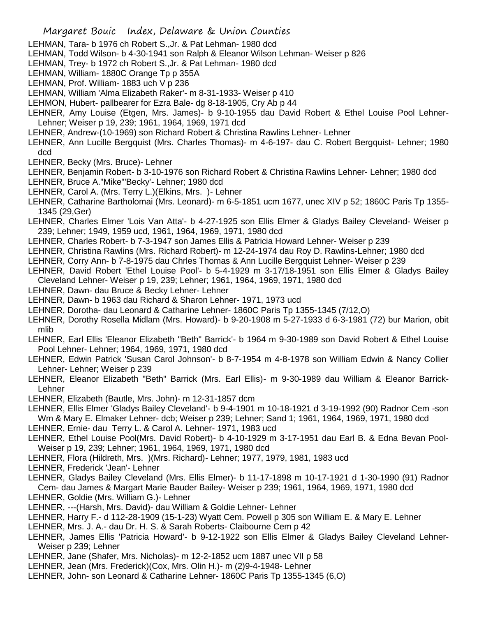- LEHMAN, Tara- b 1976 ch Robert S.,Jr. & Pat Lehman- 1980 dcd
- LEHMAN, Todd Wilson- b 4-30-1941 son Ralph & Eleanor Wilson Lehman- Weiser p 826
- LEHMAN, Trey- b 1972 ch Robert S.,Jr. & Pat Lehman- 1980 dcd
- LEHMAN, William- 1880C Orange Tp p 355A
- LEHMAN, Prof. William- 1883 uch V p 236
- LEHMAN, William 'Alma Elizabeth Raker'- m 8-31-1933- Weiser p 410
- LEHMON, Hubert- pallbearer for Ezra Bale- dg 8-18-1905, Cry Ab p 44
- LEHNER, Amy Louise (Etgen, Mrs. James)- b 9-10-1955 dau David Robert & Ethel Louise Pool Lehner-Lehner; Weiser p 19, 239; 1961, 1964, 1969, 1971 dcd
- LEHNER, Andrew-(10-1969) son Richard Robert & Christina Rawlins Lehner- Lehner
- LEHNER, Ann Lucille Bergquist (Mrs. Charles Thomas)- m 4-6-197- dau C. Robert Bergquist- Lehner; 1980 dcd
- LEHNER, Becky (Mrs. Bruce)- Lehner
- LEHNER, Benjamin Robert- b 3-10-1976 son Richard Robert & Christina Rawlins Lehner- Lehner; 1980 dcd
- LEHNER, Bruce A."Mike"'Becky'- Lehner; 1980 dcd
- LEHNER, Carol A. (Mrs. Terry L.)(Elkins, Mrs. )- Lehner
- LEHNER, Catharine Bartholomai (Mrs. Leonard)- m 6-5-1851 ucm 1677, unec XIV p 52; 1860C Paris Tp 1355- 1345 (29,Ger)
- LEHNER, Charles Elmer 'Lois Van Atta'- b 4-27-1925 son Ellis Elmer & Gladys Bailey Cleveland- Weiser p 239; Lehner; 1949, 1959 ucd, 1961, 1964, 1969, 1971, 1980 dcd
- LEHNER, Charles Robert- b 7-3-1947 son James Ellis & Patricia Howard Lehner- Weiser p 239
- LEHNER, Christina Rawlins (Mrs. Richard Robert)- m 12-24-1974 dau Roy D. Rawlins-Lehner; 1980 dcd
- LEHNER, Corry Ann- b 7-8-1975 dau Chrles Thomas & Ann Lucille Bergquist Lehner- Weiser p 239
- LEHNER, David Robert 'Ethel Louise Pool'- b 5-4-1929 m 3-17/18-1951 son Ellis Elmer & Gladys Bailey Cleveland Lehner- Weiser p 19, 239; Lehner; 1961, 1964, 1969, 1971, 1980 dcd
- LEHNER, Dawn- dau Bruce & Becky Lehner- Lehner
- LEHNER, Dawn- b 1963 dau Richard & Sharon Lehner- 1971, 1973 ucd
- LEHNER, Dorotha- dau Leonard & Catharine Lehner- 1860C Paris Tp 1355-1345 (7/12,O)
- LEHNER, Dorothy Rosella Midlam (Mrs. Howard)- b 9-20-1908 m 5-27-1933 d 6-3-1981 (72) bur Marion, obit mlib
- LEHNER, Earl Ellis 'Eleanor Elizabeth "Beth" Barrick'- b 1964 m 9-30-1989 son David Robert & Ethel Louise Pool Lehner- Lehner; 1964, 1969, 1971, 1980 dcd
- LEHNER, Edwin Patrick 'Susan Carol Johnson'- b 8-7-1954 m 4-8-1978 son William Edwin & Nancy Collier Lehner- Lehner; Weiser p 239
- LEHNER, Eleanor Elizabeth "Beth" Barrick (Mrs. Earl Ellis)- m 9-30-1989 dau William & Eleanor Barrick-Lehner
- LEHNER, Elizabeth (Bautle, Mrs. John)- m 12-31-1857 dcm
- LEHNER, Ellis Elmer 'Gladys Bailey Cleveland'- b 9-4-1901 m 10-18-1921 d 3-19-1992 (90) Radnor Cem -son
- Wm & Mary E. Elmaker Lehner- dcb; Weiser p 239; Lehner; Sand 1; 1961, 1964, 1969, 1971, 1980 dcd LEHNER, Ernie- dau Terry L. & Carol A. Lehner- 1971, 1983 ucd
- LEHNER, Ethel Louise Pool(Mrs. David Robert)- b 4-10-1929 m 3-17-1951 dau Earl B. & Edna Bevan Pool-Weiser p 19, 239; Lehner; 1961, 1964, 1969, 1971, 1980 dcd
- LEHNER, Flora (Hildreth, Mrs. )(Mrs. Richard)- Lehner; 1977, 1979, 1981, 1983 ucd
- LEHNER, Frederick 'Jean'- Lehner
- LEHNER, Gladys Bailey Cleveland (Mrs. Ellis Elmer)- b 11-17-1898 m 10-17-1921 d 1-30-1990 (91) Radnor Cem- dau James & Margart Marie Bauder Bailey- Weiser p 239; 1961, 1964, 1969, 1971, 1980 dcd LEHNER, Goldie (Mrs. William G.)- Lehner
- LEHNER, ---(Harsh, Mrs. David)- dau William & Goldie Lehner- Lehner
- LEHNER, Harry F.- d 112-28-1909 (15-1-23) Wyatt Cem. Powell p 305 son William E. & Mary E. Lehner
- LEHNER, Mrs. J. A.- dau Dr. H. S. & Sarah Roberts- Claibourne Cem p 42
- LEHNER, James Ellis 'Patricia Howard'- b 9-12-1922 son Ellis Elmer & Gladys Bailey Cleveland Lehner-Weiser p 239; Lehner
- LEHNER, Jane (Shafer, Mrs. Nicholas)- m 12-2-1852 ucm 1887 unec VII p 58
- LEHNER, Jean (Mrs. Frederick)(Cox, Mrs. Olin H.)- m (2)9-4-1948- Lehner
- LEHNER, John- son Leonard & Catharine Lehner- 1860C Paris Tp 1355-1345 (6,O)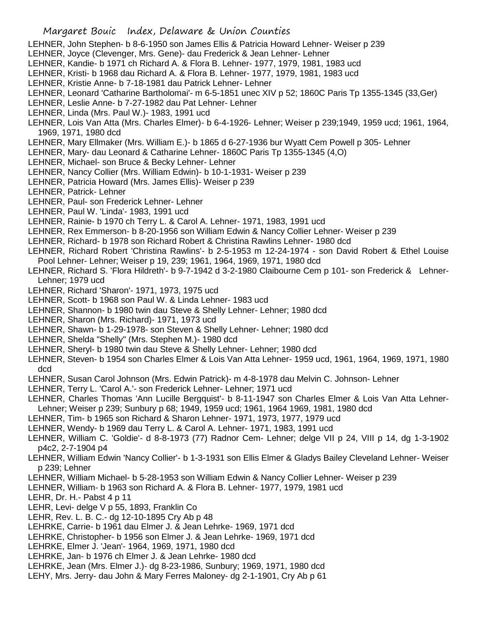## Margaret Bouic Index, Delaware & Union Counties

- LEHNER, John Stephen- b 8-6-1950 son James Ellis & Patricia Howard Lehner- Weiser p 239
- LEHNER, Joyce (Clevenger, Mrs. Gene)- dau Frederick & Jean Lehner- Lehner
- LEHNER, Kandie- b 1971 ch Richard A. & Flora B. Lehner- 1977, 1979, 1981, 1983 ucd
- LEHNER, Kristi- b 1968 dau Richard A. & Flora B. Lehner- 1977, 1979, 1981, 1983 ucd
- LEHNER, Kristie Anne- b 7-18-1981 dau Patrick Lehner- Lehner
- LEHNER, Leonard 'Catharine Bartholomai'- m 6-5-1851 unec XIV p 52; 1860C Paris Tp 1355-1345 (33,Ger)
- LEHNER, Leslie Anne- b 7-27-1982 dau Pat Lehner- Lehner
- LEHNER, Linda (Mrs. Paul W.)- 1983, 1991 ucd
- LEHNER, Lois Van Atta (Mrs. Charles Elmer)- b 6-4-1926- Lehner; Weiser p 239;1949, 1959 ucd; 1961, 1964, 1969, 1971, 1980 dcd
- LEHNER, Mary Ellmaker (Mrs. William E.)- b 1865 d 6-27-1936 bur Wyatt Cem Powell p 305- Lehner
- LEHNER, Mary- dau Leonard & Catharine Lehner- 1860C Paris Tp 1355-1345 (4,O)
- LEHNER, Michael- son Bruce & Becky Lehner- Lehner
- LEHNER, Nancy Collier (Mrs. William Edwin)- b 10-1-1931- Weiser p 239
- LEHNER, Patricia Howard (Mrs. James Ellis)- Weiser p 239
- LEHNER, Patrick- Lehner
- LEHNER, Paul- son Frederick Lehner- Lehner
- LEHNER, Paul W. 'Linda'- 1983, 1991 ucd
- LEHNER, Rainie- b 1970 ch Terry L. & Carol A. Lehner- 1971, 1983, 1991 ucd
- LEHNER, Rex Emmerson- b 8-20-1956 son William Edwin & Nancy Collier Lehner- Weiser p 239
- LEHNER, Richard- b 1978 son Richard Robert & Christina Rawlins Lehner- 1980 dcd
- LEHNER, Richard Robert 'Christina Rawlins'- b 2-5-1953 m 12-24-1974 son David Robert & Ethel Louise Pool Lehner- Lehner; Weiser p 19, 239; 1961, 1964, 1969, 1971, 1980 dcd
- LEHNER, Richard S. 'Flora Hildreth'- b 9-7-1942 d 3-2-1980 Claibourne Cem p 101- son Frederick & Lehner-Lehner; 1979 ucd
- LEHNER, Richard 'Sharon'- 1971, 1973, 1975 ucd
- LEHNER, Scott- b 1968 son Paul W. & Linda Lehner- 1983 ucd
- LEHNER, Shannon- b 1980 twin dau Steve & Shelly Lehner- Lehner; 1980 dcd
- LEHNER, Sharon (Mrs. Richard)- 1971, 1973 ucd
- LEHNER, Shawn- b 1-29-1978- son Steven & Shelly Lehner- Lehner; 1980 dcd
- LEHNER, Shelda "Shelly" (Mrs. Stephen M.)- 1980 dcd
- LEHNER, Sheryl- b 1980 twin dau Steve & Shelly Lehner- Lehner; 1980 dcd
- LEHNER, Steven- b 1954 son Charles Elmer & Lois Van Atta Lehner- 1959 ucd, 1961, 1964, 1969, 1971, 1980 dcd
- LEHNER, Susan Carol Johnson (Mrs. Edwin Patrick)- m 4-8-1978 dau Melvin C. Johnson- Lehner
- LEHNER, Terry L. 'Carol A.'- son Frederick Lehner- Lehner; 1971 ucd
- LEHNER, Charles Thomas 'Ann Lucille Bergquist'- b 8-11-1947 son Charles Elmer & Lois Van Atta Lehner-Lehner; Weiser p 239; Sunbury p 68; 1949, 1959 ucd; 1961, 1964 1969, 1981, 1980 dcd
- LEHNER, Tim- b 1965 son Richard & Sharon Lehner- 1971, 1973, 1977, 1979 ucd
- LEHNER, Wendy- b 1969 dau Terry L. & Carol A. Lehner- 1971, 1983, 1991 ucd
- LEHNER, William C. 'Goldie'- d 8-8-1973 (77) Radnor Cem- Lehner; delge VII p 24, VIII p 14, dg 1-3-1902 p4c2, 2-7-1904 p4
- LEHNER, William Edwin 'Nancy Collier'- b 1-3-1931 son Ellis Elmer & Gladys Bailey Cleveland Lehner- Weiser p 239; Lehner
- LEHNER, William Michael- b 5-28-1953 son William Edwin & Nancy Collier Lehner- Weiser p 239
- LEHNER, William- b 1963 son Richard A. & Flora B. Lehner- 1977, 1979, 1981 ucd
- LEHR, Dr. H.- Pabst 4 p 11
- LEHR, Levi- delge V p 55, 1893, Franklin Co
- LEHR, Rev. L. B. C.- dg 12-10-1895 Cry Ab p 48
- LEHRKE, Carrie- b 1961 dau Elmer J. & Jean Lehrke- 1969, 1971 dcd
- LEHRKE, Christopher- b 1956 son Elmer J. & Jean Lehrke- 1969, 1971 dcd
- LEHRKE, Elmer J. 'Jean'- 1964, 1969, 1971, 1980 dcd
- LEHRKE, Jan- b 1976 ch Elmer J. & Jean Lehrke- 1980 dcd
- LEHRKE, Jean (Mrs. Elmer J.)- dg 8-23-1986, Sunbury; 1969, 1971, 1980 dcd
- LEHY, Mrs. Jerry- dau John & Mary Ferres Maloney- dg 2-1-1901, Cry Ab p 61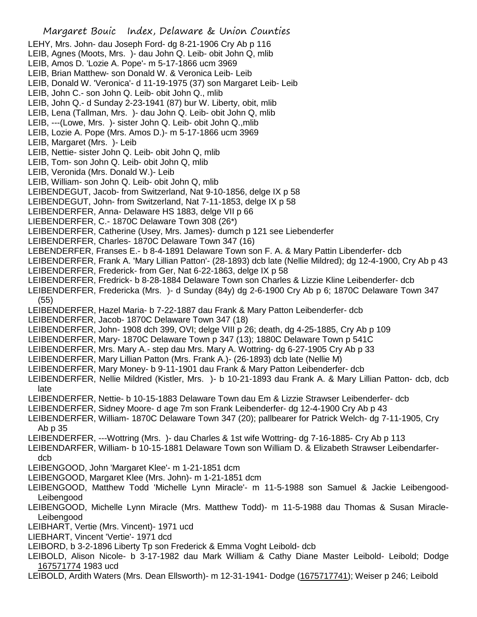Margaret Bouic Index, Delaware & Union Counties LEHY, Mrs. John- dau Joseph Ford- dg 8-21-1906 Cry Ab p 116 LEIB, Agnes (Moots, Mrs. )- dau John Q. Leib- obit John Q, mlib LEIB, Amos D. 'Lozie A. Pope'- m 5-17-1866 ucm 3969 LEIB, Brian Matthew- son Donald W. & Veronica Leib- Leib LEIB, Donald W. 'Veronica'- d 11-19-1975 (37) son Margaret Leib- Leib LEIB, John C.- son John Q. Leib- obit John Q., mlib LEIB, John Q.- d Sunday 2-23-1941 (87) bur W. Liberty, obit, mlib LEIB, Lena (Tallman, Mrs. )- dau John Q. Leib- obit John Q, mlib LEIB, ---(Lowe, Mrs. )- sister John Q. Leib- obit John Q.,mlib LEIB, Lozie A. Pope (Mrs. Amos D.)- m 5-17-1866 ucm 3969 LEIB, Margaret (Mrs. )- Leib LEIB, Nettie- sister John Q. Leib- obit John Q, mlib LEIB, Tom- son John Q. Leib- obit John Q, mlib LEIB, Veronida (Mrs. Donald W.)- Leib LEIB, William- son John Q. Leib- obit John Q, mlib LEIBENDEGUT, Jacob- from Switzerland, Nat 9-10-1856, delge IX p 58 LEIBENDEGUT, John- from Switzerland, Nat 7-11-1853, delge IX p 58 LEIBENDERFER, Anna- Delaware HS 1883, delge VII p 66 LIEBENDERFER, C.- 1870C Delaware Town 308 (26\*) LEIBENDERFER, Catherine (Usey, Mrs. James)- dumch p 121 see Liebenderfer LEIBENDERFER, Charles- 1870C Delaware Town 347 (16) LEBENDERFER, Franses E.- b 8-4-1891 Delaware Town son F. A. & Mary Pattin Libenderfer- dcb LEIBENDERFER, Frank A. 'Mary Lillian Patton'- (28-1893) dcb late (Nellie Mildred); dg 12-4-1900, Cry Ab p 43 LEIBENDERFER, Frederick- from Ger, Nat 6-22-1863, delge IX p 58 LEIBENDERFER, Fredrick- b 8-28-1884 Delaware Town son Charles & Lizzie Kline Leibenderfer- dcb LEIBENDERFER, Fredericka (Mrs. )- d Sunday (84y) dg 2-6-1900 Cry Ab p 6; 1870C Delaware Town 347 (55) LEIBENDERFER, Hazel Maria- b 7-22-1887 dau Frank & Mary Patton Leibenderfer- dcb LEIBENDERFER, Jacob- 1870C Delaware Town 347 (18) LEIBENDERFER, John- 1908 dch 399, OVI; delge VIII p 26; death, dg 4-25-1885, Cry Ab p 109 LEIBENDERFER, Mary- 1870C Delaware Town p 347 (13); 1880C Delaware Town p 541C LEIBENDERFER, Mrs. Mary A.- step dau Mrs. Mary A. Wottring- dg 6-27-1905 Cry Ab p 33 LEIBENDERFER, Mary Lillian Patton (Mrs. Frank A.)- (26-1893) dcb late (Nellie M) LEIBENDERFER, Mary Money- b 9-11-1901 dau Frank & Mary Patton Leibenderfer- dcb LEIBENDERFER, Nellie Mildred (Kistler, Mrs. )- b 10-21-1893 dau Frank A. & Mary Lillian Patton- dcb, dcb late LEIBENDERFER, Nettie- b 10-15-1883 Delaware Town dau Em & Lizzie Strawser Leibenderfer- dcb LEIBENDERFER, Sidney Moore- d age 7m son Frank Leibenderfer- dg 12-4-1900 Cry Ab p 43 LEIBENDERFER, William- 1870C Delaware Town 347 (20); pallbearer for Patrick Welch- dg 7-11-1905, Cry Ab p 35 LEIBENDERFER, ---Wottring (Mrs. )- dau Charles & 1st wife Wottring- dg 7-16-1885- Cry Ab p 113 LEIBENDARFER, William- b 10-15-1881 Delaware Town son William D. & Elizabeth Strawser Leibendarferdcb LEIBENGOOD, John 'Margaret Klee'- m 1-21-1851 dcm LEIBENGOOD, Margaret Klee (Mrs. John)- m 1-21-1851 dcm LEIBENGOOD, Matthew Todd 'Michelle Lynn Miracle'- m 11-5-1988 son Samuel & Jackie Leibengood-Leibengood LEIBENGOOD, Michelle Lynn Miracle (Mrs. Matthew Todd)- m 11-5-1988 dau Thomas & Susan Miracle-Leibengood LEIBHART, Vertie (Mrs. Vincent)- 1971 ucd LIEBHART, Vincent 'Vertie'- 1971 dcd LEIBORD, b 3-2-1896 Liberty Tp son Frederick & Emma Voght Leibold- dcb LEIBOLD, Alison Nicole- b 3-17-1982 dau Mark William & Cathy Diane Master Leibold- Leibold; Dodge 167571774 1983 ucd LEIBOLD, Ardith Waters (Mrs. Dean Ellsworth)- m 12-31-1941- Dodge (1675717741); Weiser p 246; Leibold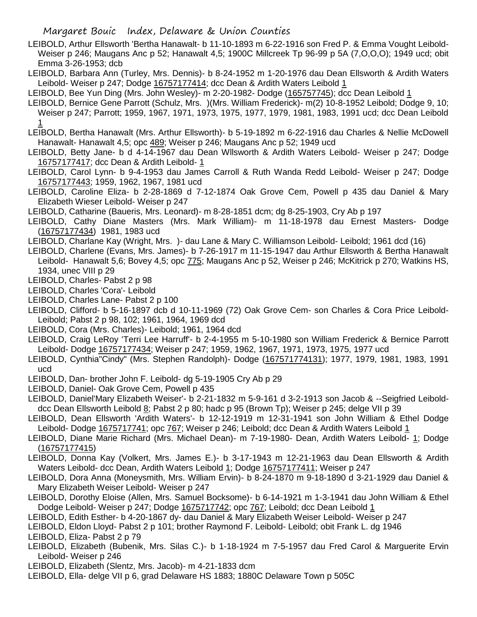## Margaret Bouic Index, Delaware & Union Counties

- LEIBOLD, Arthur Ellsworth 'Bertha Hanawalt- b 11-10-1893 m 6-22-1916 son Fred P. & Emma Vought Leibold-Weiser p 246; Maugans Anc p 52; Hanawalt 4,5; 1900C Millcreek Tp 96-99 p 5A (7,O,O,O); 1949 ucd; obit Emma 3-26-1953; dcb
- LEIBOLD, Barbara Ann (Turley, Mrs. Dennis)- b 8-24-1952 m 1-20-1976 dau Dean Ellsworth & Ardith Waters Leibold- Weiser p 247; Dodge 16757177414; dcc Dean & Ardith Waters Leibold 1
- LEIBOLD, Bee Yun Ding (Mrs. John Wesley)- m 2-20-1982- Dodge (165757745); dcc Dean Leibold 1
- LEIBOLD, Bernice Gene Parrott (Schulz, Mrs. )(Mrs. William Frederick)- m(2) 10-8-1952 Leibold; Dodge 9, 10; Weiser p 247; Parrott; 1959, 1967, 1971, 1973, 1975, 1977, 1979, 1981, 1983, 1991 ucd; dcc Dean Leibold 1
- LEIBOLD, Bertha Hanawalt (Mrs. Arthur Ellsworth)- b 5-19-1892 m 6-22-1916 dau Charles & Nellie McDowell Hanawalt- Hanawalt 4,5; opc 489; Weiser p 246; Maugans Anc p 52; 1949 ucd
- LEIBOLD, Betty Jane- b d 4-14-1967 dau Dean Wllsworth & Ardith Waters Leibold- Weiser p 247; Dodge 16757177417; dcc Dean & Ardith Leibold- 1
- LEIBOLD, Carol Lynn- b 9-4-1953 dau James Carroll & Ruth Wanda Redd Leibold- Weiser p 247; Dodge 16757177443; 1959, 1962, 1967, 1981 ucd
- LEIBOLD, Caroline Eliza- b 2-28-1869 d 7-12-1874 Oak Grove Cem, Powell p 435 dau Daniel & Mary Elizabeth Wieser Leibold- Weiser p 247
- LEIBOLD, Catharine (Baueris, Mrs. Leonard)- m 8-28-1851 dcm; dg 8-25-1903, Cry Ab p 197
- LEIBOLD, Cathy Diane Masters (Mrs. Mark William)- m 11-18-1978 dau Ernest Masters- Dodge (16757177434) 1981, 1983 ucd
- LEIBOLD, Charlane Kay (Wright, Mrs. )- dau Lane & Mary C. Williamson Leibold- Leibold; 1961 dcd (16)
- LEIBOLD, Charlene (Evans, Mrs. James)- b 7-26-1917 m 11-15-1947 dau Arthur Ellsworth & Bertha Hanawalt Leibold- Hanawalt 5,6; Bovey 4,5; opc 775; Maugans Anc p 52, Weiser p 246; McKitrick p 270; Watkins HS, 1934, unec VIII p 29
- LEIBOLD, Charles- Pabst 2 p 98
- LEIBOLD, Charles 'Cora'- Leibold
- LEIBOLD, Charles Lane- Pabst 2 p 100
- LEIBOLD, Clifford- b 5-16-1897 dcb d 10-11-1969 (72) Oak Grove Cem- son Charles & Cora Price Leibold-Leibold; Pabst 2 p 98, 102; 1961, 1964, 1969 dcd
- LEIBOLD, Cora (Mrs. Charles)- Leibold; 1961, 1964 dcd
- LEIBOLD, Craig LeRoy 'Terri Lee Harruff'- b 2-4-1955 m 5-10-1980 son William Frederick & Bernice Parrott Leibold- Dodge 16757177434; Weiser p 247; 1959, 1962, 1967, 1971, 1973, 1975, 1977 ucd
- LEIBOLD, Cynthia"Cindy" (Mrs. Stephen Randolph)- Dodge (167571774131); 1977, 1979, 1981, 1983, 1991 ucd
- LEIBOLD, Dan- brother John F. Leibold- dg 5-19-1905 Cry Ab p 29
- LEIBOLD, Daniel- Oak Grove Cem, Powell p 435
- LEIBOLD, Daniel'Mary Elizabeth Weiser'- b 2-21-1832 m 5-9-161 d 3-2-1913 son Jacob & --Seigfried Leibolddcc Dean Ellsworth Leibold 8; Pabst 2 p 80; hadc p 95 (Brown Tp); Weiser p 245; delge VII p 39
- LEIBOLD, Dean Ellsworth 'Ardith Waters'- b 12-12-1919 m 12-31-1941 son John William & Ethel Dodge Leibold- Dodge 1675717741; opc 767; Weiser p 246; Leibold; dcc Dean & Ardith Waters Leibold 1
- LEIBOLD, Diane Marie Richard (Mrs. Michael Dean)- m 7-19-1980- Dean, Ardith Waters Leibold- 1; Dodge (16757177415)
- LEIBOLD, Donna Kay (Volkert, Mrs. James E.)- b 3-17-1943 m 12-21-1963 dau Dean Ellsworth & Ardith Waters Leibold- dcc Dean, Ardith Waters Leibold 1; Dodge 16757177411; Weiser p 247
- LEIBOLD, Dora Anna (Moneysmith, Mrs. William Ervin)- b 8-24-1870 m 9-18-1890 d 3-21-1929 dau Daniel & Mary Elizabeth Weiser Leibold- Weiser p 247
- LEIBOLD, Dorothy Eloise (Allen, Mrs. Samuel Bocksome)- b 6-14-1921 m 1-3-1941 dau John William & Ethel Dodge Leibold- Weiser p 247; Dodge 1675717742; opc 767; Leibold; dcc Dean Leibold 1
- LEIBOLD, Edith Esther- b 4-20-1867 dy- dau Daniel & Mary Elizabeth Weiser Leibold- Weiser p 247
- LEIBOLD, Eldon Lloyd- Pabst 2 p 101; brother Raymond F. Leibold- Leibold; obit Frank L. dg 1946
- LEIBOLD, Eliza- Pabst 2 p 79
- LEIBOLD, Elizabeth (Bubenik, Mrs. Silas C.)- b 1-18-1924 m 7-5-1957 dau Fred Carol & Marguerite Ervin Leibold- Weiser p 246
- LEIBOLD, Elizabeth (Slentz, Mrs. Jacob)- m 4-21-1833 dcm
- LEIBOLD, Ella- delge VII p 6, grad Delaware HS 1883; 1880C Delaware Town p 505C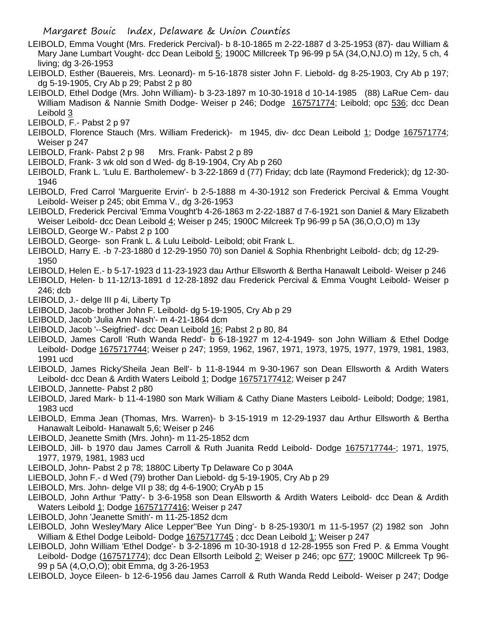- LEIBOLD, Emma Vought (Mrs. Frederick Percival)- b 8-10-1865 m 2-22-1887 d 3-25-1953 (87)- dau William & Mary Jane Lumbart Vought- dcc Dean Leibold 5; 1900C Millcreek Tp 96-99 p 5A (34,O,NJ.O) m 12y, 5 ch, 4 living; dg 3-26-1953
- LEIBOLD, Esther (Bauereis, Mrs. Leonard)- m 5-16-1878 sister John F. Liebold- dg 8-25-1903, Cry Ab p 197; dg 5-19-1905, Cry Ab p 29; Pabst 2 p 80
- LEIBOLD, Ethel Dodge (Mrs. John William)- b 3-23-1897 m 10-30-1918 d 10-14-1985 (88) LaRue Cem- dau William Madison & Nannie Smith Dodge- Weiser p 246; Dodge 167571774; Leibold; opc 536; dcc Dean Leibold 3
- LEIBOLD, F.- Pabst 2 p 97
- LEIBOLD, Florence Stauch (Mrs. William Frederick)- m 1945, div- dcc Dean Leibold 1; Dodge 167571774; Weiser p 247
- LEIBOLD, Frank- Pabst 2 p 98 Mrs. Frank- Pabst 2 p 89
- LEIBOLD, Frank- 3 wk old son d Wed- dg 8-19-1904, Cry Ab p 260
- LEIBOLD, Frank L. 'Lulu E. Bartholemew'- b 3-22-1869 d (77) Friday; dcb late (Raymond Frederick); dg 12-30- 1946
- LEIBOLD, Fred Carrol 'Marguerite Ervin'- b 2-5-1888 m 4-30-1912 son Frederick Percival & Emma Vought Leibold- Weiser p 245; obit Emma V., dg 3-26-1953
- LEIBOLD, Frederick Percival 'Emma Vought'b 4-26-1863 m 2-22-1887 d 7-6-1921 son Daniel & Mary Elizabeth Weiser Leibold- dcc Dean Leibold 4; Weiser p 245; 1900C Milcreek Tp 96-99 p 5A (36,O,O,O) m 13y
- LEIBOLD, George W.- Pabst 2 p 100
- LEIBOLD, George- son Frank L. & Lulu Leibold- Leibold; obit Frank L.
- LEIBOLD, Harry E. -b 7-23-1880 d 12-29-1950 70) son Daniel & Sophia Rhenbright Leibold- dcb; dg 12-29- 1950
- LEIBOLD, Helen E.- b 5-17-1923 d 11-23-1923 dau Arthur Ellsworth & Bertha Hanawalt Leibold- Weiser p 246
- LEIBOLD, Helen- b 11-12/13-1891 d 12-28-1892 dau Frederick Percival & Emma Vought Leibold- Weiser p 246; dcb
- LEIBOLD, J.- delge III p 4i, Liberty Tp
- LEIBOLD, Jacob- brother John F. Leibold- dg 5-19-1905, Cry Ab p 29
- LEIBOLD, Jacob 'Julia Ann Nash'- m 4-21-1864 dcm
- LEIBOLD, Jacob '--Seigfried'- dcc Dean Leibold 16; Pabst 2 p 80, 84
- LEIBOLD, James Caroll 'Ruth Wanda Redd'- b 6-18-1927 m 12-4-1949- son John William & Ethel Dodge Leibold- Dodge 1675717744; Weiser p 247; 1959, 1962, 1967, 1971, 1973, 1975, 1977, 1979, 1981, 1983, 1991 ucd
- LEIBOLD, James Ricky'Sheila Jean Bell'- b 11-8-1944 m 9-30-1967 son Dean Ellsworth & Ardith Waters Leibold- dcc Dean & Ardith Waters Leibold 1; Dodge 16757177412; Weiser p 247
- LEIBOLD, Jannette- Pabst 2 p80
- LEIBOLD, Jared Mark- b 11-4-1980 son Mark William & Cathy Diane Masters Leibold- Leibold; Dodge; 1981, 1983 ucd
- LEIBOLD, Emma Jean (Thomas, Mrs. Warren)- b 3-15-1919 m 12-29-1937 dau Arthur Ellsworth & Bertha Hanawalt Leibold- Hanawalt 5,6; Weiser p 246
- LEIBOLD, Jeanette Smith (Mrs. John)- m 11-25-1852 dcm
- LEIBOLD, Jill- b 1970 dau James Carroll & Ruth Juanita Redd Leibold- Dodge 1675717744-; 1971, 1975, 1977, 1979, 1981, 1983 ucd
- LEIBOLD, John- Pabst 2 p 78; 1880C Liberty Tp Delaware Co p 304A
- LIEBOLD, John F.- d Wed (79) brother Dan Liebold- dg 5-19-1905, Cry Ab p 29
- LEIBOLD, Mrs. John- delge VII p 38; dg 4-6-1900; CryAb p 15
- LEIBOLD, John Arthur 'Patty'- b 3-6-1958 son Dean Ellsworth & Ardith Waters Leibold- dcc Dean & Ardith Waters Leibold 1; Dodge 16757177416; Weiser p 247
- LEIBOLD, John 'Jeanette Smith'- m 11-25-1852 dcm
- LEIBOLD, John Wesley'Mary Alice Lepper''Bee Yun Ding'- b 8-25-1930/1 m 11-5-1957 (2) 1982 son John William & Ethel Dodge Leibold- Dodge 1675717745 ; dcc Dean Leibold 1; Weiser p 247
- LEIBOLD, John William 'Ethel Dodge'- b 3-2-1896 m 10-30-1918 d 12-28-1955 son Fred P. & Emma Vought Leibold- Dodge (167571774); dcc Dean Ellsorth Leibold 2; Weiser p 246; opc 677; 1900C Millcreek Tp 96- 99 p 5A (4,O,O,O); obit Emma, dg 3-26-1953
- LEIBOLD, Joyce Eileen- b 12-6-1956 dau James Carroll & Ruth Wanda Redd Leibold- Weiser p 247; Dodge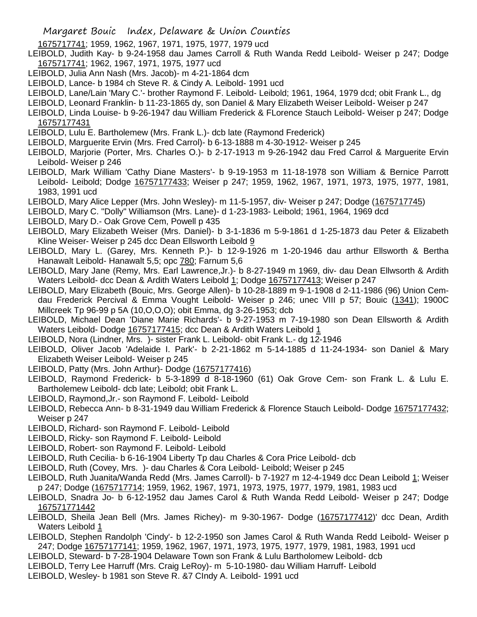- 1675717741; 1959, 1962, 1967, 1971, 1975, 1977, 1979 ucd
- LEIBOLD, Judith Kay- b 9-24-1958 dau James Carroll & Ruth Wanda Redd Leibold- Weiser p 247; Dodge 1675717741; 1962, 1967, 1971, 1975, 1977 ucd
- LEIBOLD, Julia Ann Nash (Mrs. Jacob)- m 4-21-1864 dcm
- LEIBOLD, Lance- b 1984 ch Steve R. & Cindy A. Leibold- 1991 ucd
- LEIBOLD, Lane/Lain 'Mary C.'- brother Raymond F. Leibold- Leibold; 1961, 1964, 1979 dcd; obit Frank L., dg
- LEIBOLD, Leonard Franklin- b 11-23-1865 dy, son Daniel & Mary Elizabeth Weiser Leibold- Weiser p 247
- LEIBOLD, Linda Louise- b 9-26-1947 dau William Frederick & FLorence Stauch Leibold- Weiser p 247; Dodge 16757177431
- LEIBOLD, Lulu E. Bartholemew (Mrs. Frank L.)- dcb late (Raymond Frederick)
- LEIBOLD, Marguerite Ervin (Mrs. Fred Carrol)- b 6-13-1888 m 4-30-1912- Weiser p 245
- LEIBOLD, Marjorie (Porter, Mrs. Charles O.)- b 2-17-1913 m 9-26-1942 dau Fred Carrol & Marguerite Ervin Leibold- Weiser p 246
- LEIBOLD, Mark William 'Cathy Diane Masters'- b 9-19-1953 m 11-18-1978 son William & Bernice Parrott Leibold- Leibold; Dodge 16757177433; Weiser p 247; 1959, 1962, 1967, 1971, 1973, 1975, 1977, 1981, 1983, 1991 ucd
- LEIBOLD, Mary Alice Lepper (Mrs. John Wesley)- m 11-5-1957, div- Weiser p 247; Dodge (1675717745)
- LEIBOLD, Mary C. "Dolly" Williamson (Mrs. Lane)- d 1-23-1983- Leibold; 1961, 1964, 1969 dcd
- LEIBOLD, Mary D.- Oak Grove Cem, Powell p 435
- LEIBOLD, Mary Elizabeth Weiser (Mrs. Daniel)- b 3-1-1836 m 5-9-1861 d 1-25-1873 dau Peter & Elizabeth Kline Weiser- Weiser p 245 dcc Dean Ellsworth Leibold 9
- LEIBOLD, Mary L. (Garey, Mrs. Kenneth P.)- b 12-9-1926 m 1-20-1946 dau arthur Ellsworth & Bertha Hanawalt Leibold- Hanawalt 5,5; opc 780; Farnum 5,6
- LEIBOLD, Mary Jane (Remy, Mrs. Earl Lawrence,Jr.)- b 8-27-1949 m 1969, div- dau Dean Ellwsorth & Ardith Waters Leibold- dcc Dean & Ardith Waters Leibold 1; Dodge 16757177413; Weiser p 247
- LEIBOLD, Mary Elizabeth (Bouic, Mrs. George Allen)- b 10-28-1889 m 9-1-1908 d 2-11-1986 (96) Union Cemdau Frederick Percival & Emma Vought Leibold- Weiser p 246; unec VIII p 57; Bouic (1341); 1900C Millcreek Tp 96-99 p 5A (10,O,O,O); obit Emma, dg 3-26-1953; dcb
- LEIBOLD, Michael Dean 'Diane Marie Richards'- b 9-27-1953 m 7-19-1980 son Dean Ellsworth & Ardith Waters Leibold- Dodge 16757177415; dcc Dean & Ardith Waters Leibold 1
- LEIBOLD, Nora (Lindner, Mrs. )- sister Frank L. Leibold- obit Frank L.- dg 12-1946
- LEIBOLD, Oliver Jacob 'Adelaide I. Park'- b 2-21-1862 m 5-14-1885 d 11-24-1934- son Daniel & Mary Elizabeth Weiser Leibold- Weiser p 245
- LEIBOLD, Patty (Mrs. John Arthur)- Dodge (16757177416)
- LEIBOLD, Raymond Frederick- b 5-3-1899 d 8-18-1960 (61) Oak Grove Cem- son Frank L. & Lulu E. Bartholemew Leibold- dcb late; Leibold; obit Frank L.
- LEIBOLD, Raymond,Jr.- son Raymond F. Leibold- Leibold
- LEIBOLD, Rebecca Ann- b 8-31-1949 dau William Frederick & Florence Stauch Leibold- Dodge 16757177432; Weiser p 247
- LEIBOLD, Richard- son Raymond F. Leibold- Leibold
- LEIBOLD, Ricky- son Raymond F. Leibold- Leibold
- LEIBOLD, Robert- son Raymond F. Leibold- Leibold
- LEIBOLD, Ruth Cecilia- b 6-16-1904 Liberty Tp dau Charles & Cora Price Leibold- dcb
- LEIBOLD, Ruth (Covey, Mrs. )- dau Charles & Cora Leibold- Leibold; Weiser p 245
- LEIBOLD, Ruth Juanita/Wanda Redd (Mrs. James Carroll)- b 7-1927 m 12-4-1949 dcc Dean Leibold 1; Weiser p 247; Dodge (1675717714; 1959, 1962, 1967, 1971, 1973, 1975, 1977, 1979, 1981, 1983 ucd
- LEIBOLD, Snadra Jo- b 6-12-1952 dau James Carol & Ruth Wanda Redd Leibold- Weiser p 247; Dodge 167571771442
- LEIBOLD, Sheila Jean Bell (Mrs. James Richey)- m 9-30-1967- Dodge (16757177412)' dcc Dean, Ardith Waters Leibold 1
- LEIBOLD, Stephen Randolph 'Cindy'- b 12-2-1950 son James Carol & Ruth Wanda Redd Leibold- Weiser p 247; Dodge 16757177141; 1959, 1962, 1967, 1971, 1973, 1975, 1977, 1979, 1981, 1983, 1991 ucd
- LEIBOLD, Steward- b 7-28-1904 Delaware Town son Frank & Lulu Bartholomew Leibold- dcb
- LEIBOLD, Terry Lee Harruff (Mrs. Craig LeRoy)- m 5-10-1980- dau William Harruff- Leibold
- LEIBOLD, Wesley- b 1981 son Steve R. &7 CIndy A. Leibold- 1991 ucd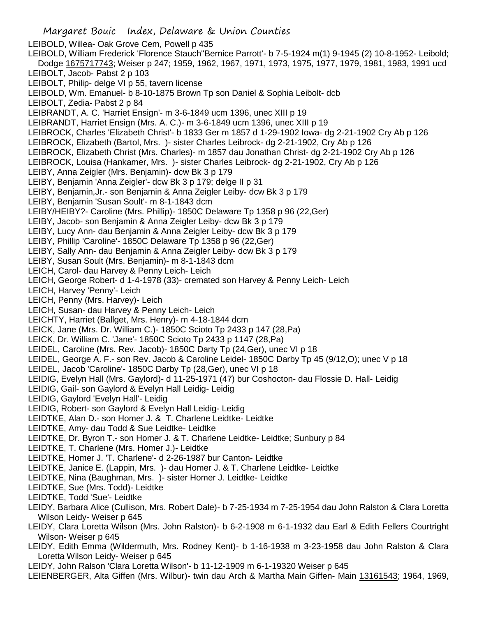Margaret Bouic Index, Delaware & Union Counties LEIBOLD, Willea- Oak Grove Cem, Powell p 435 LEIBOLD, William Frederick 'Florence Stauch''Bernice Parrott'- b 7-5-1924 m(1) 9-1945 (2) 10-8-1952- Leibold; Dodge 1675717743; Weiser p 247; 1959, 1962, 1967, 1971, 1973, 1975, 1977, 1979, 1981, 1983, 1991 ucd LEIBOLT, Jacob- Pabst 2 p 103 LEIBOLT, Philip- delge VI p 55, tavern license LEIBOLD, Wm. Emanuel- b 8-10-1875 Brown Tp son Daniel & Sophia Leibolt- dcb LEIBOLT, Zedia- Pabst 2 p 84 LEIBRANDT, A. C. 'Harriet Ensign'- m 3-6-1849 ucm 1396, unec XIII p 19 LEIBRANDT, Harriet Ensign (Mrs. A. C.)- m 3-6-1849 ucm 1396, unec XIII p 19 LEIBROCK, Charles 'Elizabeth Christ'- b 1833 Ger m 1857 d 1-29-1902 Iowa- dg 2-21-1902 Cry Ab p 126 LEIBROCK, Elizabeth (Bartol, Mrs. )- sister Charles Leibrock- dg 2-21-1902, Cry Ab p 126 LEIBROCK, Elizabeth Christ (Mrs. Charles)- m 1857 dau Jonathan Christ- dg 2-21-1902 Cry Ab p 126 LEIBROCK, Louisa (Hankamer, Mrs. )- sister Charles Leibrock- dg 2-21-1902, Cry Ab p 126 LEIBY, Anna Zeigler (Mrs. Benjamin)- dcw Bk 3 p 179 LEIBY, Benjamin 'Anna Zeigler'- dcw Bk 3 p 179; delge II p 31 LEIBY, Benjamin,Jr.- son Benjamin & Anna Zeigler Leiby- dcw Bk 3 p 179 LEIBY, Benjamin 'Susan Soult'- m 8-1-1843 dcm LEIBY/HEIBY?- Caroline (Mrs. Phillip)- 1850C Delaware Tp 1358 p 96 (22,Ger) LEIBY, Jacob- son Benjamin & Anna Zeigler Leiby- dcw Bk 3 p 179 LEIBY, Lucy Ann- dau Benjamin & Anna Zeigler Leiby- dcw Bk 3 p 179 LEIBY, Phillip 'Caroline'- 1850C Delaware Tp 1358 p 96 (22,Ger) LEIBY, Sally Ann- dau Benjamin & Anna Zeigler Leiby- dcw Bk 3 p 179 LEIBY, Susan Soult (Mrs. Benjamin)- m 8-1-1843 dcm LEICH, Carol- dau Harvey & Penny Leich- Leich LEICH, George Robert- d 1-4-1978 (33)- cremated son Harvey & Penny Leich- Leich LEICH, Harvey 'Penny'- Leich LEICH, Penny (Mrs. Harvey)- Leich LEICH, Susan- dau Harvey & Penny Leich- Leich LEICHTY, Harriet (Ballget, Mrs. Henry)- m 4-18-1844 dcm LEICK, Jane (Mrs. Dr. William C.)- 1850C Scioto Tp 2433 p 147 (28,Pa) LEICK, Dr. William C. 'Jane'- 1850C Scioto Tp 2433 p 1147 (28,Pa) LEIDEL, Caroline (Mrs. Rev. Jacob)- 1850C Darty Tp (24,Ger), unec VI p 18 LEIDEL, George A. F.- son Rev. Jacob & Caroline Leidel- 1850C Darby Tp 45 (9/12,O); unec V p 18 LEIDEL, Jacob 'Caroline'- 1850C Darby Tp (28,Ger), unec VI p 18 LEIDIG, Evelyn Hall (Mrs. Gaylord)- d 11-25-1971 (47) bur Coshocton- dau Flossie D. Hall- Leidig LEIDIG, Gail- son Gaylord & Evelyn Hall Leidig- Leidig LEIDIG, Gaylord 'Evelyn Hall'- Leidig LEIDIG, Robert- son Gaylord & Evelyn Hall Leidig- Leidig LEIDTKE, Alan D.- son Homer J. & T. Charlene Leidtke- Leidtke LEIDTKE, Amy- dau Todd & Sue Leidtke- Leidtke LEIDTKE, Dr. Byron T.- son Homer J. & T. Charlene Leidtke- Leidtke; Sunbury p 84 LEIDTKE, T. Charlene (Mrs. Homer J.)- Leidtke LEIDTKE, Homer J. 'T. Charlene'- d 2-26-1987 bur Canton- Leidtke LEIDTKE, Janice E. (Lappin, Mrs. )- dau Homer J. & T. Charlene Leidtke- Leidtke LEIDTKE, Nina (Baughman, Mrs. )- sister Homer J. Leidtke- Leidtke LEIDTKE, Sue (Mrs. Todd)- Leidtke LEIDTKE, Todd 'Sue'- Leidtke LEIDY, Barbara Alice (Cullison, Mrs. Robert Dale)- b 7-25-1934 m 7-25-1954 dau John Ralston & Clara Loretta Wilson Leidy- Weiser p 645 LEIDY, Clara Loretta Wilson (Mrs. John Ralston)- b 6-2-1908 m 6-1-1932 dau Earl & Edith Fellers Courtright Wilson- Weiser p 645 LEIDY, Edith Emma (Wildermuth, Mrs. Rodney Kent)- b 1-16-1938 m 3-23-1958 dau John Ralston & Clara

Loretta Wilson Leidy- Weiser p 645

LEIDY, John Ralson 'Clara Loretta Wilson'- b 11-12-1909 m 6-1-19320 Weiser p 645

LEIENBERGER, Alta Giffen (Mrs. Wilbur)- twin dau Arch & Martha Main Giffen- Main 13161543; 1964, 1969,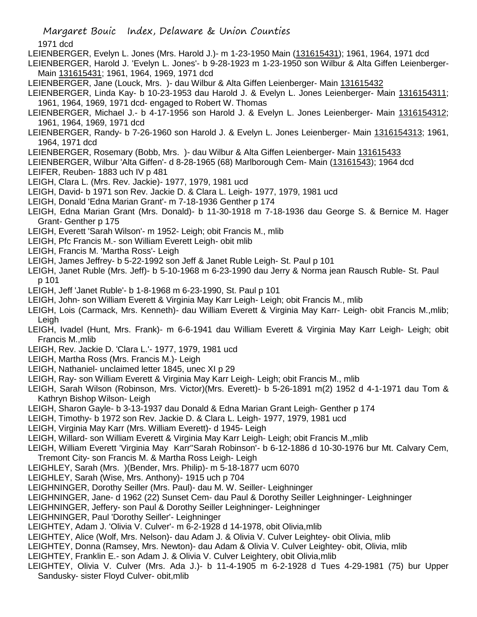## 1971 dcd

- LEIENBERGER, Evelyn L. Jones (Mrs. Harold J.)- m 1-23-1950 Main (131615431); 1961, 1964, 1971 dcd
- LEIENBERGER, Harold J. 'Evelyn L. Jones'- b 9-28-1923 m 1-23-1950 son Wilbur & Alta Giffen Leienberger-Main 131615431; 1961, 1964, 1969, 1971 dcd
- LEIENBERGER, Jane (Louck, Mrs. )- dau Wilbur & Alta Giffen Leienberger- Main 131615432
- LEIENBERGER, Linda Kay- b 10-23-1953 dau Harold J. & Evelyn L. Jones Leienberger- Main 1316154311; 1961, 1964, 1969, 1971 dcd- engaged to Robert W. Thomas
- LEIENBERGER, Michael J.- b 4-17-1956 son Harold J. & Evelyn L. Jones Leienberger- Main 1316154312; 1961, 1964, 1969, 1971 dcd
- LEIENBERGER, Randy- b 7-26-1960 son Harold J. & Evelyn L. Jones Leienberger- Main 1316154313; 1961, 1964, 1971 dcd
- LEIENBERGER, Rosemary (Bobb, Mrs.) dau Wilbur & Alta Giffen Leienberger- Main 131615433
- LEIENBERGER, Wilbur 'Alta Giffen'- d 8-28-1965 (68) Marlborough Cem- Main (13161543); 1964 dcd
- LEIFER, Reuben- 1883 uch IV p 481
- LEIGH, Clara L. (Mrs. Rev. Jackie)- 1977, 1979, 1981 ucd
- LEIGH, David- b 1971 son Rev. Jackie D. & Clara L. Leigh- 1977, 1979, 1981 ucd
- LEIGH, Donald 'Edna Marian Grant'- m 7-18-1936 Genther p 174
- LEIGH, Edna Marian Grant (Mrs. Donald)- b 11-30-1918 m 7-18-1936 dau George S. & Bernice M. Hager Grant- Genther p 175
- LEIGH, Everett 'Sarah Wilson'- m 1952- Leigh; obit Francis M., mlib
- LEIGH, Pfc Francis M.- son William Everett Leigh- obit mlib
- LEIGH, Francis M. 'Martha Ross'- Leigh
- LEIGH, James Jeffrey- b 5-22-1992 son Jeff & Janet Ruble Leigh- St. Paul p 101
- LEIGH, Janet Ruble (Mrs. Jeff)- b 5-10-1968 m 6-23-1990 dau Jerry & Norma jean Rausch Ruble- St. Paul p 101
- LEIGH, Jeff 'Janet Ruble'- b 1-8-1968 m 6-23-1990, St. Paul p 101
- LEIGH, John- son William Everett & Virginia May Karr Leigh- Leigh; obit Francis M., mlib
- LEIGH, Lois (Carmack, Mrs. Kenneth)- dau William Everett & Virginia May Karr- Leigh- obit Francis M.,mlib; Leigh
- LEIGH, Ivadel (Hunt, Mrs. Frank)- m 6-6-1941 dau William Everett & Virginia May Karr Leigh- Leigh; obit Francis M.,mlib
- LEIGH, Rev. Jackie D. 'Clara L.'- 1977, 1979, 1981 ucd
- LEIGH, Martha Ross (Mrs. Francis M.)- Leigh
- LEIGH, Nathaniel- unclaimed letter 1845, unec XI p 29
- LEIGH, Ray- son William Everett & Virginia May Karr Leigh- Leigh; obit Francis M., mlib
- LEIGH, Sarah Wilson (Robinson, Mrs. Victor)(Mrs. Everett)- b 5-26-1891 m(2) 1952 d 4-1-1971 dau Tom & Kathryn Bishop Wilson- Leigh
- LEIGH, Sharon Gayle- b 3-13-1937 dau Donald & Edna Marian Grant Leigh- Genther p 174
- LEIGH, Timothy- b 1972 son Rev. Jackie D. & Clara L. Leigh- 1977, 1979, 1981 ucd
- LEIGH, Virginia May Karr (Mrs. William Everett)- d 1945- Leigh
- LEIGH, Willard- son William Everett & Virginia May Karr Leigh- Leigh; obit Francis M.,mlib
- LEIGH, William Everett 'Virginia May Karr''Sarah Robinson'- b 6-12-1886 d 10-30-1976 bur Mt. Calvary Cem,
- Tremont City- son Francis M. & Martha Ross Leigh- Leigh
- LEIGHLEY, Sarah (Mrs. )(Bender, Mrs. Philip)- m 5-18-1877 ucm 6070
- LEIGHLEY, Sarah (Wise, Mrs. Anthony)- 1915 uch p 704
- LEIGHNINGER, Dorothy Seiller (Mrs. Paul)- dau M. W. Seiller- Leighninger
- LEIGHNINGER, Jane- d 1962 (22) Sunset Cem- dau Paul & Dorothy Seiller Leighninger- Leighninger
- LEIGHNINGER, Jeffery- son Paul & Dorothy Seiller Leighninger- Leighninger
- LEIGHNINGER, Paul 'Dorothy Seiller'- Leighninger
- LEIGHTEY, Adam J. 'Olivia V. Culver'- m 6-2-1928 d 14-1978, obit Olivia,mlib
- LEIGHTEY, Alice (Wolf, Mrs. Nelson)- dau Adam J. & Olivia V. Culver Leightey- obit Olivia, mlib
- LEIGHTEY, Donna (Ramsey, Mrs. Newton)- dau Adam & Olivia V. Culver Leightey- obit, Olivia, mlib
- LEIGHTEY, Franklin E.- son Adam J. & Olivia V. Culver Leightery, obit Olivia,mlib
- LEIGHTEY, Olivia V. Culver (Mrs. Ada J.)- b 11-4-1905 m 6-2-1928 d Tues 4-29-1981 (75) bur Upper Sandusky- sister Floyd Culver- obit,mlib

Margaret Bouic Index, Delaware & Union Counties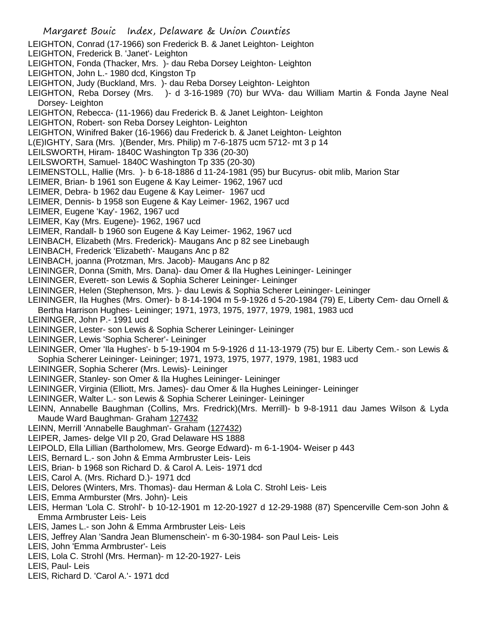- LEIGHTON, Conrad (17-1966) son Frederick B. & Janet Leighton- Leighton
- LEIGHTON, Frederick B. 'Janet'- Leighton
- LEIGHTON, Fonda (Thacker, Mrs. )- dau Reba Dorsey Leighton- Leighton
- LEIGHTON, John L.- 1980 dcd, Kingston Tp
- LEIGHTON, Judy (Buckland, Mrs. )- dau Reba Dorsey Leighton- Leighton
- LEIGHTON, Reba Dorsey (Mrs. )- d 3-16-1989 (70) bur WVa- dau William Martin & Fonda Jayne Neal Dorsey- Leighton
- LEIGHTON, Rebecca- (11-1966) dau Frederick B. & Janet Leighton- Leighton
- LEIGHTON, Robert- son Reba Dorsey Leighton- Leighton
- LEIGHTON, Winifred Baker (16-1966) dau Frederick b. & Janet Leighton- Leighton
- L(E)IGHTY, Sara (Mrs. )(Bender, Mrs. Philip) m 7-6-1875 ucm 5712- mt 3 p 14
- LEILSWORTH, Hiram- 1840C Washington Tp 336 (20-30)
- LEILSWORTH, Samuel- 1840C Washington Tp 335 (20-30)
- LEIMENSTOLL, Hallie (Mrs. )- b 6-18-1886 d 11-24-1981 (95) bur Bucyrus- obit mlib, Marion Star
- LEIMER, Brian- b 1961 son Eugene & Kay Leimer- 1962, 1967 ucd
- LEIMER, Debra- b 1962 dau Eugene & Kay Leimer- 1967 ucd
- LEIMER, Dennis- b 1958 son Eugene & Kay Leimer- 1962, 1967 ucd
- LEIMER, Eugene 'Kay'- 1962, 1967 ucd
- LEIMER, Kay (Mrs. Eugene)- 1962, 1967 ucd
- LEIMER, Randall- b 1960 son Eugene & Kay Leimer- 1962, 1967 ucd
- LEINBACH, Elizabeth (Mrs. Frederick)- Maugans Anc p 82 see Linebaugh
- LEINBACH, Frederick 'Elizabeth'- Maugans Anc p 82
- LEINBACH, joanna (Protzman, Mrs. Jacob)- Maugans Anc p 82
- LEININGER, Donna (Smith, Mrs. Dana)- dau Omer & Ila Hughes Leininger- Leininger
- LEININGER, Everett- son Lewis & Sophia Scherer Leininger- Leininger
- LEININGER, Helen (Stephenson, Mrs. )- dau Lewis & Sophia Scherer Leininger- Leininger
- LEININGER, Ila Hughes (Mrs. Omer)- b 8-14-1904 m 5-9-1926 d 5-20-1984 (79) E, Liberty Cem- dau Ornell & Bertha Harrison Hughes- Leininger; 1971, 1973, 1975, 1977, 1979, 1981, 1983 ucd
- LEININGER, John P.- 1991 ucd
- LEININGER, Lester- son Lewis & Sophia Scherer Leininger- Leininger
- LEININGER, Lewis 'Sophia Scherer'- Leininger
- LEININGER, Omer 'Ila Hughes'- b 5-19-1904 m 5-9-1926 d 11-13-1979 (75) bur E. Liberty Cem.- son Lewis & Sophia Scherer Leininger- Leininger; 1971, 1973, 1975, 1977, 1979, 1981, 1983 ucd
- LEININGER, Sophia Scherer (Mrs. Lewis)- Leininger
- LEININGER, Stanley- son Omer & Ila Hughes Leininger- Leininger
- LEININGER, Virginia (Elliott, Mrs. James)- dau Omer & Ila Hughes Leininger- Leininger
- LEININGER, Walter L.- son Lewis & Sophia Scherer Leininger- Leininger
- LEINN, Annabelle Baughman (Collins, Mrs. Fredrick)(Mrs. Merrill)- b 9-8-1911 dau James Wilson & Lyda Maude Ward Baughman- Graham 127432
- LEINN, Merrill 'Annabelle Baughman'- Graham (127432)
- LEIPER, James- delge VII p 20, Grad Delaware HS 1888
- LEIPOLD, Ella Lillian (Bartholomew, Mrs. George Edward)- m 6-1-1904- Weiser p 443
- LEIS, Bernard L.- son John & Emma Armbruster Leis- Leis
- LEIS, Brian- b 1968 son Richard D. & Carol A. Leis- 1971 dcd
- LEIS, Carol A. (Mrs. Richard D.)- 1971 dcd
- LEIS, Delores (Winters, Mrs. Thomas)- dau Herman & Lola C. Strohl Leis- Leis
- LEIS, Emma Armburster (Mrs. John)- Leis
- LEIS, Herman 'Lola C. Strohl'- b 10-12-1901 m 12-20-1927 d 12-29-1988 (87) Spencerville Cem-son John & Emma Armbruster Leis- Leis
- LEIS, James L.- son John & Emma Armbruster Leis- Leis
- LEIS, Jeffrey Alan 'Sandra Jean Blumenschein'- m 6-30-1984- son Paul Leis- Leis
- LEIS, John 'Emma Armbruster'- Leis
- LEIS, Lola C. Strohl (Mrs. Herman)- m 12-20-1927- Leis
- LEIS, Paul- Leis
- LEIS, Richard D. 'Carol A.'- 1971 dcd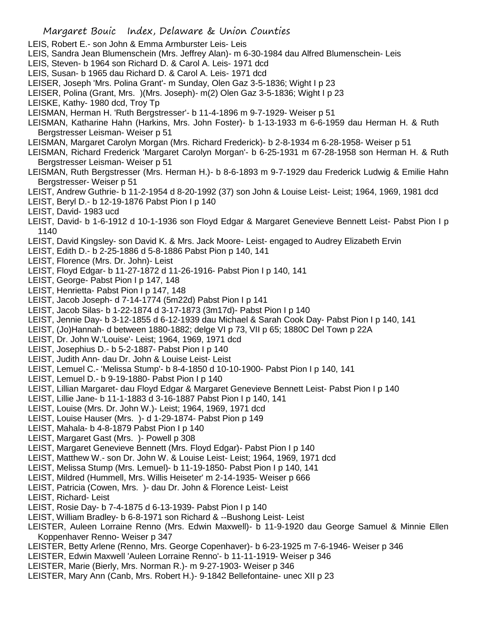- LEIS, Robert E.- son John & Emma Armburster Leis- Leis
- LEIS, Sandra Jean Blumenschein (Mrs. Jeffrey Alan)- m 6-30-1984 dau Alfred Blumenschein- Leis
- LEIS, Steven- b 1964 son Richard D. & Carol A. Leis- 1971 dcd
- LEIS, Susan- b 1965 dau Richard D. & Carol A. Leis- 1971 dcd
- LEISER, Joseph 'Mrs. Polina Grant'- m Sunday, Olen Gaz 3-5-1836; Wight I p 23
- LEISER, Polina (Grant, Mrs. )(Mrs. Joseph)- m(2) Olen Gaz 3-5-1836; Wight I p 23
- LEISKE, Kathy- 1980 dcd, Troy Tp
- LEISMAN, Herman H. 'Ruth Bergstresser'- b 11-4-1896 m 9-7-1929- Weiser p 51
- LEISMAN, Katharine Hahn (Harkins, Mrs. John Foster)- b 1-13-1933 m 6-6-1959 dau Herman H. & Ruth Bergstresser Leisman- Weiser p 51
- LEISMAN, Margaret Carolyn Morgan (Mrs. Richard Frederick)- b 2-8-1934 m 6-28-1958- Weiser p 51
- LEISMAN, Richard Frederick 'Margaret Carolyn Morgan'- b 6-25-1931 m 67-28-1958 son Herman H. & Ruth Bergstresser Leisman- Weiser p 51
- LEISMAN, Ruth Bergstresser (Mrs. Herman H.)- b 8-6-1893 m 9-7-1929 dau Frederick Ludwig & Emilie Hahn Bergstresser- Weiser p 51
- LEIST, Andrew Guthrie- b 11-2-1954 d 8-20-1992 (37) son John & Louise Leist- Leist; 1964, 1969, 1981 dcd
- LEIST, Beryl D.- b 12-19-1876 Pabst Pion I p 140
- LEIST, David- 1983 ucd
- LEIST, David- b 1-6-1912 d 10-1-1936 son Floyd Edgar & Margaret Genevieve Bennett Leist- Pabst Pion I p 1140
- LEIST, David Kingsley- son David K. & Mrs. Jack Moore- Leist- engaged to Audrey Elizabeth Ervin
- LEIST, Edith D.- b 2-25-1886 d 5-8-1886 Pabst Pion p 140, 141
- LEIST, Florence (Mrs. Dr. John)- Leist
- LEIST, Floyd Edgar- b 11-27-1872 d 11-26-1916- Pabst Pion I p 140, 141
- LEIST, George- Pabst Pion I p 147, 148
- LEIST, Henrietta- Pabst Pion I p 147, 148
- LEIST, Jacob Joseph- d 7-14-1774 (5m22d) Pabst Pion I p 141
- LEIST, Jacob Silas- b 1-22-1874 d 3-17-1873 (3m17d)- Pabst Pion I p 140
- LEIST, Jennie Day- b 3-12-1855 d 6-12-1939 dau Michael & Sarah Cook Day- Pabst Pion I p 140, 141
- LEIST, (Jo)Hannah- d between 1880-1882; delge VI p 73, VII p 65; 1880C Del Town p 22A
- LEIST, Dr. John W.'Louise'- Leist; 1964, 1969, 1971 dcd
- LEIST, Josephius D.- b 5-2-1887- Pabst Pion I p 140
- LEIST, Judith Ann- dau Dr. John & Louise Leist- Leist
- LEIST, Lemuel C.- 'Melissa Stump'- b 8-4-1850 d 10-10-1900- Pabst Pion I p 140, 141
- LEIST, Lemuel D.- b 9-19-1880- Pabst Pion I p 140
- LEIST, Lillian Margaret- dau Floyd Edgar & Margaret Genevieve Bennett Leist- Pabst Pion I p 140
- LEIST, Lillie Jane- b 11-1-1883 d 3-16-1887 Pabst Pion I p 140, 141
- LEIST, Louise (Mrs. Dr. John W.)- Leist; 1964, 1969, 1971 dcd
- LEIST, Louise Hauser (Mrs. )- d 1-29-1874- Pabst Pion p 149
- LEIST, Mahala- b 4-8-1879 Pabst Pion I p 140
- LEIST, Margaret Gast (Mrs. )- Powell p 308
- LEIST, Margaret Genevieve Bennett (Mrs. Floyd Edgar)- Pabst Pion I p 140
- LEIST, Matthew W.- son Dr. John W. & Louise Leist- Leist; 1964, 1969, 1971 dcd
- LEIST, Melissa Stump (Mrs. Lemuel)- b 11-19-1850- Pabst Pion I p 140, 141
- LEIST, Mildred (Hummell, Mrs. Willis Heiseter' m 2-14-1935- Weiser p 666
- LEIST, Patricia (Cowen, Mrs. )- dau Dr. John & Florence Leist- Leist
- LEIST, Richard- Leist
- LEIST, Rosie Day- b 7-4-1875 d 6-13-1939- Pabst Pion I p 140
- LEIST, William Bradley- b 6-8-1971 son Richard & --Bushong Leist- Leist
- LEISTER, Auleen Lorraine Renno (Mrs. Edwin Maxwell)- b 11-9-1920 dau George Samuel & Minnie Ellen Koppenhaver Renno- Weiser p 347
- LEISTER, Betty Arlene (Renno, Mrs. George Copenhaver)- b 6-23-1925 m 7-6-1946- Weiser p 346
- LEISTER, Edwin Maxwell 'Auleen Lorraine Renno'- b 11-11-1919- Weiser p 346
- LEISTER, Marie (Bierly, Mrs. Norman R.)- m 9-27-1903- Weiser p 346
- LEISTER, Mary Ann (Canb, Mrs. Robert H.)- 9-1842 Bellefontaine- unec XII p 23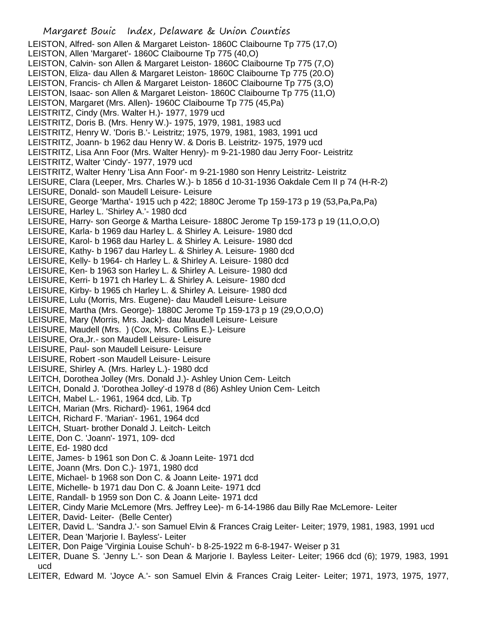LEISTON, Alfred- son Allen & Margaret Leiston- 1860C Claibourne Tp 775 (17,O) LEISTON, Allen 'Margaret'- 1860C Claibourne Tp 775 (40,O) LEISTON, Calvin- son Allen & Margaret Leiston- 1860C Claibourne Tp 775 (7,O) LEISTON, Eliza- dau Allen & Margaret Leiston- 1860C Claibourne Tp 775 (20.O) LEISTON, Francis- ch Allen & Margaret Leiston- 1860C Claibourne Tp 775 (3,O) LEISTON, Isaac- son Allen & Margaret Leiston- 1860C Claibourne Tp 775 (11,O) LEISTON, Margaret (Mrs. Allen)- 1960C Claibourne Tp 775 (45,Pa) LEISTRITZ, Cindy (Mrs. Walter H.)- 1977, 1979 ucd LEISTRITZ, Doris B. (Mrs. Henry W.)- 1975, 1979, 1981, 1983 ucd LEISTRITZ, Henry W. 'Doris B.'- Leistritz; 1975, 1979, 1981, 1983, 1991 ucd LEISTRITZ, Joann- b 1962 dau Henry W. & Doris B. Leistritz- 1975, 1979 ucd LEISTRITZ, Lisa Ann Foor (Mrs. Walter Henry)- m 9-21-1980 dau Jerry Foor- Leistritz LEISTRITZ, Walter 'Cindy'- 1977, 1979 ucd LEISTRITZ, Walter Henry 'Lisa Ann Foor'- m 9-21-1980 son Henry Leistritz- Leistritz LEISURE, Clara (Leeper, Mrs. Charles W.)- b 1856 d 10-31-1936 Oakdale Cem II p 74 (H-R-2) LEISURE, Donald- son Maudell Leisure- Leisure LEISURE, George 'Martha'- 1915 uch p 422; 1880C Jerome Tp 159-173 p 19 (53,Pa,Pa,Pa) LEISURE, Harley L. 'Shirley A.'- 1980 dcd LEISURE, Harry- son George & Martha Leisure- 1880C Jerome Tp 159-173 p 19 (11,O,O,O) LEISURE, Karla- b 1969 dau Harley L. & Shirley A. Leisure- 1980 dcd LEISURE, Karol- b 1968 dau Harley L. & Shirley A. Leisure- 1980 dcd LEISURE, Kathy- b 1967 dau Harley L. & Shirley A. Leisure- 1980 dcd LEISURE, Kelly- b 1964- ch Harley L. & Shirley A. Leisure- 1980 dcd LEISURE, Ken- b 1963 son Harley L. & Shirley A. Leisure- 1980 dcd LEISURE, Kerri- b 1971 ch Harley L. & Shirley A. Leisure- 1980 dcd LEISURE, Kirby- b 1965 ch Harley L. & Shirley A. Leisure- 1980 dcd LEISURE, Lulu (Morris, Mrs. Eugene)- dau Maudell Leisure- Leisure LEISURE, Martha (Mrs. George)- 1880C Jerome Tp 159-173 p 19 (29,O,O,O) LEISURE, Mary (Morris, Mrs. Jack)- dau Maudell Leisure- Leisure LEISURE, Maudell (Mrs. ) (Cox, Mrs. Collins E.)- Leisure LEISURE, Ora,Jr.- son Maudell Leisure- Leisure LEISURE, Paul- son Maudell Leisure- Leisure LEISURE, Robert -son Maudell Leisure- Leisure LEISURE, Shirley A. (Mrs. Harley L.)- 1980 dcd LEITCH, Dorothea Jolley (Mrs. Donald J.)- Ashley Union Cem- Leitch LEITCH, Donald J. 'Dorothea Jolley'-d 1978 d (86) Ashley Union Cem- Leitch LEITCH, Mabel L.- 1961, 1964 dcd, Lib. Tp LEITCH, Marian (Mrs. Richard)- 1961, 1964 dcd LEITCH, Richard F. 'Marian'- 1961, 1964 dcd LEITCH, Stuart- brother Donald J. Leitch- Leitch LEITE, Don C. 'Joann'- 1971, 109- dcd LEITE, Ed- 1980 dcd LEITE, James- b 1961 son Don C. & Joann Leite- 1971 dcd LEITE, Joann (Mrs. Don C.)- 1971, 1980 dcd LEITE, Michael- b 1968 son Don C. & Joann Leite- 1971 dcd LEITE, Michelle- b 1971 dau Don C. & Joann Leite- 1971 dcd LEITE, Randall- b 1959 son Don C. & Joann Leite- 1971 dcd LEITER, Cindy Marie McLemore (Mrs. Jeffrey Lee)- m 6-14-1986 dau Billy Rae McLemore- Leiter LEITER, David- Leiter- (Belle Center) LEITER, David L. 'Sandra J.'- son Samuel Elvin & Frances Craig Leiter- Leiter; 1979, 1981, 1983, 1991 ucd LEITER, Dean 'Marjorie I. Bayless'- Leiter LEITER, Don Paige 'Virginia Louise Schuh'- b 8-25-1922 m 6-8-1947- Weiser p 31

- LEITER, Duane S. 'Jenny L.'- son Dean & Marjorie I. Bayless Leiter- Leiter; 1966 dcd (6); 1979, 1983, 1991 ucd
- LEITER, Edward M. 'Joyce A.'- son Samuel Elvin & Frances Craig Leiter- Leiter; 1971, 1973, 1975, 1977,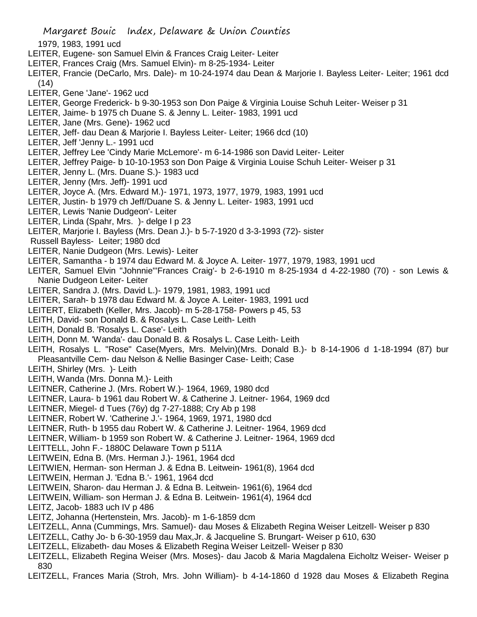- 1979, 1983, 1991 ucd
- LEITER, Eugene- son Samuel Elvin & Frances Craig Leiter- Leiter
- LEITER, Frances Craig (Mrs. Samuel Elvin)- m 8-25-1934- Leiter
- LEITER, Francie (DeCarlo, Mrs. Dale)- m 10-24-1974 dau Dean & Marjorie I. Bayless Leiter- Leiter; 1961 dcd (14)
- LEITER, Gene 'Jane'- 1962 ucd
- LEITER, George Frederick- b 9-30-1953 son Don Paige & Virginia Louise Schuh Leiter- Weiser p 31
- LEITER, Jaime- b 1975 ch Duane S. & Jenny L. Leiter- 1983, 1991 ucd
- LEITER, Jane (Mrs. Gene)- 1962 ucd
- LEITER, Jeff- dau Dean & Marjorie I. Bayless Leiter- Leiter; 1966 dcd (10)
- LEITER, Jeff 'Jenny L.- 1991 ucd
- LEITER, Jeffrey Lee 'Cindy Marie McLemore'- m 6-14-1986 son David Leiter- Leiter
- LEITER, Jeffrey Paige- b 10-10-1953 son Don Paige & Virginia Louise Schuh Leiter- Weiser p 31
- LEITER, Jenny L. (Mrs. Duane S.)- 1983 ucd
- LEITER, Jenny (Mrs. Jeff)- 1991 ucd
- LEITER, Joyce A. (Mrs. Edward M.)- 1971, 1973, 1977, 1979, 1983, 1991 ucd
- LEITER, Justin- b 1979 ch Jeff/Duane S. & Jenny L. Leiter- 1983, 1991 ucd
- LEITER, Lewis 'Nanie Dudgeon'- Leiter
- LEITER, Linda (Spahr, Mrs. )- delge I p 23
- LEITER, Marjorie I. Bayless (Mrs. Dean J.)- b 5-7-1920 d 3-3-1993 (72)- sister
- Russell Bayless- Leiter; 1980 dcd
- LEITER, Nanie Dudgeon (Mrs. Lewis)- Leiter
- LEITER, Samantha b 1974 dau Edward M. & Joyce A. Leiter- 1977, 1979, 1983, 1991 ucd
- LEITER, Samuel Elvin "Johnnie"'Frances Craig'- b 2-6-1910 m 8-25-1934 d 4-22-1980 (70) son Lewis & Nanie Dudgeon Leiter- Leiter
- LEITER, Sandra J. (Mrs. David L.)- 1979, 1981, 1983, 1991 ucd
- LEITER, Sarah- b 1978 dau Edward M. & Joyce A. Leiter- 1983, 1991 ucd
- LEITERT, Elizabeth (Keller, Mrs. Jacob)- m 5-28-1758- Powers p 45, 53
- LEITH, David- son Donald B. & Rosalys L. Case Leith- Leith
- LEITH, Donald B. 'Rosalys L. Case'- Leith
- LEITH, Donn M. 'Wanda'- dau Donald B. & Rosalys L. Case Leith- Leith
- LEITH, Rosalys L. "Rose" Case(Myers, Mrs. Melvin)(Mrs. Donald B.)- b 8-14-1906 d 1-18-1994 (87) bur Pleasantville Cem- dau Nelson & Nellie Basinger Case- Leith; Case
- LEITH, Shirley (Mrs. )- Leith
- LEITH, Wanda (Mrs. Donna M.)- Leith
- LEITNER, Catherine J. (Mrs. Robert W.)- 1964, 1969, 1980 dcd
- LEITNER, Laura- b 1961 dau Robert W. & Catherine J. Leitner- 1964, 1969 dcd
- LEITNER, Miegel- d Tues (76y) dg 7-27-1888; Cry Ab p 198
- LEITNER, Robert W. 'Catherine J.'- 1964, 1969, 1971, 1980 dcd
- LEITNER, Ruth- b 1955 dau Robert W. & Catherine J. Leitner- 1964, 1969 dcd
- LEITNER, William- b 1959 son Robert W. & Catherine J. Leitner- 1964, 1969 dcd
- LEITTELL, John F.- 1880C Delaware Town p 511A
- LEITWEIN, Edna B. (Mrs. Herman J.)- 1961, 1964 dcd
- LEITWIEN, Herman- son Herman J. & Edna B. Leitwein- 1961(8), 1964 dcd
- LEITWEIN, Herman J. 'Edna B.'- 1961, 1964 dcd
- LEITWEIN, Sharon- dau Herman J. & Edna B. Leitwein- 1961(6), 1964 dcd
- LEITWEIN, William- son Herman J. & Edna B. Leitwein- 1961(4), 1964 dcd
- LEITZ, Jacob- 1883 uch IV p 486
- LEITZ, Johanna (Hertenstein, Mrs. Jacob)- m 1-6-1859 dcm
- LEITZELL, Anna (Cummings, Mrs. Samuel)- dau Moses & Elizabeth Regina Weiser Leitzell- Weiser p 830
- LEITZELL, Cathy Jo- b 6-30-1959 dau Max,Jr. & Jacqueline S. Brungart- Weiser p 610, 630
- LEITZELL, Elizabeth- dau Moses & Elizabeth Regina Weiser Leitzell- Weiser p 830
- LEITZELL, Elizabeth Regina Weiser (Mrs. Moses)- dau Jacob & Maria Magdalena Eicholtz Weiser- Weiser p 830
- LEITZELL, Frances Maria (Stroh, Mrs. John William)- b 4-14-1860 d 1928 dau Moses & Elizabeth Regina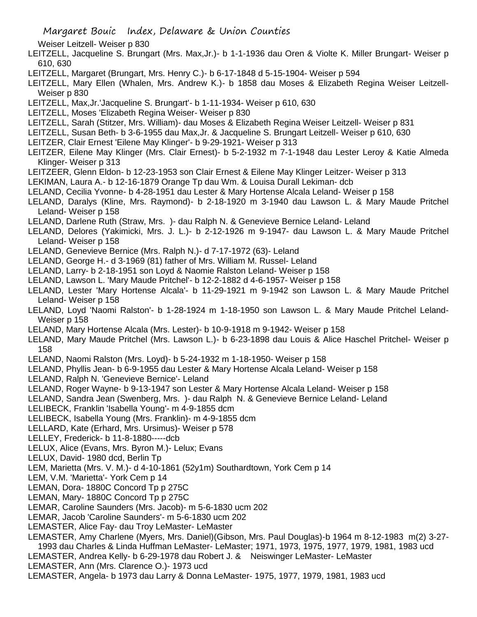- Weiser Leitzell- Weiser p 830
- LEITZELL, Jacqueline S. Brungart (Mrs. Max,Jr.)- b 1-1-1936 dau Oren & Violte K. Miller Brungart- Weiser p 610, 630
- LEITZELL, Margaret (Brungart, Mrs. Henry C.)- b 6-17-1848 d 5-15-1904- Weiser p 594
- LEITZELL, Mary Ellen (Whalen, Mrs. Andrew K.)- b 1858 dau Moses & Elizabeth Regina Weiser Leitzell-Weiser p 830
- LEITZELL, Max,Jr.'Jacqueline S. Brungart'- b 1-11-1934- Weiser p 610, 630
- LEITZELL, Moses 'Elizabeth Regina Weiser- Weiser p 830
- LEITZELL, Sarah (Stitzer, Mrs. William)- dau Moses & Elizabeth Regina Weiser Leitzell- Weiser p 831
- LEITZELL, Susan Beth- b 3-6-1955 dau Max,Jr. & Jacqueline S. Brungart Leitzell- Weiser p 610, 630
- LEITZER, Clair Ernest 'Eilene May Klinger'- b 9-29-1921- Weiser p 313
- LEITZER, Eilene May Klinger (Mrs. Clair Ernest)- b 5-2-1932 m 7-1-1948 dau Lester Leroy & Katie Almeda Klinger- Weiser p 313
- LEITZEER, Glenn Eldon- b 12-23-1953 son Clair Ernest & Eilene May Klinger Leitzer- Weiser p 313
- LEKIMAN, Laura A.- b 12-16-1879 Orange Tp dau Wm. & Louisa Durall Lekiman- dcb
- LELAND, Cecilia Yvonne- b 4-28-1951 dau Lester & Mary Hortense Alcala Leland- Weiser p 158
- LELAND, Daralys (Kline, Mrs. Raymond)- b 2-18-1920 m 3-1940 dau Lawson L. & Mary Maude Pritchel Leland- Weiser p 158
- LELAND, Darlene Ruth (Straw, Mrs. )- dau Ralph N. & Genevieve Bernice Leland- Leland
- LELAND, Delores (Yakimicki, Mrs. J. L.)- b 2-12-1926 m 9-1947- dau Lawson L. & Mary Maude Pritchel Leland- Weiser p 158
- LELAND, Genevieve Bernice (Mrs. Ralph N.)- d 7-17-1972 (63)- Leland
- LELAND, George H.- d 3-1969 (81) father of Mrs. William M. Russel- Leland
- LELAND, Larry- b 2-18-1951 son Loyd & Naomie Ralston Leland- Weiser p 158
- LELAND, Lawson L. 'Mary Maude Pritchel'- b 12-2-1882 d 4-6-1957- Weiser p 158
- LELAND, Lester 'Mary Hortense Alcala'- b 11-29-1921 m 9-1942 son Lawson L. & Mary Maude Pritchel Leland- Weiser p 158
- LELAND, Loyd 'Naomi Ralston'- b 1-28-1924 m 1-18-1950 son Lawson L. & Mary Maude Pritchel Leland-Weiser p 158
- LELAND, Mary Hortense Alcala (Mrs. Lester)- b 10-9-1918 m 9-1942- Weiser p 158
- LELAND, Mary Maude Pritchel (Mrs. Lawson L.)- b 6-23-1898 dau Louis & Alice Haschel Pritchel- Weiser p 158
- LELAND, Naomi Ralston (Mrs. Loyd)- b 5-24-1932 m 1-18-1950- Weiser p 158
- LELAND, Phyllis Jean- b 6-9-1955 dau Lester & Mary Hortense Alcala Leland- Weiser p 158
- LELAND, Ralph N. 'Genevieve Bernice'- Leland
- LELAND, Roger Wayne- b 9-13-1947 son Lester & Mary Hortense Alcala Leland- Weiser p 158
- LELAND, Sandra Jean (Swenberg, Mrs. )- dau Ralph N. & Genevieve Bernice Leland- Leland
- LELIBECK, Franklin 'Isabella Young'- m 4-9-1855 dcm
- LELIBECK, Isabella Young (Mrs. Franklin)- m 4-9-1855 dcm
- LELLARD, Kate (Erhard, Mrs. Ursimus)- Weiser p 578
- LELLEY, Frederick- b 11-8-1880-----dcb
- LELUX, Alice (Evans, Mrs. Byron M.)- Lelux; Evans
- LELUX, David- 1980 dcd, Berlin Tp
- LEM, Marietta (Mrs. V. M.)- d 4-10-1861 (52y1m) Southardtown, York Cem p 14
- LEM, V.M. 'Marietta'- York Cem p 14
- LEMAN, Dora- 1880C Concord Tp p 275C
- LEMAN, Mary- 1880C Concord Tp p 275C
- LEMAR, Caroline Saunders (Mrs. Jacob)- m 5-6-1830 ucm 202
- LEMAR, Jacob 'Caroline Saunders'- m 5-6-1830 ucm 202
- LEMASTER, Alice Fay- dau Troy LeMaster- LeMaster
- LEMASTER, Amy Charlene (Myers, Mrs. Daniel)(Gibson, Mrs. Paul Douglas)-b 1964 m 8-12-1983 m(2) 3-27- 1993 dau Charles & Linda Huffman LeMaster- LeMaster; 1971, 1973, 1975, 1977, 1979, 1981, 1983 ucd
- LEMASTER, Andrea Kelly- b 6-29-1978 dau Robert J. & Neiswinger LeMaster- LeMaster
- LEMASTER, Ann (Mrs. Clarence O.)- 1973 ucd
- LEMASTER, Angela- b 1973 dau Larry & Donna LeMaster- 1975, 1977, 1979, 1981, 1983 ucd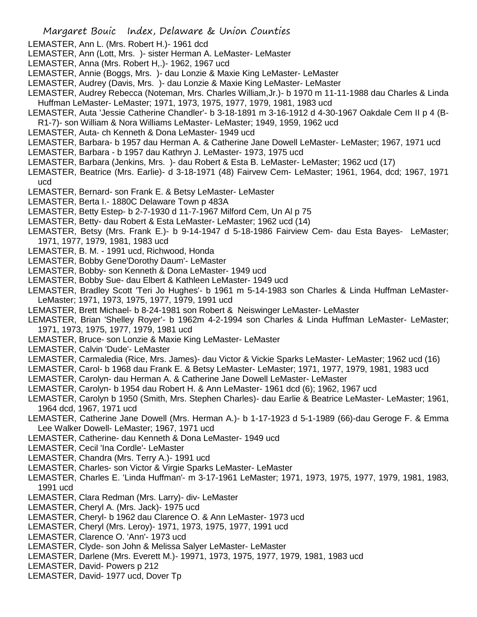- LEMASTER, Ann L. (Mrs. Robert H.)- 1961 dcd
- LEMASTER, Ann (Lott, Mrs. )- sister Herman A. LeMaster- LeMaster
- LEMASTER, Anna (Mrs. Robert H,.)- 1962, 1967 ucd
- LEMASTER, Annie (Boggs, Mrs. )- dau Lonzie & Maxie King LeMaster- LeMaster
- LEMASTER, Audrey (Davis, Mrs. )- dau Lonzie & Maxie King LeMaster- LeMaster
- LEMASTER, Audrey Rebecca (Noteman, Mrs. Charles William,Jr.)- b 1970 m 11-11-1988 dau Charles & Linda Huffman LeMaster- LeMaster; 1971, 1973, 1975, 1977, 1979, 1981, 1983 ucd
- LEMASTER, Auta 'Jessie Catherine Chandler'- b 3-18-1891 m 3-16-1912 d 4-30-1967 Oakdale Cem II p 4 (B-
- R1-7)- son William & Nora Williams LeMaster- LeMaster; 1949, 1959, 1962 ucd
- LEMASTER, Auta- ch Kenneth & Dona LeMaster- 1949 ucd
- LEMASTER, Barbara- b 1957 dau Herman A. & Catherine Jane Dowell LeMaster- LeMaster; 1967, 1971 ucd
- LEMASTER, Barbara b 1957 dau Kathryn J. LeMaster- 1973, 1975 ucd
- LEMASTER, Barbara (Jenkins, Mrs. )- dau Robert & Esta B. LeMaster- LeMaster; 1962 ucd (17)
- LEMASTER, Beatrice (Mrs. Earlie)- d 3-18-1971 (48) Fairvew Cem- LeMaster; 1961, 1964, dcd; 1967, 1971 ucd
- LEMASTER, Bernard- son Frank E. & Betsy LeMaster- LeMaster
- LEMASTER, Berta I.- 1880C Delaware Town p 483A
- LEMASTER, Betty Estep- b 2-7-1930 d 11-7-1967 Milford Cem, Un Al p 75
- LEMASTER, Betty- dau Robert & Esta LeMaster- LeMaster; 1962 ucd (14)
- LEMASTER, Betsy (Mrs. Frank E.)- b 9-14-1947 d 5-18-1986 Fairview Cem- dau Esta Bayes- LeMaster; 1971, 1977, 1979, 1981, 1983 ucd
- LEMASTER, B. M. 1991 ucd, Richwood, Honda
- LEMASTER, Bobby Gene'Dorothy Daum'- LeMaster
- LEMASTER, Bobby- son Kenneth & Dona LeMaster- 1949 ucd
- LEMASTER, Bobby Sue- dau Elbert & Kathleen LeMaster- 1949 ucd
- LEMASTER, Bradley Scott 'Teri Jo Hughes'- b 1961 m 5-14-1983 son Charles & Linda Huffman LeMaster-LeMaster; 1971, 1973, 1975, 1977, 1979, 1991 ucd
- LEMASTER, Brett Michael- b 8-24-1981 son Robert & Neiswinger LeMaster- LeMaster
- LEMASTER, Brian 'Shelley Royer'- b 1962m 4-2-1994 son Charles & Linda Huffman LeMaster- LeMaster; 1971, 1973, 1975, 1977, 1979, 1981 ucd
- LEMASTER, Bruce- son Lonzie & Maxie King LeMaster- LeMaster
- LEMASTER, Calvin 'Dude'- LeMaster
- LEMASTER, Carmaledia (Rice, Mrs. James)- dau Victor & Vickie Sparks LeMaster- LeMaster; 1962 ucd (16)
- LEMASTER, Carol- b 1968 dau Frank E. & Betsy LeMaster- LeMaster; 1971, 1977, 1979, 1981, 1983 ucd
- LEMASTER, Carolyn- dau Herman A. & Catherine Jane Dowell LeMaster- LeMaster
- LEMASTER, Carolyn- b 1954 dau Robert H. & Ann LeMaster- 1961 dcd (6); 1962, 1967 ucd
- LEMASTER, Carolyn b 1950 (Smith, Mrs. Stephen Charles)- dau Earlie & Beatrice LeMaster- LeMaster; 1961, 1964 dcd, 1967, 1971 ucd
- LEMASTER, Catherine Jane Dowell (Mrs. Herman A.)- b 1-17-1923 d 5-1-1989 (66)-dau Geroge F. & Emma Lee Walker Dowell- LeMaster; 1967, 1971 ucd
- LEMASTER, Catherine- dau Kenneth & Dona LeMaster- 1949 ucd
- LEMASTER, Cecil 'Ina Cordle'- LeMaster
- LEMASTER, Chandra (Mrs. Terry A.)- 1991 ucd
- LEMASTER, Charles- son Victor & Virgie Sparks LeMaster- LeMaster
- LEMASTER, Charles E. 'Linda Huffman'- m 3-17-1961 LeMaster; 1971, 1973, 1975, 1977, 1979, 1981, 1983, 1991 ucd
- LEMASTER, Clara Redman (Mrs. Larry)- div- LeMaster
- LEMASTER, Cheryl A. (Mrs. Jack)- 1975 ucd
- LEMASTER, Cheryl- b 1962 dau Clarence O. & Ann LeMaster- 1973 ucd
- LEMASTER, Cheryl (Mrs. Leroy)- 1971, 1973, 1975, 1977, 1991 ucd
- LEMASTER, Clarence O. 'Ann'- 1973 ucd
- LEMASTER, Clyde- son John & Melissa Salyer LeMaster- LeMaster
- LEMASTER, Darlene (Mrs. Everett M.)- 19971, 1973, 1975, 1977, 1979, 1981, 1983 ucd
- LEMASTER, David- Powers p 212
- LEMASTER, David- 1977 ucd, Dover Tp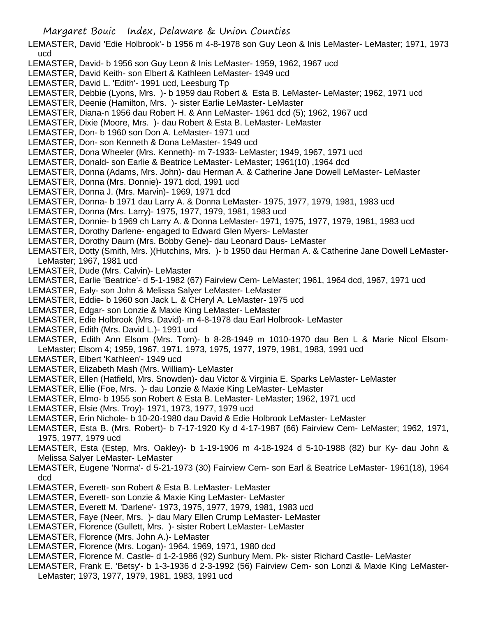LEMASTER, David 'Edie Holbrook'- b 1956 m 4-8-1978 son Guy Leon & Inis LeMaster- LeMaster; 1971, 1973 ucd

- LEMASTER, David- b 1956 son Guy Leon & Inis LeMaster- 1959, 1962, 1967 ucd
- LEMASTER, David Keith- son Elbert & Kathleen LeMaster- 1949 ucd
- LEMASTER, David L. 'Edith'- 1991 ucd, Leesburg Tp
- LEMASTER, Debbie (Lyons, Mrs. )- b 1959 dau Robert & Esta B. LeMaster- LeMaster; 1962, 1971 ucd
- LEMASTER, Deenie (Hamilton, Mrs. )- sister Earlie LeMaster- LeMaster
- LEMASTER, Diana-n 1956 dau Robert H. & Ann LeMaster- 1961 dcd (5); 1962, 1967 ucd
- LEMASTER, Dixie (Moore, Mrs. )- dau Robert & Esta B. LeMaster- LeMaster
- LEMASTER, Don- b 1960 son Don A. LeMaster- 1971 ucd
- LEMASTER, Don- son Kenneth & Dona LeMaster- 1949 ucd
- LEMASTER, Dona Wheeler (Mrs. Kenneth)- m 7-1933- LeMaster; 1949, 1967, 1971 ucd
- LEMASTER, Donald- son Earlie & Beatrice LeMaster- LeMaster; 1961(10) ,1964 dcd
- LEMASTER, Donna (Adams, Mrs. John)- dau Herman A. & Catherine Jane Dowell LeMaster- LeMaster
- LEMASTER, Donna (Mrs. Donnie)- 1971 dcd, 1991 ucd
- LEMASTER, Donna J. (Mrs. Marvin)- 1969, 1971 dcd
- LEMASTER, Donna- b 1971 dau Larry A. & Donna LeMaster- 1975, 1977, 1979, 1981, 1983 ucd
- LEMASTER, Donna (Mrs. Larry)- 1975, 1977, 1979, 1981, 1983 ucd
- LEMASTER, Donnie- b 1969 ch Larry A. & Donna LeMaster- 1971, 1975, 1977, 1979, 1981, 1983 ucd
- LEMASTER, Dorothy Darlene- engaged to Edward Glen Myers- LeMaster
- LEMASTER, Dorothy Daum (Mrs. Bobby Gene)- dau Leonard Daus- LeMaster
- LEMASTER, Dotty (Smith, Mrs. )(Hutchins, Mrs. )- b 1950 dau Herman A. & Catherine Jane Dowell LeMaster-LeMaster; 1967, 1981 ucd
- LEMASTER, Dude (Mrs. Calvin)- LeMaster
- LEMASTER, Earlie 'Beatrice'- d 5-1-1982 (67) Fairview Cem- LeMaster; 1961, 1964 dcd, 1967, 1971 ucd
- LEMASTER, Ealy- son John & Melissa Salyer LeMaster- LeMaster
- LEMASTER, Eddie- b 1960 son Jack L. & CHeryl A. LeMaster- 1975 ucd
- LEMASTER, Edgar- son Lonzie & Maxie King LeMaster- LeMaster
- LEMASTER, Edie Holbrook (Mrs. David)- m 4-8-1978 dau Earl Holbrook- LeMaster
- LEMASTER, Edith (Mrs. David L.)- 1991 ucd
- LEMASTER, Edith Ann Elsom (Mrs. Tom)- b 8-28-1949 m 1010-1970 dau Ben L & Marie Nicol Elsom-LeMaster; Elsom 4; 1959, 1967, 1971, 1973, 1975, 1977, 1979, 1981, 1983, 1991 ucd
- LEMASTER, Elbert 'Kathleen'- 1949 ucd
- LEMASTER, Elizabeth Mash (Mrs. William)- LeMaster
- LEMASTER, Ellen (Hatfield, Mrs. Snowden)- dau Victor & Virginia E. Sparks LeMaster- LeMaster
- LEMASTER, Ellie (Foe, Mrs. )- dau Lonzie & Maxie King LeMaster- LeMaster
- LEMASTER, Elmo- b 1955 son Robert & Esta B. LeMaster- LeMaster; 1962, 1971 ucd
- LEMASTER, Elsie (Mrs. Troy)- 1971, 1973, 1977, 1979 ucd
- LEMASTER, Erin Nichole- b 10-20-1980 dau David & Edie Holbrook LeMaster- LeMaster
- LEMASTER, Esta B. (Mrs. Robert)- b 7-17-1920 Ky d 4-17-1987 (66) Fairview Cem- LeMaster; 1962, 1971, 1975, 1977, 1979 ucd
- LEMASTER, Esta (Estep, Mrs. Oakley)- b 1-19-1906 m 4-18-1924 d 5-10-1988 (82) bur Ky- dau John & Melissa Salyer LeMaster- LeMaster
- LEMASTER, Eugene 'Norma'- d 5-21-1973 (30) Fairview Cem- son Earl & Beatrice LeMaster- 1961(18), 1964 dcd
- LEMASTER, Everett- son Robert & Esta B. LeMaster- LeMaster
- LEMASTER, Everett- son Lonzie & Maxie King LeMaster- LeMaster
- LEMASTER, Everett M. 'Darlene'- 1973, 1975, 1977, 1979, 1981, 1983 ucd
- LEMASTER, Faye (Neer, Mrs. )- dau Mary Ellen Crump LeMaster- LeMaster
- LEMASTER, Florence (Gullett, Mrs. )- sister Robert LeMaster- LeMaster
- LEMASTER, Florence (Mrs. John A.)- LeMaster
- LEMASTER, Florence (Mrs. Logan)- 1964, 1969, 1971, 1980 dcd
- LEMASTER, Florence M. Castle- d 1-2-1986 (92) Sunbury Mem. Pk- sister Richard Castle- LeMaster
- LEMASTER, Frank E. 'Betsy'- b 1-3-1936 d 2-3-1992 (56) Fairview Cem- son Lonzi & Maxie King LeMaster-LeMaster; 1973, 1977, 1979, 1981, 1983, 1991 ucd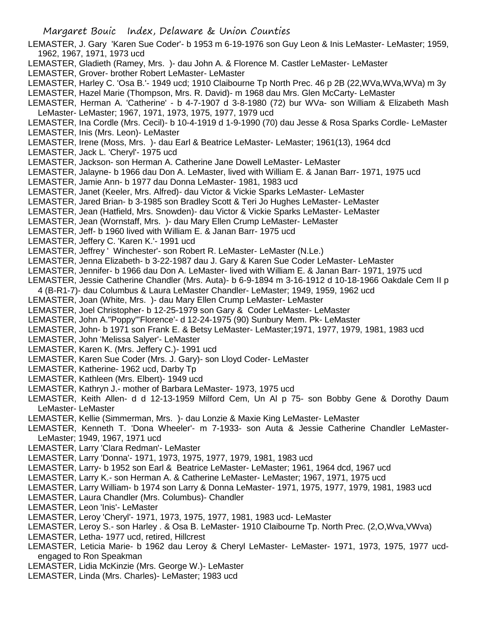- LEMASTER, J. Gary 'Karen Sue Coder'- b 1953 m 6-19-1976 son Guy Leon & Inis LeMaster- LeMaster; 1959, 1962, 1967, 1971, 1973 ucd
- LEMASTER, Gladieth (Ramey, Mrs. )- dau John A. & Florence M. Castler LeMaster- LeMaster
- LEMASTER, Grover- brother Robert LeMaster- LeMaster
- LEMASTER, Harley C. 'Osa B.'- 1949 ucd; 1910 Claibourne Tp North Prec. 46 p 2B (22,WVa,WVa,WVa) m 3y
- LEMASTER, Hazel Marie (Thompson, Mrs. R. David)- m 1968 dau Mrs. Glen McCarty- LeMaster
- LEMASTER, Herman A. 'Catherine' b 4-7-1907 d 3-8-1980 (72) bur WVa- son William & Elizabeth Mash LeMaster- LeMaster; 1967, 1971, 1973, 1975, 1977, 1979 ucd
- LEMASTER, Ina Cordle (Mrs. Cecil)- b 10-4-1919 d 1-9-1990 (70) dau Jesse & Rosa Sparks Cordle- LeMaster LEMASTER, Inis (Mrs. Leon)- LeMaster
- LEMASTER, Irene (Moss, Mrs. )- dau Earl & Beatrice LeMaster- LeMaster; 1961(13), 1964 dcd
- LEMASTER, Jack L. 'Cheryl'- 1975 ucd
- LEMASTER, Jackson- son Herman A. Catherine Jane Dowell LeMaster- LeMaster
- LEMASTER, Jalayne- b 1966 dau Don A. LeMaster, lived with William E. & Janan Barr- 1971, 1975 ucd
- LEMASTER, Jamie Ann- b 1977 dau Donna LeMaster- 1981, 1983 ucd
- LEMASTER, Janet (Keeler, Mrs. Alfred)- dau Victor & Vickie Sparks LeMaster- LeMaster
- LEMASTER, Jared Brian- b 3-1985 son Bradley Scott & Teri Jo Hughes LeMaster- LeMaster
- LEMASTER, Jean (Hatfield, Mrs. Snowden)- dau Victor & Vickie Sparks LeMaster- LeMaster
- LEMASTER, Jean (Wornstaff, Mrs. )- dau Mary Ellen Crump LeMaster- LeMaster
- LEMASTER, Jeff- b 1960 lived with William E. & Janan Barr- 1975 ucd
- LEMASTER, Jeffery C. 'Karen K.'- 1991 ucd
- LEMASTER, Jeffrey ' Winchester'- son Robert R. LeMaster- LeMaster (N.Le.)
- LEMASTER, Jenna Elizabeth- b 3-22-1987 dau J. Gary & Karen Sue Coder LeMaster- LeMaster
- LEMASTER, Jennifer- b 1966 dau Don A. LeMaster- lived with William E. & Janan Barr- 1971, 1975 ucd
- LEMASTER, Jessie Catherine Chandler (Mrs. Auta)- b 6-9-1894 m 3-16-1912 d 10-18-1966 Oakdale Cem II p
- 4 (B-R1-7)- dau Columbus & Laura LeMaster Chandler- LeMaster; 1949, 1959, 1962 ucd
- LEMASTER, Joan (White, Mrs. )- dau Mary Ellen Crump LeMaster- LeMaster
- LEMASTER, Joel Christopher- b 12-25-1979 son Gary & Coder LeMaster- LeMaster
- LEMASTER, John A."Poppy"'Florence'- d 12-24-1975 (90) Sunbury Mem. Pk- LeMaster
- LEMASTER, John- b 1971 son Frank E. & Betsy LeMaster- LeMaster;1971, 1977, 1979, 1981, 1983 ucd
- LEMASTER, John 'Melissa Salyer'- LeMaster
- LEMASTER, Karen K. (Mrs. Jeffery C.)- 1991 ucd
- LEMASTER, Karen Sue Coder (Mrs. J. Gary)- son Lloyd Coder- LeMaster
- LEMASTER, Katherine- 1962 ucd, Darby Tp
- LEMASTER, Kathleen (Mrs. Elbert)- 1949 ucd
- LEMASTER, Kathryn J.- mother of Barbara LeMaster- 1973, 1975 ucd
- LEMASTER, Keith Allen- d d 12-13-1959 Milford Cem, Un Al p 75- son Bobby Gene & Dorothy Daum LeMaster- LeMaster
- LEMASTER, Kellie (Simmerman, Mrs. )- dau Lonzie & Maxie King LeMaster- LeMaster
- LEMASTER, Kenneth T. 'Dona Wheeler'- m 7-1933- son Auta & Jessie Catherine Chandler LeMaster-LeMaster; 1949, 1967, 1971 ucd
- LEMASTER, Larry 'Clara Redman'- LeMaster
- LEMASTER, Larry 'Donna'- 1971, 1973, 1975, 1977, 1979, 1981, 1983 ucd
- LEMASTER, Larry- b 1952 son Earl & Beatrice LeMaster- LeMaster; 1961, 1964 dcd, 1967 ucd
- LEMASTER, Larry K.- son Herman A. & Catherine LeMaster- LeMaster; 1967, 1971, 1975 ucd
- LEMASTER, Larry William- b 1974 son Larry & Donna LeMaster- 1971, 1975, 1977, 1979, 1981, 1983 ucd
- LEMASTER, Laura Chandler (Mrs. Columbus)- Chandler
- LEMASTER, Leon 'Inis'- LeMaster
- LEMASTER, Leroy 'Cheryl'- 1971, 1973, 1975, 1977, 1981, 1983 ucd- LeMaster
- LEMASTER, Leroy S.- son Harley . & Osa B. LeMaster- 1910 Claibourne Tp. North Prec. (2,O,Wva,VWva)
- LEMASTER, Letha- 1977 ucd, retired, Hillcrest
- LEMASTER, Leticia Marie- b 1962 dau Leroy & Cheryl LeMaster- LeMaster- 1971, 1973, 1975, 1977 ucdengaged to Ron Speakman
- LEMASTER, Lidia McKinzie (Mrs. George W.)- LeMaster
- LEMASTER, Linda (Mrs. Charles)- LeMaster; 1983 ucd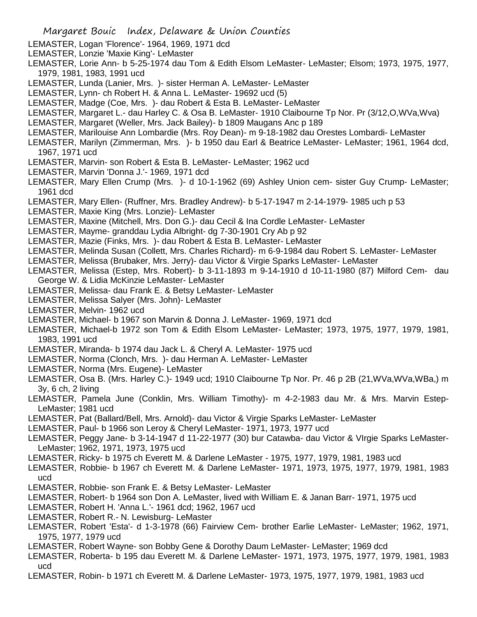- LEMASTER, Logan 'Florence'- 1964, 1969, 1971 dcd
- LEMASTER, Lonzie 'Maxie King'- LeMaster
- LEMASTER, Lorie Ann- b 5-25-1974 dau Tom & Edith Elsom LeMaster- LeMaster; Elsom; 1973, 1975, 1977, 1979, 1981, 1983, 1991 ucd
- LEMASTER, Lunda (Lanier, Mrs. )- sister Herman A. LeMaster- LeMaster
- LEMASTER, Lynn- ch Robert H. & Anna L. LeMaster- 19692 ucd (5)
- LEMASTER, Madge (Coe, Mrs. )- dau Robert & Esta B. LeMaster- LeMaster
- LEMASTER, Margaret L.- dau Harley C. & Osa B. LeMaster- 1910 Claibourne Tp Nor. Pr (3/12,O,WVa,Wva)
- LEMASTER, Margaret (Weller, Mrs. Jack Bailey)- b 1809 Maugans Anc p 189
- LEMASTER, Marilouise Ann Lombardie (Mrs. Roy Dean)- m 9-18-1982 dau Orestes Lombardi- LeMaster
- LEMASTER, Marilyn (Zimmerman, Mrs. )- b 1950 dau Earl & Beatrice LeMaster- LeMaster; 1961, 1964 dcd, 1967, 1971 ucd
- LEMASTER, Marvin- son Robert & Esta B. LeMaster- LeMaster; 1962 ucd
- LEMASTER, Marvin 'Donna J.'- 1969, 1971 dcd
- LEMASTER, Mary Ellen Crump (Mrs. )- d 10-1-1962 (69) Ashley Union cem- sister Guy Crump- LeMaster; 1961 dcd
- LEMASTER, Mary Ellen- (Ruffner, Mrs. Bradley Andrew)- b 5-17-1947 m 2-14-1979- 1985 uch p 53
- LEMASTER, Maxie King (Mrs. Lonzie)- LeMaster
- LEMASTER, Maxine (Mitchell, Mrs. Don G.)- dau Cecil & Ina Cordle LeMaster- LeMaster
- LEMASTER, Mayme- granddau Lydia Albright- dg 7-30-1901 Cry Ab p 92
- LEMASTER, Mazie (Finks, Mrs. )- dau Robert & Esta B. LeMaster- LeMaster
- LEMASTER, Melinda Susan (Collett, Mrs. Charles Richard)- m 6-9-1984 dau Robert S. LeMaster- LeMaster
- LEMASTER, Melissa (Brubaker, Mrs. Jerry)- dau Victor & Virgie Sparks LeMaster- LeMaster
- LEMASTER, Melissa (Estep, Mrs. Robert)- b 3-11-1893 m 9-14-1910 d 10-11-1980 (87) Milford Cem- dau George W. & Lidia McKinzie LeMaster- LeMaster
- LEMASTER, Melissa- dau Frank E. & Betsy LeMaster- LeMaster
- LEMASTER, Melissa Salyer (Mrs. John)- LeMaster
- LEMASTER, Melvin- 1962 ucd
- LEMASTER, Michael- b 1967 son Marvin & Donna J. LeMaster- 1969, 1971 dcd
- LEMASTER, Michael-b 1972 son Tom & Edith Elsom LeMaster- LeMaster; 1973, 1975, 1977, 1979, 1981, 1983, 1991 ucd
- LEMASTER, Miranda- b 1974 dau Jack L. & Cheryl A. LeMaster- 1975 ucd
- LEMASTER, Norma (Clonch, Mrs. )- dau Herman A. LeMaster- LeMaster
- LEMASTER, Norma (Mrs. Eugene)- LeMaster
- LEMASTER, Osa B. (Mrs. Harley C.)- 1949 ucd; 1910 Claibourne Tp Nor. Pr. 46 p 2B (21,WVa,WVa,WBa,) m 3y, 6 ch, 2 living
- LEMASTER, Pamela June (Conklin, Mrs. William Timothy)- m 4-2-1983 dau Mr. & Mrs. Marvin Estep-LeMaster; 1981 ucd
- LEMASTER, Pat (Ballard/Bell, Mrs. Arnold)- dau Victor & Virgie Sparks LeMaster- LeMaster
- LEMASTER, Paul- b 1966 son Leroy & Cheryl LeMaster- 1971, 1973, 1977 ucd
- LEMASTER, Peggy Jane- b 3-14-1947 d 11-22-1977 (30) bur Catawba- dau Victor & VIrgie Sparks LeMaster-LeMaster; 1962, 1971, 1973, 1975 ucd
- LEMASTER, Ricky- b 1975 ch Everett M. & Darlene LeMaster 1975, 1977, 1979, 1981, 1983 ucd
- LEMASTER, Robbie- b 1967 ch Everett M. & Darlene LeMaster- 1971, 1973, 1975, 1977, 1979, 1981, 1983 ucd
- LEMASTER, Robbie- son Frank E. & Betsy LeMaster- LeMaster
- LEMASTER, Robert- b 1964 son Don A. LeMaster, lived with William E. & Janan Barr- 1971, 1975 ucd
- LEMASTER, Robert H. 'Anna L.'- 1961 dcd; 1962, 1967 ucd
- LEMASTER, Robert R.- N. Lewisburg- LeMaster
- LEMASTER, Robert 'Esta'- d 1-3-1978 (66) Fairview Cem- brother Earlie LeMaster- LeMaster; 1962, 1971, 1975, 1977, 1979 ucd
- LEMASTER, Robert Wayne- son Bobby Gene & Dorothy Daum LeMaster- LeMaster; 1969 dcd
- LEMASTER, Roberta- b 195 dau Everett M. & Darlene LeMaster- 1971, 1973, 1975, 1977, 1979, 1981, 1983 ucd
- LEMASTER, Robin- b 1971 ch Everett M. & Darlene LeMaster- 1973, 1975, 1977, 1979, 1981, 1983 ucd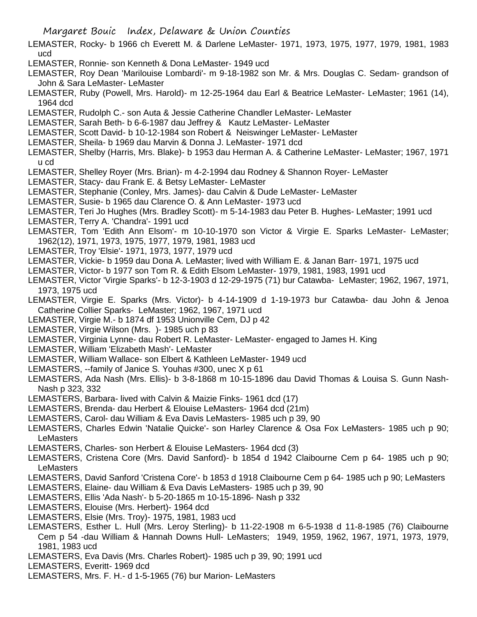- LEMASTER, Rocky- b 1966 ch Everett M. & Darlene LeMaster- 1971, 1973, 1975, 1977, 1979, 1981, 1983 ucd
- LEMASTER, Ronnie- son Kenneth & Dona LeMaster- 1949 ucd
- LEMASTER, Roy Dean 'Marilouise Lombardi'- m 9-18-1982 son Mr. & Mrs. Douglas C. Sedam- grandson of John & Sara LeMaster- LeMaster
- LEMASTER, Ruby (Powell, Mrs. Harold)- m 12-25-1964 dau Earl & Beatrice LeMaster- LeMaster; 1961 (14), 1964 dcd
- LEMASTER, Rudolph C.- son Auta & Jessie Catherine Chandler LeMaster- LeMaster
- LEMASTER, Sarah Beth- b 6-6-1987 dau Jeffrey & Kautz LeMaster- LeMaster
- LEMASTER, Scott David- b 10-12-1984 son Robert & Neiswinger LeMaster- LeMaster
- LEMASTER, Sheila- b 1969 dau Marvin & Donna J. LeMaster- 1971 dcd
- LEMASTER, Shelby (Harris, Mrs. Blake)- b 1953 dau Herman A. & Catherine LeMaster- LeMaster; 1967, 1971 u cd
- LEMASTER, Shelley Royer (Mrs. Brian)- m 4-2-1994 dau Rodney & Shannon Royer- LeMaster
- LEMASTER, Stacy- dau Frank E. & Betsy LeMaster- LeMaster
- LEMASTER, Stephanie (Conley, Mrs. James)- dau Calvin & Dude LeMaster- LeMaster
- LEMASTER, Susie- b 1965 dau Clarence O. & Ann LeMaster- 1973 ucd
- LEMASTER, Teri Jo Hughes (Mrs. Bradley Scott)- m 5-14-1983 dau Peter B. Hughes- LeMaster; 1991 ucd
- LEMASTER, Terry A. 'Chandra'- 1991 ucd
- LEMASTER, Tom 'Edith Ann Elsom'- m 10-10-1970 son Victor & Virgie E. Sparks LeMaster- LeMaster; 1962(12), 1971, 1973, 1975, 1977, 1979, 1981, 1983 ucd
- LEMASTER, Troy 'Elsie'- 1971, 1973, 1977, 1979 ucd
- LEMASTER, Vickie- b 1959 dau Dona A. LeMaster; lived with William E. & Janan Barr- 1971, 1975 ucd
- LEMASTER, Victor- b 1977 son Tom R. & Edith Elsom LeMaster- 1979, 1981, 1983, 1991 ucd
- LEMASTER, Victor 'Virgie Sparks'- b 12-3-1903 d 12-29-1975 (71) bur Catawba- LeMaster; 1962, 1967, 1971, 1973, 1975 ucd
- LEMASTER, Virgie E. Sparks (Mrs. Victor)- b 4-14-1909 d 1-19-1973 bur Catawba- dau John & Jenoa Catherine Collier Sparks- LeMaster; 1962, 1967, 1971 ucd
- LEMASTER, Virgie M.- b 1874 df 1953 Unionville Cem, DJ p 42
- LEMASTER, Virgie Wilson (Mrs. )- 1985 uch p 83
- LEMASTER, Virginia Lynne- dau Robert R. LeMaster- LeMaster- engaged to James H. King
- LEMASTER, William 'Elizabeth Mash'- LeMaster
- LEMASTER, William Wallace- son Elbert & Kathleen LeMaster- 1949 ucd
- LEMASTERS, --family of Janice S. Youhas #300, unec X p 61
- LEMASTERS, Ada Nash (Mrs. Ellis)- b 3-8-1868 m 10-15-1896 dau David Thomas & Louisa S. Gunn Nash-Nash p 323, 332
- LEMASTERS, Barbara- lived with Calvin & Maizie Finks- 1961 dcd (17)
- LEMASTERS, Brenda- dau Herbert & Elouise LeMasters- 1964 dcd (21m)
- LEMASTERS, Carol- dau William & Eva Davis LeMasters- 1985 uch p 39, 90
- LEMASTERS, Charles Edwin 'Natalie Quicke'- son Harley Clarence & Osa Fox LeMasters- 1985 uch p 90; **LeMasters**
- LEMASTERS, Charles- son Herbert & Elouise LeMasters- 1964 dcd (3)
- LEMASTERS, Cristena Core (Mrs. David Sanford)- b 1854 d 1942 Claibourne Cem p 64- 1985 uch p 90; **LeMasters**
- LEMASTERS, David Sanford 'Cristena Core'- b 1853 d 1918 Claibourne Cem p 64- 1985 uch p 90; LeMasters
- LEMASTERS, Elaine- dau William & Eva Davis LeMasters- 1985 uch p 39, 90
- LEMASTERS, Ellis 'Ada Nash'- b 5-20-1865 m 10-15-1896- Nash p 332
- LEMASTERS, Elouise (Mrs. Herbert)- 1964 dcd
- LEMASTERS, Elsie (Mrs. Troy)- 1975, 1981, 1983 ucd
- LEMASTERS, Esther L. Hull (Mrs. Leroy Sterling)- b 11-22-1908 m 6-5-1938 d 11-8-1985 (76) Claibourne Cem p 54 -dau William & Hannah Downs Hull- LeMasters; 1949, 1959, 1962, 1967, 1971, 1973, 1979, 1981, 1983 ucd
- LEMASTERS, Eva Davis (Mrs. Charles Robert)- 1985 uch p 39, 90; 1991 ucd
- LEMASTERS, Everitt- 1969 dcd
- LEMASTERS, Mrs. F. H.- d 1-5-1965 (76) bur Marion- LeMasters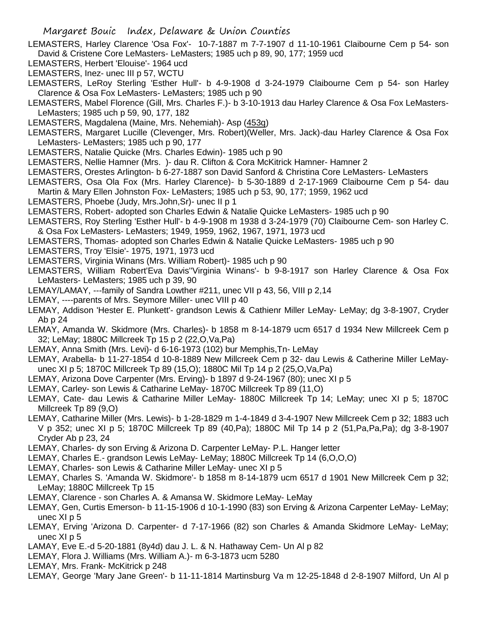- LEMASTERS, Harley Clarence 'Osa Fox'- 10-7-1887 m 7-7-1907 d 11-10-1961 Claibourne Cem p 54- son David & Cristene Core LeMasters- LeMasters; 1985 uch p 89, 90, 177; 1959 ucd
- LEMASTERS, Herbert 'Elouise'- 1964 ucd
- LEMASTERS, Inez- unec III p 57, WCTU
- LEMASTERS, LeRoy Sterling 'Esther Hull'- b 4-9-1908 d 3-24-1979 Claibourne Cem p 54- son Harley Clarence & Osa Fox LeMasters- LeMasters; 1985 uch p 90
- LEMASTERS, Mabel Florence (Gill, Mrs. Charles F.)- b 3-10-1913 dau Harley Clarence & Osa Fox LeMasters-LeMasters; 1985 uch p 59, 90, 177, 182
- LEMASTERS, Magdalena (Maine, Mrs. Nehemiah)- Asp (453q)
- LEMASTERS, Margaret Lucille (Clevenger, Mrs. Robert)(Weller, Mrs. Jack)-dau Harley Clarence & Osa Fox LeMasters- LeMasters; 1985 uch p 90, 177
- LEMASTERS, Natalie Quicke (Mrs. Charles Edwin)- 1985 uch p 90
- LEMASTERS, Nellie Hamner (Mrs. )- dau R. Clifton & Cora McKitrick Hamner- Hamner 2
- LEMASTERS, Orestes Arlington- b 6-27-1887 son David Sanford & Christina Core LeMasters- LeMasters
- LEMASTERS, Osa Ola Fox (Mrs. Harley Clarence)- b 5-30-1889 d 2-17-1969 Claibourne Cem p 54- dau Martin & Mary Ellen Johnston Fox- LeMasters; 1985 uch p 53, 90, 177; 1959, 1962 ucd
- LEMASTERS, Phoebe (Judy, Mrs.John,Sr)- unec II p 1
- LEMASTERS, Robert- adopted son Charles Edwin & Natalie Quicke LeMasters- 1985 uch p 90
- LEMASTERS, Roy Sterling 'Esther Hull'- b 4-9-1908 m 1938 d 3-24-1979 (70) Claibourne Cem- son Harley C. & Osa Fox LeMasters- LeMasters; 1949, 1959, 1962, 1967, 1971, 1973 ucd
- LEMASTERS, Thomas- adopted son Charles Edwin & Natalie Quicke LeMasters- 1985 uch p 90
- LEMASTERS, Troy 'Elsie'- 1975, 1971, 1973 ucd
- LEMASTERS, Virginia Winans (Mrs. William Robert)- 1985 uch p 90
- LEMASTERS, William Robert'Eva Davis''Virginia Winans'- b 9-8-1917 son Harley Clarence & Osa Fox LeMasters- LeMasters; 1985 uch p 39, 90
- LEMAY/LAMAY, ---family of Sandra Lowther #211, unec VII p 43, 56, VIII p 2,14
- LEMAY, ----parents of Mrs. Seymore Miller- unec VIII p 40
- LEMAY, Addison 'Hester E. Plunkett'- grandson Lewis & Cathienr Miller LeMay- LeMay; dg 3-8-1907, Cryder Ab p 24
- LEMAY, Amanda W. Skidmore (Mrs. Charles)- b 1858 m 8-14-1879 ucm 6517 d 1934 New Millcreek Cem p 32; LeMay; 1880C Millcreek Tp 15 p 2 (22,O,Va,Pa)
- LEMAY, Anna Smith (Mrs. Levi)- d 6-16-1973 (102) bur Memphis,Tn- LeMay
- LEMAY, Arabella- b 11-27-1854 d 10-8-1889 New Millcreek Cem p 32- dau Lewis & Catherine Miller LeMayunec XI p 5; 1870C Millcreek Tp 89 (15,O); 1880C Mil Tp 14 p 2 (25,O,Va,Pa)
- LEMAY, Arizona Dove Carpenter (Mrs. Erving)- b 1897 d 9-24-1967 (80); unec XI p 5
- LEMAY, Carley- son Lewis & Catharine LeMay- 1870C Millcreek Tp 89 (11,O)
- LEMAY, Cate- dau Lewis & Catharine Miller LeMay- 1880C Millcreek Tp 14; LeMay; unec XI p 5; 1870C Millcreek Tp 89 (9,O)
- LEMAY, Catharine Miller (Mrs. Lewis)- b 1-28-1829 m 1-4-1849 d 3-4-1907 New Millcreek Cem p 32; 1883 uch V p 352; unec XI p 5; 1870C Millcreek Tp 89 (40,Pa); 1880C Mil Tp 14 p 2 (51,Pa,Pa,Pa); dg 3-8-1907 Cryder Ab p 23, 24
- LEMAY, Charles- dy son Erving & Arizona D. Carpenter LeMay- P.L. Hanger letter
- LEMAY, Charles E.- grandson Lewis LeMay- LeMay; 1880C Millcreek Tp 14 (6,O,O,O)
- LEMAY, Charles- son Lewis & Catharine Miller LeMay- unec XI p 5
- LEMAY, Charles S. 'Amanda W. Skidmore'- b 1858 m 8-14-1879 ucm 6517 d 1901 New Millcreek Cem p 32; LeMay; 1880C Millcreek Tp 15
- LEMAY, Clarence son Charles A. & Amansa W. Skidmore LeMay- LeMay
- LEMAY, Gen, Curtis Emerson- b 11-15-1906 d 10-1-1990 (83) son Erving & Arizona Carpenter LeMay- LeMay; unec XI p 5
- LEMAY, Erving 'Arizona D. Carpenter- d 7-17-1966 (82) son Charles & Amanda Skidmore LeMay- LeMay; unec XI p 5
- LAMAY, Eve E.-d 5-20-1881 (8y4d) dau J. L. & N. Hathaway Cem- Un Al p 82
- LEMAY, Flora J. Williams (Mrs. William A.)- m 6-3-1873 ucm 5280
- LEMAY, Mrs. Frank- McKitrick p 248
- LEMAY, George 'Mary Jane Green'- b 11-11-1814 Martinsburg Va m 12-25-1848 d 2-8-1907 Milford, Un Al p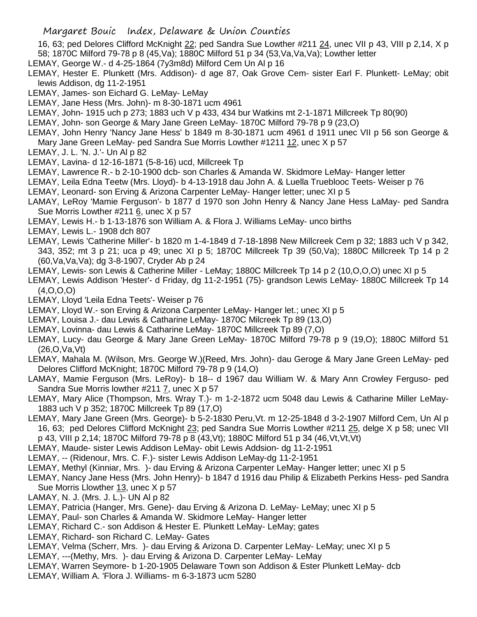16, 63; ped Delores Clifford McKnight 22; ped Sandra Sue Lowther #211 24, unec VII p 43, VIII p 2,14, X p 58; 1870C Milford 79-78 p 8 (45,Va); 1880C Milford 51 p 34 (53,Va,Va,Va); Lowther letter

- LEMAY, George W.- d 4-25-1864 (7y3m8d) Milford Cem Un Al p 16
- LEMAY, Hester E. Plunkett (Mrs. Addison)- d age 87, Oak Grove Cem- sister Earl F. Plunkett- LeMay; obit lewis Addison, dg 11-2-1951
- LEMAY, James- son Eichard G. LeMay- LeMay
- LEMAY, Jane Hess (Mrs. John)- m 8-30-1871 ucm 4961
- LEMAY, John- 1915 uch p 273; 1883 uch V p 433, 434 bur Watkins mt 2-1-1871 Millcreek Tp 80(90)
- LEMAY, John- son George & Mary Jane Green LeMay- 1870C Milford 79-78 p 9 (23,O)
- LEMAY, John Henry 'Nancy Jane Hess' b 1849 m 8-30-1871 ucm 4961 d 1911 unec VII p 56 son George & Mary Jane Green LeMay- ped Sandra Sue Morris Lowther #1211 12, unec X p 57
- LEMAY, J. L. 'N. J.'- Un Al p 82
- LEMAY, Lavina- d 12-16-1871 (5-8-16) ucd, Millcreek Tp
- LEMAY, Lawrence R.- b 2-10-1900 dcb- son Charles & Amanda W. Skidmore LeMay- Hanger letter
- LEMAY, Leila Edna Teetw (Mrs. Lloyd)- b 4-13-1918 dau John A. & Luella Trueblooc Teets- Weiser p 76
- LEMAY, Leonard- son Erving & Arizona Carpenter LeMay- Hanger letter; unec XI p 5
- LAMAY, LeRoy 'Mamie Ferguson'- b 1877 d 1970 son John Henry & Nancy Jane Hess LaMay- ped Sandra Sue Morris Lowther #211 6, unec X p 57
- LEMAY, Lewis H.- b 1-13-1876 son William A. & Flora J. Williams LeMay- unco births
- LEMAY, Lewis L.- 1908 dch 807
- LEMAY, Lewis 'Catherine Miller'- b 1820 m 1-4-1849 d 7-18-1898 New Millcreek Cem p 32; 1883 uch V p 342, 343, 352; mt 3 p 21; uca p 49; unec XI p 5; 1870C Millcreek Tp 39 (50,Va); 1880C Millcreek Tp 14 p 2 (60,Va,Va,Va); dg 3-8-1907, Cryder Ab p 24
- LEMAY, Lewis- son Lewis & Catherine Miller LeMay; 1880C Millcreek Tp 14 p 2 (10,O,O,O) unec XI p 5
- LEMAY, Lewis Addison 'Hester'- d Friday, dg 11-2-1951 (75)- grandson Lewis LeMay- 1880C Millcreek Tp 14 (4,O,O,O)
- LEMAY, Lloyd 'Leila Edna Teets'- Weiser p 76
- LEMAY, Lloyd W.- son Erving & Arizona Carpenter LeMay- Hanger let.; unec XI p 5
- LEMAY, Louisa J.- dau Lewis & Catharine LeMay- 1870C Milcreek Tp 89 (13,O)
- LEMAY, Lovinna- dau Lewis & Catharine LeMay- 1870C Millcreek Tp 89 (7,O)
- LEMAY, Lucy- dau George & Mary Jane Green LeMay- 1870C Milford 79-78 p 9 (19,O); 1880C Milford 51 (26,O,Va,Vt)
- LEMAY, Mahala M. (Wilson, Mrs. George W.)(Reed, Mrs. John)- dau Geroge & Mary Jane Green LeMay- ped Delores Clifford McKnight; 1870C Milford 79-78 p 9 (14,O)
- LAMAY, Mamie Ferguson (Mrs. LeRoy)- b 18-- d 1967 dau William W. & Mary Ann Crowley Ferguso- ped Sandra Sue Morris lowther #211 7, unec X p 57
- LEMAY, Mary Alice (Thompson, Mrs. Wray T.)- m 1-2-1872 ucm 5048 dau Lewis & Catharine Miller LeMay-1883 uch V p 352; 1870C Millcreek Tp 89 (17,O)
- LEMAY, Mary Jane Green (Mrs. George)- b 5-2-1830 Peru,Vt. m 12-25-1848 d 3-2-1907 Milford Cem, Un Al p 16, 63; ped Delores Clifford McKnight 23; ped Sandra Sue Morris Lowther #211 25, delge X p 58; unec VII p 43, VIII p 2,14; 1870C Milford 79-78 p 8 (43,Vt); 1880C Milford 51 p 34 (46,Vt,Vt,Vt)
- LEMAY, Maude- sister Lewis Addison LeMay- obit Lewis Addsion- dg 11-2-1951
- LEMAY, -- (Ridenour, Mrs. C. F.)- sister Lewis Addison LeMay-dg 11-2-1951
- LEMAY, Methyl (Kinniar, Mrs. )- dau Erving & Arizona Carpenter LeMay- Hanger letter; unec XI p 5
- LEMAY, Nancy Jane Hess (Mrs. John Henry)- b 1847 d 1916 dau Philip & Elizabeth Perkins Hess- ped Sandra Sue Morris Llowther 13, unec X p 57
- LAMAY, N. J. (Mrs. J. L.)- UN Al p 82
- LEMAY, Patricia (Hanger, Mrs. Gene)- dau Erving & Arizona D. LeMay- LeMay; unec XI p 5
- LEMAY, Paul- son Charles & Amanda W. Skidmore LeMay- Hanger letter
- LEMAY, Richard C.- son Addison & Hester E. Plunkett LeMay- LeMay; gates
- LEMAY, Richard- son Richard C. LeMay- Gates
- LEMAY, Velma (Scherr, Mrs. )- dau Erving & Arizona D. Carpenter LeMay- LeMay; unec XI p 5
- LEMAY, ---(Methy, Mrs. )- dau Erving & Arizona D. Carpenter LeMay- LeMay
- LEMAY, Warren Seymore- b 1-20-1905 Delaware Town son Addison & Ester Plunkett LeMay- dcb
- LEMAY, William A. 'Flora J. Williams- m 6-3-1873 ucm 5280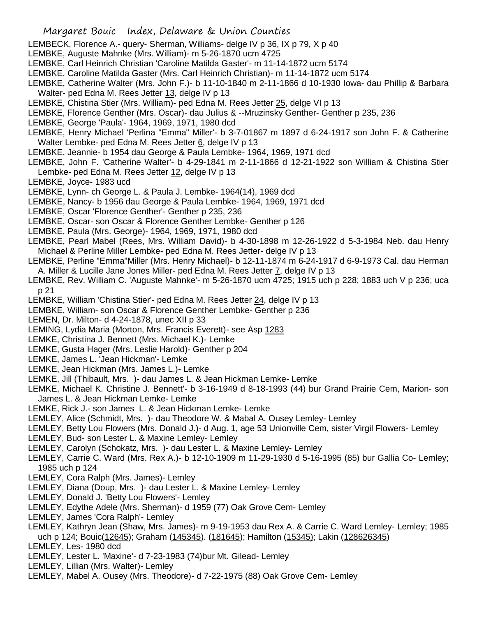- LEMBECK, Florence A.- query- Sherman, Williams- delge IV p 36, IX p 79, X p 40
- LEMBKE, Auguste Mahnke (Mrs. William)- m 5-26-1870 ucm 4725
- LEMBKE, Carl Heinrich Christian 'Caroline Matilda Gaster'- m 11-14-1872 ucm 5174
- LEMBKE, Caroline Matilda Gaster (Mrs. Carl Heinrich Christian)- m 11-14-1872 ucm 5174
- LEMBKE, Catherine Walter (Mrs. John F.)- b 11-10-1840 m 2-11-1866 d 10-1930 Iowa- dau Phillip & Barbara Walter- ped Edna M. Rees Jetter 13, delge IV p 13
- LEMBKE, Chistina Stier (Mrs. William)- ped Edna M. Rees Jetter 25, delge VI p 13
- LEMBKE, Florence Genther (Mrs. Oscar)- dau Julius & --Mruzinsky Genther- Genther p 235, 236
- LEMBKE, George 'Paula'- 1964, 1969, 1971, 1980 dcd
- LEMBKE, Henry Michael 'Perlina "Emma" Miller'- b 3-7-01867 m 1897 d 6-24-1917 son John F. & Catherine Walter Lembke- ped Edna M. Rees Jetter 6, delge IV p 13
- LEMBKE, Jeannie- b 1954 dau George & Paula Lembke- 1964, 1969, 1971 dcd

LEMBKE, John F. 'Catherine Walter'- b 4-29-1841 m 2-11-1866 d 12-21-1922 son William & Chistina Stier Lembke- ped Edna M. Rees Jetter 12, delge IV p 13

- LEMBKE, Joyce- 1983 ucd
- LEMBKE, Lynn- ch George L. & Paula J. Lembke- 1964(14), 1969 dcd
- LEMBKE, Nancy- b 1956 dau George & Paula Lembke- 1964, 1969, 1971 dcd
- LEMBKE, Oscar 'Florence Genther'- Genther p 235, 236
- LEMBKE, Oscar- son Oscar & Florence Genther Lembke- Genther p 126
- LEMBKE, Paula (Mrs. George)- 1964, 1969, 1971, 1980 dcd
- LEMBKE, Pearl Mabel (Rees, Mrs. William David)- b 4-30-1898 m 12-26-1922 d 5-3-1984 Neb. dau Henry Michael & Perline Miller Lembke- ped Edna M. Rees Jetter- delge IV p 13
- LEMBKE, Perline "Emma"Miller (Mrs. Henry Michael)- b 12-11-1874 m 6-24-1917 d 6-9-1973 Cal. dau Herman A. Miller & Lucille Jane Jones Miller- ped Edna M. Rees Jetter 7, delge IV p 13
- LEMBKE, Rev. William C. 'Auguste Mahnke'- m 5-26-1870 ucm 4725; 1915 uch p 228; 1883 uch V p 236; uca p 21
- LEMBKE, William 'Chistina Stier'- ped Edna M. Rees Jetter 24, delge IV p 13
- LEMBKE, William- son Oscar & Florence Genther Lembke- Genther p 236
- LEMEN, Dr. Milton- d 4-24-1878, unec XII p 33
- LEMING, Lydia Maria (Morton, Mrs. Francis Everett)- see Asp 1283
- LEMKE, Christina J. Bennett (Mrs. Michael K.)- Lemke
- LEMKE, Gusta Hager (Mrs. Leslie Harold)- Genther p 204
- LEMKE, James L. 'Jean Hickman'- Lemke
- LEMKE, Jean Hickman (Mrs. James L.)- Lemke
- LEMKE, Jill (Thibault, Mrs. )- dau James L. & Jean Hickman Lemke- Lemke
- LEMKE, Michael K. Christine J. Bennett'- b 3-16-1949 d 8-18-1993 (44) bur Grand Prairie Cem, Marion- son James L. & Jean Hickman Lemke- Lemke
- LEMKE, Rick J.- son James L. & Jean Hickman Lemke- Lemke
- LEMLEY, Alice (Schmidt, Mrs. )- dau Theodore W. & Mabal A. Ousey Lemley- Lemley
- LEMLEY, Betty Lou Flowers (Mrs. Donald J.)- d Aug. 1, age 53 Unionville Cem, sister Virgil Flowers- Lemley
- LEMLEY, Bud- son Lester L. & Maxine Lemley- Lemley
- LEMLEY, Carolyn (Schokatz, Mrs. )- dau Lester L. & Maxine Lemley- Lemley
- LEMLEY, Carrie C. Ward (Mrs. Rex A.)- b 12-10-1909 m 11-29-1930 d 5-16-1995 (85) bur Gallia Co- Lemley; 1985 uch p 124
- LEMLEY, Cora Ralph (Mrs. James)- Lemley
- LEMLEY, Diana (Doup, Mrs. )- dau Lester L. & Maxine Lemley- Lemley
- LEMLEY, Donald J. 'Betty Lou Flowers'- Lemley
- LEMLEY, Edythe Adele (Mrs. Sherman)- d 1959 (77) Oak Grove Cem- Lemley
- LEMLEY, James 'Cora Ralph'- Lemley
- LEMLEY, Kathryn Jean (Shaw, Mrs. James)- m 9-19-1953 dau Rex A. & Carrie C. Ward Lemley- Lemley; 1985 uch p 124; Bouic(12645); Graham (145345). (181645); Hamilton (15345); Lakin (128626345)
- LEMLEY, Les- 1980 dcd
- LEMLEY, Lester L. 'Maxine'- d 7-23-1983 (74)bur Mt. Gilead- Lemley
- LEMLEY, Lillian (Mrs. Walter)- Lemley
- LEMLEY, Mabel A. Ousey (Mrs. Theodore)- d 7-22-1975 (88) Oak Grove Cem- Lemley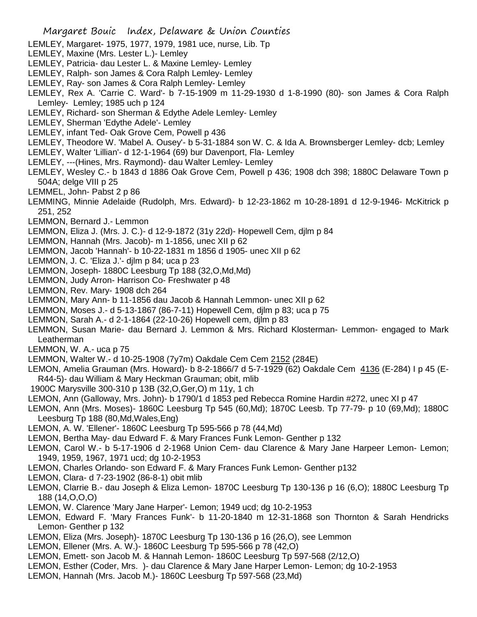- LEMLEY, Margaret- 1975, 1977, 1979, 1981 uce, nurse, Lib. Tp
- LEMLEY, Maxine (Mrs. Lester L.)- Lemley
- LEMLEY, Patricia- dau Lester L. & Maxine Lemley- Lemley
- LEMLEY, Ralph- son James & Cora Ralph Lemley- Lemley
- LEMLEY, Ray- son James & Cora Ralph Lemley- Lemley
- LEMLEY, Rex A. 'Carrie C. Ward'- b 7-15-1909 m 11-29-1930 d 1-8-1990 (80)- son James & Cora Ralph Lemley- Lemley; 1985 uch p 124
- LEMLEY, Richard- son Sherman & Edythe Adele Lemley- Lemley
- LEMLEY, Sherman 'Edythe Adele'- Lemley
- LEMLEY, infant Ted- Oak Grove Cem, Powell p 436
- LEMLEY, Theodore W. 'Mabel A. Ousey'- b 5-31-1884 son W. C. & Ida A. Brownsberger Lemley- dcb; Lemley
- LEMLEY, Walter 'Lillian'- d 12-1-1964 (69) bur Davenport, Fla- Lemley
- LEMLEY, ---(Hines, Mrs. Raymond)- dau Walter Lemley- Lemley
- LEMLEY, Wesley C.- b 1843 d 1886 Oak Grove Cem, Powell p 436; 1908 dch 398; 1880C Delaware Town p 504A; delge VIII p 25
- LEMMEL, John- Pabst 2 p 86
- LEMMING, Minnie Adelaide (Rudolph, Mrs. Edward)- b 12-23-1862 m 10-28-1891 d 12-9-1946- McKitrick p 251, 252
- LEMMON, Bernard J.- Lemmon
- LEMMON, Eliza J. (Mrs. J. C.)- d 12-9-1872 (31y 22d)- Hopewell Cem, djlm p 84
- LEMMON, Hannah (Mrs. Jacob)- m 1-1856, unec XII p 62
- LEMMON, Jacob 'Hannah'- b 10-22-1831 m 1856 d 1905- unec XII p 62
- LEMMON, J. C. 'Eliza J.'- djlm p 84; uca p 23
- LEMMON, Joseph- 1880C Leesburg Tp 188 (32,O,Md,Md)
- LEMMON, Judy Arron- Harrison Co- Freshwater p 48
- LEMMON, Rev. Mary- 1908 dch 264
- LEMMON, Mary Ann- b 11-1856 dau Jacob & Hannah Lemmon- unec XII p 62
- LEMMON, Moses J.- d 5-13-1867 (86-7-11) Hopewell Cem, djlm p 83; uca p 75
- LEMMON, Sarah A.- d 2-1-1864 (22-10-26) Hopewell cem, djlm p 83
- LEMMON, Susan Marie- dau Bernard J. Lemmon & Mrs. Richard Klosterman- Lemmon- engaged to Mark Leatherman
- LEMMON, W. A.- uca p 75
- LEMMON, Walter W.- d 10-25-1908 (7y7m) Oakdale Cem Cem 2152 (284E)
- LEMON, Amelia Grauman (Mrs. Howard)- b 8-2-1866/7 d 5-7-1929 (62) Oakdale Cem 4136 (E-284) I p 45 (E-R44-5)- dau William & Mary Heckman Grauman; obit, mlib
- 1900C Marysville 300-310 p 13B (32,O,Ger,O) m 11y, 1 ch
- LEMON, Ann (Galloway, Mrs. John)- b 1790/1 d 1853 ped Rebecca Romine Hardin #272, unec XI p 47
- LEMON, Ann (Mrs. Moses)- 1860C Leesburg Tp 545 (60,Md); 1870C Leesb. Tp 77-79- p 10 (69,Md); 1880C Leesburg Tp 188 (80,Md,Wales,Eng)
- LEMON, A. W. 'Ellener'- 1860C Leesburg Tp 595-566 p 78 (44,Md)
- LEMON, Bertha May- dau Edward F. & Mary Frances Funk Lemon- Genther p 132
- LEMON, Carol W.- b 5-17-1906 d 2-1968 Union Cem- dau Clarence & Mary Jane Harpeer Lemon- Lemon; 1949, 1959, 1967, 1971 ucd; dg 10-2-1953
- LEMON, Charles Orlando- son Edward F. & Mary Frances Funk Lemon- Genther p132
- LEMON, Clara- d 7-23-1902 (86-8-1) obit mlib
- LEMON, Clarrie B.- dau Joseph & Eliza Lemon- 1870C Leesburg Tp 130-136 p 16 (6,O); 1880C Leesburg Tp 188 (14,O,O,O)
- LEMON, W. Clarence 'Mary Jane Harper'- Lemon; 1949 ucd; dg 10-2-1953
- LEMON, Edward F. 'Mary Frances Funk'- b 11-20-1840 m 12-31-1868 son Thornton & Sarah Hendricks Lemon- Genther p 132
- LEMON, Eliza (Mrs. Joseph)- 1870C Leesburg Tp 130-136 p 16 (26,O), see Lemmon
- LEMON, Ellener (Mrs. A. W.)- 1860C Leesburg Tp 595-566 p 78 (42,O)
- LEMON, Emett- son Jacob M. & Hannah Lemon- 1860C Leesburg Tp 597-568 (2/12,O)
- LEMON, Esther (Coder, Mrs. )- dau Clarence & Mary Jane Harper Lemon- Lemon; dg 10-2-1953
- LEMON, Hannah (Mrs. Jacob M.)- 1860C Leesburg Tp 597-568 (23,Md)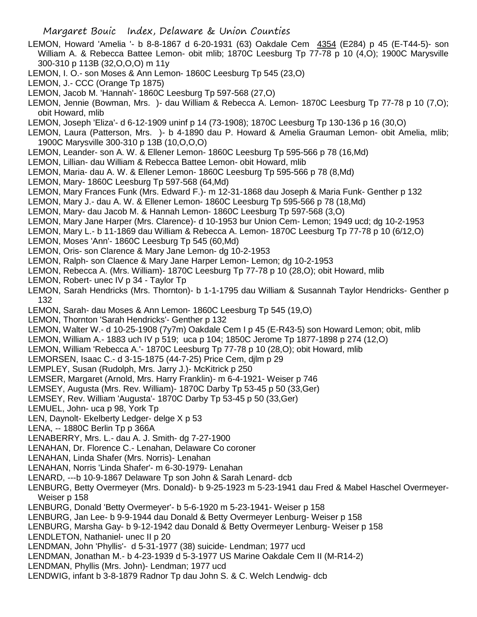- LEMON, Howard 'Amelia '- b 8-8-1867 d 6-20-1931 (63) Oakdale Cem 4354 (E284) p 45 (E-T44-5)- son William A. & Rebecca Battee Lemon- obit mlib; 1870C Leesburg Tp 77-78 p 10 (4,O); 1900C Marysville 300-310 p 113B (32,O,O,O) m 11y
- LEMON, I. O.- son Moses & Ann Lemon- 1860C Leesburg Tp 545 (23,O)
- LEMON, J.- CCC (Orange Tp 1875)
- LEMON, Jacob M. 'Hannah'- 1860C Leesburg Tp 597-568 (27,O)
- LEMON, Jennie (Bowman, Mrs. )- dau William & Rebecca A. Lemon- 1870C Leesburg Tp 77-78 p 10 (7,O); obit Howard, mlib
- LEMON, Joseph 'Eliza'- d 6-12-1909 uninf p 14 (73-1908); 1870C Leesburg Tp 130-136 p 16 (30,O)
- LEMON, Laura (Patterson, Mrs. )- b 4-1890 dau P. Howard & Amelia Grauman Lemon- obit Amelia, mlib; 1900C Marysville 300-310 p 13B (10,O,O,O)
- LEMON, Leander- son A. W. & Ellener Lemon- 1860C Leesburg Tp 595-566 p 78 (16,Md)
- LEMON, Lillian- dau William & Rebecca Battee Lemon- obit Howard, mlib
- LEMON, Maria- dau A. W. & Ellener Lemon- 1860C Leesburg Tp 595-566 p 78 (8,Md)
- LEMON, Mary- 1860C Leesburg Tp 597-568 (64,Md)
- LEMON, Mary Frances Funk (Mrs. Edward F.)- m 12-31-1868 dau Joseph & Maria Funk- Genther p 132
- LEMON, Mary J.- dau A. W. & Ellener Lemon- 1860C Leesburg Tp 595-566 p 78 (18,Md)
- LEMON, Mary- dau Jacob M. & Hannah Lemon- 1860C Leesburg Tp 597-568 (3,O)
- LEMON, Mary Jane Harper (Mrs. Clarence)- d 10-1953 bur Union Cem- Lemon; 1949 ucd; dg 10-2-1953
- LEMON, Mary L.- b 11-1869 dau William & Rebecca A. Lemon- 1870C Leesburg Tp 77-78 p 10 (6/12,O)
- LEMON, Moses 'Ann'- 1860C Leesburg Tp 545 (60,Md)
- LEMON, Oris- son Clarence & Mary Jane Lemon- dg 10-2-1953
- LEMON, Ralph- son Claence & Mary Jane Harper Lemon- Lemon; dg 10-2-1953
- LEMON, Rebecca A. (Mrs. William)- 1870C Leesburg Tp 77-78 p 10 (28,O); obit Howard, mlib
- LEMON, Robert- unec IV p 34 Taylor Tp
- LEMON, Sarah Hendricks (Mrs. Thornton)- b 1-1-1795 dau William & Susannah Taylor Hendricks- Genther p 132
- LEMON, Sarah- dau Moses & Ann Lemon- 1860C Leesburg Tp 545 (19,O)
- LEMON, Thornton 'Sarah Hendricks'- Genther p 132
- LEMON, Walter W.- d 10-25-1908 (7y7m) Oakdale Cem I p 45 (E-R43-5) son Howard Lemon; obit, mlib
- LEMON, William A.- 1883 uch IV p 519; uca p 104; 1850C Jerome Tp 1877-1898 p 274 (12,O)
- LEMON, William 'Rebecca A.'- 1870C Leesburg Tp 77-78 p 10 (28,O); obit Howard, mlib
- LEMORSEN, Isaac C.- d 3-15-1875 (44-7-25) Price Cem, djlm p 29
- LEMPLEY, Susan (Rudolph, Mrs. Jarry J.)- McKitrick p 250
- LEMSER, Margaret (Arnold, Mrs. Harry Franklin)- m 6-4-1921- Weiser p 746
- LEMSEY, Augusta (Mrs. Rev. William)- 1870C Darby Tp 53-45 p 50 (33,Ger)
- LEMSEY, Rev. William 'Augusta'- 1870C Darby Tp 53-45 p 50 (33,Ger)
- LEMUEL, John- uca p 98, York Tp
- LEN, Daynolt- Ekelberty Ledger- delge X p 53
- LENA, -- 1880C Berlin Tp p 366A
- LENABERRY, Mrs. L.- dau A. J. Smith- dg 7-27-1900
- LENAHAN, Dr. Florence C.- Lenahan, Delaware Co coroner
- LENAHAN, Linda Shafer (Mrs. Norris)- Lenahan
- LENAHAN, Norris 'Linda Shafer'- m 6-30-1979- Lenahan
- LENARD, ---b 10-9-1867 Delaware Tp son John & Sarah Lenard- dcb
- LENBURG, Betty Overmeyer (Mrs. Donald)- b 9-25-1923 m 5-23-1941 dau Fred & Mabel Haschel Overmeyer-Weiser p 158
- LENBURG, Donald 'Betty Overmeyer'- b 5-6-1920 m 5-23-1941- Weiser p 158
- LENBURG, Jan Lee- b 9-9-1944 dau Donald & Betty Overmeyer Lenburg- Weiser p 158
- LENBURG, Marsha Gay- b 9-12-1942 dau Donald & Betty Overmeyer Lenburg- Weiser p 158
- LENDLETON, Nathaniel- unec II p 20
- LENDMAN, John 'Phyllis'- d 5-31-1977 (38) suicide- Lendman; 1977 ucd
- LENDMAN, Jonathan M.- b 4-23-1939 d 5-3-1977 US Marine Oakdale Cem II (M-R14-2)
- LENDMAN, Phyllis (Mrs. John)- Lendman; 1977 ucd
- LENDWIG, infant b 3-8-1879 Radnor Tp dau John S. & C. Welch Lendwig- dcb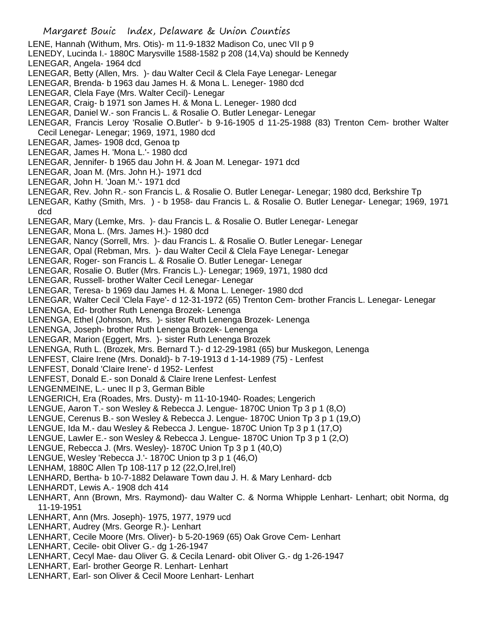- LENE, Hannah (Withum, Mrs. Otis)- m 11-9-1832 Madison Co, unec VII p 9
- LENEDY, Lucinda I.- 1880C Marysville 1588-1582 p 208 (14,Va) should be Kennedy

LENEGAR, Angela- 1964 dcd

- LENEGAR, Betty (Allen, Mrs. )- dau Walter Cecil & Clela Faye Lenegar- Lenegar
- LENEGAR, Brenda- b 1963 dau James H. & Mona L. Leneger- 1980 dcd
- LENEGAR, Clela Faye (Mrs. Walter Cecil)- Lenegar
- LENEGAR, Craig- b 1971 son James H. & Mona L. Leneger- 1980 dcd
- LENEGAR, Daniel W.- son Francis L. & Rosalie O. Butler Lenegar- Lenegar
- LENEGAR, Francis Leroy 'Rosalie O.Butler'- b 9-16-1905 d 11-25-1988 (83) Trenton Cem- brother Walter Cecil Lenegar- Lenegar; 1969, 1971, 1980 dcd
- LENEGAR, James- 1908 dcd, Genoa tp
- LENEGAR, James H. 'Mona L.'- 1980 dcd
- LENEGAR, Jennifer- b 1965 dau John H. & Joan M. Lenegar- 1971 dcd
- LENEGAR, Joan M. (Mrs. John H.)- 1971 dcd
- LENEGAR, John H. 'Joan M.'- 1971 dcd
- LENEGAR, Rev. John R.- son Francis L. & Rosalie O. Butler Lenegar- Lenegar; 1980 dcd, Berkshire Tp
- LENEGAR, Kathy (Smith, Mrs. ) b 1958- dau Francis L. & Rosalie O. Butler Lenegar- Lenegar; 1969, 1971 dcd
- LENEGAR, Mary (Lemke, Mrs. )- dau Francis L. & Rosalie O. Butler Lenegar- Lenegar
- LENEGAR, Mona L. (Mrs. James H.)- 1980 dcd
- LENEGAR, Nancy (Sorrell, Mrs. )- dau Francis L. & Rosalie O. Butler Lenegar- Lenegar
- LENEGAR, Opal (Rebman, Mrs. )- dau Walter Cecil & Clela Faye Lenegar- Lenegar
- LENEGAR, Roger- son Francis L. & Rosalie O. Butler Lenegar- Lenegar
- LENEGAR, Rosalie O. Butler (Mrs. Francis L.)- Lenegar; 1969, 1971, 1980 dcd
- LENEGAR, Russell- brother Walter Cecil Lenegar- Lenegar
- LENEGAR, Teresa- b 1969 dau James H. & Mona L. Leneger- 1980 dcd
- LENEGAR, Walter Cecil 'Clela Faye'- d 12-31-1972 (65) Trenton Cem- brother Francis L. Lenegar- Lenegar
- LENENGA, Ed- brother Ruth Lenenga Brozek- Lenenga
- LENENGA, Ethel (Johnson, Mrs. )- sister Ruth Lenenga Brozek- Lenenga
- LENENGA, Joseph- brother Ruth Lenenga Brozek- Lenenga
- LENEGAR, Marion (Eggert, Mrs. )- sister Ruth Lenenga Brozek
- LENENGA, Ruth L. (Brozek, Mrs. Bernard T.)- d 12-29-1981 (65) bur Muskegon, Lenenga
- LENFEST, Claire Irene (Mrs. Donald)- b 7-19-1913 d 1-14-1989 (75) Lenfest
- LENFEST, Donald 'Claire Irene'- d 1952- Lenfest
- LENFEST, Donald E.- son Donald & Claire Irene Lenfest- Lenfest
- LENGENMEINE, L.- unec II p 3, German Bible
- LENGERICH, Era (Roades, Mrs. Dusty)- m 11-10-1940- Roades; Lengerich
- LENGUE, Aaron T.- son Wesley & Rebecca J. Lengue- 1870C Union Tp 3 p 1 (8,O)
- LENGUE, Cerenus B.- son Wesley & Rebecca J. Lengue- 1870C Union Tp 3 p 1 (19,O)
- LENGUE, Ida M.- dau Wesley & Rebecca J. Lengue- 1870C Union Tp 3 p 1 (17,O)
- LENGUE, Lawler E.- son Wesley & Rebecca J. Lengue- 1870C Union Tp 3 p 1 (2,O)
- LENGUE, Rebecca J. (Mrs. Wesley)- 1870C Union Tp 3 p 1 (40,O)
- LENGUE, Wesley 'Rebecca J.'- 1870C Union tp 3 p 1 (46,O)
- LENHAM, 1880C Allen Tp 108-117 p 12 (22,O,Irel,Irel)
- LENHARD, Bertha- b 10-7-1882 Delaware Town dau J. H. & Mary Lenhard- dcb
- LENHARDT, Lewis A.- 1908 dch 414
- LENHART, Ann (Brown, Mrs. Raymond)- dau Walter C. & Norma Whipple Lenhart- Lenhart; obit Norma, dg 11-19-1951
- LENHART, Ann (Mrs. Joseph)- 1975, 1977, 1979 ucd
- LENHART, Audrey (Mrs. George R.)- Lenhart
- LENHART, Cecile Moore (Mrs. Oliver)- b 5-20-1969 (65) Oak Grove Cem- Lenhart
- LENHART, Cecile- obit Oliver G.- dg 1-26-1947
- LENHART, Cecyl Mae- dau Oliver G. & Cecila Lenard- obit Oliver G.- dg 1-26-1947
- LENHART, Earl- brother George R. Lenhart- Lenhart
- LENHART, Earl- son Oliver & Cecil Moore Lenhart- Lenhart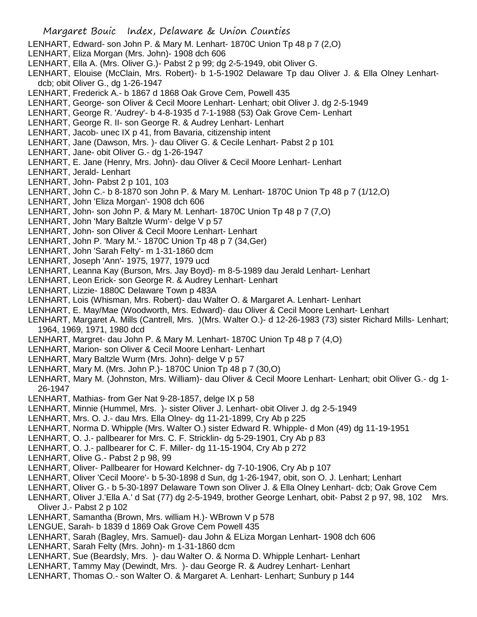- LENHART, Edward- son John P. & Mary M. Lenhart- 1870C Union Tp 48 p 7 (2,O)
- LENHART, Eliza Morgan (Mrs. John)- 1908 dch 606
- LENHART, Ella A. (Mrs. Oliver G.)- Pabst 2 p 99; dg 2-5-1949, obit Oliver G.
- LENHART, Elouise (McClain, Mrs. Robert)- b 1-5-1902 Delaware Tp dau Oliver J. & Ella Olney Lenhartdcb; obit Oliver G., dg 1-26-1947
- LENHART, Frederick A.- b 1867 d 1868 Oak Grove Cem, Powell 435
- LENHART, George- son Oliver & Cecil Moore Lenhart- Lenhart; obit Oliver J. dg 2-5-1949
- LENHART, George R. 'Audrey'- b 4-8-1935 d 7-1-1988 (53) Oak Grove Cem- Lenhart
- LENHART, George R. II- son George R. & Audrey Lenhart- Lenhart
- LENHART, Jacob- unec IX p 41, from Bavaria, citizenship intent
- LENHART, Jane (Dawson, Mrs. )- dau Oliver G. & Cecile Lenhart- Pabst 2 p 101
- LENHART, Jane- obit Oliver G.- dg 1-26-1947
- LENHART, E. Jane (Henry, Mrs. John)- dau Oliver & Cecil Moore Lenhart- Lenhart
- LENHART, Jerald- Lenhart
- LENHART, John- Pabst 2 p 101, 103
- LENHART, John C.- b 8-1870 son John P. & Mary M. Lenhart- 1870C Union Tp 48 p 7 (1/12,O)
- LENHART, John 'Eliza Morgan'- 1908 dch 606
- LENHART, John- son John P. & Mary M. Lenhart- 1870C Union Tp 48 p 7 (7,O)
- LENHART, John 'Mary Baltzle Wurm'- delge V p 57
- LENHART, John- son Oliver & Cecil Moore Lenhart- Lenhart
- LENHART, John P. 'Mary M.'- 1870C Union Tp 48 p 7 (34,Ger)
- LENHART, John 'Sarah Felty'- m 1-31-1860 dcm
- LENHART, Joseph 'Ann'- 1975, 1977, 1979 ucd
- LENHART, Leanna Kay (Burson, Mrs. Jay Boyd)- m 8-5-1989 dau Jerald Lenhart- Lenhart
- LENHART, Leon Erick- son George R. & Audrey Lenhart- Lenhart
- LENHART, Lizzie- 1880C Delaware Town p 483A
- LENHART, Lois (Whisman, Mrs. Robert)- dau Walter O. & Margaret A. Lenhart- Lenhart
- LENHART, E. May/Mae (Woodworth, Mrs. Edward)- dau Oliver & Cecil Moore Lenhart- Lenhart
- LENHART, Margaret A. Mills (Cantrell, Mrs. )(Mrs. Walter O.)- d 12-26-1983 (73) sister Richard Mills- Lenhart; 1964, 1969, 1971, 1980 dcd
- LENHART, Margret- dau John P. & Mary M. Lenhart- 1870C Union Tp 48 p 7 (4,O)
- LENHART, Marion- son Oliver & Cecil Moore Lenhart- Lenhart
- LENHART, Mary Baltzle Wurm (Mrs. John)- delge V p 57
- LENHART, Mary M. (Mrs. John P.)- 1870C Union Tp 48 p 7 (30,O)
- LENHART, Mary M. (Johnston, Mrs. William)- dau Oliver & Cecil Moore Lenhart- Lenhart; obit Oliver G.- dg 1- 26-1947
- LENHART, Mathias- from Ger Nat 9-28-1857, delge IX p 58
- LENHART, Minnie (Hummel, Mrs. )- sister Oliver J. Lenhart- obit Oliver J. dg 2-5-1949
- LENHART, Mrs. O. J.- dau Mrs. Ella Olney- dg 11-21-1899, Cry Ab p 225
- LENHART, Norma D. Whipple (Mrs. Walter O.) sister Edward R. Whipple- d Mon (49) dg 11-19-1951
- LENHART, O. J.- pallbearer for Mrs. C. F. Stricklin- dg 5-29-1901, Cry Ab p 83
- LENHART, O. J.- pallbearer for C. F. Miller- dg 11-15-1904, Cry Ab p 272
- LENHART, Olive G.- Pabst 2 p 98, 99
- LENHART, Oliver- Pallbearer for Howard Kelchner- dg 7-10-1906, Cry Ab p 107
- LENHART, Oliver 'Cecil Moore'- b 5-30-1898 d Sun, dg 1-26-1947, obit, son O. J. Lenhart; Lenhart
- LENHART, Oliver G.- b 5-30-1897 Delaware Town son Oliver J. & Ella Olney Lenhart- dcb; Oak Grove Cem
- LENHART, Oliver J.'Ella A.' d Sat (77) dg 2-5-1949, brother George Lenhart, obit- Pabst 2 p 97, 98, 102 Mrs. Oliver J.- Pabst 2 p 102
- LENHART, Samantha (Brown, Mrs. william H.)- WBrown V p 578
- LENGUE, Sarah- b 1839 d 1869 Oak Grove Cem Powell 435
- LENHART, Sarah (Bagley, Mrs. Samuel)- dau John & ELiza Morgan Lenhart- 1908 dch 606
- LENHART, Sarah Felty (Mrs. John)- m 1-31-1860 dcm
- LENHART, Sue (Beardsly, Mrs. )- dau Walter O. & Norma D. Whipple Lenhart- Lenhart
- LENHART, Tammy May (Dewindt, Mrs. )- dau George R. & Audrey Lenhart- Lenhart
- LENHART, Thomas O.- son Walter O. & Margaret A. Lenhart- Lenhart; Sunbury p 144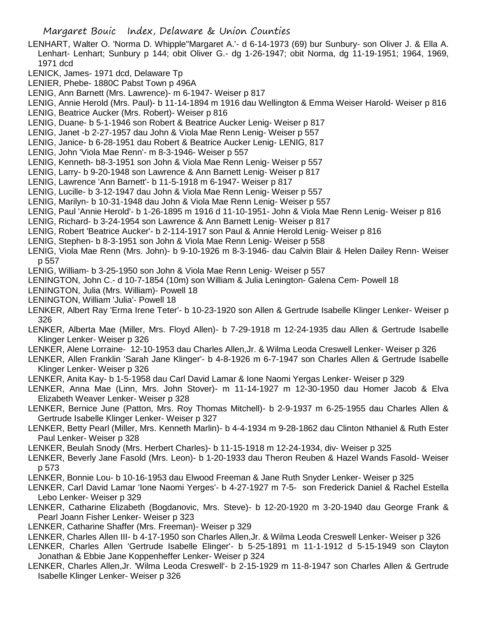- LENHART, Walter O. 'Norma D. Whipple''Margaret A.'- d 6-14-1973 (69) bur Sunbury- son Oliver J. & Ella A. Lenhart- Lenhart; Sunbury p 144; obit Oliver G.- dg 1-26-1947; obit Norma, dg 11-19-1951; 1964, 1969, 1971 dcd
- LENICK, James- 1971 dcd, Delaware Tp
- LENIER, Phebe- 1880C Pabst Town p 496A
- LENIG, Ann Barnett (Mrs. Lawrence)- m 6-1947- Weiser p 817
- LENIG, Annie Herold (Mrs. Paul)- b 11-14-1894 m 1916 dau Wellington & Emma Weiser Harold- Weiser p 816 LENIG, Beatrice Aucker (Mrs. Robert)- Weiser p 816
- LENIG, Duane- b 5-1-1946 son Robert & Beatrice Aucker Lenig- Weiser p 817
- LENIG, Janet -b 2-27-1957 dau John & Viola Mae Renn Lenig- Weiser p 557
- LENIG, Janice- b 6-28-1951 dau Robert & Beatrice Aucker Lenig- LENIG, 817
- LENIG, John 'Viola Mae Renn'- m 8-3-1946- Weiser p 557
- LENIG, Kenneth- b8-3-1951 son John & Viola Mae Renn Lenig- Weiser p 557
- LENIG, Larry- b 9-20-1948 son Lawrence & Ann Barnett Lenig- Weiser p 817
- LENIG, Lawrence 'Ann Barnett'- b 11-5-1918 m 6-1947- Weiser p 817
- LENIG, Lucille- b 3-12-1947 dau John & Viola Mae Renn Lenig- Weiser p 557
- LENIG, Marilyn- b 10-31-1948 dau John & Viola Mae Renn Lenig- Weiser p 557
- LENIG, Paul 'Annie Herold'- b 1-26-1895 m 1916 d 11-10-1951- John & Viola Mae Renn Lenig- Weiser p 816
- LENIG, Richard- b 3-24-1954 son Lawrence & Ann Barnett Lenig- Weiser p 817
- LENIG, Robert 'Beatrice Aucker'- b 2-114-1917 son Paul & Annie Herold Lenig- Weiser p 816
- LENIG, Stephen- b 8-3-1951 son John & Viola Mae Renn Lenig- Weiser p 558
- LENIG, Viola Mae Renn (Mrs. John)- b 9-10-1926 m 8-3-1946- dau Calvin Blair & Helen Dailey Renn- Weiser p 557
- LENIG, William- b 3-25-1950 son John & Viola Mae Renn Lenig- Weiser p 557
- LENINGTON, John C.- d 10-7-1854 (10m) son William & Julia Lenington- Galena Cem- Powell 18
- LENINGTON, Julia (Mrs. William)- Powell 18
- LENINGTON, William 'Julia'- Powell 18
- LENKER, Albert Ray 'Erma Irene Teter'- b 10-23-1920 son Allen & Gertrude Isabelle Klinger Lenker- Weiser p 326
- LENKER, Alberta Mae (Miller, Mrs. Floyd Allen)- b 7-29-1918 m 12-24-1935 dau Allen & Gertrude Isabelle Klinger Lenker- Weiser p 326
- LENKER, Alene Lorraine- 12-10-1953 dau Charles Allen,Jr. & Wilma Leoda Creswell Lenker- Weiser p 326
- LENKER, Allen Franklin 'Sarah Jane Klinger'- b 4-8-1926 m 6-7-1947 son Charles Allen & Gertrude Isabelle Klinger Lenker- Weiser p 326
- LENKER, Anita Kay- b 1-5-1958 dau Carl David Lamar & Ione Naomi Yergas Lenker- Weiser p 329
- LENKER, Anna Mae (Linn, Mrs. John Stover)- m 11-14-1927 m 12-30-1950 dau Homer Jacob & Elva Elizabeth Weaver Lenker- Weiser p 328
- LENKER, Bernice June (Patton, Mrs. Roy Thomas Mitchell)- b 2-9-1937 m 6-25-1955 dau Charles Allen & Gertrude Isabelle Klinger Lenker- Weiser p 327
- LENKER, Betty Pearl (Miller, Mrs. Kenneth Marlin)- b 4-4-1934 m 9-28-1862 dau Clinton Nthaniel & Ruth Ester Paul Lenker- Weiser p 328
- LENKER, Beulah Snody (Mrs. Herbert Charles)- b 11-15-1918 m 12-24-1934, div- Weiser p 325
- LENKER, Beverly Jane Fasold (Mrs. Leon)- b 1-20-1933 dau Theron Reuben & Hazel Wands Fasold- Weiser p 573
- LENKER, Bonnie Lou- b 10-16-1953 dau Elwood Freeman & Jane Ruth Snyder Lenker- Weiser p 325
- LENKER, Carl David Lamar 'Ione Naomi Yerges'- b 4-27-1927 m 7-5- son Frederick Daniel & Rachel Estella Lebo Lenker- Weiser p 329
- LENKER, Catharine Elizabeth (Bogdanovic, Mrs. Steve)- b 12-20-1920 m 3-20-1940 dau George Frank & Pearl Joann Fisher Lenker- Weiser p 323
- LENKER, Catharine Shaffer (Mrs. Freeman)- Weiser p 329
- LENKER, Charles Allen III- b 4-17-1950 son Charles Allen,Jr. & Wilma Leoda Creswell Lenker- Weiser p 326
- LENKER, Charles Allen 'Gertrude Isabelle Elinger'- b 5-25-1891 m 11-1-1912 d 5-15-1949 son Clayton Jonathan & Ebbie Jane Koppenheffer Lenker- Weiser p 324
- LENKER, Charles Allen,Jr. 'Wilma Leoda Creswell'- b 2-15-1929 m 11-8-1947 son Charles Allen & Gertrude Isabelle Klinger Lenker- Weiser p 326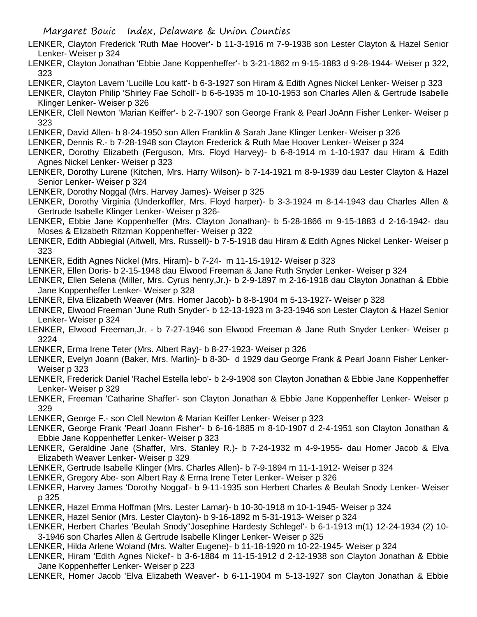- LENKER, Clayton Frederick 'Ruth Mae Hoover'- b 11-3-1916 m 7-9-1938 son Lester Clayton & Hazel Senior Lenker- Weiser p 324
- LENKER, Clayton Jonathan 'Ebbie Jane Koppenheffer'- b 3-21-1862 m 9-15-1883 d 9-28-1944- Weiser p 322, 323
- LENKER, Clayton Lavern 'Lucille Lou katt'- b 6-3-1927 son Hiram & Edith Agnes Nickel Lenker- Weiser p 323
- LENKER, Clayton Philip 'Shirley Fae Scholl'- b 6-6-1935 m 10-10-1953 son Charles Allen & Gertrude Isabelle Klinger Lenker- Weiser p 326
- LENKER, Clell Newton 'Marian Keiffer'- b 2-7-1907 son George Frank & Pearl JoAnn Fisher Lenker- Weiser p 323
- LENKER, David Allen- b 8-24-1950 son Allen Franklin & Sarah Jane Klinger Lenker- Weiser p 326
- LENKER, Dennis R.- b 7-28-1948 son Clayton Frederick & Ruth Mae Hoover Lenker- Weiser p 324
- LENKER, Dorothy Elizabeth (Ferguson, Mrs. Floyd Harvey)- b 6-8-1914 m 1-10-1937 dau Hiram & Edith Agnes Nickel Lenker- Weiser p 323
- LENKER, Dorothy Lurene (Kitchen, Mrs. Harry Wilson)- b 7-14-1921 m 8-9-1939 dau Lester Clayton & Hazel Senior Lenker- Weiser p 324
- LENKER, Dorothy Noggal (Mrs. Harvey James)- Weiser p 325
- LENKER, Dorothy Virginia (Underkoffler, Mrs. Floyd harper)- b 3-3-1924 m 8-14-1943 dau Charles Allen & Gertrude Isabelle Klinger Lenker- Weiser p 326-
- LENKER, Ebbie Jane Koppenheffer (Mrs. Clayton Jonathan)- b 5-28-1866 m 9-15-1883 d 2-16-1942- dau Moses & Elizabeth Ritzman Koppenheffer- Weiser p 322
- LENKER, Edith Abbiegial (Aitwell, Mrs. Russell)- b 7-5-1918 dau Hiram & Edith Agnes Nickel Lenker- Weiser p 323

LENKER, Edith Agnes Nickel (Mrs. Hiram)- b 7-24- m 11-15-1912- Weiser p 323

- LENKER, Ellen Doris- b 2-15-1948 dau Elwood Freeman & Jane Ruth Snyder Lenker- Weiser p 324
- LENKER, Ellen Selena (Miller, Mrs. Cyrus henry,Jr.)- b 2-9-1897 m 2-16-1918 dau Clayton Jonathan & Ebbie Jane Koppenheffer Lenker- Weiser p 328
- LENKER, Elva Elizabeth Weaver (Mrs. Homer Jacob)- b 8-8-1904 m 5-13-1927- Weiser p 328
- LENKER, Elwood Freeman 'June Ruth Snyder'- b 12-13-1923 m 3-23-1946 son Lester Clayton & Hazel Senior Lenker- Weiser p 324
- LENKER, Elwood Freeman,Jr. b 7-27-1946 son Elwood Freeman & Jane Ruth Snyder Lenker- Weiser p 3224
- LENKER, Erma Irene Teter (Mrs. Albert Ray)- b 8-27-1923- Weiser p 326
- LENKER, Evelyn Joann (Baker, Mrs. Marlin)- b 8-30- d 1929 dau George Frank & Pearl Joann Fisher Lenker-Weiser p 323
- LENKER, Frederick Daniel 'Rachel Estella lebo'- b 2-9-1908 son Clayton Jonathan & Ebbie Jane Koppenheffer Lenker- Weiser p 329
- LENKER, Freeman 'Catharine Shaffer'- son Clayton Jonathan & Ebbie Jane Koppenheffer Lenker- Weiser p 329
- LENKER, George F.- son Clell Newton & Marian Keiffer Lenker- Weiser p 323
- LENKER, George Frank 'Pearl Joann Fisher'- b 6-16-1885 m 8-10-1907 d 2-4-1951 son Clayton Jonathan & Ebbie Jane Koppenheffer Lenker- Weiser p 323
- LENKER, Geraldine Jane (Shaffer, Mrs. Stanley R.)- b 7-24-1932 m 4-9-1955- dau Homer Jacob & Elva Elizabeth Weaver Lenker- Weiser p 329
- LENKER, Gertrude Isabelle Klinger (Mrs. Charles Allen)- b 7-9-1894 m 11-1-1912- Weiser p 324
- LENKER, Gregory Abe- son Albert Ray & Erma Irene Teter Lenker- Weiser p 326
- LENKER, Harvey James 'Dorothy Noggal'- b 9-11-1935 son Herbert Charles & Beulah Snody Lenker- Weiser p 325
- LENKER, Hazel Emma Hoffman (Mrs. Lester Lamar)- b 10-30-1918 m 10-1-1945- Weiser p 324
- LENKER, Hazel Senior (Mrs. Lester Clayton)- b 9-16-1892 m 5-31-1913- Weiser p 324
- LENKER, Herbert Charles 'Beulah Snody''Josephine Hardesty Schlegel'- b 6-1-1913 m(1) 12-24-1934 (2) 10- 3-1946 son Charles Allen & Gertrude Isabelle Klinger Lenker- Weiser p 325
- LENKER, Hilda Arlene Woland (Mrs. Walter Eugene)- b 11-18-1920 m 10-22-1945- Weiser p 324
- LENKER, Hiram 'Edith Agnes Nickel'- b 3-6-1884 m 11-15-1912 d 2-12-1938 son Clayton Jonathan & Ebbie Jane Koppenheffer Lenker- Weiser p 223
- LENKER, Homer Jacob 'Elva Elizabeth Weaver'- b 6-11-1904 m 5-13-1927 son Clayton Jonathan & Ebbie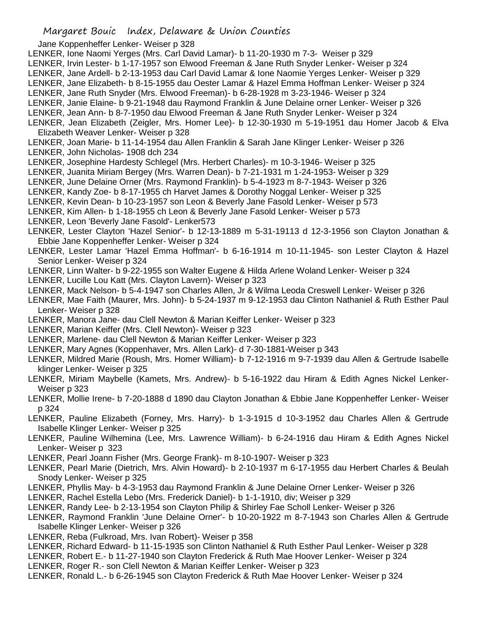- Jane Koppenheffer Lenker- Weiser p 328
- LENKER, Ione Naomi Yerges (Mrs. Carl David Lamar)- b 11-20-1930 m 7-3- Weiser p 329
- LENKER, Irvin Lester- b 1-17-1957 son Elwood Freeman & Jane Ruth Snyder Lenker- Weiser p 324
- LENKER, Jane Ardell- b 2-13-1953 dau Carl David Lamar & Ione Naomie Yerges Lenker- Weiser p 329
- LENKER, Jane Elizabeth- b 8-15-1955 dau Oester Lamar & Hazel Emma Hoffman Lenker- Weiser p 324
- LENKER, Jane Ruth Snyder (Mrs. Elwood Freeman)- b 6-28-1928 m 3-23-1946- Weiser p 324
- LENKER, Janie Elaine- b 9-21-1948 dau Raymond Franklin & June Delaine orner Lenker- Weiser p 326
- LENKER, Jean Ann- b 8-7-1950 dau Elwood Freeman & Jane Ruth Snyder Lenker- Weiser p 324
- LENKER, Jean Elizabeth (Zeigler, Mrs. Homer Lee)- b 12-30-1930 m 5-19-1951 dau Homer Jacob & Elva Elizabeth Weaver Lenker- Weiser p 328
- LENKER, Joan Marie- b 11-14-1954 dau Allen Franklin & Sarah Jane Klinger Lenker- Weiser p 326 LENKER, John Nicholas- 1908 dch 234
- LENKER, Josephine Hardesty Schlegel (Mrs. Herbert Charles)- m 10-3-1946- Weiser p 325
- LENKER, Juanita Miriam Bergey (Mrs. Warren Dean)- b 7-21-1931 m 1-24-1953- Weiser p 329
- LENKER, June Delaine Orner (Mrs. Raymond Franklin)- b 5-4-1923 m 8-7-1943- Weiser p 326
- LENKER, Kandy Zoe- b 8-17-1955 ch Harvet James & Dorothy Noggal Lenker- Weiser p 325
- LENKER, Kevin Dean- b 10-23-1957 son Leon & Beverly Jane Fasold Lenker- Weiser p 573
- LENKER, Kim Allen- b 1-18-1955 ch Leon & Beverly Jane Fasold Lenker- Weiser p 573
- LENKER, Leon 'Beverly Jane Fasold'- Lenker573
- LENKER, Lester Clayton 'Hazel Senior'- b 12-13-1889 m 5-31-19113 d 12-3-1956 son Clayton Jonathan & Ebbie Jane Koppenheffer Lenker- Weiser p 324
- LENKER, Lester Lamar 'Hazel Emma Hoffman'- b 6-16-1914 m 10-11-1945- son Lester Clayton & Hazel Senior Lenker- Weiser p 324
- LENKER, Linn Walter- b 9-22-1955 son Walter Eugene & Hilda Arlene Woland Lenker- Weiser p 324
- LENKER, Lucille Lou Katt (Mrs. Clayton Lavern)- Weiser p 323
- LENKER, Mack Nelson- b 5-4-1947 son Charles Allen, Jr & Wilma Leoda Creswell Lenker- Weiser p 326
- LENKER, Mae Faith (Maurer, Mrs. John)- b 5-24-1937 m 9-12-1953 dau Clinton Nathaniel & Ruth Esther Paul Lenker- Weiser p 328
- LENKER, Manora Jane- dau Clell Newton & Marian Keiffer Lenker- Weiser p 323
- LENKER, Marian Keiffer (Mrs. Clell Newton)- Weiser p 323
- LENKER, Marlene- dau Clell Newton & Marian Keiffer Lenker- Weiser p 323
- LENKER, Mary Agnes (Koppenhaver, Mrs. Allen Lark)- d 7-30-1881-Weiser p 343
- LENKER, Mildred Marie (Roush, Mrs. Homer William)- b 7-12-1916 m 9-7-1939 dau Allen & Gertrude Isabelle klinger Lenker- Weiser p 325
- LENKER, Miriam Maybelle (Kamets, Mrs. Andrew)- b 5-16-1922 dau Hiram & Edith Agnes Nickel Lenker-Weiser p 323
- LENKER, Mollie Irene- b 7-20-1888 d 1890 dau Clayton Jonathan & Ebbie Jane Koppenheffer Lenker- Weiser p 324
- LENKER, Pauline Elizabeth (Forney, Mrs. Harry)- b 1-3-1915 d 10-3-1952 dau Charles Allen & Gertrude Isabelle Klinger Lenker- Weiser p 325
- LENKER, Pauline Wilhemina (Lee, Mrs. Lawrence William)- b 6-24-1916 dau Hiram & Edith Agnes Nickel Lenker- Weiser p 323
- LENKER, Pearl Joann Fisher (Mrs. George Frank)- m 8-10-1907- Weiser p 323
- LENKER, Pearl Marie (Dietrich, Mrs. Alvin Howard)- b 2-10-1937 m 6-17-1955 dau Herbert Charles & Beulah Snody Lenker- Weiser p 325
- LENKER, Phyllis May- b 4-3-1953 dau Raymond Franklin & June Delaine Orner Lenker- Weiser p 326
- LENKER, Rachel Estella Lebo (Mrs. Frederick Daniel)- b 1-1-1910, div; Weiser p 329
- LENKER, Randy Lee- b 2-13-1954 son Clayton Philip & Shirley Fae Scholl Lenker- Weiser p 326
- LENKER, Raymond Franklin 'June Delaine Orner'- b 10-20-1922 m 8-7-1943 son Charles Allen & Gertrude Isabelle Klinger Lenker- Weiser p 326
- LENKER, Reba (Fulkroad, Mrs. Ivan Robert)- Weiser p 358
- LENKER, Richard Edward- b 11-15-1935 son Clinton Nathaniel & Ruth Esther Paul Lenker- Weiser p 328
- LENKER, Robert E.- b 11-27-1940 son Clayton Frederick & Ruth Mae Hoover Lenker- Weiser p 324
- LENKER, Roger R.- son Clell Newton & Marian Keiffer Lenker- Weiser p 323
- LENKER, Ronald L.- b 6-26-1945 son Clayton Frederick & Ruth Mae Hoover Lenker- Weiser p 324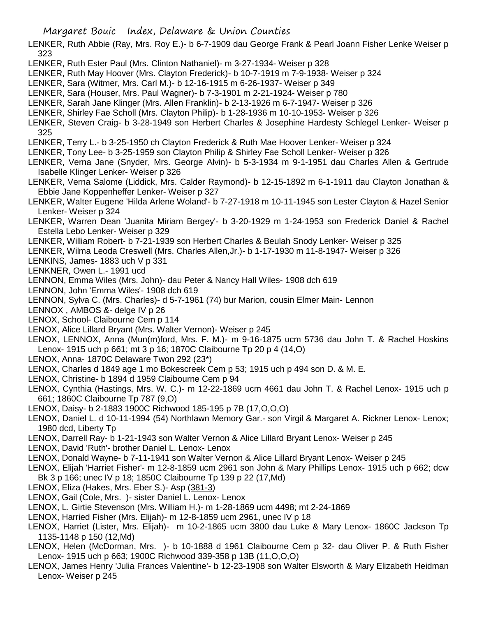- LENKER, Ruth Abbie (Ray, Mrs. Roy E.)- b 6-7-1909 dau George Frank & Pearl Joann Fisher Lenke Weiser p 323
- LENKER, Ruth Ester Paul (Mrs. Clinton Nathaniel)- m 3-27-1934- Weiser p 328
- LENKER, Ruth May Hoover (Mrs. Clayton Frederick)- b 10-7-1919 m 7-9-1938- Weiser p 324
- LENKER, Sara (Witmer, Mrs. Carl M.)- b 12-16-1915 m 6-26-1937- Weiser p 349
- LENKER, Sara (Houser, Mrs. Paul Wagner)- b 7-3-1901 m 2-21-1924- Weiser p 780
- LENKER, Sarah Jane Klinger (Mrs. Allen Franklin)- b 2-13-1926 m 6-7-1947- Weiser p 326
- LENKER, Shirley Fae Scholl (Mrs. Clayton Philip)- b 1-28-1936 m 10-10-1953- Weiser p 326
- LENKER, Steven Craig- b 3-28-1949 son Herbert Charles & Josephine Hardesty Schlegel Lenker- Weiser p 325
- LENKER, Terry L.- b 3-25-1950 ch Clayton Frederick & Ruth Mae Hoover Lenker- Weiser p 324
- LENKER, Tony Lee- b 3-25-1959 son Clayton Philip & Shirley Fae Scholl Lenker- Weiser p 326
- LENKER, Verna Jane (Snyder, Mrs. George Alvin)- b 5-3-1934 m 9-1-1951 dau Charles Allen & Gertrude Isabelle Klinger Lenker- Weiser p 326
- LENKER, Verna Salome (Liddick, Mrs. Calder Raymond)- b 12-15-1892 m 6-1-1911 dau Clayton Jonathan & Ebbie Jane Koppenheffer Lenker- Weiser p 327
- LENKER, Walter Eugene 'Hilda Arlene Woland'- b 7-27-1918 m 10-11-1945 son Lester Clayton & Hazel Senior Lenker- Weiser p 324
- LENKER, Warren Dean 'Juanita Miriam Bergey'- b 3-20-1929 m 1-24-1953 son Frederick Daniel & Rachel Estella Lebo Lenker- Weiser p 329
- LENKER, William Robert- b 7-21-1939 son Herbert Charles & Beulah Snody Lenker- Weiser p 325
- LENKER, Wilma Leoda Creswell (Mrs. Charles Allen,Jr.)- b 1-17-1930 m 11-8-1947- Weiser p 326
- LENKINS, James- 1883 uch V p 331
- LENKNER, Owen L.- 1991 ucd
- LENNON, Emma Wiles (Mrs. John)- dau Peter & Nancy Hall Wiles- 1908 dch 619
- LENNON, John 'Emma Wiles'- 1908 dch 619
- LENNON, Sylva C. (Mrs. Charles)- d 5-7-1961 (74) bur Marion, cousin Elmer Main- Lennon
- LENNOX , AMBOS &- delge IV p 26
- LENOX, School- Claibourne Cem p 114
- LENOX, Alice Lillard Bryant (Mrs. Walter Vernon)- Weiser p 245
- LENOX, LENNOX, Anna (Mun(m)ford, Mrs. F. M.)- m 9-16-1875 ucm 5736 dau John T. & Rachel Hoskins Lenox- 1915 uch p 661; mt 3 p 16; 1870C Claibourne Tp 20 p 4 (14,O)
- LENOX, Anna- 1870C Delaware Twon 292 (23\*)
- LENOX, Charles d 1849 age 1 mo Bokescreek Cem p 53; 1915 uch p 494 son D. & M. E.
- LENOX, Christine- b 1894 d 1959 Claibourne Cem p 94
- LENOX, Cynthia (Hastings, Mrs. W. C.)- m 12-22-1869 ucm 4661 dau John T. & Rachel Lenox- 1915 uch p 661; 1860C Claibourne Tp 787 (9,O)
- LENOX, Daisy- b 2-1883 1900C Richwood 185-195 p 7B (17,O,O,O)
- LENOX, Daniel L. d 10-11-1994 (54) Northlawn Memory Gar.- son Virgil & Margaret A. Rickner Lenox- Lenox; 1980 dcd, Liberty Tp
- LENOX, Darrell Ray- b 1-21-1943 son Walter Vernon & Alice Lillard Bryant Lenox- Weiser p 245
- LENOX, David 'Ruth'- brother Daniel L. Lenox- Lenox
- LENOX, Donald Wayne- b 7-11-1941 son Walter Vernon & Alice Lillard Bryant Lenox- Weiser p 245
- LENOX, Elijah 'Harriet Fisher'- m 12-8-1859 ucm 2961 son John & Mary Phillips Lenox- 1915 uch p 662; dcw Bk 3 p 166; unec IV p 18; 1850C Claibourne Tp 139 p 22 (17,Md)
- LENOX, Eliza (Hakes, Mrs. Eber S.)- Asp (381-3)
- LENOX, Gail (Cole, Mrs. )- sister Daniel L. Lenox- Lenox
- LENOX, L. Girtie Stevenson (Mrs. William H.)- m 1-28-1869 ucm 4498; mt 2-24-1869
- LENOX, Harried Fisher (Mrs. Elijah)- m 12-8-1859 ucm 2961, unec IV p 18
- LENOX, Harriet (Lister, Mrs. Elijah)- m 10-2-1865 ucm 3800 dau Luke & Mary Lenox- 1860C Jackson Tp 1135-1148 p 150 (12,Md)
- LENOX, Helen (McDorman, Mrs. )- b 10-1888 d 1961 Claibourne Cem p 32- dau Oliver P. & Ruth Fisher Lenox- 1915 uch p 663; 1900C Richwood 339-358 p 13B (11,O,O,O)
- LENOX, James Henry 'Julia Frances Valentine'- b 12-23-1908 son Walter Elsworth & Mary Elizabeth Heidman Lenox- Weiser p 245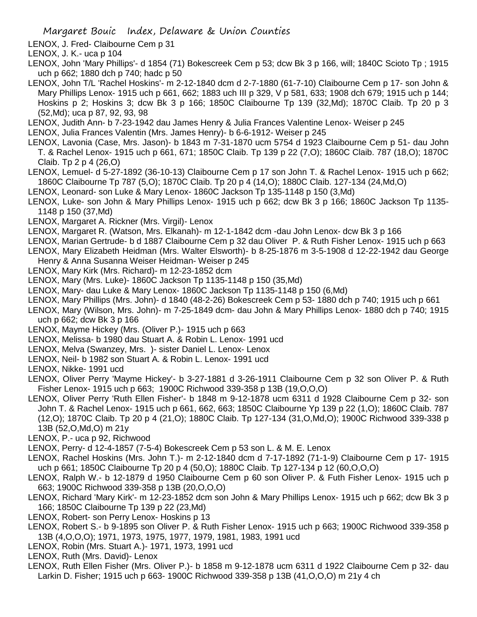LENOX, J. Fred- Claibourne Cem p 31

- LENOX, J. K.- uca p 104
- LENOX, John 'Mary Phillips'- d 1854 (71) Bokescreek Cem p 53; dcw Bk 3 p 166, will; 1840C Scioto Tp ; 1915 uch p 662; 1880 dch p 740; hadc p 50
- LENOX, John T/L 'Rachel Hoskins'- m 2-12-1840 dcm d 2-7-1880 (61-7-10) Claibourne Cem p 17- son John & Mary Phillips Lenox- 1915 uch p 661, 662; 1883 uch III p 329, V p 581, 633; 1908 dch 679; 1915 uch p 144; Hoskins p 2; Hoskins 3; dcw Bk 3 p 166; 1850C Claibourne Tp 139 (32,Md); 1870C Claib. Tp 20 p 3 (52,Md); uca p 87, 92, 93, 98
- LENOX, Judith Ann- b 7-23-1942 dau James Henry & Julia Frances Valentine Lenox- Weiser p 245
- LENOX, Julia Frances Valentin (Mrs. James Henry)- b 6-6-1912- Weiser p 245
- LENOX, Lavonia (Case, Mrs. Jason)- b 1843 m 7-31-1870 ucm 5754 d 1923 Claibourne Cem p 51- dau John T. & Rachel Lenox- 1915 uch p 661, 671; 1850C Claib. Tp 139 p 22 (7,O); 1860C Claib. 787 (18,O); 1870C Claib. Tp 2 p 4 (26,O)
- LENOX, Lemuel- d 5-27-1892 (36-10-13) Claibourne Cem p 17 son John T. & Rachel Lenox- 1915 uch p 662; 1860C Claibourne Tp 787 (5,O); 1870C Claib. Tp 20 p 4 (14,O); 1880C Claib. 127-134 (24,Md,O)
- LENOX, Leonard- son Luke & Mary Lenox- 1860C Jackson Tp 135-1148 p 150 (3,Md)
- LENOX, Luke- son John & Mary Phillips Lenox- 1915 uch p 662; dcw Bk 3 p 166; 1860C Jackson Tp 1135- 1148 p 150 (37,Md)
- LENOX, Margaret A. Rickner (Mrs. Virgil)- Lenox
- LENOX, Margaret R. (Watson, Mrs. Elkanah)- m 12-1-1842 dcm -dau John Lenox- dcw Bk 3 p 166
- LENOX, Marian Gertrude- b d 1887 Claibourne Cem p 32 dau Oliver P. & Ruth Fisher Lenox- 1915 uch p 663
- LENOX, Mary Elizabeth Heidman (Mrs. Walter Elsworth)- b 8-25-1876 m 3-5-1908 d 12-22-1942 dau George Henry & Anna Susanna Weiser Heidman- Weiser p 245
- LENOX, Mary Kirk (Mrs. Richard)- m 12-23-1852 dcm
- LENOX, Mary (Mrs. Luke)- 1860C Jackson Tp 1135-1148 p 150 (35,Md)
- LENOX, Mary- dau Luke & Mary Lenox- 1860C Jackson Tp 1135-1148 p 150 (6,Md)
- LENOX, Mary Phillips (Mrs. John)- d 1840 (48-2-26) Bokescreek Cem p 53- 1880 dch p 740; 1915 uch p 661
- LENOX, Mary (Wilson, Mrs. John)- m 7-25-1849 dcm- dau John & Mary Phillips Lenox- 1880 dch p 740; 1915 uch p 662; dcw Bk 3 p 166
- LENOX, Mayme Hickey (Mrs. (Oliver P.)- 1915 uch p 663
- LENOX, Melissa- b 1980 dau Stuart A. & Robin L. Lenox- 1991 ucd
- LENOX, Melva (Swanzey, Mrs. )- sister Daniel L. Lenox- Lenox
- LENOX, Neil- b 1982 son Stuart A. & Robin L. Lenox- 1991 ucd
- LENOX, Nikke- 1991 ucd
- LENOX, Oliver Perry 'Mayme Hickey'- b 3-27-1881 d 3-26-1911 Claibourne Cem p 32 son Oliver P. & Ruth Fisher Lenox- 1915 uch p 663; 1900C Richwood 339-358 p 13B (19,O,O,O)
- LENOX, Oliver Perry 'Ruth Ellen Fisher'- b 1848 m 9-12-1878 ucm 6311 d 1928 Claibourne Cem p 32- son John T. & Rachel Lenox- 1915 uch p 661, 662, 663; 1850C Claibourne Yp 139 p 22 (1,O); 1860C Claib. 787 (12,O); 1870C Claib. Tp 20 p 4 (21,O); 1880C Claib. Tp 127-134 (31,O,Md,O); 1900C Richwood 339-338 p 13B (52,O,Md,O) m 21y
- LENOX, P.- uca p 92, Richwood
- LENOX, Perry- d 12-4-1857 (7-5-4) Bokescreek Cem p 53 son L. & M. E. Lenox
- LENOX, Rachel Hoskins (Mrs. John T.)- m 2-12-1840 dcm d 7-17-1892 (71-1-9) Claibourne Cem p 17- 1915 uch p 661; 1850C Claibourne Tp 20 p 4 (50,O); 1880C Claib. Tp 127-134 p 12 (60,O,O,O)
- LENOX, Ralph W.- b 12-1879 d 1950 Claibourne Cem p 60 son Oliver P. & Futh Fisher Lenox- 1915 uch p 663; 1900C Richwood 339-358 p 13B (20,O,O,O)
- LENOX, Richard 'Mary Kirk'- m 12-23-1852 dcm son John & Mary Phillips Lenox- 1915 uch p 662; dcw Bk 3 p 166; 1850C Claibourne Tp 139 p 22 (23,Md)
- LENOX, Robert- son Perry Lenox- Hoskins p 13
- LENOX, Robert S.- b 9-1895 son Oliver P. & Ruth Fisher Lenox- 1915 uch p 663; 1900C Richwood 339-358 p 13B (4,O,O,O); 1971, 1973, 1975, 1977, 1979, 1981, 1983, 1991 ucd
- LENOX, Robin (Mrs. Stuart A.)- 1971, 1973, 1991 ucd
- LENOX, Ruth (Mrs. David)- Lenox
- LENOX, Ruth Ellen Fisher (Mrs. Oliver P.)- b 1858 m 9-12-1878 ucm 6311 d 1922 Claibourne Cem p 32- dau Larkin D. Fisher; 1915 uch p 663- 1900C Richwood 339-358 p 13B (41,O,O,O) m 21y 4 ch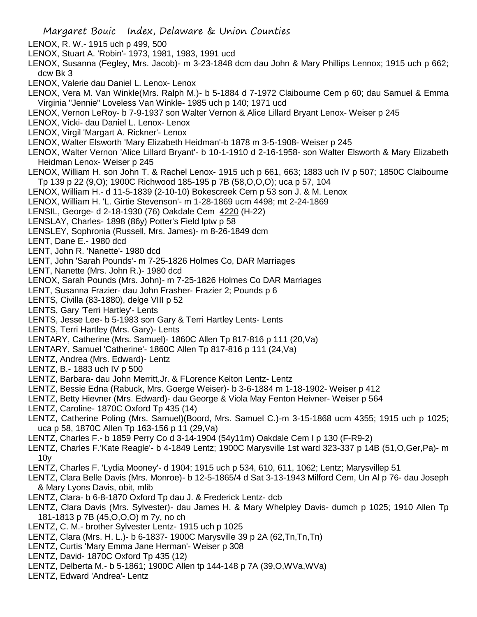- LENOX, R. W.- 1915 uch p 499, 500
- LENOX, Stuart A. 'Robin'- 1973, 1981, 1983, 1991 ucd
- LENOX, Susanna (Fegley, Mrs. Jacob)- m 3-23-1848 dcm dau John & Mary Phillips Lennox; 1915 uch p 662; dcw Bk 3
- LENOX, Valerie dau Daniel L. Lenox- Lenox
- LENOX, Vera M. Van Winkle(Mrs. Ralph M.)- b 5-1884 d 7-1972 Claibourne Cem p 60; dau Samuel & Emma Virginia "Jennie" Loveless Van Winkle- 1985 uch p 140; 1971 ucd
- LENOX, Vernon LeRoy- b 7-9-1937 son Walter Vernon & Alice Lillard Bryant Lenox- Weiser p 245
- LENOX, Vicki- dau Daniel L. Lenox- Lenox
- LENOX, Virgil 'Margart A. Rickner'- Lenox
- LENOX, Walter Elsworth 'Mary Elizabeth Heidman'-b 1878 m 3-5-1908- Weiser p 245
- LENOX, Walter Vernon 'Alice Lillard Bryant'- b 10-1-1910 d 2-16-1958- son Walter Elsworth & Mary Elizabeth Heidman Lenox- Weiser p 245
- LENOX, William H. son John T. & Rachel Lenox- 1915 uch p 661, 663; 1883 uch IV p 507; 1850C Claibourne Tp 139 p 22 (9,O); 1900C Richwood 185-195 p 7B (58,O,O,O); uca p 57, 104
- LENOX, William H.- d 11-5-1839 (2-10-10) Bokescreek Cem p 53 son J. & M. Lenox
- LENOX, William H. 'L. Girtie Stevenson'- m 1-28-1869 ucm 4498; mt 2-24-1869
- LENSIL, George- d 2-18-1930 (76) Oakdale Cem 4220 (H-22)
- LENSLAY, Charles- 1898 (86y) Potter's Field lptw p 58
- LENSLEY, Sophronia (Russell, Mrs. James)- m 8-26-1849 dcm
- LENT, Dane E.- 1980 dcd
- LENT, John R. 'Nanette'- 1980 dcd
- LENT, John 'Sarah Pounds'- m 7-25-1826 Holmes Co, DAR Marriages
- LENT, Nanette (Mrs. John R.)- 1980 dcd
- LENOX, Sarah Pounds (Mrs. John)- m 7-25-1826 Holmes Co DAR Marriages
- LENT, Susanna Frazier- dau John Frasher- Frazier 2; Pounds p 6
- LENTS, Civilla (83-1880), delge VIII p 52
- LENTS, Gary 'Terri Hartley'- Lents
- LENTS, Jesse Lee- b 5-1983 son Gary & Terri Hartley Lents- Lents
- LENTS, Terri Hartley (Mrs. Gary)- Lents
- LENTARY, Catherine (Mrs. Samuel)- 1860C Allen Tp 817-816 p 111 (20,Va)
- LENTARY, Samuel 'Catherine'- 1860C Allen Tp 817-816 p 111 (24,Va)
- LENTZ, Andrea (Mrs. Edward)- Lentz
- LENTZ, B.- 1883 uch IV p 500
- LENTZ, Barbara- dau John Merritt,Jr. & FLorence Kelton Lentz- Lentz
- LENTZ, Bessie Edna (Rabuck, Mrs. Goerge Weiser)- b 3-6-1884 m 1-18-1902- Weiser p 412
- LENTZ, Betty Hievner (Mrs. Edward)- dau George & Viola May Fenton Heivner- Weiser p 564
- LENTZ, Caroline- 1870C Oxford Tp 435 (14)
- LENTZ, Catherine Poling (Mrs. Samuel)(Boord, Mrs. Samuel C.)-m 3-15-1868 ucm 4355; 1915 uch p 1025; uca p 58, 1870C Allen Tp 163-156 p 11 (29,Va)
- LENTZ, Charles F.- b 1859 Perry Co d 3-14-1904 (54y11m) Oakdale Cem I p 130 (F-R9-2)
- LENTZ, Charles F.'Kate Reagle'- b 4-1849 Lentz; 1900C Marysville 1st ward 323-337 p 14B (51,O,Ger,Pa)- m 10y
- LENTZ, Charles F. 'Lydia Mooney'- d 1904; 1915 uch p 534, 610, 611, 1062; Lentz; Marysvillep 51
- LENTZ, Clara Belle Davis (Mrs. Monroe)- b 12-5-1865/4 d Sat 3-13-1943 Milford Cem, Un Al p 76- dau Joseph & Mary Lyons Davis, obit, mlib
- LENTZ, Clara- b 6-8-1870 Oxford Tp dau J. & Frederick Lentz- dcb
- LENTZ, Clara Davis (Mrs. Sylvester)- dau James H. & Mary Whelpley Davis- dumch p 1025; 1910 Allen Tp 181-1813 p 7B (45,O,O,O) m 7y, no ch
- LENTZ, C. M.- brother Sylvester Lentz- 1915 uch p 1025
- LENTZ, Clara (Mrs. H. L.)- b 6-1837- 1900C Marysville 39 p 2A (62,Tn,Tn,Tn)
- LENTZ, Curtis 'Mary Emma Jane Herman'- Weiser p 308
- LENTZ, David- 1870C Oxford Tp 435 (12)
- LENTZ, Delberta M.- b 5-1861; 1900C Allen tp 144-148 p 7A (39,O,WVa,WVa)
- LENTZ, Edward 'Andrea'- Lentz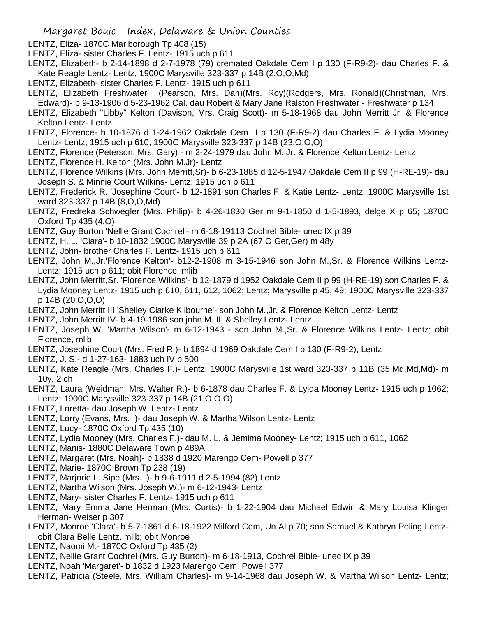- LENTZ, Eliza- 1870C Marlborough Tp 408 (15)
- LENTZ, Eliza- sister Charles F. Lentz- 1915 uch p 611
- LENTZ, Elizabeth- b 2-14-1898 d 2-7-1978 (79) cremated Oakdale Cem I p 130 (F-R9-2)- dau Charles F. & Kate Reagle Lentz- Lentz; 1900C Marysville 323-337 p 14B (2,O,O,Md)
- LENTZ, Elizabeth- sister Charles F. Lentz- 1915 uch p 611
- LENTZ, Elizabeth Freshwater (Pearson, Mrs. Dan)(Mrs. Roy)(Rodgers, Mrs. Ronald)(Christman, Mrs. Edward)- b 9-13-1906 d 5-23-1962 Cal. dau Robert & Mary Jane Ralston Freshwater - Freshwater p 134
- LENTZ, Elizabeth "Libby" Kelton (Davison, Mrs. Craig Scott)- m 5-18-1968 dau John Merritt Jr. & Florence Kelton Lentz- Lentz
- LENTZ, Florence- b 10-1876 d 1-24-1962 Oakdale Cem I p 130 (F-R9-2) dau Charles F. & Lydia Mooney Lentz- Lentz; 1915 uch p 610; 1900C Marysville 323-337 p 14B (23,O,O,O)
- LENTZ, Florence (Peterson, Mrs. Gary) m 2-24-1979 dau John M.,Jr. & Florence Kelton Lentz- Lentz
- LENTZ, Florence H. Kelton (Mrs. John M.Jr)- Lentz
- LENTZ, Florence Wilkins (Mrs. John Merritt,Sr)- b 6-23-1885 d 12-5-1947 Oakdale Cem II p 99 (H-RE-19)- dau Joseph S. & Minnie Court Wilkins- Lentz; 1915 uch p 611
- LENTZ, Frederick R. 'Josephine Court'- b 12-1891 son Charles F. & Katie Lentz- Lentz; 1900C Marysville 1st ward 323-337 p 14B (8,O,O,Md)
- LENTZ, Fredreka Schwegler (Mrs. Philip)- b 4-26-1830 Ger m 9-1-1850 d 1-5-1893, delge X p 65; 1870C Oxford Tp 435 (4,O)
- LENTZ, Guy Burton 'Nellie Grant Cochrel'- m 6-18-19113 Cochrel Bible- unec IX p 39
- LENTZ, H. L. 'Clara'- b 10-1832 1900C Marysville 39 p 2A (67,O,Ger,Ger) m 48y
- LENTZ, John- brother Charles F. Lentz- 1915 uch p 611
- LENTZ, John M.,Jr.'Florence Kelton'- b12-2-1908 m 3-15-1946 son John M.,Sr. & Florence Wilkins Lentz-Lentz; 1915 uch p 611; obit Florence, mlib
- LENTZ, John Merritt,Sr. 'Florence Wilkins'- b 12-1879 d 1952 Oakdale Cem II p 99 (H-RE-19) son Charles F. & Lydia Mooney Lentz- 1915 uch p 610, 611, 612, 1062; Lentz; Marysville p 45, 49; 1900C Marysville 323-337 p 14B (20,O,O,O)
- LENTZ, John Merritt III 'Shelley Clarke Kilbourne'- son John M.,Jr. & Florence Kelton Lentz- Lentz
- LENTZ, John Merritt IV- b 4-19-1986 son john M. III & Shelley Lentz- Lentz
- LENTZ, Joseph W. 'Martha Wilson'- m 6-12-1943 son John M.,Sr. & Florence Wilkins Lentz- Lentz; obit Florence, mlib
- LENTZ, Josephine Court (Mrs. Fred R.)- b 1894 d 1969 Oakdale Cem I p 130 (F-R9-2); Lentz
- LENTZ, J. S.- d 1-27-163- 1883 uch IV p 500
- LENTZ, Kate Reagle (Mrs. Charles F.)- Lentz; 1900C Marysville 1st ward 323-337 p 11B (35,Md,Md,Md)- m 10y, 2 ch
- LENTZ, Laura (Weidman, Mrs. Walter R.)- b 6-1878 dau Charles F. & Lyida Mooney Lentz- 1915 uch p 1062; Lentz; 1900C Marysville 323-337 p 14B (21,O,O,O)
- LENTZ, Loretta- dau Joseph W. Lentz- Lentz
- LENTZ, Lorry (Evans, Mrs. )- dau Joseph W. & Martha Wilson Lentz- Lentz
- LENTZ, Lucy- 1870C Oxford Tp 435 (10)
- LENTZ, Lydia Mooney (Mrs. Charles F.)- dau M. L. & Jemima Mooney- Lentz; 1915 uch p 611, 1062
- LENTZ, Manis- 1880C Delaware Town p 489A
- LENTZ, Margaret (Mrs. Noah)- b 1838 d 1920 Marengo Cem- Powell p 377
- LENTZ, Marie- 1870C Brown Tp 238 (19)
- LENTZ, Marjorie L. Sipe (Mrs. )- b 9-6-1911 d 2-5-1994 (82) Lentz
- LENTZ, Martha Wilson (Mrs. Joseph W.)- m 6-12-1943- Lentz
- LENTZ, Mary- sister Charles F. Lentz- 1915 uch p 611
- LENTZ, Mary Emma Jane Herman (Mrs. Curtis)- b 1-22-1904 dau Michael Edwin & Mary Louisa Klinger Herman- Weiser p 307
- LENTZ, Monroe 'Clara'- b 5-7-1861 d 6-18-1922 Milford Cem, Un Al p 70; son Samuel & Kathryn Poling Lentzobit Clara Belle Lentz, mlib; obit Monroe
- LENTZ, Naomi M.- 1870C Oxford Tp 435 (2)
- LENTZ, Nellie Grant Cochrel (Mrs. Guy Burton)- m 6-18-1913, Cochrel Bible- unec IX p 39
- LENTZ, Noah 'Margaret'- b 1832 d 1923 Marengo Cem, Powell 377
- LENTZ, Patricia (Steele, Mrs. William Charles)- m 9-14-1968 dau Joseph W. & Martha Wilson Lentz- Lentz;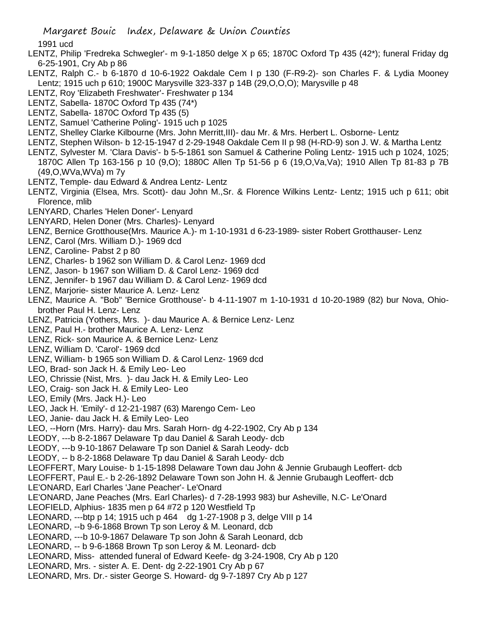Margaret Bouic Index, Delaware & Union Counties

1991 ucd

- LENTZ, Philip 'Fredreka Schwegler'- m 9-1-1850 delge X p 65; 1870C Oxford Tp 435 (42\*); funeral Friday dg 6-25-1901, Cry Ab p 86
- LENTZ, Ralph C.- b 6-1870 d 10-6-1922 Oakdale Cem I p 130 (F-R9-2)- son Charles F. & Lydia Mooney Lentz; 1915 uch p 610; 1900C Marysville 323-337 p 14B (29,O,O,O); Marysville p 48
- LENTZ, Roy 'Elizabeth Freshwater'- Freshwater p 134
- LENTZ, Sabella- 1870C Oxford Tp 435 (74\*)
- LENTZ, Sabella- 1870C Oxford Tp 435 (5)
- LENTZ, Samuel 'Catherine Poling'- 1915 uch p 1025
- LENTZ, Shelley Clarke Kilbourne (Mrs. John Merritt,III)- dau Mr. & Mrs. Herbert L. Osborne- Lentz
- LENTZ, Stephen Wilson- b 12-15-1947 d 2-29-1948 Oakdale Cem II p 98 (H-RD-9) son J. W. & Martha Lentz
- LENTZ, Sylvester M. 'Clara Davis'- b 5-5-1861 son Samuel & Catherine Poling Lentz- 1915 uch p 1024, 1025; 1870C Allen Tp 163-156 p 10 (9,O); 1880C Allen Tp 51-56 p 6 (19,O,Va,Va); 1910 Allen Tp 81-83 p 7B (49,O,WVa,WVa) m 7y
- LENTZ, Temple- dau Edward & Andrea Lentz- Lentz
- LENTZ, Virginia (Elsea, Mrs. Scott)- dau John M.,Sr. & Florence Wilkins Lentz- Lentz; 1915 uch p 611; obit Florence, mlib
- LENYARD, Charles 'Helen Doner'- Lenyard
- LENYARD, Helen Doner (Mrs. Charles)- Lenyard
- LENZ, Bernice Grotthouse(Mrs. Maurice A.)- m 1-10-1931 d 6-23-1989- sister Robert Grotthauser- Lenz
- LENZ, Carol (Mrs. William D.)- 1969 dcd
- LENZ, Caroline- Pabst 2 p 80
- LENZ, Charles- b 1962 son William D. & Carol Lenz- 1969 dcd
- LENZ, Jason- b 1967 son William D. & Carol Lenz- 1969 dcd
- LENZ, Jennifer- b 1967 dau William D. & Carol Lenz- 1969 dcd
- LENZ, Marjorie- sister Maurice A. Lenz- Lenz
- LENZ, Maurice A. "Bob" 'Bernice Grotthouse'- b 4-11-1907 m 1-10-1931 d 10-20-1989 (82) bur Nova, Ohiobrother Paul H. Lenz- Lenz
- LENZ, Patricia (Yothers, Mrs. )- dau Maurice A. & Bernice Lenz- Lenz
- LENZ, Paul H.- brother Maurice A. Lenz- Lenz
- LENZ, Rick- son Maurice A. & Bernice Lenz- Lenz
- LENZ, William D. 'Carol'- 1969 dcd
- LENZ, William- b 1965 son William D. & Carol Lenz- 1969 dcd
- LEO, Brad- son Jack H. & Emily Leo- Leo
- LEO, Chrissie (Nist, Mrs. )- dau Jack H. & Emily Leo- Leo
- LEO, Craig- son Jack H. & Emily Leo- Leo
- LEO, Emily (Mrs. Jack H.)- Leo
- LEO, Jack H. 'Emily'- d 12-21-1987 (63) Marengo Cem- Leo
- LEO, Janie- dau Jack H. & Emily Leo- Leo
- LEO, --Horn (Mrs. Harry)- dau Mrs. Sarah Horn- dg 4-22-1902, Cry Ab p 134
- LEODY, ---b 8-2-1867 Delaware Tp dau Daniel & Sarah Leody- dcb
- LEODY, ---b 9-10-1867 Delaware Tp son Daniel & Sarah Leody- dcb
- LEODY, -- b 8-2-1868 Delaware Tp dau Daniel & Sarah Leody- dcb
- LEOFFERT, Mary Louise- b 1-15-1898 Delaware Town dau John & Jennie Grubaugh Leoffert- dcb
- LEOFFERT, Paul E.- b 2-26-1892 Delaware Town son John H. & Jennie Grubaugh Leoffert- dcb
- LE'ONARD, Earl Charles 'Jane Peacher'- Le'Onard
- LE'ONARD, Jane Peaches (Mrs. Earl Charles)- d 7-28-1993 983) bur Asheville, N.C- Le'Onard
- LEOFIELD, Alphius- 1835 men p 64 #72 p 120 Westfield Tp
- LEONARD, ---btp p 14; 1915 uch p 464 dg 1-27-1908 p 3, delge VIII p 14
- LEONARD, --b 9-6-1868 Brown Tp son Leroy & M. Leonard, dcb
- LEONARD, ---b 10-9-1867 Delaware Tp son John & Sarah Leonard, dcb
- LEONARD, -- b 9-6-1868 Brown Tp son Leroy & M. Leonard- dcb
- LEONARD, Miss- attended funeral of Edward Keefe- dg 3-24-1908, Cry Ab p 120
- LEONARD, Mrs. sister A. E. Dent- dg 2-22-1901 Cry Ab p 67
- LEONARD, Mrs. Dr.- sister George S. Howard- dg 9-7-1897 Cry Ab p 127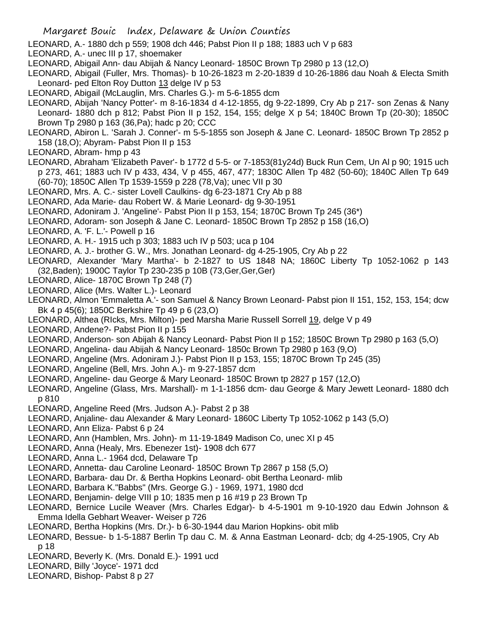- LEONARD, A.- 1880 dch p 559; 1908 dch 446; Pabst Pion II p 188; 1883 uch V p 683
- LEONARD, A.- unec III p 17, shoemaker
- LEONARD, Abigail Ann- dau Abijah & Nancy Leonard- 1850C Brown Tp 2980 p 13 (12,O)
- LEONARD, Abigail (Fuller, Mrs. Thomas)- b 10-26-1823 m 2-20-1839 d 10-26-1886 dau Noah & Electa Smith Leonard- ped Elton Roy Dutton 13 delge IV p 53
- LEONARD, Abigail (McLauglin, Mrs. Charles G.)- m 5-6-1855 dcm
- LEONARD, Abijah 'Nancy Potter'- m 8-16-1834 d 4-12-1855, dg 9-22-1899, Cry Ab p 217- son Zenas & Nany Leonard- 1880 dch p 812; Pabst Pion II p 152, 154, 155; delge X p 54; 1840C Brown Tp (20-30); 1850C Brown Tp 2980 p 163 (36,Pa); hadc p 20; CCC
- LEONARD, Abiron L. 'Sarah J. Conner'- m 5-5-1855 son Joseph & Jane C. Leonard- 1850C Brown Tp 2852 p 158 (18,O); Abyram- Pabst Pion II p 153
- LEONARD, Abram- hmp p 43
- LEONARD, Abraham 'Elizabeth Paver'- b 1772 d 5-5- or 7-1853(81y24d) Buck Run Cem, Un Al p 90; 1915 uch p 273, 461; 1883 uch IV p 433, 434, V p 455, 467, 477; 1830C Allen Tp 482 (50-60); 1840C Allen Tp 649 (60-70); 1850C Allen Tp 1539-1559 p 228 (78,Va); unec VII p 30
- LEONARD, Mrs. A. C.- sister Lovell Caulkins- dg 6-23-1871 Cry Ab p 88
- LEONARD, Ada Marie- dau Robert W. & Marie Leonard- dg 9-30-1951
- LEONARD, Adoniram J. 'Angeline'- Pabst Pion II p 153, 154; 1870C Brown Tp 245 (36\*)
- LEONARD, Adoram- son Joseph & Jane C. Leonard- 1850C Brown Tp 2852 p 158 (16,O)
- LEONARD, A. 'F. L.'- Powell p 16
- LEONARD, A. H.- 1915 uch p 303; 1883 uch IV p 503; uca p 104
- LEONARD, A. J.- brother G. W., Mrs. Jonathan Leonard- dg 4-25-1905, Cry Ab p 22
- LEONARD, Alexander 'Mary Martha'- b 2-1827 to US 1848 NA; 1860C Liberty Tp 1052-1062 p 143 (32,Baden); 1900C Taylor Tp 230-235 p 10B (73,Ger,Ger,Ger)
- LEONARD, Alice- 1870C Brown Tp 248 (7)
- LEONARD, Alice (Mrs. Walter L.)- Leonard
- LEONARD, Almon 'Emmaletta A.'- son Samuel & Nancy Brown Leonard- Pabst pion II 151, 152, 153, 154; dcw Bk 4 p 45(6); 1850C Berkshire Tp 49 p 6 (23,O)
- LEONARD, Althea (RIcks, Mrs. Milton)- ped Marsha Marie Russell Sorrell 19, delge V p 49
- LEONARD, Andene?- Pabst Pion II p 155
- LEONARD, Anderson- son Abijah & Nancy Leonard- Pabst Pion II p 152; 1850C Brown Tp 2980 p 163 (5,O)
- LEONARD, Angelina- dau Abijah & Nancy Leonard- 1850c Brown Tp 2980 p 163 (9,O)
- LEONARD, Angeline (Mrs. Adoniram J.)- Pabst Pion II p 153, 155; 1870C Brown Tp 245 (35)
- LEONARD, Angeline (Bell, Mrs. John A.)- m 9-27-1857 dcm
- LEONARD, Angeline- dau George & Mary Leonard- 1850C Brown tp 2827 p 157 (12,O)
- LEONARD, Angeline (Glass, Mrs. Marshall)- m 1-1-1856 dcm- dau George & Mary Jewett Leonard- 1880 dch p 810
- LEONARD, Angeline Reed (Mrs. Judson A.)- Pabst 2 p 38
- LEONARD, Anjaline- dau Alexander & Mary Leonard- 1860C Liberty Tp 1052-1062 p 143 (5,O)
- LEONARD, Ann Eliza- Pabst 6 p 24
- LEONARD, Ann (Hamblen, Mrs. John)- m 11-19-1849 Madison Co, unec XI p 45
- LEONARD, Anna (Healy, Mrs. Ebenezer 1st)- 1908 dch 677
- LEONARD, Anna L.- 1964 dcd, Delaware Tp
- LEONARD, Annetta- dau Caroline Leonard- 1850C Brown Tp 2867 p 158 (5,O)
- LEONARD, Barbara- dau Dr. & Bertha Hopkins Leonard- obit Bertha Leonard- mlib
- LEONARD, Barbara K."Babbs" (Mrs. George G.) 1969, 1971, 1980 dcd
- LEONARD, Benjamin- delge VIII p 10; 1835 men p 16 #19 p 23 Brown Tp
- LEONARD, Bernice Lucile Weaver (Mrs. Charles Edgar)- b 4-5-1901 m 9-10-1920 dau Edwin Johnson & Emma Idella Gebhart Weaver- Weiser p 726
- LEONARD, Bertha Hopkins (Mrs. Dr.)- b 6-30-1944 dau Marion Hopkins- obit mlib
- LEONARD, Bessue- b 1-5-1887 Berlin Tp dau C. M. & Anna Eastman Leonard- dcb; dg 4-25-1905, Cry Ab p 18
- LEONARD, Beverly K. (Mrs. Donald E.)- 1991 ucd
- LEONARD, Billy 'Joyce'- 1971 dcd
- LEONARD, Bishop- Pabst 8 p 27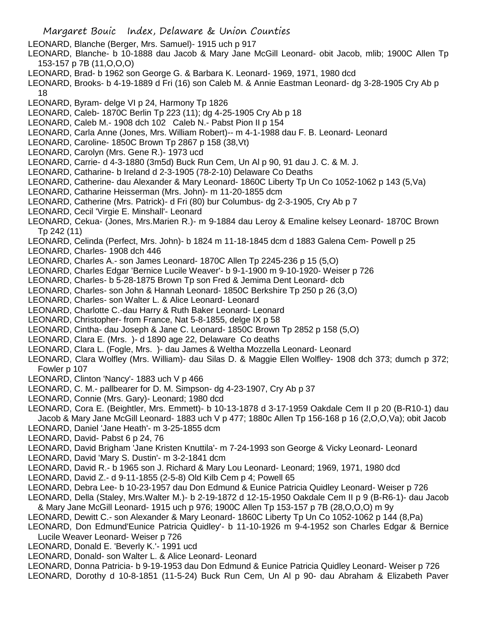- LEONARD, Blanche (Berger, Mrs. Samuel)- 1915 uch p 917
- LEONARD, Blanche- b 10-1888 dau Jacob & Mary Jane McGill Leonard- obit Jacob, mlib; 1900C Allen Tp 153-157 p 7B (11,O,O,O)
- LEONARD, Brad- b 1962 son George G. & Barbara K. Leonard- 1969, 1971, 1980 dcd
- LEONARD, Brooks- b 4-19-1889 d Fri (16) son Caleb M. & Annie Eastman Leonard- dg 3-28-1905 Cry Ab p 18
- LEONARD, Byram- delge VI p 24, Harmony Tp 1826
- LEONARD, Caleb- 1870C Berlin Tp 223 (11); dg 4-25-1905 Cry Ab p 18
- LEONARD, Caleb M.- 1908 dch 102 Caleb N.- Pabst Pion II p 154
- LEONARD, Carla Anne (Jones, Mrs. William Robert)-- m 4-1-1988 dau F. B. Leonard- Leonard
- LEONARD, Caroline- 1850C Brown Tp 2867 p 158 (38,Vt)
- LEONARD, Carolyn (Mrs. Gene R.)- 1973 ucd
- LEONARD, Carrie- d 4-3-1880 (3m5d) Buck Run Cem, Un Al p 90, 91 dau J. C. & M. J.
- LEONARD, Catharine- b Ireland d 2-3-1905 (78-2-10) Delaware Co Deaths
- LEONARD, Catherine- dau Alexander & Mary Leonard- 1860C Liberty Tp Un Co 1052-1062 p 143 (5,Va)
- LEONARD, Catharine Heisserman (Mrs. John)- m 11-20-1855 dcm
- LEONARD, Catherine (Mrs. Patrick)- d Fri (80) bur Columbus- dg 2-3-1905, Cry Ab p 7
- LEONARD, Cecil 'Virgie E. Minshall'- Leonard
- LEONARD, Cekua- (Jones, Mrs.Marien R.)- m 9-1884 dau Leroy & Emaline kelsey Leonard- 1870C Brown Tp 242 (11)
- LEONARD, Celinda (Perfect, Mrs. John)- b 1824 m 11-18-1845 dcm d 1883 Galena Cem- Powell p 25
- LEONARD, Charles- 1908 dch 446
- LEONARD, Charles A.- son James Leonard- 1870C Allen Tp 2245-236 p 15 (5,O)
- LEONARD, Charles Edgar 'Bernice Lucile Weaver'- b 9-1-1900 m 9-10-1920- Weiser p 726
- LEONARD, Charles- b 5-28-1875 Brown Tp son Fred & Jemima Dent Leonard- dcb
- LEONARD, Charles- son John & Hannah Leonard- 1850C Berkshire Tp 250 p 26 (3,O)
- LEONARD, Charles- son Walter L. & Alice Leonard- Leonard
- LEONARD, Charlotte C.-dau Harry & Ruth Baker Leonard- Leonard
- LEONARD, Christopher- from France, Nat 5-8-1855, delge IX p 58
- LEONARD, Cintha- dau Joseph & Jane C. Leonard- 1850C Brown Tp 2852 p 158 (5,O)
- LEONARD, Clara E. (Mrs. )- d 1890 age 22, Delaware Co deaths
- LEONARD, Clara L. (Fogle, Mrs. )- dau James & Weltha Mozzella Leonard- Leonard
- LEONARD, Clara Wolfley (Mrs. William)- dau Silas D. & Maggie Ellen Wolfley- 1908 dch 373; dumch p 372; Fowler p 107
- LEONARD, Clinton 'Nancy'- 1883 uch V p 466
- LEONARD, C. M.- pallbearer for D. M. Simpson- dg 4-23-1907, Cry Ab p 37
- LEONARD, Connie (Mrs. Gary)- Leonard; 1980 dcd
- LEONARD, Cora E. (Beightler, Mrs. Emmett)- b 10-13-1878 d 3-17-1959 Oakdale Cem II p 20 (B-R10-1) dau Jacob & Mary Jane McGill Leonard- 1883 uch V p 477; 1880c Allen Tp 156-168 p 16 (2,O,O,Va); obit Jacob
- LEONARD, Daniel 'Jane Heath'- m 3-25-1855 dcm
- LEONARD, David- Pabst 6 p 24, 76
- LEONARD, David Brigham 'Jane Kristen Knuttila'- m 7-24-1993 son George & Vicky Leonard- Leonard
- LEONARD, David 'Mary S. Dustin'- m 3-2-1841 dcm
- LEONARD, David R.- b 1965 son J. Richard & Mary Lou Leonard- Leonard; 1969, 1971, 1980 dcd
- LEONARD, David Z.- d 9-11-1855 (2-5-8) Old Kilb Cem p 4; Powell 65
- LEONARD, Debra Lee- b 10-23-1957 dau Don Edmund & Eunice Patricia Quidley Leonard- Weiser p 726
- LEONARD, Della (Staley, Mrs.Walter M.)- b 2-19-1872 d 12-15-1950 Oakdale Cem II p 9 (B-R6-1)- dau Jacob & Mary Jane McGill Leonard- 1915 uch p 976; 1900C Allen Tp 153-157 p 7B (28,O,O,O) m 9y
- LEONARD, Dewitt C.- son Alexander & Mary Leonard- 1860C Liberty Tp Un Co 1052-1062 p 144 (8,Pa)
- LEONARD, Don Edmund'Eunice Patricia Quidley'- b 11-10-1926 m 9-4-1952 son Charles Edgar & Bernice Lucile Weaver Leonard- Weiser p 726
- LEONARD, Donald E. 'Beverly K.'- 1991 ucd
- LEONARD, Donald- son Walter L. & Alice Leonard- Leonard
- LEONARD, Donna Patricia- b 9-19-1953 dau Don Edmund & Eunice Patricia Quidley Leonard- Weiser p 726 LEONARD, Dorothy d 10-8-1851 (11-5-24) Buck Run Cem, Un Al p 90- dau Abraham & Elizabeth Paver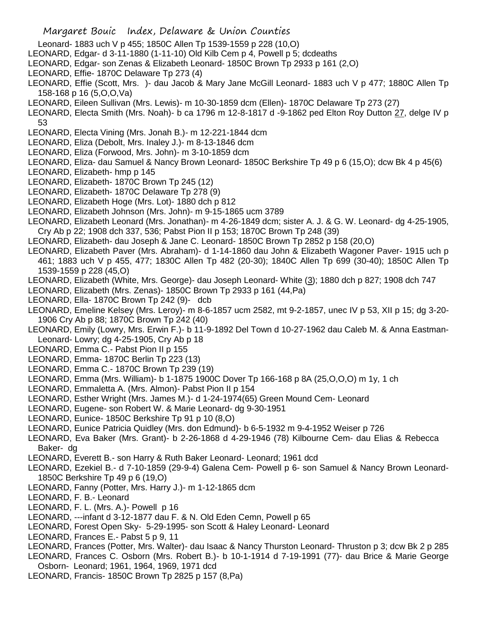- Leonard- 1883 uch V p 455; 1850C Allen Tp 1539-1559 p 228 (10,O)
- LEONARD, Edgar- d 3-11-1880 (1-11-10) Old Kilb Cem p 4, Powell p 5; dcdeaths
- LEONARD, Edgar- son Zenas & Elizabeth Leonard- 1850C Brown Tp 2933 p 161 (2,O)
- LEONARD, Effie- 1870C Delaware Tp 273 (4)

LEONARD, Effie (Scott, Mrs. )- dau Jacob & Mary Jane McGill Leonard- 1883 uch V p 477; 1880C Allen Tp 158-168 p 16 (5,O,O,Va)

- LEONARD, Eileen Sullivan (Mrs. Lewis)- m 10-30-1859 dcm (Ellen)- 1870C Delaware Tp 273 (27)
- LEONARD, Electa Smith (Mrs. Noah)- b ca 1796 m 12-8-1817 d -9-1862 ped Elton Roy Dutton 27, delge IV p 53
- LEONARD, Electa Vining (Mrs. Jonah B.)- m 12-221-1844 dcm
- LEONARD, Eliza (Debolt, Mrs. Inaley J.)- m 8-13-1846 dcm
- LEONARD, Eliza (Forwood, Mrs. John)- m 3-10-1859 dcm
- LEONARD, Eliza- dau Samuel & Nancy Brown Leonard- 1850C Berkshire Tp 49 p 6 (15,O); dcw Bk 4 p 45(6)
- LEONARD, Elizabeth- hmp p 145
- LEONARD, Elizabeth- 1870C Brown Tp 245 (12)
- LEONARD, Elizabeth- 1870C Delaware Tp 278 (9)
- LEONARD, Elizabeth Hoge (Mrs. Lot)- 1880 dch p 812
- LEONARD, Elizabeth Johnson (Mrs. John)- m 9-15-1865 ucm 3789

LEONARD, Elizabeth Leonard (Mrs. Jonathan)- m 4-26-1849 dcm; sister A. J. & G. W. Leonard- dg 4-25-1905, Cry Ab p 22; 1908 dch 337, 536; Pabst Pion II p 153; 1870C Brown Tp 248 (39)

- LEONARD, Elizabeth- dau Joseph & Jane C. Leonard- 1850C Brown Tp 2852 p 158 (20,O)
- LEONARD, Elizabeth Paver (Mrs. Abraham)- d 1-14-1860 dau John & Elizabeth Wagoner Paver- 1915 uch p 461; 1883 uch V p 455, 477; 1830C Allen Tp 482 (20-30); 1840C Allen Tp 699 (30-40); 1850C Allen Tp 1539-1559 p 228 (45,O)
- LEONARD, Elizabeth (White, Mrs. George)- dau Joseph Leonard- White (3); 1880 dch p 827; 1908 dch 747
- LEONARD, Elizabeth (Mrs. Zenas)- 1850C Brown Tp 2933 p 161 (44,Pa)
- LEONARD, Ella- 1870C Brown Tp 242 (9)- dcb

LEONARD, Emeline Kelsey (Mrs. Leroy)- m 8-6-1857 ucm 2582, mt 9-2-1857, unec IV p 53, XII p 15; dg 3-20- 1906 Cry Ab p 88; 1870C Brown Tp 242 (40)

- LEONARD, Emily (Lowry, Mrs. Erwin F.)- b 11-9-1892 Del Town d 10-27-1962 dau Caleb M. & Anna Eastman-Leonard- Lowry; dg 4-25-1905, Cry Ab p 18
- LEONARD, Emma C.- Pabst Pion II p 155
- LEONARD, Emma- 1870C Berlin Tp 223 (13)
- LEONARD, Emma C.- 1870C Brown Tp 239 (19)
- LEONARD, Emma (Mrs. William)- b 1-1875 1900C Dover Tp 166-168 p 8A (25,O,O,O) m 1y, 1 ch
- LEONARD, Emmaletta A. (Mrs. Almon)- Pabst Pion II p 154
- LEONARD, Esther Wright (Mrs. James M.)- d 1-24-1974(65) Green Mound Cem- Leonard
- LEONARD, Eugene- son Robert W. & Marie Leonard- dg 9-30-1951
- LEONARD, Eunice- 1850C Berkshire Tp 91 p 10 (8,O)
- LEONARD, Eunice Patricia Quidley (Mrs. don Edmund)- b 6-5-1932 m 9-4-1952 Weiser p 726
- LEONARD, Eva Baker (Mrs. Grant)- b 2-26-1868 d 4-29-1946 (78) Kilbourne Cem- dau Elias & Rebecca Baker- dg
- LEONARD, Everett B.- son Harry & Ruth Baker Leonard- Leonard; 1961 dcd
- LEONARD, Ezekiel B.- d 7-10-1859 (29-9-4) Galena Cem- Powell p 6- son Samuel & Nancy Brown Leonard-1850C Berkshire Tp 49 p 6 (19,O)
- LEONARD, Fanny (Potter, Mrs. Harry J.)- m 1-12-1865 dcm
- LEONARD, F. B.- Leonard
- LEONARD, F. L. (Mrs. A.)- Powell p 16
- LEONARD, ---infant d 3-12-1877 dau F. & N. Old Eden Cemn, Powell p 65
- LEONARD, Forest Open Sky- 5-29-1995- son Scott & Haley Leonard- Leonard
- LEONARD, Frances E.- Pabst 5 p 9, 11
- LEONARD, Frances (Potter, Mrs. Walter)- dau Isaac & Nancy Thurston Leonard- Thruston p 3; dcw Bk 2 p 285
- LEONARD, Frances C. Osborn (Mrs. Robert B.)- b 10-1-1914 d 7-19-1991 (77)- dau Brice & Marie George Osborn- Leonard; 1961, 1964, 1969, 1971 dcd
- LEONARD, Francis- 1850C Brown Tp 2825 p 157 (8,Pa)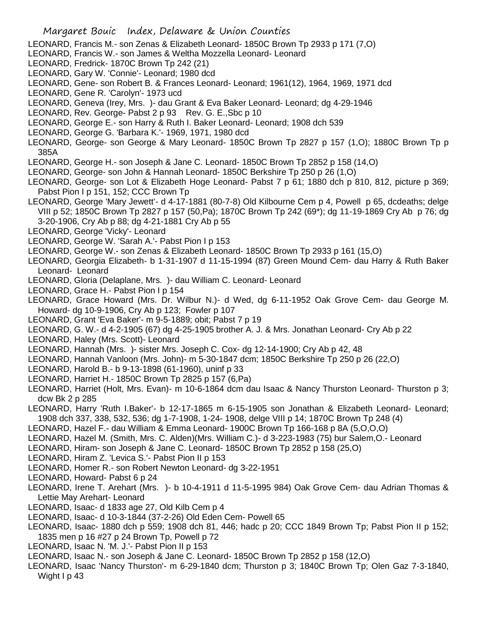- LEONARD, Francis M.- son Zenas & Elizabeth Leonard- 1850C Brown Tp 2933 p 171 (7,O)
- LEONARD, Francis W.- son James & Weltha Mozzella Leonard- Leonard
- LEONARD, Fredrick- 1870C Brown Tp 242 (21)
- LEONARD, Gary W. 'Connie'- Leonard; 1980 dcd
- LEONARD, Gene- son Robert B. & Frances Leonard- Leonard; 1961(12), 1964, 1969, 1971 dcd
- LEONARD, Gene R. 'Carolyn'- 1973 ucd
- LEONARD, Geneva (Irey, Mrs. )- dau Grant & Eva Baker Leonard- Leonard; dg 4-29-1946
- LEONARD, Rev. George- Pabst 2 p 93 Rev. G. E., Sbc p 10
- LEONARD, George E.- son Harry & Ruth I. Baker Leonard- Leonard; 1908 dch 539
- LEONARD, George G. 'Barbara K.'- 1969, 1971, 1980 dcd
- LEONARD, George- son George & Mary Leonard- 1850C Brown Tp 2827 p 157 (1,O); 1880C Brown Tp p 385A
- LEONARD, George H.- son Joseph & Jane C. Leonard- 1850C Brown Tp 2852 p 158 (14,O)
- LEONARD, George- son John & Hannah Leonard- 1850C Berkshire Tp 250 p 26 (1,O)
- LEONARD, George- son Lot & Elizabeth Hoge Leonard- Pabst 7 p 61; 1880 dch p 810, 812, picture p 369; Pabst Pion I p 151, 152; CCC Brown Tp
- LEONARD, George 'Mary Jewett'- d 4-17-1881 (80-7-8) Old Kilbourne Cem p 4, Powell p 65, dcdeaths; delge VIII p 52; 1850C Brown Tp 2827 p 157 (50,Pa); 1870C Brown Tp 242 (69\*); dg 11-19-1869 Cry Ab p 76; dg 3-20-1906, Cry Ab p 88; dg 4-21-1881 Cry Ab p 55
- LEONARD, George 'Vicky'- Leonard
- LEONARD, George W. 'Sarah A.'- Pabst Pion I p 153
- LEONARD, George W.- son Zenas & Elizabeth Leonard- 1850C Brown Tp 2933 p 161 (15,O)
- LEONARD, Georgia Elizabeth- b 1-31-1907 d 11-15-1994 (87) Green Mound Cem- dau Harry & Ruth Baker Leonard- Leonard
- LEONARD, Gloria (Delaplane, Mrs. )- dau William C. Leonard- Leonard
- LEONARD, Grace H.- Pabst Pion I p 154
- LEONARD, Grace Howard (Mrs. Dr. Wilbur N.)- d Wed, dg 6-11-1952 Oak Grove Cem- dau George M. Howard- dg 10-9-1906, Cry Ab p 123; Fowler p 107
- LEONARD, Grant 'Eva Baker'- m 9-5-1889; obit; Pabst 7 p 19
- LEONARD, G. W.- d 4-2-1905 (67) dg 4-25-1905 brother A. J. & Mrs. Jonathan Leonard- Cry Ab p 22
- LEONARD, Haley (Mrs. Scott)- Leonard
- LEONARD, Hannah (Mrs. )- sister Mrs. Joseph C. Cox- dg 12-14-1900; Cry Ab p 42, 48
- LEONARD, Hannah Vanloon (Mrs. John)- m 5-30-1847 dcm; 1850C Berkshire Tp 250 p 26 (22,O)
- LEONARD, Harold B.- b 9-13-1898 (61-1960), uninf p 33
- LEONARD, Harriet H.- 1850C Brown Tp 2825 p 157 (6,Pa)
- LEONARD, Harriet (Holt, Mrs. Evan)- m 10-6-1864 dcm dau Isaac & Nancy Thurston Leonard- Thurston p 3; dcw Bk 2 p 285
- LEONARD, Harry 'Ruth I.Baker'- b 12-17-1865 m 6-15-1905 son Jonathan & Elizabeth Leonard- Leonard; 1908 dch 337, 338, 532, 536; dg 1-7-1908, 1-24- 1908, delge VIII p 14; 1870C Brown Tp 248 (4)
- LEONARD, Hazel F.- dau William & Emma Leonard- 1900C Brown Tp 166-168 p 8A (5,O,O,O)
- LEONARD, Hazel M. (Smith, Mrs. C. Alden)(Mrs. William C.)- d 3-223-1983 (75) bur Salem,O.- Leonard
- LEONARD, Hiram- son Joseph & Jane C. Leonard- 1850C Brown Tp 2852 p 158 (25,O)
- LEONARD, Hiram Z. 'Levica S.'- Pabst Pion II p 153
- LEONARD, Homer R.- son Robert Newton Leonard- dg 3-22-1951
- LEONARD, Howard- Pabst 6 p 24
- LEONARD, Irene T. Arehart (Mrs. )- b 10-4-1911 d 11-5-1995 984) Oak Grove Cem- dau Adrian Thomas & Lettie May Arehart- Leonard
- LEONARD, Isaac- d 1833 age 27, Old Kilb Cem p 4
- LEONARD, Isaac- d 10-3-1844 (37-2-26) Old Eden Cem- Powell 65
- LEONARD, Isaac- 1880 dch p 559; 1908 dch 81, 446; hadc p 20; CCC 1849 Brown Tp; Pabst Pion II p 152; 1835 men p 16 #27 p 24 Brown Tp, Powell p 72
- LEONARD, Isaac N. 'M. J.'- Pabst Pion II p 153
- LEONARD, Isaac N.- son Joseph & Jane C. Leonard- 1850C Brown Tp 2852 p 158 (12,O)
- LEONARD, Isaac 'Nancy Thurston'- m 6-29-1840 dcm; Thurston p 3; 1840C Brown Tp; Olen Gaz 7-3-1840, Wight I p 43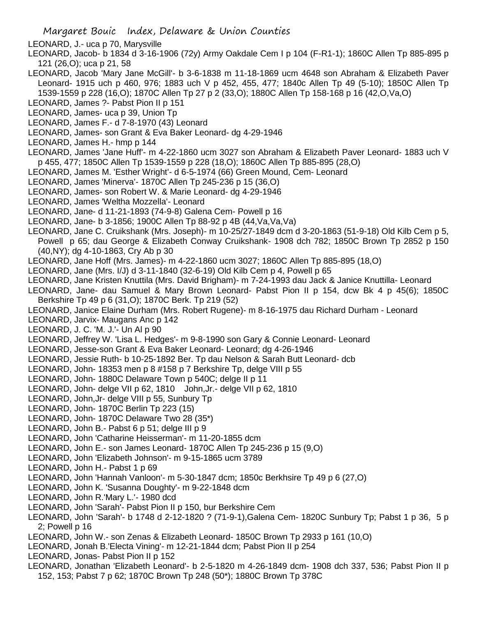Margaret Bouic Index, Delaware & Union Counties

- LEONARD, J.- uca p 70, Marysville
- LEONARD, Jacob- b 1834 d 3-16-1906 (72y) Army Oakdale Cem I p 104 (F-R1-1); 1860C Allen Tp 885-895 p 121 (26,O); uca p 21, 58
- LEONARD, Jacob 'Mary Jane McGill'- b 3-6-1838 m 11-18-1869 ucm 4648 son Abraham & Elizabeth Paver Leonard- 1915 uch p 460, 976; 1883 uch V p 452, 455, 477; 1840c Allen Tp 49 (5-10); 1850C Allen Tp 1539-1559 p 228 (16,O); 1870C Allen Tp 27 p 2 (33,O); 1880C Allen Tp 158-168 p 16 (42,O,Va,O)
- LEONARD, James ?- Pabst Pion II p 151
- LEONARD, James- uca p 39, Union Tp
- LEONARD, James F.- d 7-8-1970 (43) Leonard
- LEONARD, James- son Grant & Eva Baker Leonard- dg 4-29-1946
- LEONARD, James H.- hmp p 144
- LEONARD, James 'Jane Huff'- m 4-22-1860 ucm 3027 son Abraham & Elizabeth Paver Leonard- 1883 uch V p 455, 477; 1850C Allen Tp 1539-1559 p 228 (18,O); 1860C Allen Tp 885-895 (28,O)
- LEONARD, James M. 'Esther Wright'- d 6-5-1974 (66) Green Mound, Cem- Leonard
- LEONARD, James 'Minerva'- 1870C Allen Tp 245-236 p 15 (36,O)
- LEONARD, James- son Robert W. & Marie Leonard- dg 4-29-1946
- LEONARD, James 'Weltha Mozzella'- Leonard
- LEONARD, Jane- d 11-21-1893 (74-9-8) Galena Cem- Powell p 16
- LEONARD, Jane- b 3-1856; 1900C Allen Tp 88-92 p 4B (44,Va,Va,Va)
- LEONARD, Jane C. Cruikshank (Mrs. Joseph)- m 10-25/27-1849 dcm d 3-20-1863 (51-9-18) Old Kilb Cem p 5, Powell p 65; dau George & Elizabeth Conway Cruikshank- 1908 dch 782; 1850C Brown Tp 2852 p 150 (40,NY); dg 4-10-1863, Cry Ab p 30
- LEONARD, Jane Hoff (Mrs. James)- m 4-22-1860 ucm 3027; 1860C Allen Tp 885-895 (18,O)
- LEONARD, Jane (Mrs. I/J) d 3-11-1840 (32-6-19) Old Kilb Cem p 4, Powell p 65
- LEONARD, Jane Kristen Knuttila (Mrs. David Brigham)- m 7-24-1993 dau Jack & Janice Knuttilla- Leonard
- LEONARD, Jane- dau Samuel & Mary Brown Leonard- Pabst Pion II p 154, dcw Bk 4 p 45(6); 1850C Berkshire Tp 49 p 6 (31,O); 1870C Berk. Tp 219 (52)
- LEONARD, Janice Elaine Durham (Mrs. Robert Rugene)- m 8-16-1975 dau Richard Durham Leonard
- LEONARD, Jarvix- Maugans Anc p 142
- LEONARD, J. C. 'M. J.'- Un Al p 90
- LEONARD, Jeffrey W. 'Lisa L. Hedges'- m 9-8-1990 son Gary & Connie Leonard- Leonard
- LEONARD, Jesse-son Grant & Eva Baker Leonard- Leonard; dg 4-26-1946
- LEONARD, Jessie Ruth- b 10-25-1892 Ber. Tp dau Nelson & Sarah Butt Leonard- dcb
- LEONARD, John- 18353 men p 8 #158 p 7 Berkshire Tp, delge VIII p 55
- LEONARD, John- 1880C Delaware Town p 540C; delge II p 11
- LEONARD, John- delge VII p 62, 1810 John,Jr.- delge VII p 62, 1810
- LEONARD, John,Jr- delge VIII p 55, Sunbury Tp
- LEONARD, John- 1870C Berlin Tp 223 (15)
- LEONARD, John- 1870C Delaware Two 28 (35\*)
- LEONARD, John B.- Pabst 6 p 51; delge III p 9
- LEONARD, John 'Catharine Heisserman'- m 11-20-1855 dcm
- LEONARD, John E.- son James Leonard- 1870C Allen Tp 245-236 p 15 (9,O)
- LEONARD, John 'Elizabeth Johnson'- m 9-15-1865 ucm 3789
- LEONARD, John H.- Pabst 1 p 69
- LEONARD, John 'Hannah Vanloon'- m 5-30-1847 dcm; 1850c Berkhsire Tp 49 p 6 (27,O)
- LEONARD, John K. 'Susanna Doughty'- m 9-22-1848 dcm
- LEONARD, John R.'Mary L.'- 1980 dcd
- LEONARD, John 'Sarah'- Pabst Pion II p 150, bur Berkshire Cem
- LEONARD, John 'Sarah'- b 1748 d 2-12-1820 ? (71-9-1),Galena Cem- 1820C Sunbury Tp; Pabst 1 p 36, 5 p 2; Powell p 16
- LEONARD, John W.- son Zenas & Elizabeth Leonard- 1850C Brown Tp 2933 p 161 (10,O)
- LEONARD, Jonah B.'Electa Vining'- m 12-21-1844 dcm; Pabst Pion II p 254
- LEONARD, Jonas- Pabst Pion II p 152
- LEONARD, Jonathan 'Elizabeth Leonard'- b 2-5-1820 m 4-26-1849 dcm- 1908 dch 337, 536; Pabst Pion II p 152, 153; Pabst 7 p 62; 1870C Brown Tp 248 (50\*); 1880C Brown Tp 378C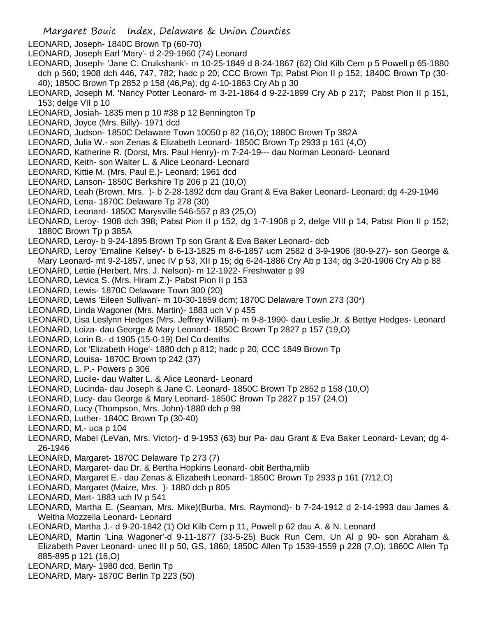- LEONARD, Joseph- 1840C Brown Tp (60-70)
- LEONARD, Joseph Earl 'Mary'- d 2-29-1960 (74) Leonard
- LEONARD, Joseph- 'Jane C. Cruikshank'- m 10-25-1849 d 8-24-1867 (62) Old Kilb Cem p 5 Powell p 65-1880 dch p 560; 1908 dch 446, 747, 782; hadc p 20; CCC Brown Tp; Pabst Pion II p 152; 1840C Brown Tp (30- 40); 1850C Brown Tp 2852 p 158 (46,Pa); dg 4-10-1863 Cry Ab p 30
- LEONARD, Joseph M. 'Nancy Potter Leonard- m 3-21-1864 d 9-22-1899 Cry Ab p 217; Pabst Pion II p 151, 153; delge VII p 10
- LEONARD, Josiah- 1835 men p 10 #38 p 12 Bennington Tp
- LEONARD, Joyce (Mrs. Billy)- 1971 dcd
- LEONARD, Judson- 1850C Delaware Town 10050 p 82 (16,O); 1880C Brown Tp 382A
- LEONARD, Julia W.- son Zenas & Elizabeth Leonard- 1850C Brown Tp 2933 p 161 (4,O)
- LEONARD, Katherine R. (Dorst, Mrs. Paul Henry)- m 7-24-19--- dau Norman Leonard- Leonard
- LEONARD, Keith- son Walter L. & Alice Leonard- Leonard
- LEONARD, Kittie M. (Mrs. Paul E.)- Leonard; 1961 dcd
- LEONARD, Lanson- 1850C Berkshire Tp 206 p 21 (10,O)
- LEONARD, Leah (Brown, Mrs. )- b 2-28-1892 dcm dau Grant & Eva Baker Leonard- Leonard; dg 4-29-1946
- LEONARD, Lena- 1870C Delaware Tp 278 (30)
- LEONARD, Leonard- 1850C Marysville 546-557 p 83 (25,O)
- LEONARD, Leroy- 1908 dch 398; Pabst Pion II p 152, dg 1-7-1908 p 2, delge VIII p 14; Pabst Pion II p 152; 1880C Brown Tp p 385A
- LEONARD, Leroy- b 9-24-1895 Brown Tp son Grant & Eva Baker Leonard- dcb
- LEONARD, Leroy 'Emaline Kelsey'- b 6-13-1825 m 8-6-1857 ucm 2582 d 3-9-1906 (80-9-27)- son George & Mary Leonard- mt 9-2-1857, unec IV p 53, XII p 15; dg 6-24-1886 Cry Ab p 134; dg 3-20-1906 Cry Ab p 88
- LEONARD, Lettie (Herbert, Mrs. J. Nelson)- m 12-1922- Freshwater p 99
- LEONARD, Levica S. (Mrs. Hiram Z.)- Pabst Pion II p 153
- LEONARD, Lewis- 1870C Delaware Town 300 (20)
- LEONARD, Lewis 'Eileen Sullivan'- m 10-30-1859 dcm; 1870C Delaware Town 273 (30\*)
- LEONARD, Linda Wagoner (Mrs. Martin)- 1883 uch V p 455
- LEONARD, Lisa Leslynn Hedges (Mrs. Jeffrey William)- m 9-8-1990- dau Leslie,Jr. & Bettye Hedges- Leonard
- LEONARD, Loiza- dau George & Mary Leonard- 1850C Brown Tp 2827 p 157 (19,O)
- LEONARD, Lorin B.- d 1905 (15-0-19) Del Co deaths
- LEONARD, Lot 'Elizabeth Hoge'- 1880 dch p 812; hadc p 20; CCC 1849 Brown Tp
- LEONARD, Louisa- 1870C Brown tp 242 (37)
- LEONARD, L. P.- Powers p 306
- LEONARD, Lucile- dau Walter L. & Alice Leonard- Leonard
- LEONARD, Lucinda- dau Joseph & Jane C. Leonard- 1850C Brown Tp 2852 p 158 (10,O)
- LEONARD, Lucy- dau George & Mary Leonard- 1850C Brown Tp 2827 p 157 (24,O)
- LEONARD, Lucy (Thompson, Mrs. John)-1880 dch p 98
- LEONARD, Luther- 1840C Brown Tp (30-40)
- LEONARD, M.- uca p 104
- LEONARD, Mabel (LeVan, Mrs. Victor)- d 9-1953 (63) bur Pa- dau Grant & Eva Baker Leonard- Levan; dg 4- 26-1946
- LEONARD, Margaret- 1870C Delaware Tp 273 (7)
- LEONARD, Margaret- dau Dr. & Bertha Hopkins Leonard- obit Bertha,mlib
- LEONARD, Margaret E.- dau Zenas & Elizabeth Leonard- 1850C Brown Tp 2933 p 161 (7/12,O)
- LEONARD, Margaret (Maize, Mrs. )- 1880 dch p 805
- LEONARD, Mart- 1883 uch IV p 541
- LEONARD, Martha E. (Seaman, Mrs. Mike)(Burba, Mrs. Raymond)- b 7-24-1912 d 2-14-1993 dau James & Weltha Mozzella Leonard- Leonard
- LEONARD, Martha J.- d 9-20-1842 (1) Old Kilb Cem p 11, Powell p 62 dau A. & N. Leonard
- LEONARD, Martin 'Lina Wagoner'-d 9-11-1877 (33-5-25) Buck Run Cem, Un Al p 90- son Abraham & Elizabeth Paver Leonard- unec III p 50, GS, 1860; 1850C Allen Tp 1539-1559 p 228 (7,O); 1860C Allen Tp 885-895 p 121 (16,O)
- LEONARD, Mary- 1980 dcd, Berlin Tp
- LEONARD, Mary- 1870C Berlin Tp 223 (50)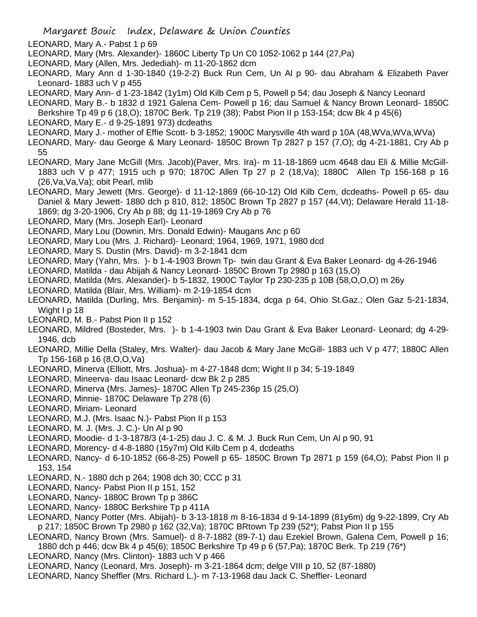- LEONARD, Mary A.- Pabst 1 p 69
- LEONARD, Mary (Mrs. Alexander)- 1860C Liberty Tp Un C0 1052-1062 p 144 (27,Pa)
- LEONARD, Mary (Allen, Mrs. Jedediah)- m 11-20-1862 dcm
- LEONARD, Mary Ann d 1-30-1840 (19-2-2) Buck Run Cem, Un Al p 90- dau Abraham & Elizabeth Paver Leonard-  $1883$  uch V p 455
- LEONARD, Mary Ann- d 1-23-1842 (1y1m) Old Kilb Cem p 5, Powell p 54; dau Joseph & Nancy Leonard
- LEONARD, Mary B.- b 1832 d 1921 Galena Cem- Powell p 16; dau Samuel & Nancy Brown Leonard- 1850C
- Berkshire Tp 49 p 6 (18,O); 1870C Berk. Tp 219 (38); Pabst Pion II p 153-154; dcw Bk 4 p 45(6)
- LEONARD, Mary E.- d 9-25-1891 973) dcdeaths
- LEONARD, Mary J.- mother of Effie Scott- b 3-1852; 1900C Marysville 4th ward p 10A (48,WVa,WVa,WVa)
- LEONARD, Mary- dau George & Mary Leonard- 1850C Brown Tp 2827 p 157 (7,O); dg 4-21-1881, Cry Ab p 55
- LEONARD, Mary Jane McGill (Mrs. Jacob)(Paver, Mrs. Ira)- m 11-18-1869 ucm 4648 dau Eli & Millie McGill-1883 uch V p 477; 1915 uch p 970; 1870C Allen Tp 27 p 2 (18,Va); 1880C Allen Tp 156-168 p 16 (26,Va,Va,Va); obit Pearl, mlib
- LEONARD, Mary Jewett (Mrs. George)- d 11-12-1869 (66-10-12) Old Kilb Cem, dcdeaths- Powell p 65- dau Daniel & Mary Jewett- 1880 dch p 810, 812; 1850C Brown Tp 2827 p 157 (44,Vt); Delaware Herald 11-18- 1869; dg 3-20-1906, Cry Ab p 88; dg 11-19-1869 Cry Ab p 76
- LEONARD, Mary (Mrs. Joseph Earl)- Leonard
- LEONARD, Mary Lou (Downin, Mrs. Donald Edwin)- Maugans Anc p 60
- LEONARD, Mary Lou (Mrs. J. Richard)- Leonard; 1964, 1969, 1971, 1980 dcd
- LEONARD, Mary S. Dustin (Mrs. David)- m 3-2-1841 dcm
- LEONARD, Mary (Yahn, Mrs. )- b 1-4-1903 Brown Tp- twin dau Grant & Eva Baker Leonard- dg 4-26-1946
- LEONARD, Matilda dau Abijah & Nancy Leonard- 1850C Brown Tp 2980 p 163 (15,O)
- LEONARD, Matilda (Mrs. Alexander)- b 5-1832, 1900C Taylor Tp 230-235 p 10B (58,O,O,O) m 26y
- LEONARD, Matilda (Blair, Mrs. William)- m 2-19-1854 dcm
- LEONARD, Matilda (Durling, Mrs. Benjamin)- m 5-15-1834, dcga p 64, Ohio St.Gaz.; Olen Gaz 5-21-1834, Wight I p 18
- LEONARD, M. B.- Pabst Pion II p 152
- LEONARD, Mildred (Bosteder, Mrs. )- b 1-4-1903 twin Dau Grant & Eva Baker Leonard- Leonard; dg 4-29- 1946, dcb
- LEONARD, Millie Della (Staley, Mrs. Walter)- dau Jacob & Mary Jane McGill- 1883 uch V p 477; 1880C Allen Tp 156-168 p 16 (8,O,O,Va)
- LEONARD, Minerva (Elliott, Mrs. Joshua)- m 4-27-1848 dcm; Wight II p 34; 5-19-1849
- LEONARD, Mineerva- dau Isaac Leonard- dcw Bk 2 p 285
- LEONARD, Minerva (Mrs. James)- 1870C Allen Tp 245-236p 15 (25,O)
- LEONARD, Minnie- 1870C Delaware Tp 278 (6)
- LEONARD, Miriam- Leonard
- LEONARD, M.J. (Mrs. Isaac N.)- Pabst Pion II p 153
- LEONARD, M. J. (Mrs. J. C.)- Un Al p 90
- LEONARD, Moodie- d 1-3-1878/3 (4-1-25) dau J. C. & M. J. Buck Run Cem, Un Al p 90, 91
- LEONARD, Morency- d 4-8-1880 (15y7m) Old Kilb Cem p 4, dcdeaths
- LEONARD, Nancy- d 6-10-1852 (66-8-25) Powell p 65- 1850C Brown Tp 2871 p 159 (64,O); Pabst Pion II p 153, 154
- LEONARD, N.- 1880 dch p 264; 1908 dch 30; CCC p 31
- LEONARD, Nancy- Pabst Pion II p 151, 152
- LEONARD, Nancy- 1880C Brown Tp p 386C
- LEONARD, Nancy- 1880C Berkshire Tp p 411A
- LEONARD, Nancy Potter (Mrs. Abijah)- b 3-13-1818 m 8-16-1834 d 9-14-1899 (81y6m) dg 9-22-1899, Cry Ab p 217; 1850C Brown Tp 2980 p 162 (32,Va); 1870C BRtown Tp 239 (52\*); Pabst Pion II p 155
- LEONARD, Nancy Brown (Mrs. Samuel)- d 8-7-1882 (89-7-1) dau Ezekiel Brown, Galena Cem, Powell p 16; 1880 dch p 446; dcw Bk 4 p 45(6); 1850C Berkshire Tp 49 p 6 (57,Pa); 1870C Berk. Tp 219 (76\*)
- LEONARD, Nancy (Mrs. Clinton)- 1883 uch V p 466
- LEONARD, Nancy (Leonard, Mrs. Joseph)- m 3-21-1864 dcm; delge VIII p 10, 52 (87-1880)
- LEONARD, Nancy Sheffler (Mrs. Richard L.)- m 7-13-1968 dau Jack C. Sheffler- Leonard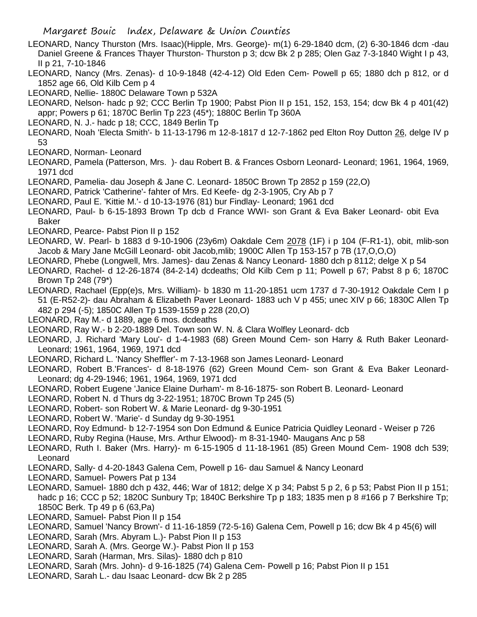- LEONARD, Nancy Thurston (Mrs. Isaac)(Hipple, Mrs. George)- m(1) 6-29-1840 dcm, (2) 6-30-1846 dcm -dau Daniel Greene & Frances Thayer Thurston- Thurston p 3; dcw Bk 2 p 285; Olen Gaz 7-3-1840 Wight I p 43, II p 21, 7-10-1846
- LEONARD, Nancy (Mrs. Zenas)- d 10-9-1848 (42-4-12) Old Eden Cem- Powell p 65; 1880 dch p 812, or d 1852 age 66, Old Kilb Cem p 4

LEONARD, Nellie- 1880C Delaware Town p 532A

- LEONARD, Nelson- hadc p 92; CCC Berlin Tp 1900; Pabst Pion II p 151, 152, 153, 154; dcw Bk 4 p 401(42) appr; Powers p 61; 1870C Berlin Tp 223 (45\*); 1880C Berlin Tp 360A
- LEONARD, N. J.- hadc p 18; CCC, 1849 Berlin Tp
- LEONARD, Noah 'Electa Smith'- b 11-13-1796 m 12-8-1817 d 12-7-1862 ped Elton Roy Dutton 26, delge IV p 53
- LEONARD, Norman- Leonard
- LEONARD, Pamela (Patterson, Mrs. )- dau Robert B. & Frances Osborn Leonard- Leonard; 1961, 1964, 1969, 1971 dcd
- LEONARD, Pamelia- dau Joseph & Jane C. Leonard- 1850C Brown Tp 2852 p 159 (22,O)
- LEONARD, Patrick 'Catherine'- fahter of Mrs. Ed Keefe- dg 2-3-1905, Cry Ab p 7
- LEONARD, Paul E. 'Kittie M.'- d 10-13-1976 (81) bur Findlay- Leonard; 1961 dcd
- LEONARD, Paul- b 6-15-1893 Brown Tp dcb d France WWI- son Grant & Eva Baker Leonard- obit Eva Baker
- LEONARD, Pearce- Pabst Pion II p 152
- LEONARD, W. Pearl- b 1883 d 9-10-1906 (23y6m) Oakdale Cem 2078 (1F) i p 104 (F-R1-1), obit, mlib-son Jacob & Mary Jane McGill Leonard- obit Jacob,mlib; 1900C Allen Tp 153-157 p 7B (17,O,O,O)
- LEONARD, Phebe (Longwell, Mrs. James)- dau Zenas & Nancy Leonard- 1880 dch p 8112; delge X p 54
- LEONARD, Rachel- d 12-26-1874 (84-2-14) dcdeaths; Old Kilb Cem p 11; Powell p 67; Pabst 8 p 6; 1870C Brown Tp 248 (79\*)
- LEONARD, Rachael (Epp(e)s, Mrs. William)- b 1830 m 11-20-1851 ucm 1737 d 7-30-1912 Oakdale Cem I p 51 (E-R52-2)- dau Abraham & Elizabeth Paver Leonard- 1883 uch V p 455; unec XIV p 66; 1830C Allen Tp 482 p 294 (-5); 1850C Allen Tp 1539-1559 p 228 (20,O)
- LEONARD, Ray M.- d 1889, age 6 mos. dcdeaths
- LEONARD, Ray W.- b 2-20-1889 Del. Town son W. N. & Clara Wolfley Leonard- dcb
- LEONARD, J. Richard 'Mary Lou'- d 1-4-1983 (68) Green Mound Cem- son Harry & Ruth Baker Leonard-Leonard; 1961, 1964, 1969, 1971 dcd
- LEONARD, Richard L. 'Nancy Sheffler'- m 7-13-1968 son James Leonard- Leonard
- LEONARD, Robert B.'Frances'- d 8-18-1976 (62) Green Mound Cem- son Grant & Eva Baker Leonard-Leonard; dg 4-29-1946; 1961, 1964, 1969, 1971 dcd
- LEONARD, Robert Eugene 'Janice Elaine Durham'- m 8-16-1875- son Robert B. Leonard- Leonard
- LEONARD, Robert N. d Thurs dg 3-22-1951; 1870C Brown Tp 245 (5)
- LEONARD, Robert- son Robert W. & Marie Leonard- dg 9-30-1951
- LEONARD, Robert W. 'Marie'- d Sunday dg 9-30-1951
- LEONARD, Roy Edmund- b 12-7-1954 son Don Edmund & Eunice Patricia Quidley Leonard Weiser p 726
- LEONARD, Ruby Regina (Hause, Mrs. Arthur Elwood)- m 8-31-1940- Maugans Anc p 58
- LEONARD, Ruth I. Baker (Mrs. Harry)- m 6-15-1905 d 11-18-1961 (85) Green Mound Cem- 1908 dch 539; Leonard
- LEONARD, Sally- d 4-20-1843 Galena Cem, Powell p 16- dau Samuel & Nancy Leonard
- LEONARD, Samuel- Powers Pat p 134
- LEONARD, Samuel- 1880 dch p 432, 446; War of 1812; delge X p 34; Pabst 5 p 2, 6 p 53; Pabst Pion II p 151; hadc p 16; CCC p 52; 1820C Sunbury Tp; 1840C Berkshire Tp p 183; 1835 men p 8 #166 p 7 Berkshire Tp; 1850C Berk. Tp 49 p 6 (63,Pa)
- LEONARD, Samuel- Pabst Pion II p 154
- LEONARD, Samuel 'Nancy Brown'- d 11-16-1859 (72-5-16) Galena Cem, Powell p 16; dcw Bk 4 p 45(6) will
- LEONARD, Sarah (Mrs. Abyram L.)- Pabst Pion II p 153
- LEONARD, Sarah A. (Mrs. George W.)- Pabst Pion II p 153
- LEONARD, Sarah (Harman, Mrs. Silas)- 1880 dch p 810
- LEONARD, Sarah (Mrs. John)- d 9-16-1825 (74) Galena Cem- Powell p 16; Pabst Pion II p 151
- LEONARD, Sarah L.- dau Isaac Leonard- dcw Bk 2 p 285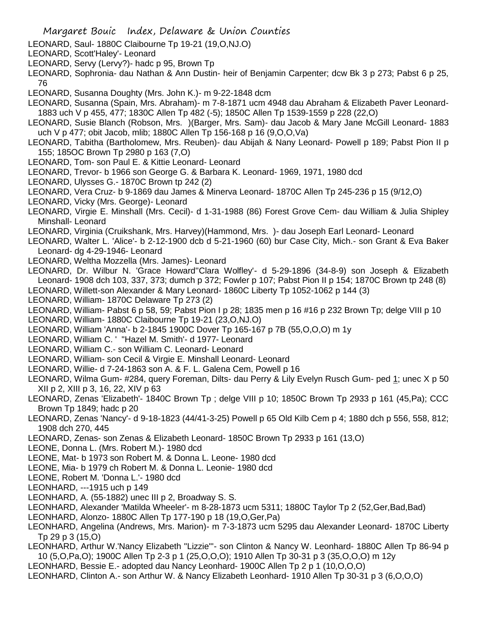- LEONARD, Saul- 1880C Claibourne Tp 19-21 (19,O,NJ.O)
- LEONARD, Scott'Haley'- Leonard
- LEONARD, Servy (Lervy?)- hadc p 95, Brown Tp
- LEONARD, Sophronia- dau Nathan & Ann Dustin- heir of Benjamin Carpenter; dcw Bk 3 p 273; Pabst 6 p 25, 76
- LEONARD, Susanna Doughty (Mrs. John K.)- m 9-22-1848 dcm
- LEONARD, Susanna (Spain, Mrs. Abraham)- m 7-8-1871 ucm 4948 dau Abraham & Elizabeth Paver Leonard-1883 uch V p 455, 477; 1830C Allen Tp 482 (-5); 1850C Allen Tp 1539-1559 p 228 (22,O)
- LEONARD, Susie Blanch (Robson, Mrs. )(Barger, Mrs. Sam)- dau Jacob & Mary Jane McGill Leonard- 1883 uch V p 477; obit Jacob, mlib; 1880C Allen Tp 156-168 p 16 (9,O,O,Va)
- LEONARD, Tabitha (Bartholomew, Mrs. Reuben)- dau Abijah & Nany Leonard- Powell p 189; Pabst Pion II p 155; 185OC Brown Tp 2980 p 163 (7,O)
- LEONARD, Tom- son Paul E. & Kittie Leonard- Leonard
- LEONARD, Trevor- b 1966 son George G. & Barbara K. Leonard- 1969, 1971, 1980 dcd
- LEONARD, Ulysses G.- 1870C Brown tp 242 (2)
- LEONARD, Vera Cruz- b 9-1869 dau James & Minerva Leonard- 1870C Allen Tp 245-236 p 15 (9/12,O)
- LEONARD, Vicky (Mrs. George)- Leonard
- LEONARD, Virgie E. Minshall (Mrs. Cecil)- d 1-31-1988 (86) Forest Grove Cem- dau William & Julia Shipley Minshall- Leonard
- LEONARD, Virginia (Cruikshank, Mrs. Harvey)(Hammond, Mrs. )- dau Joseph Earl Leonard- Leonard
- LEONARD, Walter L. 'Alice'- b 2-12-1900 dcb d 5-21-1960 (60) bur Case City, Mich.- son Grant & Eva Baker Leonard- dg 4-29-1946- Leonard
- LEONARD, Weltha Mozzella (Mrs. James)- Leonard
- LEONARD, Dr. Wilbur N. 'Grace Howard''Clara Wolfley'- d 5-29-1896 (34-8-9) son Joseph & Elizabeth Leonard- 1908 dch 103, 337, 373; dumch p 372; Fowler p 107; Pabst Pion II p 154; 1870C Brown tp 248 (8)
- LEONARD, Willett-son Alexander & Mary Leonard- 1860C Liberty Tp 1052-1062 p 144 (3)
- LEONARD, William- 1870C Delaware Tp 273 (2)
- LEONARD, William- Pabst 6 p 58, 59; Pabst Pion I p 28; 1835 men p 16 #16 p 232 Brown Tp; delge VIII p 10
- LEONARD, William- 1880C Claibourne Tp 19-21 (23,O,NJ.O)
- LEONARD, William 'Anna'- b 2-1845 1900C Dover Tp 165-167 p 7B (55,O,O,O) m 1y
- LEONARD, William C. ' ''Hazel M. Smith'- d 1977- Leonard
- LEONARD, William C.- son William C. Leonard- Leonard
- LEONARD, William- son Cecil & Virgie E. Minshall Leonard- Leonard
- LEONARD, Willie- d 7-24-1863 son A. & F. L. Galena Cem, Powell p 16
- LEONARD, Wilma Gum- #284, query Foreman, Dilts- dau Perry & Lily Evelyn Rusch Gum- ped 1; unec X p 50 XII p 2, XIII p 3, 16, 22, XIV p 63
- LEONARD, Zenas 'Elizabeth'- 1840C Brown Tp ; delge VIII p 10; 1850C Brown Tp 2933 p 161 (45,Pa); CCC Brown Tp 1849; hadc p 20
- LEONARD, Zenas 'Nancy'- d 9-18-1823 (44/41-3-25) Powell p 65 Old Kilb Cem p 4; 1880 dch p 556, 558, 812; 1908 dch 270, 445
- LEONARD, Zenas- son Zenas & Elizabeth Leonard- 1850C Brown Tp 2933 p 161 (13,O)
- LEONE, Donna L. (Mrs. Robert M.)- 1980 dcd
- LEONE, Mat- b 1973 son Robert M. & Donna L. Leone- 1980 dcd
- LEONE, Mia- b 1979 ch Robert M. & Donna L. Leonie- 1980 dcd
- LEONE, Robert M. 'Donna L.'- 1980 dcd
- LEONHARD, ---1915 uch p 149
- LEONHARD, A. (55-1882) unec III p 2, Broadway S. S.
- LEONHARD, Alexander 'Matilda Wheeler'- m 8-28-1873 ucm 5311; 1880C Taylor Tp 2 (52,Ger,Bad,Bad)
- LEONHARD, Alonzo- 1880C Allen Tp 177-190 p 18 (19,O,Ger,Pa)
- LEONHARD, Angelina (Andrews, Mrs. Marion)- m 7-3-1873 ucm 5295 dau Alexander Leonard- 1870C Liberty Tp 29 p 3 (15,O)
- LEONHARD, Arthur W.'Nancy Elizabeth "Lizzie"'- son Clinton & Nancy W. Leonhard- 1880C Allen Tp 86-94 p 10 (5,O,Pa,O); 1900C Allen Tp 2-3 p 1 (25,O,O,O); 1910 Allen Tp 30-31 p 3 (35,O,O,O) m 12y
- LEONHARD, Bessie E.- adopted dau Nancy Leonhard- 1900C Allen Tp 2 p 1 (10,O,O,O)
- LEONHARD, Clinton A.- son Arthur W. & Nancy Elizabeth Leonhard- 1910 Allen Tp 30-31 p 3 (6,O,O,O)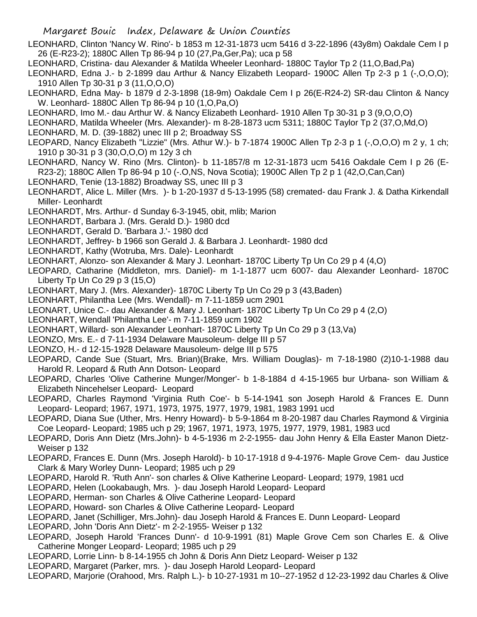LEONHARD, Clinton 'Nancy W. Rino'- b 1853 m 12-31-1873 ucm 5416 d 3-22-1896 (43y8m) Oakdale Cem I p 26 (E-R23-2); 1880C Allen Tp 86-94 p 10 (27,Pa,Ger,Pa); uca p 58

- LEONHARD, Cristina- dau Alexander & Matilda Wheeler Leonhard- 1880C Taylor Tp 2 (11,O,Bad,Pa)
- LEONHARD, Edna J.- b 2-1899 dau Arthur & Nancy Elizabeth Leopard- 1900C Allen Tp 2-3 p 1 (-,O,O,O); 1910 Allen Tp 30-31 p 3 (11,O,O,O)
- LEONHARD, Edna May- b 1879 d 2-3-1898 (18-9m) Oakdale Cem I p 26(E-R24-2) SR-dau Clinton & Nancy W. Leonhard- 1880C Allen Tp 86-94 p 10 (1,O,Pa,O)
- LEONHARD, Imo M.- dau Arthur W. & Nancy Elizabeth Leonhard- 1910 Allen Tp 30-31 p 3 (9,O,O,O)
- LEONHARD, Matilda Wheeler (Mrs. Alexander)- m 8-28-1873 ucm 5311; 1880C Taylor Tp 2 (37,O,Md,O) LEONHARD, M. D. (39-1882) unec III p 2; Broadway SS
- LEOPARD, Nancy Elizabeth "Lizzie" (Mrs. Athur W.)- b 7-1874 1900C Allen Tp 2-3 p 1 (-,O,O,O) m 2 y, 1 ch; 1910 p 30-31 p 3 (30,O,O,O) m 12y 3 ch
- LEONHARD, Nancy W. Rino (Mrs. Clinton)- b 11-1857/8 m 12-31-1873 ucm 5416 Oakdale Cem I p 26 (E-R23-2); 1880C Allen Tp 86-94 p 10 (-.O,NS, Nova Scotia); 1900C Allen Tp 2 p 1 (42,O,Can,Can)
- LEONHARD, Tenie (13-1882) Broadway SS, unec III p 3
- LEONHARDT, Alice L. Miller (Mrs. )- b 1-20-1937 d 5-13-1995 (58) cremated- dau Frank J. & Datha Kirkendall Miller- Leonhardt
- LEONHARDT, Mrs. Arthur- d Sunday 6-3-1945, obit, mlib; Marion
- LEONHARDT, Barbara J. (Mrs. Gerald D.)- 1980 dcd
- LEONHARDT, Gerald D. 'Barbara J.'- 1980 dcd
- LEONHARDT, Jeffrey- b 1966 son Gerald J. & Barbara J. Leonhardt- 1980 dcd
- LEONHARDT, Kathy (Wotruba, Mrs. Dale)- Leonhardt
- LEONHART, Alonzo- son Alexander & Mary J. Leonhart- 1870C Liberty Tp Un Co 29 p 4 (4,O)
- LEOPARD, Catharine (Middleton, mrs. Daniel)- m 1-1-1877 ucm 6007- dau Alexander Leonhard- 1870C Liberty Tp Un Co 29 p 3 (15,O)
- LEONHART, Mary J. (Mrs. Alexander)- 1870C Liberty Tp Un Co 29 p 3 (43,Baden)
- LEONHART, Philantha Lee (Mrs. Wendall)- m 7-11-1859 ucm 2901
- LEONART, Unice C.- dau Alexander & Mary J. Leonhart- 1870C Liberty Tp Un Co 29 p 4 (2,O)
- LEONHART, Wendall 'Philantha Lee'- m 7-11-1859 ucm 1902
- LEONHART, Willard- son Alexander Leonhart- 1870C Liberty Tp Un Co 29 p 3 (13,Va)
- LEONZO, Mrs. E.- d 7-11-1934 Delaware Mausoleum- delge III p 57
- LEONZO, H.- d 12-15-1928 Delaware Mausoleum- delge III p 575
- LEOPARD, Cande Sue (Stuart, Mrs. Brian)(Brake, Mrs. William Douglas)- m 7-18-1980 (2)10-1-1988 dau Harold R. Leopard & Ruth Ann Dotson- Leopard
- LEOPARD, Charles 'Olive Catherine Munger/Monger'- b 1-8-1884 d 4-15-1965 bur Urbana- son William & Elizabeth Nincehelser Leopard- Leopard
- LEOPARD, Charles Raymond 'Virginia Ruth Coe'- b 5-14-1941 son Joseph Harold & Frances E. Dunn Leopard- Leopard; 1967, 1971, 1973, 1975, 1977, 1979, 1981, 1983 1991 ucd
- LEOPARD, Diana Sue (Uther, Mrs. Henry Howard)- b 5-9-1864 m 8-20-1987 dau Charles Raymond & Virginia Coe Leopard- Leopard; 1985 uch p 29; 1967, 1971, 1973, 1975, 1977, 1979, 1981, 1983 ucd
- LEOPARD, Doris Ann Dietz (Mrs.John)- b 4-5-1936 m 2-2-1955- dau John Henry & Ella Easter Manon Dietz-Weiser p 132
- LEOPARD, Frances E. Dunn (Mrs. Joseph Harold)- b 10-17-1918 d 9-4-1976- Maple Grove Cem- dau Justice Clark & Mary Worley Dunn- Leopard; 1985 uch p 29
- LEOPARD, Harold R. 'Ruth Ann'- son charles & Olive Katherine Leopard- Leopard; 1979, 1981 ucd
- LEOPARD, Helen (Lookabaugh, Mrs. )- dau Joseph Harold Leopard- Leopard
- LEOPARD, Herman- son Charles & Olive Catherine Leopard- Leopard
- LEOPARD, Howard- son Charles & Olive Catherine Leopard- Leopard
- LEOPARD, Janet (Schilliger, Mrs.John)- dau Joseph Harold & Frances E. Dunn Leopard- Leopard
- LEOPARD, John 'Doris Ann Dietz'- m 2-2-1955- Weiser p 132
- LEOPARD, Joseph Harold 'Frances Dunn'- d 10-9-1991 (81) Maple Grove Cem son Charles E. & Olive Catherine Monger Leopard- Leopard; 1985 uch p 29
- LEOPARD, Lorrie Linn- b 8-14-1955 ch John & Doris Ann Dietz Leopard- Weiser p 132
- LEOPARD, Margaret (Parker, mrs. )- dau Joseph Harold Leopard- Leopard
- LEOPARD, Marjorie (Orahood, Mrs. Ralph L.)- b 10-27-1931 m 10--27-1952 d 12-23-1992 dau Charles & Olive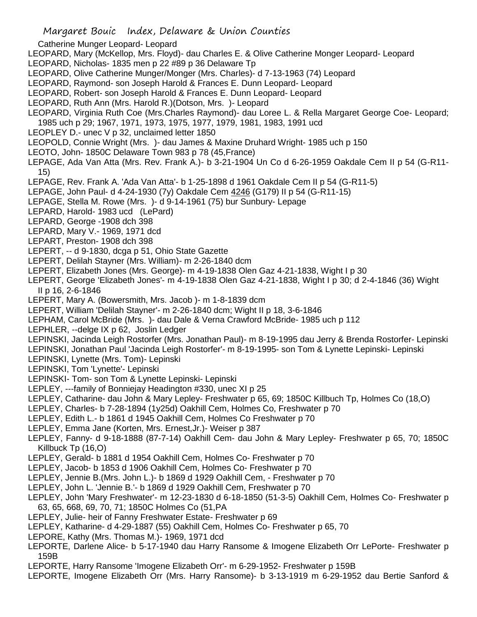- Catherine Munger Leopard- Leopard
- LEOPARD, Mary (McKellop, Mrs. Floyd)- dau Charles E. & Olive Catherine Monger Leopard- Leopard
- LEOPARD, Nicholas- 1835 men p 22 #89 p 36 Delaware Tp
- LEOPARD, Olive Catherine Munger/Monger (Mrs. Charles)- d 7-13-1963 (74) Leopard
- LEOPARD, Raymond- son Joseph Harold & Frances E. Dunn Leopard- Leopard
- LEOPARD, Robert- son Joseph Harold & Frances E. Dunn Leopard- Leopard
- LEOPARD, Ruth Ann (Mrs. Harold R.)(Dotson, Mrs. )- Leopard
- LEOPARD, Virginia Ruth Coe (Mrs.Charles Raymond)- dau Loree L. & Rella Margaret George Coe- Leopard;
	- 1985 uch p 29; 1967, 1971, 1973, 1975, 1977, 1979, 1981, 1983, 1991 ucd
- LEOPLEY D.- unec V p 32, unclaimed letter 1850
- LEOPOLD, Connie Wright (Mrs. )- dau James & Maxine Druhard Wright- 1985 uch p 150
- LEOTO, John- 1850C Delaware Town 983 p 78 (45,France)
- LEPAGE, Ada Van Atta (Mrs. Rev. Frank A.)- b 3-21-1904 Un Co d 6-26-1959 Oakdale Cem II p 54 (G-R11- 15)
- LEPAGE, Rev. Frank A. 'Ada Van Atta'- b 1-25-1898 d 1961 Oakdale Cem II p 54 (G-R11-5)
- LEPAGE, John Paul- d 4-24-1930 (7y) Oakdale Cem 4246 (G179) II p 54 (G-R11-15)
- LEPAGE, Stella M. Rowe (Mrs. )- d 9-14-1961 (75) bur Sunbury- Lepage
- LEPARD, Harold- 1983 ucd (LePard)
- LEPARD, George -1908 dch 398
- LEPARD, Mary V.- 1969, 1971 dcd
- LEPART, Preston- 1908 dch 398
- LEPERT, -- d 9-1830, dcga p 51, Ohio State Gazette
- LEPERT, Delilah Stayner (Mrs. William)- m 2-26-1840 dcm
- LEPERT, Elizabeth Jones (Mrs. George)- m 4-19-1838 Olen Gaz 4-21-1838, Wight I p 30
- LEPERT, George 'Elizabeth Jones'- m 4-19-1838 Olen Gaz 4-21-1838, Wight I p 30; d 2-4-1846 (36) Wight II p 16, 2-6-1846
- LEPERT, Mary A. (Bowersmith, Mrs. Jacob )- m 1-8-1839 dcm
- LEPERT, William 'Delilah Stayner'- m 2-26-1840 dcm; Wight II p 18, 3-6-1846
- LEPHAM, Carol McBride (Mrs. )- dau Dale & Verna Crawford McBride- 1985 uch p 112
- LEPHLER, --delge IX p 62, Joslin Ledger
- LEPINSKI, Jacinda Leigh Rostorfer (Mrs. Jonathan Paul)- m 8-19-1995 dau Jerry & Brenda Rostorfer- Lepinski
- LEPINSKI, Jonathan Paul 'Jacinda Leigh Rostorfer'- m 8-19-1995- son Tom & Lynette Lepinski- Lepinski
- LEPINSKI, Lynette (Mrs. Tom)- Lepinski
- LEPINSKI, Tom 'Lynette'- Lepinski
- LEPINSKI- Tom- son Tom & Lynette Lepinski- Lepinski
- LEPLEY, ---family of Bonniejay Headington #330, unec XI p 25
- LEPLEY, Catharine- dau John & Mary Lepley- Freshwater p 65, 69; 1850C Killbuch Tp, Holmes Co (18,O)
- LEPLEY, Charles- b 7-28-1894 (1y25d) Oakhill Cem, Holmes Co, Freshwater p 70
- LEPLEY, Edith L.- b 1861 d 1945 Oakhill Cem, Holmes Co Freshwater p 70
- LEPLEY, Emma Jane (Korten, Mrs. Ernest,Jr.)- Weiser p 387
- LEPLEY, Fanny- d 9-18-1888 (87-7-14) Oakhill Cem- dau John & Mary Lepley- Freshwater p 65, 70; 1850C Killbuck Tp (16,O)
- LEPLEY, Gerald- b 1881 d 1954 Oakhill Cem, Holmes Co- Freshwater p 70
- LEPLEY, Jacob- b 1853 d 1906 Oakhill Cem, Holmes Co- Freshwater p 70
- LEPLEY, Jennie B.(Mrs. John L.)- b 1869 d 1929 Oakhill Cem, Freshwater p 70
- LEPLEY, John L. 'Jennie B.'- b 1869 d 1929 Oakhill Cem, Freshwater p 70
- LEPLEY, John 'Mary Freshwater'- m 12-23-1830 d 6-18-1850 (51-3-5) Oakhill Cem, Holmes Co- Freshwater p 63, 65, 668, 69, 70, 71; 1850C Holmes Co (51,PA
- LEPLEY, Julie- heir of Fanny Freshwater Estate- Freshwater p 69
- LEPLEY, Katharine- d 4-29-1887 (55) Oakhill Cem, Holmes Co- Freshwater p 65, 70
- LEPORE, Kathy (Mrs. Thomas M.)- 1969, 1971 dcd
- LEPORTE, Darlene Alice- b 5-17-1940 dau Harry Ransome & Imogene Elizabeth Orr LePorte- Freshwater p 159B
- LEPORTE, Harry Ransome 'Imogene Elizabeth Orr'- m 6-29-1952- Freshwater p 159B
- LEPORTE, Imogene Elizabeth Orr (Mrs. Harry Ransome)- b 3-13-1919 m 6-29-1952 dau Bertie Sanford &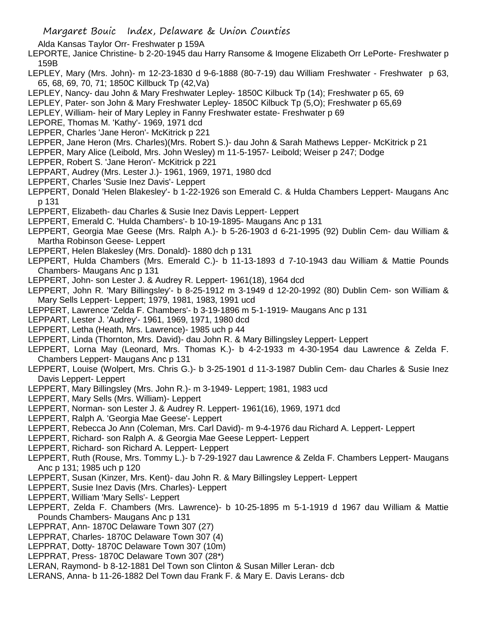Alda Kansas Taylor Orr- Freshwater p 159A

- LEPORTE, Janice Christine- b 2-20-1945 dau Harry Ransome & Imogene Elizabeth Orr LePorte- Freshwater p 159B
- LEPLEY, Mary (Mrs. John)- m 12-23-1830 d 9-6-1888 (80-7-19) dau William Freshwater Freshwater p 63, 65, 68, 69, 70, 71; 1850C Killbuck Tp (42,Va)
- LEPLEY, Nancy- dau John & Mary Freshwater Lepley- 1850C Kilbuck Tp (14); Freshwater p 65, 69
- LEPLEY, Pater- son John & Mary Freshwater Lepley- 1850C Kilbuck Tp (5,O); Freshwater p 65,69
- LEPLEY, William- heir of Mary Lepley in Fanny Freshwater estate- Freshwater p 69
- LEPORE, Thomas M. 'Kathy'- 1969, 1971 dcd
- LEPPER, Charles 'Jane Heron'- McKitrick p 221
- LEPPER, Jane Heron (Mrs. Charles)(Mrs. Robert S.)- dau John & Sarah Mathews Lepper- McKitrick p 21
- LEPPER, Mary Alice (Leibold, Mrs. John Wesley) m 11-5-1957- Leibold; Weiser p 247; Dodge
- LEPPER, Robert S. 'Jane Heron'- McKitrick p 221
- LEPPART, Audrey (Mrs. Lester J.)- 1961, 1969, 1971, 1980 dcd
- LEPPERT, Charles 'Susie Inez Davis'- Leppert
- LEPPERT, Donald 'Helen Blakesley'- b 1-22-1926 son Emerald C. & Hulda Chambers Leppert- Maugans Anc p 131
- LEPPERT, Elizabeth- dau Charles & Susie Inez Davis Leppert- Leppert
- LEPPERT, Emerald C. 'Hulda Chambers'- b 10-19-1895- Maugans Anc p 131
- LEPPERT, Georgia Mae Geese (Mrs. Ralph A.)- b 5-26-1903 d 6-21-1995 (92) Dublin Cem- dau William & Martha Robinson Geese- Leppert
- LEPPERT, Helen Blakesley (Mrs. Donald)- 1880 dch p 131
- LEPPERT, Hulda Chambers (Mrs. Emerald C.)- b 11-13-1893 d 7-10-1943 dau William & Mattie Pounds Chambers- Maugans Anc p 131
- LEPPERT, John- son Lester J. & Audrey R. Leppert- 1961(18), 1964 dcd
- LEPPERT, John R. 'Mary Billingsley'- b 8-25-1912 m 3-1949 d 12-20-1992 (80) Dublin Cem- son William & Mary Sells Leppert- Leppert; 1979, 1981, 1983, 1991 ucd
- LEPPERT, Lawrence 'Zelda F. Chambers'- b 3-19-1896 m 5-1-1919- Maugans Anc p 131
- LEPPART, Lester J. 'Audrey'- 1961, 1969, 1971, 1980 dcd
- LEPPERT, Letha (Heath, Mrs. Lawrence)- 1985 uch p 44
- LEPPERT, Linda (Thornton, Mrs. David)- dau John R. & Mary Billingsley Leppert- Leppert
- LEPPERT, Lorna May (Leonard, Mrs. Thomas K.)- b 4-2-1933 m 4-30-1954 dau Lawrence & Zelda F. Chambers Leppert- Maugans Anc p 131
- LEPPERT, Louise (Wolpert, Mrs. Chris G.)- b 3-25-1901 d 11-3-1987 Dublin Cem- dau Charles & Susie Inez Davis Leppert- Leppert
- LEPPERT, Mary Billingsley (Mrs. John R.)- m 3-1949- Leppert; 1981, 1983 ucd
- LEPPERT, Mary Sells (Mrs. William)- Leppert
- LEPPERT, Norman- son Lester J. & Audrey R. Leppert- 1961(16), 1969, 1971 dcd
- LEPPERT, Ralph A. 'Georgia Mae Geese'- Leppert
- LEPPERT, Rebecca Jo Ann (Coleman, Mrs. Carl David)- m 9-4-1976 dau Richard A. Leppert- Leppert
- LEPPERT, Richard- son Ralph A. & Georgia Mae Geese Leppert- Leppert
- LEPPERT, Richard- son Richard A. Leppert- Leppert
- LEPPERT, Ruth (Rouse, Mrs. Tommy L.)- b 7-29-1927 dau Lawrence & Zelda F. Chambers Leppert- Maugans Anc p 131; 1985 uch p 120
- LEPPERT, Susan (Kinzer, Mrs. Kent)- dau John R. & Mary Billingsley Leppert- Leppert
- LEPPERT, Susie Inez Davis (Mrs. Charles)- Leppert
- LEPPERT, William 'Mary Sells'- Leppert
- LEPPERT, Zelda F. Chambers (Mrs. Lawrence)- b 10-25-1895 m 5-1-1919 d 1967 dau William & Mattie Pounds Chambers- Maugans Anc p 131
- LEPPRAT, Ann- 1870C Delaware Town 307 (27)
- LEPPRAT, Charles- 1870C Delaware Town 307 (4)
- LEPPRAT, Dotty- 1870C Delaware Town 307 (10m)
- LEPPRAT, Press- 1870C Delaware Town 307 (28\*)
- LERAN, Raymond- b 8-12-1881 Del Town son Clinton & Susan Miller Leran- dcb
- LERANS, Anna- b 11-26-1882 Del Town dau Frank F. & Mary E. Davis Lerans- dcb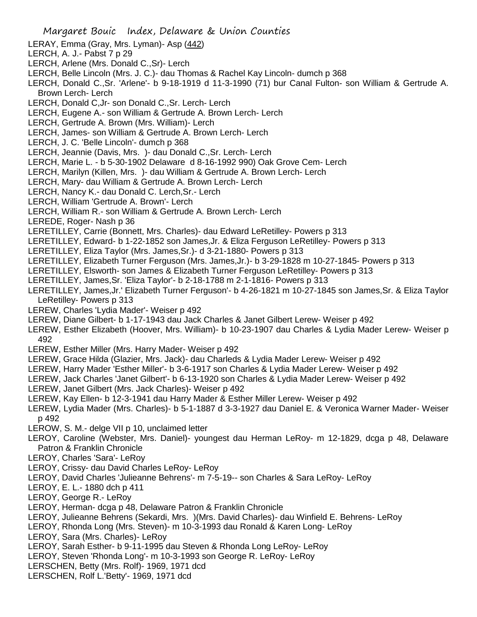- LERAY, Emma (Gray, Mrs. Lyman)- Asp (442)
- LERCH, A. J.- Pabst 7 p 29
- LERCH, Arlene (Mrs. Donald C.,Sr)- Lerch
- LERCH, Belle Lincoln (Mrs. J. C.)- dau Thomas & Rachel Kay Lincoln- dumch p 368
- LERCH, Donald C.,Sr. 'Arlene'- b 9-18-1919 d 11-3-1990 (71) bur Canal Fulton- son William & Gertrude A. Brown Lerch- Lerch
- LERCH, Donald C,Jr- son Donald C.,Sr. Lerch- Lerch
- LERCH, Eugene A.- son William & Gertrude A. Brown Lerch- Lerch
- LERCH, Gertrude A. Brown (Mrs. William)- Lerch
- LERCH, James- son William & Gertrude A. Brown Lerch- Lerch
- LERCH, J. C. 'Belle Lincoln'- dumch p 368
- LERCH, Jeannie (Davis, Mrs. )- dau Donald C.,Sr. Lerch- Lerch
- LERCH, Marie L. b 5-30-1902 Delaware d 8-16-1992 990) Oak Grove Cem- Lerch
- LERCH, Marilyn (Killen, Mrs. )- dau William & Gertrude A. Brown Lerch- Lerch
- LERCH, Mary- dau William & Gertrude A. Brown Lerch- Lerch
- LERCH, Nancy K.- dau Donald C. Lerch,Sr.- Lerch
- LERCH, William 'Gertrude A. Brown'- Lerch
- LERCH, William R.- son William & Gertrude A. Brown Lerch- Lerch
- LEREDE, Roger- Nash p 36
- LERETILLEY, Carrie (Bonnett, Mrs. Charles)- dau Edward LeRetilley- Powers p 313
- LERETILLEY, Edward- b 1-22-1852 son James,Jr. & Eliza Ferguson LeRetilley- Powers p 313
- LERETILLEY, Eliza Taylor (Mrs. James,Sr.)- d 3-21-1880- Powers p 313
- LERETILLEY, Elizabeth Turner Ferguson (Mrs. James,Jr.)- b 3-29-1828 m 10-27-1845- Powers p 313
- LERETILLEY, Elsworth- son James & Elizabeth Turner Ferguson LeRetilley- Powers p 313
- LERETILLEY, James,Sr. 'Eliza Taylor'- b 2-18-1788 m 2-1-1816- Powers p 313
- LERETILLEY, James,Jr.' Elizabeth Turner Ferguson'- b 4-26-1821 m 10-27-1845 son James,Sr. & Eliza Taylor LeRetilley- Powers p 313
- LEREW, Charles 'Lydia Mader'- Weiser p 492
- LEREW, Diane Gilbert- b 1-17-1943 dau Jack Charles & Janet Gilbert Lerew- Weiser p 492
- LEREW, Esther Elizabeth (Hoover, Mrs. William)- b 10-23-1907 dau Charles & Lydia Mader Lerew- Weiser p 492
- LEREW, Esther Miller (Mrs. Harry Mader- Weiser p 492
- LEREW, Grace Hilda (Glazier, Mrs. Jack)- dau Charleds & Lydia Mader Lerew- Weiser p 492
- LEREW, Harry Mader 'Esther Miller'- b 3-6-1917 son Charles & Lydia Mader Lerew- Weiser p 492
- LEREW, Jack Charles 'Janet Gilbert'- b 6-13-1920 son Charles & Lydia Mader Lerew- Weiser p 492
- LEREW, Janet Gilbert (Mrs. Jack Charles)- Weiser p 492
- LEREW, Kay Ellen- b 12-3-1941 dau Harry Mader & Esther Miller Lerew- Weiser p 492
- LEREW, Lydia Mader (Mrs. Charles)- b 5-1-1887 d 3-3-1927 dau Daniel E. & Veronica Warner Mader- Weiser p 492
- LEROW, S. M.- delge VII p 10, unclaimed letter
- LEROY, Caroline (Webster, Mrs. Daniel)- youngest dau Herman LeRoy- m 12-1829, dcga p 48, Delaware Patron & Franklin Chronicle
- LEROY, Charles 'Sara'- LeRoy
- LEROY, Crissy- dau David Charles LeRoy- LeRoy
- LEROY, David Charles 'Julieanne Behrens'- m 7-5-19-- son Charles & Sara LeRoy- LeRoy
- LEROY, E. L.- 1880 dch p 411
- LEROY, George R.- LeRoy
- LEROY, Herman- dcga p 48, Delaware Patron & Franklin Chronicle
- LEROY, Julieanne Behrens (Sekardi, Mrs. )(Mrs. David Charles)- dau Winfield E. Behrens- LeRoy
- LEROY, Rhonda Long (Mrs. Steven)- m 10-3-1993 dau Ronald & Karen Long- LeRoy
- LEROY, Sara (Mrs. Charles)- LeRoy
- LEROY, Sarah Esther- b 9-11-1995 dau Steven & Rhonda Long LeRoy- LeRoy
- LEROY, Steven 'Rhonda Long'- m 10-3-1993 son George R. LeRoy- LeRoy
- LERSCHEN, Betty (Mrs. Rolf)- 1969, 1971 dcd
- LERSCHEN, Rolf L.'Betty'- 1969, 1971 dcd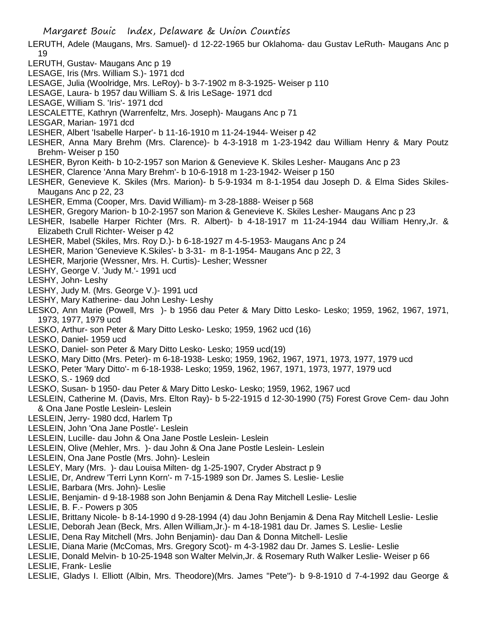- LERUTH, Adele (Maugans, Mrs. Samuel)- d 12-22-1965 bur Oklahoma- dau Gustav LeRuth- Maugans Anc p 19
- LERUTH, Gustav- Maugans Anc p 19
- LESAGE, Iris (Mrs. William S.)- 1971 dcd
- LESAGE, Julia (Woolridge, Mrs. LeRoy)- b 3-7-1902 m 8-3-1925- Weiser p 110
- LESAGE, Laura- b 1957 dau William S. & Iris LeSage- 1971 dcd
- LESAGE, William S. 'Iris'- 1971 dcd
- LESCALETTE, Kathryn (Warrenfeltz, Mrs. Joseph)- Maugans Anc p 71
- LESGAR, Marian- 1971 dcd
- LESHER, Albert 'Isabelle Harper'- b 11-16-1910 m 11-24-1944- Weiser p 42
- LESHER, Anna Mary Brehm (Mrs. Clarence)- b 4-3-1918 m 1-23-1942 dau William Henry & Mary Poutz Brehm- Weiser p 150
- LESHER, Byron Keith- b 10-2-1957 son Marion & Genevieve K. Skiles Lesher- Maugans Anc p 23
- LESHER, Clarence 'Anna Mary Brehm'- b 10-6-1918 m 1-23-1942- Weiser p 150
- LESHER, Genevieve K. Skiles (Mrs. Marion)- b 5-9-1934 m 8-1-1954 dau Joseph D. & Elma Sides Skiles-Maugans Anc p 22, 23
- LESHER, Emma (Cooper, Mrs. David William)- m 3-28-1888- Weiser p 568
- LESHER, Gregory Marion- b 10-2-1957 son Marion & Genevieve K. Skiles Lesher- Maugans Anc p 23
- LESHER, Isabelle Harper Richter (Mrs. R. Albert)- b 4-18-1917 m 11-24-1944 dau William Henry,Jr. & Elizabeth Crull Richter- Weiser p 42
- LESHER, Mabel (Skiles, Mrs. Roy D.)- b 6-18-1927 m 4-5-1953- Maugans Anc p 24
- LESHER, Marion 'Genevieve K.Skiles'- b 3-31- m 8-1-1954- Maugans Anc p 22, 3
- LESHER, Marjorie (Wessner, Mrs. H. Curtis)- Lesher; Wessner
- LESHY, George V. 'Judy M.'- 1991 ucd
- LESHY, John- Leshy
- LESHY, Judy M. (Mrs. George V.)- 1991 ucd
- LESHY, Mary Katherine- dau John Leshy- Leshy
- LESKO, Ann Marie (Powell, Mrs )- b 1956 dau Peter & Mary Ditto Lesko- Lesko; 1959, 1962, 1967, 1971, 1973, 1977, 1979 ucd
- LESKO, Arthur- son Peter & Mary Ditto Lesko- Lesko; 1959, 1962 ucd (16)
- LESKO, Daniel- 1959 ucd
- LESKO, Daniel- son Peter & Mary Ditto Lesko- Lesko; 1959 ucd(19)
- LESKO, Mary Ditto (Mrs. Peter)- m 6-18-1938- Lesko; 1959, 1962, 1967, 1971, 1973, 1977, 1979 ucd
- LESKO, Peter 'Mary Ditto'- m 6-18-1938- Lesko; 1959, 1962, 1967, 1971, 1973, 1977, 1979 ucd
- LESKO, S.- 1969 dcd
- LESKO, Susan- b 1950- dau Peter & Mary Ditto Lesko- Lesko; 1959, 1962, 1967 ucd
- LESLEIN, Catherine M. (Davis, Mrs. Elton Ray)- b 5-22-1915 d 12-30-1990 (75) Forest Grove Cem- dau John & Ona Jane Postle Leslein- Leslein
- LESLEIN, Jerry- 1980 dcd, Harlem Tp
- LESLEIN, John 'Ona Jane Postle'- Leslein
- LESLEIN, Lucille- dau John & Ona Jane Postle Leslein- Leslein
- LESLEIN, Olive (Mehler, Mrs. )- dau John & Ona Jane Postle Leslein- Leslein
- LESLEIN, Ona Jane Postle (Mrs. John)- Leslein
- LESLEY, Mary (Mrs. )- dau Louisa Milten- dg 1-25-1907, Cryder Abstract p 9
- LESLIE, Dr, Andrew 'Terri Lynn Korn'- m 7-15-1989 son Dr. James S. Leslie- Leslie
- LESLIE, Barbara (Mrs. John)- Leslie
- LESLIE, Benjamin- d 9-18-1988 son John Benjamin & Dena Ray Mitchell Leslie- Leslie
- LESLIE, B. F.- Powers p 305
- LESLIE, Brittany Nicole- b 8-14-1990 d 9-28-1994 (4) dau John Benjamin & Dena Ray Mitchell Leslie- Leslie
- LESLIE, Deborah Jean (Beck, Mrs. Allen William,Jr.)- m 4-18-1981 dau Dr. James S. Leslie- Leslie
- LESLIE, Dena Ray Mitchell (Mrs. John Benjamin)- dau Dan & Donna Mitchell- Leslie
- LESLIE, Diana Marie (McComas, Mrs. Gregory Scot)- m 4-3-1982 dau Dr. James S. Leslie- Leslie
- LESLIE, Donald Melvin- b 10-25-1948 son Walter Melvin,Jr. & Rosemary Ruth Walker Leslie- Weiser p 66 LESLIE, Frank- Leslie
- LESLIE, Gladys I. Elliott (Albin, Mrs. Theodore)(Mrs. James "Pete")- b 9-8-1910 d 7-4-1992 dau George &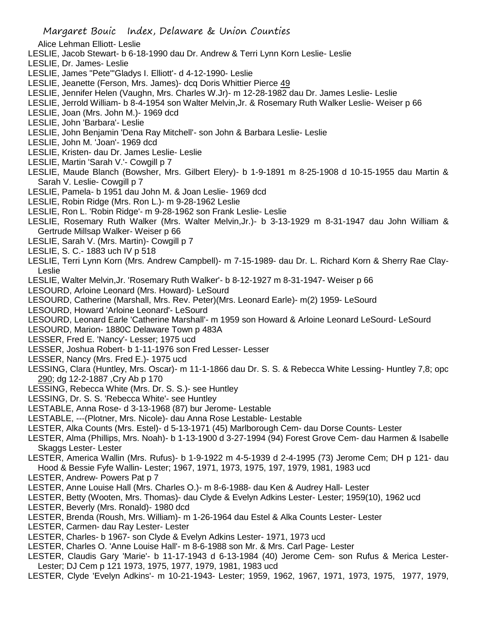- Alice Lehman Elliott- Leslie
- LESLIE, Jacob Stewart- b 6-18-1990 dau Dr. Andrew & Terri Lynn Korn Leslie- Leslie
- LESLIE, Dr. James- Leslie
- LESLIE, James "Pete"'Gladys I. Elliott'- d 4-12-1990- Leslie
- LESLIE, Jeanette (Ferson, Mrs. James)- dcq Doris Whittier Pierce 49
- LESLIE, Jennifer Helen (Vaughn, Mrs. Charles W.Jr)- m 12-28-1982 dau Dr. James Leslie- Leslie
- LESLIE, Jerrold William- b 8-4-1954 son Walter Melvin,Jr. & Rosemary Ruth Walker Leslie- Weiser p 66
- LESLIE, Joan (Mrs. John M.)- 1969 dcd
- LESLIE, John 'Barbara'- Leslie
- LESLIE, John Benjamin 'Dena Ray Mitchell'- son John & Barbara Leslie- Leslie
- LESLIE, John M. 'Joan'- 1969 dcd
- LESLIE, Kristen- dau Dr. James Leslie- Leslie
- LESLIE, Martin 'Sarah V.'- Cowgill p 7
- LESLIE, Maude Blanch (Bowsher, Mrs. Gilbert Elery)- b 1-9-1891 m 8-25-1908 d 10-15-1955 dau Martin & Sarah V. Leslie- Cowgill p 7
- LESLIE, Pamela- b 1951 dau John M. & Joan Leslie- 1969 dcd
- LESLIE, Robin Ridge (Mrs. Ron L.)- m 9-28-1962 Leslie
- LESLIE, Ron L. 'Robin Ridge'- m 9-28-1962 son Frank Leslie- Leslie
- LESLIE, Rosemary Ruth Walker (Mrs. Walter Melvin,Jr.)- b 3-13-1929 m 8-31-1947 dau John William & Gertrude Millsap Walker- Weiser p 66
- LESLIE, Sarah V. (Mrs. Martin) Cowgill p 7
- LESLIE, S. C.- 1883 uch IV p 518
- LESLIE, Terri Lynn Korn (Mrs. Andrew Campbell)- m 7-15-1989- dau Dr. L. Richard Korn & Sherry Rae Clay-Leslie
- LESLIE, Walter Melvin,Jr. 'Rosemary Ruth Walker'- b 8-12-1927 m 8-31-1947- Weiser p 66
- LESOURD, Arloine Leonard (Mrs. Howard)- LeSourd
- LESOURD, Catherine (Marshall, Mrs. Rev. Peter)(Mrs. Leonard Earle)- m(2) 1959- LeSourd
- LESOURD, Howard 'Arloine Leonard'- LeSourd
- LESOURD, Leonard Earle 'Catherine Marshall'- m 1959 son Howard & Arloine Leonard LeSourd- LeSourd
- LESOURD, Marion- 1880C Delaware Town p 483A
- LESSER, Fred E. 'Nancy'- Lesser; 1975 ucd
- LESSER, Joshua Robert- b 1-11-1976 son Fred Lesser- Lesser
- LESSER, Nancy (Mrs. Fred E.)- 1975 ucd
- LESSING, Clara (Huntley, Mrs. Oscar)- m 11-1-1866 dau Dr. S. S. & Rebecca White Lessing- Huntley 7,8; opc 290; dg 12-2-1887 ,Cry Ab p 170
- LESSING, Rebecca White (Mrs. Dr. S. S.)- see Huntley
- LESSING, Dr. S. S. 'Rebecca White'- see Huntley
- LESTABLE, Anna Rose- d 3-13-1968 (87) bur Jerome- Lestable
- LESTABLE, ---(Plotner, Mrs. Nicole)- dau Anna Rose Lestable- Lestable
- LESTER, Alka Counts (Mrs. Estel)- d 5-13-1971 (45) Marlborough Cem- dau Dorse Counts- Lester
- LESTER, Alma (Phillips, Mrs. Noah)- b 1-13-1900 d 3-27-1994 (94) Forest Grove Cem- dau Harmen & Isabelle Skaggs Lester- Lester
- LESTER, America Wallin (Mrs. Rufus)- b 1-9-1922 m 4-5-1939 d 2-4-1995 (73) Jerome Cem; DH p 121- dau Hood & Bessie Fyfe Wallin- Lester; 1967, 1971, 1973, 1975, 197, 1979, 1981, 1983 ucd
- LESTER, Andrew- Powers Pat p 7
- LESTER, Anne Louise Hall (Mrs. Charles O.)- m 8-6-1988- dau Ken & Audrey Hall- Lester
- LESTER, Betty (Wooten, Mrs. Thomas)- dau Clyde & Evelyn Adkins Lester- Lester; 1959(10), 1962 ucd
- LESTER, Beverly (Mrs. Ronald)- 1980 dcd
- LESTER, Brenda (Roush, Mrs. William)- m 1-26-1964 dau Estel & Alka Counts Lester- Lester
- LESTER, Carmen- dau Ray Lester- Lester
- LESTER, Charles- b 1967- son Clyde & Evelyn Adkins Lester- 1971, 1973 ucd
- LESTER, Charles O. 'Anne Louise Hall'- m 8-6-1988 son Mr. & Mrs. Carl Page- Lester
- LESTER, Claudis Gary 'Marie'- b 11-17-1943 d 6-13-1984 (40) Jerome Cem- son Rufus & Merica Lester-Lester; DJ Cem p 121 1973, 1975, 1977, 1979, 1981, 1983 ucd
- LESTER, Clyde 'Evelyn Adkins'- m 10-21-1943- Lester; 1959, 1962, 1967, 1971, 1973, 1975, 1977, 1979,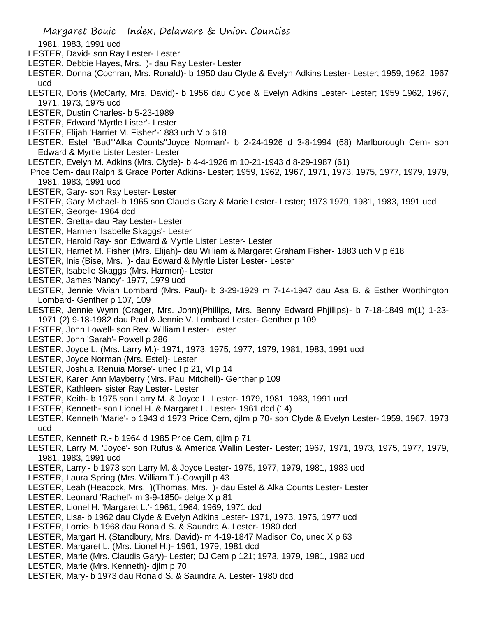1981, 1983, 1991 ucd

- LESTER, David- son Ray Lester- Lester
- LESTER, Debbie Hayes, Mrs. )- dau Ray Lester- Lester
- LESTER, Donna (Cochran, Mrs. Ronald)- b 1950 dau Clyde & Evelyn Adkins Lester- Lester; 1959, 1962, 1967 ucd
- LESTER, Doris (McCarty, Mrs. David)- b 1956 dau Clyde & Evelyn Adkins Lester- Lester; 1959 1962, 1967, 1971, 1973, 1975 ucd
- LESTER, Dustin Charles- b 5-23-1989
- LESTER, Edward 'Myrtle Lister'- Lester
- LESTER, Elijah 'Harriet M. Fisher'-1883 uch V p 618
- LESTER, Estel "Bud"'Alka Counts''Joyce Norman'- b 2-24-1926 d 3-8-1994 (68) Marlborough Cem- son Edward & Myrtle Lister Lester- Lester
- LESTER, Evelyn M. Adkins (Mrs. Clyde)- b 4-4-1926 m 10-21-1943 d 8-29-1987 (61)
- Price Cem- dau Ralph & Grace Porter Adkins- Lester; 1959, 1962, 1967, 1971, 1973, 1975, 1977, 1979, 1979, 1981, 1983, 1991 ucd
- LESTER, Gary- son Ray Lester- Lester
- LESTER, Gary Michael- b 1965 son Claudis Gary & Marie Lester- Lester; 1973 1979, 1981, 1983, 1991 ucd
- LESTER, George- 1964 dcd
- LESTER, Gretta- dau Ray Lester- Lester
- LESTER, Harmen 'Isabelle Skaggs'- Lester
- LESTER, Harold Ray- son Edward & Myrtle Lister Lester- Lester
- LESTER, Harriet M. Fisher (Mrs. Elijah)- dau William & Margaret Graham Fisher- 1883 uch V p 618
- LESTER, Inis (Bise, Mrs. )- dau Edward & Myrtle Lister Lester- Lester
- LESTER, Isabelle Skaggs (Mrs. Harmen)- Lester
- LESTER, James 'Nancy'- 1977, 1979 ucd
- LESTER, Jennie Vivian Lombard (Mrs. Paul)- b 3-29-1929 m 7-14-1947 dau Asa B. & Esther Worthington Lombard- Genther p 107, 109
- LESTER, Jennie Wynn (Crager, Mrs. John)(Phillips, Mrs. Benny Edward Phjillips)- b 7-18-1849 m(1) 1-23- 1971 (2) 9-18-1982 dau Paul & Jennie V. Lombard Lester- Genther p 109
- LESTER, John Lowell- son Rev. William Lester- Lester
- LESTER, John 'Sarah'- Powell p 286
- LESTER, Joyce L. (Mrs. Larry M.)- 1971, 1973, 1975, 1977, 1979, 1981, 1983, 1991 ucd
- LESTER, Joyce Norman (Mrs. Estel)- Lester
- LESTER, Joshua 'Renuia Morse'- unec I p 21, VI p 14
- LESTER, Karen Ann Mayberry (Mrs. Paul Mitchell)- Genther p 109
- LESTER, Kathleen- sister Ray Lester- Lester
- LESTER, Keith- b 1975 son Larry M. & Joyce L. Lester- 1979, 1981, 1983, 1991 ucd
- LESTER, Kenneth- son Lionel H. & Margaret L. Lester- 1961 dcd (14)
- LESTER, Kenneth 'Marie'- b 1943 d 1973 Price Cem, djlm p 70- son Clyde & Evelyn Lester- 1959, 1967, 1973 ucd
- LESTER, Kenneth R.- b 1964 d 1985 Price Cem, djlm p 71
- LESTER, Larry M. 'Joyce'- son Rufus & America Wallin Lester- Lester; 1967, 1971, 1973, 1975, 1977, 1979, 1981, 1983, 1991 ucd
- LESTER, Larry b 1973 son Larry M. & Joyce Lester- 1975, 1977, 1979, 1981, 1983 ucd
- LESTER, Laura Spring (Mrs. William T.)-Cowgill p 43
- LESTER, Leah (Heacock, Mrs. )(Thomas, Mrs. )- dau Estel & Alka Counts Lester- Lester
- LESTER, Leonard 'Rachel'- m 3-9-1850- delge X p 81
- LESTER, Lionel H. 'Margaret L.'- 1961, 1964, 1969, 1971 dcd
- LESTER, Lisa- b 1962 dau Clyde & Evelyn Adkins Lester- 1971, 1973, 1975, 1977 ucd
- LESTER, Lorrie- b 1968 dau Ronald S. & Saundra A. Lester- 1980 dcd
- LESTER, Margart H. (Standbury, Mrs. David)- m 4-19-1847 Madison Co, unec X p 63
- LESTER, Margaret L. (Mrs. Lionel H.)- 1961, 1979, 1981 dcd
- LESTER, Marie (Mrs. Claudis Gary)- Lester; DJ Cem p 121; 1973, 1979, 1981, 1982 ucd
- LESTER, Marie (Mrs. Kenneth)- djlm p 70
- LESTER, Mary- b 1973 dau Ronald S. & Saundra A. Lester- 1980 dcd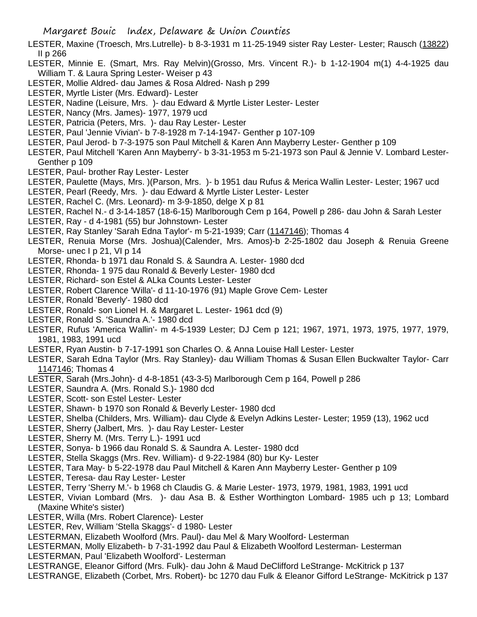- LESTER, Maxine (Troesch, Mrs.Lutrelle)- b 8-3-1931 m 11-25-1949 sister Ray Lester- Lester; Rausch (13822) II p 266
- LESTER, Minnie E. (Smart, Mrs. Ray Melvin)(Grosso, Mrs. Vincent R.)- b 1-12-1904 m(1) 4-4-1925 dau William T. & Laura Spring Lester- Weiser p 43
- LESTER, Mollie Aldred- dau James & Rosa Aldred- Nash p 299
- LESTER, Myrtle Lister (Mrs. Edward)- Lester
- LESTER, Nadine (Leisure, Mrs. )- dau Edward & Myrtle Lister Lester- Lester
- LESTER, Nancy (Mrs. James)- 1977, 1979 ucd
- LESTER, Patricia (Peters, Mrs. )- dau Ray Lester- Lester
- LESTER, Paul 'Jennie Vivian'- b 7-8-1928 m 7-14-1947- Genther p 107-109
- LESTER, Paul Jerod- b 7-3-1975 son Paul Mitchell & Karen Ann Mayberry Lester- Genther p 109
- LESTER, Paul Mitchell 'Karen Ann Mayberry'- b 3-31-1953 m 5-21-1973 son Paul & Jennie V. Lombard Lester-Genther p 109
- LESTER, Paul- brother Ray Lester- Lester
- LESTER, Paulette (Mays, Mrs. )(Parson, Mrs. )- b 1951 dau Rufus & Merica Wallin Lester- Lester; 1967 ucd
- LESTER, Pearl (Reedy, Mrs. )- dau Edward & Myrtle Lister Lester- Lester
- LESTER, Rachel C. (Mrs. Leonard)- m 3-9-1850, delge X p 81
- LESTER, Rachel N.- d 3-14-1857 (18-6-15) Marlborough Cem p 164, Powell p 286- dau John & Sarah Lester
- LESTER, Ray d 4-1981 (55) bur Johnstown- Lester
- LESTER, Ray Stanley 'Sarah Edna Taylor'- m 5-21-1939; Carr (1147146); Thomas 4
- LESTER, Renuia Morse (Mrs. Joshua)(Calender, Mrs. Amos)-b 2-25-1802 dau Joseph & Renuia Greene Morse- unec I p 21, VI p 14
- LESTER, Rhonda- b 1971 dau Ronald S. & Saundra A. Lester- 1980 dcd
- LESTER, Rhonda- 1 975 dau Ronald & Beverly Lester- 1980 dcd
- LESTER, Richard- son Estel & ALka Counts Lester- Lester
- LESTER, Robert Clarence 'Willa'- d 11-10-1976 (91) Maple Grove Cem- Lester
- LESTER, Ronald 'Beverly'- 1980 dcd
- LESTER, Ronald- son Lionel H. & Margaret L. Lester- 1961 dcd (9)
- LESTER, Ronald S. 'Saundra A.'- 1980 dcd
- LESTER, Rufus 'America Wallin'- m 4-5-1939 Lester; DJ Cem p 121; 1967, 1971, 1973, 1975, 1977, 1979, 1981, 1983, 1991 ucd
- LESTER, Ryan Austin- b 7-17-1991 son Charles O. & Anna Louise Hall Lester- Lester
- LESTER, Sarah Edna Taylor (Mrs. Ray Stanley)- dau William Thomas & Susan Ellen Buckwalter Taylor- Carr 1147146; Thomas 4
- LESTER, Sarah (Mrs.John)- d 4-8-1851 (43-3-5) Marlborough Cem p 164, Powell p 286
- LESTER, Saundra A. (Mrs. Ronald S.)- 1980 dcd
- LESTER, Scott- son Estel Lester- Lester
- LESTER, Shawn- b 1970 son Ronald & Beverly Lester- 1980 dcd
- LESTER, Shelba (Childers, Mrs. William)- dau Clyde & Evelyn Adkins Lester- Lester; 1959 (13), 1962 ucd
- LESTER, Sherry (Jalbert, Mrs. )- dau Ray Lester- Lester
- LESTER, Sherry M. (Mrs. Terry L.)- 1991 ucd
- LESTER, Sonya- b 1966 dau Ronald S. & Saundra A. Lester- 1980 dcd
- LESTER, Stella Skaggs (Mrs. Rev. William)- d 9-22-1984 (80) bur Ky- Lester
- LESTER, Tara May- b 5-22-1978 dau Paul Mitchell & Karen Ann Mayberry Lester- Genther p 109
- LESTER, Teresa- dau Ray Lester- Lester
- LESTER, Terry 'Sherry M.'- b 1968 ch Claudis G. & Marie Lester- 1973, 1979, 1981, 1983, 1991 ucd
- LESTER, Vivian Lombard (Mrs. )- dau Asa B. & Esther Worthington Lombard- 1985 uch p 13; Lombard (Maxine White's sister)
- LESTER, Willa (Mrs. Robert Clarence)- Lester
- LESTER, Rev, William 'Stella Skaggs'- d 1980- Lester
- LESTERMAN, Elizabeth Woolford (Mrs. Paul)- dau Mel & Mary Woolford- Lesterman
- LESTERMAN, Molly Elizabeth- b 7-31-1992 dau Paul & Elizabeth Woolford Lesterman- Lesterman
- LESTERMAN, Paul 'Elizabeth Woolford'- Lesterman
- LESTRANGE, Eleanor Gifford (Mrs. Fulk)- dau John & Maud DeClifford LeStrange- McKitrick p 137
- LESTRANGE, Elizabeth (Corbet, Mrs. Robert)- bc 1270 dau Fulk & Eleanor Gifford LeStrange- McKitrick p 137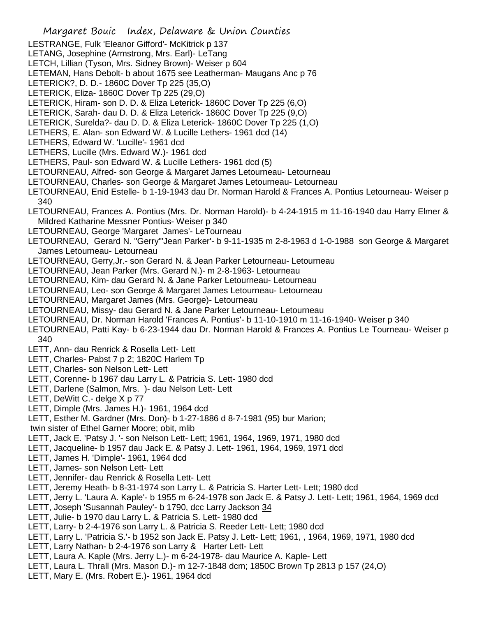- Margaret Bouic Index, Delaware & Union Counties LESTRANGE, Fulk 'Eleanor Gifford'- McKitrick p 137 LETANG, Josephine (Armstrong, Mrs. Earl)- LeTang LETCH, Lillian (Tyson, Mrs. Sidney Brown)- Weiser p 604 LETEMAN, Hans Debolt- b about 1675 see Leatherman- Maugans Anc p 76 LETERICK?, D. D.- 1860C Dover Tp 225 (35,O) LETERICK, Eliza- 1860C Dover Tp 225 (29,O) LETERICK, Hiram- son D. D. & Eliza Leterick- 1860C Dover Tp 225 (6,O) LETERICK, Sarah- dau D. D. & Eliza Leterick- 1860C Dover Tp 225 (9,O) LETERICK, Surelda?- dau D. D. & Eliza Leterick- 1860C Dover Tp 225 (1,O) LETHERS, E. Alan- son Edward W. & Lucille Lethers- 1961 dcd (14) LETHERS, Edward W. 'Lucille'- 1961 dcd LETHERS, Lucille (Mrs. Edward W.)- 1961 dcd LETHERS, Paul- son Edward W. & Lucille Lethers- 1961 dcd (5) LETOURNEAU, Alfred- son George & Margaret James Letourneau- Letourneau LETOURNEAU, Charles- son George & Margaret James Letourneau- Letourneau LETOURNEAU, Enid Estelle- b 1-19-1943 dau Dr. Norman Harold & Frances A. Pontius Letourneau- Weiser p 340 LETOURNEAU, Frances A. Pontius (Mrs. Dr. Norman Harold)- b 4-24-1915 m 11-16-1940 dau Harry Elmer & Mildred Katharine Messner Pontius- Weiser p 340 LETOURNEAU, George 'Margaret James'- LeTourneau LETOURNEAU, Gerard N. "Gerry"'Jean Parker'- b 9-11-1935 m 2-8-1963 d 1-0-1988 son George & Margaret James Letourneau- Letourneau LETOURNEAU, Gerry,Jr.- son Gerard N. & Jean Parker Letourneau- Letourneau LETOURNEAU, Jean Parker (Mrs. Gerard N.)- m 2-8-1963- Letourneau LETOURNEAU, Kim- dau Gerard N. & Jane Parker Letourneau- Letourneau LETOURNEAU, Leo- son George & Margaret James Letourneau- Letourneau LETOURNEAU, Margaret James (Mrs. George)- Letourneau LETOURNEAU, Missy- dau Gerard N. & Jane Parker Letourneau- Letourneau LETOURNEAU, Dr. Norman Harold 'Frances A. Pontius'- b 11-10-1910 m 11-16-1940- Weiser p 340 LETOURNEAU, Patti Kay- b 6-23-1944 dau Dr. Norman Harold & Frances A. Pontius Le Tourneau- Weiser p 340 LETT, Ann- dau Renrick & Rosella Lett- Lett LETT, Charles- Pabst 7 p 2; 1820C Harlem Tp LETT, Charles- son Nelson Lett- Lett LETT, Corenne- b 1967 dau Larry L. & Patricia S. Lett- 1980 dcd LETT, Darlene (Salmon, Mrs. )- dau Nelson Lett- Lett LETT, DeWitt C.- delge X p 77 LETT, Dimple (Mrs. James H.)- 1961, 1964 dcd LETT, Esther M. Gardner (Mrs. Don)- b 1-27-1886 d 8-7-1981 (95) bur Marion; twin sister of Ethel Garner Moore; obit, mlib LETT, Jack E. 'Patsy J. '- son Nelson Lett- Lett; 1961, 1964, 1969, 1971, 1980 dcd LETT, Jacqueline- b 1957 dau Jack E. & Patsy J. Lett- 1961, 1964, 1969, 1971 dcd LETT, James H. 'Dimple'- 1961, 1964 dcd LETT, James- son Nelson Lett- Lett LETT, Jennifer- dau Renrick & Rosella Lett- Lett LETT, Jeremy Heath- b 8-31-1974 son Larry L. & Patricia S. Harter Lett- Lett; 1980 dcd LETT, Jerry L. 'Laura A. Kaple'- b 1955 m 6-24-1978 son Jack E. & Patsy J. Lett- Lett; 1961, 1964, 1969 dcd LETT, Joseph 'Susannah Pauley'- b 1790, dcc Larry Jackson 34 LETT, Julie- b 1970 dau Larry L. & Patricia S. Lett- 1980 dcd
- LETT, Larry- b 2-4-1976 son Larry L. & Patricia S. Reeder Lett- Lett; 1980 dcd
- LETT, Larry L. 'Patricia S.'- b 1952 son Jack E. Patsy J. Lett- Lett; 1961, , 1964, 1969, 1971, 1980 dcd
- LETT, Larry Nathan- b 2-4-1976 son Larry & Harter Lett- Lett
- LETT, Laura A. Kaple (Mrs. Jerry L.)- m 6-24-1978- dau Maurice A. Kaple- Lett
- LETT, Laura L. Thrall (Mrs. Mason D.)- m 12-7-1848 dcm; 1850C Brown Tp 2813 p 157 (24,O)
- LETT, Mary E. (Mrs. Robert E.)- 1961, 1964 dcd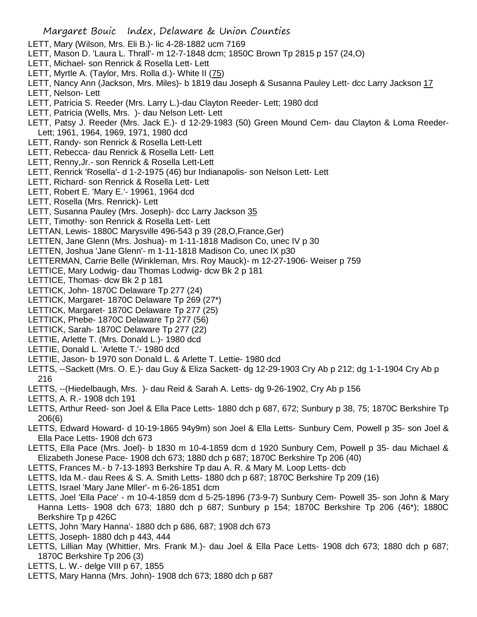- LETT, Mary (Wilson, Mrs. Eli B.)- lic 4-28-1882 ucm 7169
- LETT, Mason D. 'Laura L. Thrall'- m 12-7-1848 dcm; 1850C Brown Tp 2815 p 157 (24,O)
- LETT, Michael- son Renrick & Rosella Lett- Lett
- LETT, Myrtle A. (Taylor, Mrs. Rolla d.)- White II (75)
- LETT, Nancy Ann (Jackson, Mrs. Miles)- b 1819 dau Joseph & Susanna Pauley Lett- dcc Larry Jackson 17
- LETT, Nelson- Lett
- LETT, Patricia S. Reeder (Mrs. Larry L.)-dau Clayton Reeder- Lett; 1980 dcd
- LETT, Patricia (Wells, Mrs. )- dau Nelson Lett- Lett
- LETT, Patsy J. Reeder (Mrs. Jack E.)- d 12-29-1983 (50) Green Mound Cem- dau Clayton & Loma Reeder-Lett; 1961, 1964, 1969, 1971, 1980 dcd
- LETT, Randy- son Renrick & Rosella Lett-Lett
- LETT, Rebecca- dau Renrick & Rosella Lett- Lett
- LETT, Renny,Jr.- son Renrick & Rosella Lett-Lett
- LETT, Renrick 'Rosella'- d 1-2-1975 (46) bur Indianapolis- son Nelson Lett- Lett
- LETT, Richard- son Renrick & Rosella Lett- Lett
- LETT, Robert E. 'Mary E.'- 19961, 1964 dcd
- LETT, Rosella (Mrs. Renrick)- Lett
- LETT, Susanna Pauley (Mrs. Joseph)- dcc Larry Jackson 35
- LETT, Timothy- son Renrick & Rosella Lett- Lett
- LETTAN, Lewis- 1880C Marysville 496-543 p 39 (28,O,France,Ger)
- LETTEN, Jane Glenn (Mrs. Joshua)- m 1-11-1818 Madison Co, unec IV p 30
- LETTEN, Joshua 'Jane Glenn'- m 1-11-1818 Madison Co, unec IX p30
- LETTERMAN, Carrie Belle (Winkleman, Mrs. Roy Mauck)- m 12-27-1906- Weiser p 759
- LETTICE, Mary Lodwig- dau Thomas Lodwig- dcw Bk 2 p 181
- LETTICE, Thomas- dcw Bk 2 p 181
- LETTICK, John- 1870C Delaware Tp 277 (24)
- LETTICK, Margaret- 1870C Delaware Tp 269 (27\*)
- LETTICK, Margaret- 1870C Delaware Tp 277 (25)
- LETTICK, Phebe- 1870C Delaware Tp 277 (56)
- LETTICK, Sarah- 1870C Delaware Tp 277 (22)
- LETTIE, Arlette T. (Mrs. Donald L.)- 1980 dcd
- LETTIE, Donald L. 'Arlette T.'- 1980 dcd
- LETTIE, Jason- b 1970 son Donald L. & Arlette T. Lettie- 1980 dcd
- LETTS, --Sackett (Mrs. O. E.)- dau Guy & Eliza Sackett- dg 12-29-1903 Cry Ab p 212; dg 1-1-1904 Cry Ab p 216
- LETTS, --(Hiedelbaugh, Mrs. )- dau Reid & Sarah A. Letts- dg 9-26-1902, Cry Ab p 156
- LETTS, A. R.- 1908 dch 191
- LETTS, Arthur Reed- son Joel & Ella Pace Letts- 1880 dch p 687, 672; Sunbury p 38, 75; 1870C Berkshire Tp 206(6)
- LETTS, Edward Howard- d 10-19-1865 94y9m) son Joel & Ella Letts- Sunbury Cem, Powell p 35- son Joel & Ella Pace Letts- 1908 dch 673
- LETTS, Ella Pace (Mrs. Joel)- b 1830 m 10-4-1859 dcm d 1920 Sunbury Cem, Powell p 35- dau Michael & Elizabeth Jonese Pace- 1908 dch 673; 1880 dch p 687; 1870C Berkshire Tp 206 (40)
- LETTS, Frances M.- b 7-13-1893 Berkshire Tp dau A. R. & Mary M. Loop Letts- dcb
- LETTS, Ida M.- dau Rees & S. A. Smith Letts- 1880 dch p 687; 1870C Berkshire Tp 209 (16)
- LETTS, Israel 'Mary Jane Mller'- m 6-26-1851 dcm
- LETTS, Joel 'Ella Pace' m 10-4-1859 dcm d 5-25-1896 (73-9-7) Sunbury Cem- Powell 35- son John & Mary Hanna Letts- 1908 dch 673; 1880 dch p 687; Sunbury p 154; 1870C Berkshire Tp 206 (46\*); 1880C Berkshire Tp p 426C
- LETTS, John 'Mary Hanna'- 1880 dch p 686, 687; 1908 dch 673
- LETTS, Joseph- 1880 dch p 443, 444
- LETTS, Lillian May (Whittier, Mrs. Frank M.)- dau Joel & Ella Pace Letts- 1908 dch 673; 1880 dch p 687; 1870C Berkshire Tp 206 (3)
- LETTS, L. W.- delge VIII p 67, 1855
- LETTS, Mary Hanna (Mrs. John)- 1908 dch 673; 1880 dch p 687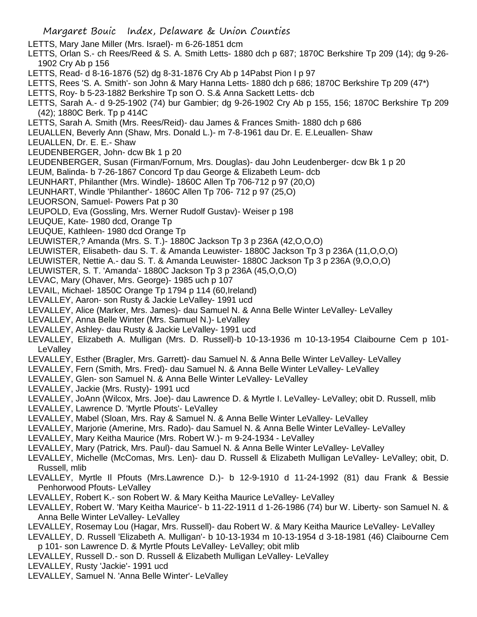- Margaret Bouic Index, Delaware & Union Counties LETTS, Mary Jane Miller (Mrs. Israel)- m 6-26-1851 dcm LETTS, Orlan S.- ch Rees/Reed & S. A. Smith Letts- 1880 dch p 687; 1870C Berkshire Tp 209 (14); dg 9-26- 1902 Cry Ab p 156 LETTS, Read- d 8-16-1876 (52) dg 8-31-1876 Cry Ab p 14Pabst Pion I p 97 LETTS, Rees 'S. A. Smith'- son John & Mary Hanna Letts- 1880 dch p 686; 1870C Berkshire Tp 209 (47\*) LETTS, Roy- b 5-23-1882 Berkshire Tp son O. S.& Anna Sackett Letts- dcb LETTS, Sarah A.- d 9-25-1902 (74) bur Gambier; dg 9-26-1902 Cry Ab p 155, 156; 1870C Berkshire Tp 209 (42); 1880C Berk. Tp p 414C LETTS, Sarah A. Smith (Mrs. Rees/Reid)- dau James & Frances Smith- 1880 dch p 686 LEUALLEN, Beverly Ann (Shaw, Mrs. Donald L.)- m 7-8-1961 dau Dr. E. E.Leuallen- Shaw LEUALLEN, Dr. E. E.- Shaw LEUDENBERGER, John- dcw Bk 1 p 20 LEUDENBERGER, Susan (Firman/Fornum, Mrs. Douglas)- dau John Leudenberger- dcw Bk 1 p 20 LEUM, Balinda- b 7-26-1867 Concord Tp dau George & Elizabeth Leum- dcb LEUNHART, Philanther (Mrs. Windle)- 1860C Allen Tp 706-712 p 97 (20,O) LEUNHART, Windle 'Philanther'- 1860C Allen Tp 706- 712 p 97 (25,O) LEUORSON, Samuel- Powers Pat p 30 LEUPOLD, Eva (Gossling, Mrs. Werner Rudolf Gustav)- Weiser p 198 LEUQUE, Kate- 1980 dcd, Orange Tp LEUQUE, Kathleen- 1980 dcd Orange Tp LEUWISTER,? Amanda (Mrs. S. T.)- 1880C Jackson Tp 3 p 236A (42,O,O,O) LEUWISTER, Elisabeth- dau S. T. & Amanda Leuwister- 1880C Jackson Tp 3 p 236A (11,O,O,O) LEUWISTER, Nettie A.- dau S. T. & Amanda Leuwister- 1880C Jackson Tp 3 p 236A (9,O,O,O) LEUWISTER, S. T. 'Amanda'- 1880C Jackson Tp 3 p 236A (45,O,O,O) LEVAC, Mary (Ohaver, Mrs. George)- 1985 uch p 107 LEVAIL, Michael- 1850C Orange Tp 1794 p 114 (60,Ireland) LEVALLEY, Aaron- son Rusty & Jackie LeValley- 1991 ucd LEVALLEY, Alice (Marker, Mrs. James)- dau Samuel N. & Anna Belle Winter LeValley- LeValley LEVALLEY, Anna Belle Winter (Mrs. Samuel N.)- LeValley LEVALLEY, Ashley- dau Rusty & Jackie LeValley- 1991 ucd LEVALLEY, Elizabeth A. Mulligan (Mrs. D. Russell)-b 10-13-1936 m 10-13-1954 Claibourne Cem p 101- **LeVallev** LEVALLEY, Esther (Bragler, Mrs. Garrett)- dau Samuel N. & Anna Belle Winter LeValley- LeValley LEVALLEY, Fern (Smith, Mrs. Fred)- dau Samuel N. & Anna Belle Winter LeValley- LeValley LEVALLEY, Glen- son Samuel N. & Anna Belle Winter LeValley- LeValley LEVALLEY, Jackie (Mrs. Rusty)- 1991 ucd LEVALLEY, JoAnn (Wilcox, Mrs. Joe)- dau Lawrence D. & Myrtle I. LeValley- LeValley; obit D. Russell, mlib LEVALLEY, Lawrence D. 'Myrtle Pfouts'- LeValley LEVALLEY, Mabel (Sloan, Mrs. Ray & Samuel N. & Anna Belle Winter LeValley- LeValley LEVALLEY, Marjorie (Amerine, Mrs. Rado)- dau Samuel N. & Anna Belle Winter LeValley- LeValley LEVALLEY, Mary Keitha Maurice (Mrs. Robert W.)- m 9-24-1934 - LeValley LEVALLEY, Mary (Patrick, Mrs. Paul)- dau Samuel N. & Anna Belle Winter LeValley- LeValley
- LEVALLEY, Michelle (McComas, Mrs. Len)- dau D. Russell & Elizabeth Mulligan LeValley- LeValley; obit, D. Russell, mlib
- LEVALLEY, Myrtle Il Pfouts (Mrs.Lawrence D.)- b 12-9-1910 d 11-24-1992 (81) dau Frank & Bessie Penhorwood Pfouts- LeValley
- LEVALLEY, Robert K.- son Robert W. & Mary Keitha Maurice LeValley- LeValley
- LEVALLEY, Robert W. 'Mary Keitha Maurice'- b 11-22-1911 d 1-26-1986 (74) bur W. Liberty- son Samuel N. & Anna Belle Winter LeValley- LeValley
- LEVALLEY, Rosemay Lou (Hagar, Mrs. Russell)- dau Robert W. & Mary Keitha Maurice LeValley- LeValley
- LEVALLEY, D. Russell 'Elizabeth A. Mulligan'- b 10-13-1934 m 10-13-1954 d 3-18-1981 (46) Claibourne Cem p 101- son Lawrence D. & Myrtle Pfouts LeValley- LeValley; obit mlib
- LEVALLEY, Russell D.- son D. Russell & Elizabeth Mulligan LeValley- LeValley
- LEVALLEY, Rusty 'Jackie'- 1991 ucd
- LEVALLEY, Samuel N. 'Anna Belle Winter'- LeValley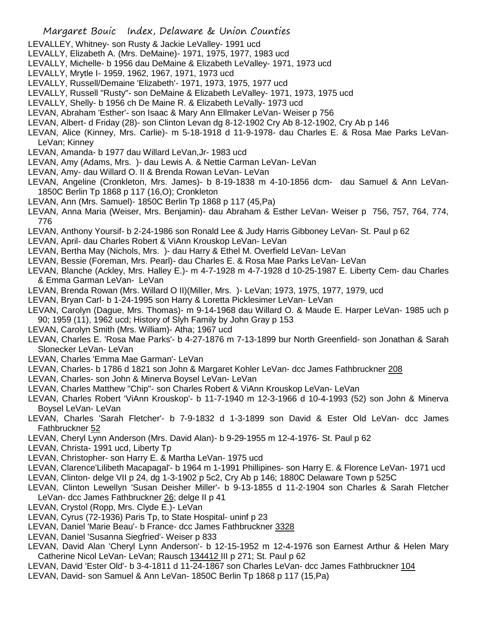- LEVALLEY, Whitney- son Rusty & Jackie LeValley- 1991 ucd
- LEVALLY, Elizabeth A. (Mrs. DeMaine)- 1971, 1975, 1977, 1983 ucd
- LEVALLY, Michelle- b 1956 dau DeMaine & Elizabeth LeValley- 1971, 1973 ucd
- LEVALLY, Mrytle I- 1959, 1962, 1967, 1971, 1973 ucd
- LEVALLY, Russell/Demaine 'Elizabeth'- 1971, 1973, 1975, 1977 ucd
- LEVALLY, Russell "Rusty"- son DeMaine & Elizabeth LeValley- 1971, 1973, 1975 ucd
- LEVALLY, Shelly- b 1956 ch De Maine R. & Elizabeth LeVally- 1973 ucd
- LEVAN, Abraham 'Esther'- son Isaac & Mary Ann Ellmaker LeVan- Weiser p 756
- LEVAN, Albert- d Friday (28)- son Clinton Levan dg 8-12-1902 Cry Ab 8-12-1902, Cry Ab p 146
- LEVAN, Alice (Kinney, Mrs. Carlie)- m 5-18-1918 d 11-9-1978- dau Charles E. & Rosa Mae Parks LeVan-LeVan; Kinney
- LEVAN, Amanda- b 1977 dau Willard LeVan,Jr- 1983 ucd
- LEVAN, Amy (Adams, Mrs. )- dau Lewis A. & Nettie Carman LeVan- LeVan
- LEVAN, Amy- dau Willard O. II & Brenda Rowan LeVan- LeVan
- LEVAN, Angeline (Cronkleton, Mrs. James)- b 8-19-1838 m 4-10-1856 dcm- dau Samuel & Ann LeVan-1850C Berlin Tp 1868 p 117 (16,O); Cronkleton
- LEVAN, Ann (Mrs. Samuel)- 1850C Berlin Tp 1868 p 117 (45,Pa)
- LEVAN, Anna Maria (Weiser, Mrs. Benjamin)- dau Abraham & Esther LeVan- Weiser p 756, 757, 764, 774, 776
- LEVAN, Anthony Yoursif- b 2-24-1986 son Ronald Lee & Judy Harris Gibboney LeVan- St. Paul p 62
- LEVAN, April- dau Charles Robert & ViAnn Krouskop LeVan- LeVan
- LEVAN, Bertha May (Nichols, Mrs. )- dau Harry & Ethel M. Overfield LeVan- LeVan
- LEVAN, Bessie (Foreman, Mrs. Pearl)- dau Charles E. & Rosa Mae Parks LeVan- LeVan
- LEVAN, Blanche (Ackley, Mrs. Halley E.)- m 4-7-1928 m 4-7-1928 d 10-25-1987 E. Liberty Cem- dau Charles & Emma Garman LeVan- LeVan
- LEVAN, Brenda Rowan (Mrs. Willard O II)(Miller, Mrs. )- LeVan; 1973, 1975, 1977, 1979, ucd
- LEVAN, Bryan Carl- b 1-24-1995 son Harry & Loretta Picklesimer LeVan- LeVan
- LEVAN, Carolyn (Dague, Mrs. Thomas)- m 9-14-1968 dau Willard O. & Maude E. Harper LeVan- 1985 uch p 90; 1959 (11), 1962 ucd; History of Slyh Family by John Gray p 153
- LEVAN, Carolyn Smith (Mrs. William)- Atha; 1967 ucd
- LEVAN, Charles E. 'Rosa Mae Parks'- b 4-27-1876 m 7-13-1899 bur North Greenfield- son Jonathan & Sarah Slonecker LeVan- LeVan
- LEVAN, Charles 'Emma Mae Garman'- LeVan
- LEVAN, Charles- b 1786 d 1821 son John & Margaret Kohler LeVan- dcc James Fathbruckner 208
- LEVAN, Charles- son John & Minerva Boysel LeVan- LeVan
- LEVAN, Charles Matthew "Chip"- son Charles Robert & ViAnn Krouskop LeVan- LeVan
- LEVAN, Charles Robert 'ViAnn Krouskop'- b 11-7-1940 m 12-3-1966 d 10-4-1993 (52) son John & Minerva Boysel LeVan- LeVan
- LEVAN, Charles 'Sarah Fletcher'- b 7-9-1832 d 1-3-1899 son David & Ester Old LeVan- dcc James Fathbruckner 52
- LEVAN, Cheryl Lynn Anderson (Mrs. David Alan)- b 9-29-1955 m 12-4-1976- St. Paul p 62
- LEVAN, Christa- 1991 ucd, Liberty Tp
- LEVAN, Christopher- son Harry E. & Martha LeVan- 1975 ucd
- LEVAN, Clarence'Lilibeth Macapagal'- b 1964 m 1-1991 Phillipines- son Harry E. & Florence LeVan- 1971 ucd
- LEVAN, Clinton- delge VII p 24, dg 1-3-1902 p 5c2, Cry Ab p 146; 1880C Delaware Town p 525C
- LEVAN, Clinton Lewellyn 'Susan Deisher Miller'- b 9-13-1855 d 11-2-1904 son Charles & Sarah Fletcher LeVan- dcc James Fathbruckner 26; delge II p 41
- LEVAN, Crystol (Ropp, Mrs. Clyde E.)- LeVan
- LEVAN, Cyrus (72-1936) Paris Tp, to State Hospital- uninf p 23
- LEVAN, Daniel 'Marie Beau'- b France- dcc James Fathbruckner 3328
- LEVAN, Daniel 'Susanna Siegfried'- Weiser p 833
- LEVAN, David Alan 'Cheryl Lynn Anderson'- b 12-15-1952 m 12-4-1976 son Earnest Arthur & Helen Mary Catherine Nicol LeVan- LeVan; Rausch 134412 III p 271; St. Paul p 62
- LEVAN, David 'Ester Old'- b 3-4-1811 d 11-24-1867 son Charles LeVan- dcc James Fathbruckner 104
- LEVAN, David- son Samuel & Ann LeVan- 1850C Berlin Tp 1868 p 117 (15,Pa)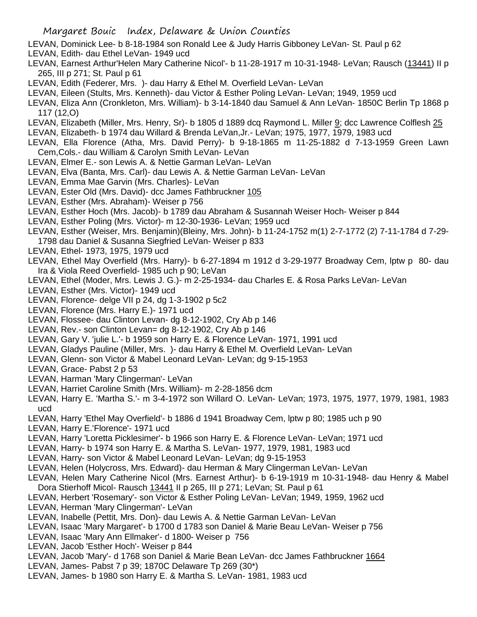- LEVAN, Dominick Lee- b 8-18-1984 son Ronald Lee & Judy Harris Gibboney LeVan- St. Paul p 62
- LEVAN, Edith- dau Ethel LeVan- 1949 ucd
- LEVAN, Earnest Arthur'Helen Mary Catherine Nicol'- b 11-28-1917 m 10-31-1948- LeVan; Rausch (13441) II p 265, III p 271; St. Paul p 61
- LEVAN, Edith (Federer, Mrs. )- dau Harry & Ethel M. Overfield LeVan- LeVan
- LEVAN, Eileen (Stults, Mrs. Kenneth)- dau Victor & Esther Poling LeVan- LeVan; 1949, 1959 ucd
- LEVAN, Eliza Ann (Cronkleton, Mrs. William)- b 3-14-1840 dau Samuel & Ann LeVan- 1850C Berlin Tp 1868 p 117 (12,O)
- LEVAN, Elizabeth (Miller, Mrs. Henry, Sr)- b 1805 d 1889 dcq Raymond L. Miller 9; dcc Lawrence Colflesh 25
- LEVAN, Elizabeth- b 1974 dau Willard & Brenda LeVan,Jr.- LeVan; 1975, 1977, 1979, 1983 ucd
- LEVAN, Ella Florence (Atha, Mrs. David Perry)- b 9-18-1865 m 11-25-1882 d 7-13-1959 Green Lawn Cem,Cols.- dau William & Carolyn Smith LeVan- LeVan
- LEVAN, Elmer E.- son Lewis A. & Nettie Garman LeVan- LeVan
- LEVAN, Elva (Banta, Mrs. Carl)- dau Lewis A. & Nettie Garman LeVan- LeVan
- LEVAN, Emma Mae Garvin (Mrs. Charles)- LeVan
- LEVAN, Ester Old (Mrs. David)- dcc James Fathbruckner 105
- LEVAN, Esther (Mrs. Abraham)- Weiser p 756
- LEVAN, Esther Hoch (Mrs. Jacob)- b 1789 dau Abraham & Susannah Weiser Hoch- Weiser p 844
- LEVAN, Esther Poling (Mrs. Victor)- m 12-30-1936- LeVan; 1959 ucd
- LEVAN, Esther (Weiser, Mrs. Benjamin)(Bleiny, Mrs. John)- b 11-24-1752 m(1) 2-7-1772 (2) 7-11-1784 d 7-29- 1798 dau Daniel & Susanna Siegfried LeVan- Weiser p 833
- LEVAN, Ethel- 1973, 1975, 1979 ucd
- LEVAN, Ethel May Overfield (Mrs. Harry)- b 6-27-1894 m 1912 d 3-29-1977 Broadway Cem, lptw p 80- dau Ira & Viola Reed Overfield- 1985 uch p 90; LeVan
- LEVAN, Ethel (Moder, Mrs. Lewis J. G.)- m 2-25-1934- dau Charles E. & Rosa Parks LeVan- LeVan
- LEVAN, Esther (Mrs. Victor)- 1949 ucd
- LEVAN, Florence- delge VII p 24, dg 1-3-1902 p 5c2
- LEVAN, Florence (Mrs. Harry E.)- 1971 ucd
- LEVAN, Flossee- dau Clinton Levan- dg 8-12-1902, Cry Ab p 146
- LEVAN, Rev.- son Clinton Levan= dg 8-12-1902, Cry Ab p 146
- LEVAN, Gary V. 'julie L.'- b 1959 son Harry E. & Florence LeVan- 1971, 1991 ucd
- LEVAN, Gladys Pauline (Miller, Mrs. )- dau Harry & Ethel M. Overfield LeVan- LeVan
- LEVAN, Glenn- son Victor & Mabel Leonard LeVan- LeVan; dg 9-15-1953
- LEVAN, Grace- Pabst 2 p 53
- LEVAN, Harman 'Mary Clingerman'- LeVan
- LEVAN, Harriet Caroline Smith (Mrs. William)- m 2-28-1856 dcm
- LEVAN, Harry E. 'Martha S.'- m 3-4-1972 son Willard O. LeVan- LeVan; 1973, 1975, 1977, 1979, 1981, 1983 ucd
- LEVAN, Harry 'Ethel May Overfield'- b 1886 d 1941 Broadway Cem, lptw p 80; 1985 uch p 90
- LEVAN, Harry E.'Florence'- 1971 ucd
- LEVAN, Harry 'Loretta Picklesimer'- b 1966 son Harry E. & Florence LeVan- LeVan; 1971 ucd
- LEVAN, Harry- b 1974 son Harry E. & Martha S. LeVan- 1977, 1979, 1981, 1983 ucd
- LEVAN, Harry- son Victor & Mabel Leonard LeVan- LeVan; dg 9-15-1953
- LEVAN, Helen (Holycross, Mrs. Edward)- dau Herman & Mary Clingerman LeVan- LeVan
- LEVAN, Helen Mary Catherine Nicol (Mrs. Earnest Arthur)- b 6-19-1919 m 10-31-1948- dau Henry & Mabel Dora Stierhoff Micol- Rausch 13441 II p 265, III p 271; LeVan; St. Paul p 61
- LEVAN, Herbert 'Rosemary'- son Victor & Esther Poling LeVan- LeVan; 1949, 1959, 1962 ucd
- LEVAN, Herman 'Mary Clingerman'- LeVan
- LEVAN, Inabelle (Pettit, Mrs. Don)- dau Lewis A. & Nettie Garman LeVan- LeVan
- LEVAN, Isaac 'Mary Margaret'- b 1700 d 1783 son Daniel & Marie Beau LeVan- Weiser p 756
- LEVAN, Isaac 'Mary Ann Ellmaker'- d 1800- Weiser p 756
- LEVAN, Jacob 'Esther Hoch'- Weiser p 844
- LEVAN, Jacob 'Mary'- d 1768 son Daniel & Marie Bean LeVan- dcc James Fathbruckner 1664
- LEVAN, James- Pabst 7 p 39; 1870C Delaware Tp 269 (30\*)
- LEVAN, James- b 1980 son Harry E. & Martha S. LeVan- 1981, 1983 ucd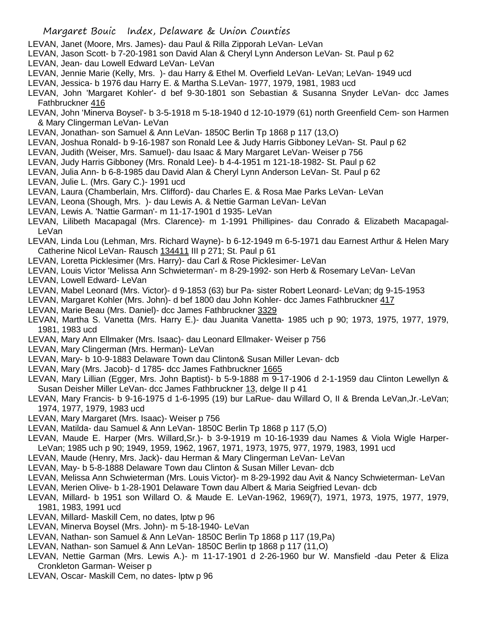- LEVAN, Janet (Moore, Mrs. James)- dau Paul & Rilla Zipporah LeVan- LeVan
- LEVAN, Jason Scott- b 7-20-1981 son David Alan & Cheryl Lynn Anderson LeVan- St. Paul p 62
- LEVAN, Jean- dau Lowell Edward LeVan- LeVan
- LEVAN, Jennie Marie (Kelly, Mrs. )- dau Harry & Ethel M. Overfield LeVan- LeVan; LeVan- 1949 ucd
- LEVAN, Jessica- b 1976 dau Harry E. & Martha S.LeVan- 1977, 1979, 1981, 1983 ucd
- LEVAN, John 'Margaret Kohler'- d bef 9-30-1801 son Sebastian & Susanna Snyder LeVan- dcc James Fathbruckner 416
- LEVAN, John 'Minerva Boysel'- b 3-5-1918 m 5-18-1940 d 12-10-1979 (61) north Greenfield Cem- son Harmen & Mary Clingerman LeVan- LeVan
- LEVAN, Jonathan- son Samuel & Ann LeVan- 1850C Berlin Tp 1868 p 117 (13,O)
- LEVAN, Joshua Ronald- b 9-16-1987 son Ronald Lee & Judy Harris Gibboney LeVan- St. Paul p 62
- LEVAN, Judith (Weiser, Mrs. Samuel)- dau Isaac & Mary Margaret LeVan- Weiser p 756
- LEVAN, Judy Harris Gibboney (Mrs. Ronald Lee)- b 4-4-1951 m 121-18-1982- St. Paul p 62
- LEVAN, Julia Ann- b 6-8-1985 dau David Alan & Cheryl Lynn Anderson LeVan- St. Paul p 62
- LEVAN, Julie L. (Mrs. Gary C.)- 1991 ucd
- LEVAN, Laura (Chamberlain, Mrs. Clifford)- dau Charles E. & Rosa Mae Parks LeVan- LeVan
- LEVAN, Leona (Shough, Mrs. )- dau Lewis A. & Nettie Garman LeVan- LeVan
- LEVAN, Lewis A. 'Nattie Garman'- m 11-17-1901 d 1935- LeVan
- LEVAN, Lilibeth Macapagal (Mrs. Clarence)- m 1-1991 Phillipines- dau Conrado & Elizabeth Macapagal-LeVan
- LEVAN, Linda Lou (Lehman, Mrs. Richard Wayne)- b 6-12-1949 m 6-5-1971 dau Earnest Arthur & Helen Mary Catherine Nicol LeVan- Rausch 134411 III p 271; St. Paul p 61
- LEVAN, Loretta Picklesimer (Mrs. Harry)- dau Carl & Rose Picklesimer- LeVan
- LEVAN, Louis Victor 'Melissa Ann Schwieterman'- m 8-29-1992- son Herb & Rosemary LeVan- LeVan
- LEVAN, Lowell Edward- LeVan
- LEVAN, Mabel Leonard (Mrs. Victor)- d 9-1853 (63) bur Pa- sister Robert Leonard- LeVan; dg 9-15-1953
- LEVAN, Margaret Kohler (Mrs. John)- d bef 1800 dau John Kohler- dcc James Fathbruckner 417
- LEVAN, Marie Beau (Mrs. Daniel)- dcc James Fathbruckner 3329
- LEVAN, Martha S. Vanetta (Mrs. Harry E.)- dau Juanita Vanetta- 1985 uch p 90; 1973, 1975, 1977, 1979, 1981, 1983 ucd
- LEVAN, Mary Ann Ellmaker (Mrs. Isaac)- dau Leonard Ellmaker- Weiser p 756
- LEVAN, Mary Clingerman (Mrs. Herman)- LeVan
- LEVAN, Mary- b 10-9-1883 Delaware Town dau Clinton& Susan Miller Levan- dcb
- LEVAN, Mary (Mrs. Jacob)- d 1785- dcc James Fathbruckner 1665
- LEVAN, Mary Lillian (Egger, Mrs. John Baptist)- b 5-9-1888 m 9-17-1906 d 2-1-1959 dau Clinton Lewellyn & Susan Deisher Miller LeVan- dcc James Fathbruckner 13, delge II p 41
- LEVAN, Mary Francis- b 9-16-1975 d 1-6-1995 (19) bur LaRue- dau Willard O, II & Brenda LeVan,Jr.-LeVan; 1974, 1977, 1979, 1983 ucd
- LEVAN, Mary Margaret (Mrs. Isaac)- Weiser p 756
- LEVAN, Matilda- dau Samuel & Ann LeVan- 1850C Berlin Tp 1868 p 117 (5,O)
- LEVAN, Maude E. Harper (Mrs. Willard,Sr.)- b 3-9-1919 m 10-16-1939 dau Names & Viola Wigle Harper-LeVan; 1985 uch p 90; 1949, 1959, 1962, 1967, 1971, 1973, 1975, 977, 1979, 1983, 1991 ucd
- LEVAN, Maude (Henry, Mrs. Jack)- dau Herman & Mary Clingerman LeVan- LeVan
- LEVAN, May- b 5-8-1888 Delaware Town dau Clinton & Susan Miller Levan- dcb
- LEVAN, Melissa Ann Schwieterman (Mrs. Louis Victor)- m 8-29-1992 dau Avit & Nancy Schwieterman- LeVan
- LEVAN, Merien Olive- b 1-28-1901 Delaware Town dau Albert & Maria Seigfried Levan- dcb
- LEVAN, Millard- b 1951 son Willard O. & Maude E. LeVan-1962, 1969(7), 1971, 1973, 1975, 1977, 1979, 1981, 1983, 1991 ucd
- LEVAN, Millard- Maskill Cem, no dates, lptw p 96
- LEVAN, Minerva Boysel (Mrs. John)- m 5-18-1940- LeVan
- LEVAN, Nathan- son Samuel & Ann LeVan- 1850C Berlin Tp 1868 p 117 (19,Pa)
- LEVAN, Nathan- son Samuel & Ann LeVan- 1850C Berlin tp 1868 p 117 (11,O)
- LEVAN, Nettie Garman (Mrs. Lewis A.)- m 11-17-1901 d 2-26-1960 bur W. Mansfield -dau Peter & Eliza Cronkleton Garman- Weiser p
- LEVAN, Oscar- Maskill Cem, no dates- lptw p 96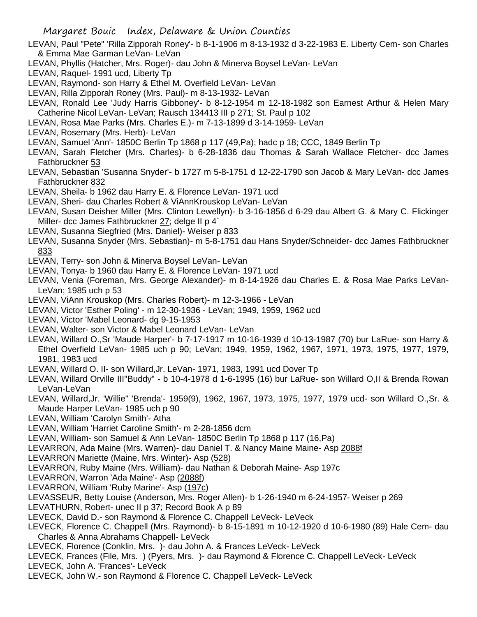- LEVAN, Paul "Pete" 'Rilla Zipporah Roney'- b 8-1-1906 m 8-13-1932 d 3-22-1983 E. Liberty Cem- son Charles & Emma Mae Garman LeVan- LeVan
- LEVAN, Phyllis (Hatcher, Mrs. Roger)- dau John & Minerva Boysel LeVan- LeVan
- LEVAN, Raquel- 1991 ucd, Liberty Tp
- LEVAN, Raymond- son Harry & Ethel M. Overfield LeVan- LeVan
- LEVAN, Rilla Zipporah Roney (Mrs. Paul)- m 8-13-1932- LeVan
- LEVAN, Ronald Lee 'Judy Harris Gibboney'- b 8-12-1954 m 12-18-1982 son Earnest Arthur & Helen Mary Catherine Nicol LeVan- LeVan; Rausch 134413 III p 271; St. Paul p 102
- LEVAN, Rosa Mae Parks (Mrs. Charles E.)- m 7-13-1899 d 3-14-1959- LeVan
- LEVAN, Rosemary (Mrs. Herb)- LeVan
- LEVAN, Samuel 'Ann'- 1850C Berlin Tp 1868 p 117 (49,Pa); hadc p 18; CCC, 1849 Berlin Tp
- LEVAN, Sarah Fletcher (Mrs. Charles)- b 6-28-1836 dau Thomas & Sarah Wallace Fletcher- dcc James Fathbruckner 53
- LEVAN, Sebastian 'Susanna Snyder'- b 1727 m 5-8-1751 d 12-22-1790 son Jacob & Mary LeVan- dcc James Fathbruckner 832
- LEVAN, Sheila- b 1962 dau Harry E. & Florence LeVan- 1971 ucd
- LEVAN, Sheri- dau Charles Robert & ViAnnKrouskop LeVan- LeVan
- LEVAN, Susan Deisher Miller (Mrs. Clinton Lewellyn)- b 3-16-1856 d 6-29 dau Albert G. & Mary C. Flickinger Miller- dcc James Fathbruckner 27; delge II p 4`
- LEVAN, Susanna Siegfried (Mrs. Daniel)- Weiser p 833
- LEVAN, Susanna Snyder (Mrs. Sebastian)- m 5-8-1751 dau Hans Snyder/Schneider- dcc James Fathbruckner 833
- LEVAN, Terry- son John & Minerva Boysel LeVan- LeVan
- LEVAN, Tonya- b 1960 dau Harry E. & Florence LeVan- 1971 ucd
- LEVAN, Venia (Foreman, Mrs. George Alexander)- m 8-14-1926 dau Charles E. & Rosa Mae Parks LeVan-LeVan; 1985 uch p 53
- LEVAN, ViAnn Krouskop (Mrs. Charles Robert)- m 12-3-1966 LeVan
- LEVAN, Victor 'Esther Poling' m 12-30-1936 LeVan; 1949, 1959, 1962 ucd
- LEVAN, Victor 'Mabel Leonard- dg 9-15-1953
- LEVAN, Walter- son Victor & Mabel Leonard LeVan- LeVan
- LEVAN, Willard O.,Sr 'Maude Harper'- b 7-17-1917 m 10-16-1939 d 10-13-1987 (70) bur LaRue- son Harry & Ethel Overfield LeVan- 1985 uch p 90; LeVan; 1949, 1959, 1962, 1967, 1971, 1973, 1975, 1977, 1979, 1981, 1983 ucd
- LEVAN, Willard O. II- son Willard,Jr. LeVan- 1971, 1983, 1991 ucd Dover Tp
- LEVAN, Willard Orville III"Buddy" b 10-4-1978 d 1-6-1995 (16) bur LaRue- son Willard O,II & Brenda Rowan LeVan-LeVan
- LEVAN, Willard,Jr. 'Willie" 'Brenda'- 1959(9), 1962, 1967, 1973, 1975, 1977, 1979 ucd- son Willard O.,Sr. & Maude Harper LeVan- 1985 uch p 90
- LEVAN, William 'Carolyn Smith'- Atha
- LEVAN, William 'Harriet Caroline Smith'- m 2-28-1856 dcm
- LEVAN, William- son Samuel & Ann LeVan- 1850C Berlin Tp 1868 p 117 (16,Pa)
- LEVARRON, Ada Maine (Mrs. Warren)- dau Daniel T. & Nancy Maine Maine- Asp 2088f
- LEVARRON Mariette (Maine, Mrs. Winter)- Asp (528)
- LEVARRON, Ruby Maine (Mrs. William)- dau Nathan & Deborah Maine- Asp 197c
- LEVARRON, Warron 'Ada Maine'- Asp (2088f)
- LEVARRON, William 'Ruby Marine'- Asp (197c)
- LEVASSEUR, Betty Louise (Anderson, Mrs. Roger Allen)- b 1-26-1940 m 6-24-1957- Weiser p 269
- LEVATHURN, Robert- unec II p 37; Record Book A p 89
- LEVECK, David D.- son Raymond & Florence C. Chappell LeVeck- LeVeck
- LEVECK, Florence C. Chappell (Mrs. Raymond)- b 8-15-1891 m 10-12-1920 d 10-6-1980 (89) Hale Cem- dau Charles & Anna Abrahams Chappell- LeVeck
- LEVECK, Florence (Conklin, Mrs. )- dau John A. & Frances LeVeck- LeVeck
- LEVECK, Frances (File, Mrs. ) (Pyers, Mrs. )- dau Raymond & Florence C. Chappell LeVeck- LeVeck
- LEVECK, John A. 'Frances'- LeVeck
- LEVECK, John W.- son Raymond & Florence C. Chappell LeVeck- LeVeck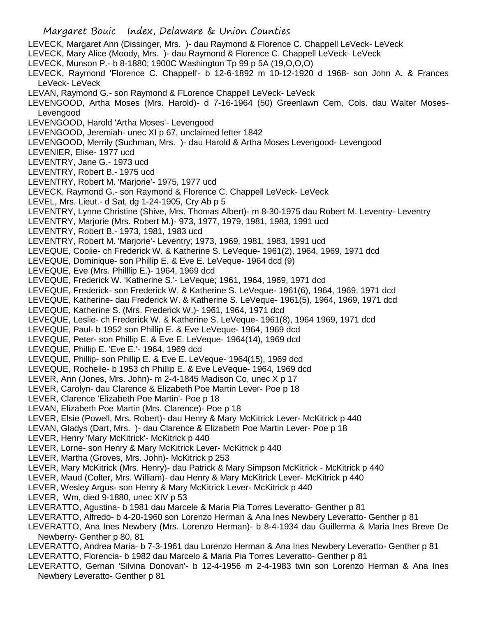Margaret Bouic Index, Delaware & Union Counties LEVECK, Margaret Ann (Dissinger, Mrs. )- dau Raymond & Florence C. Chappell LeVeck- LeVeck LEVECK, Mary Alice (Moody, Mrs. )- dau Raymond & Florence C. Chappell LeVeck- LeVeck LEVECK, Munson P.- b 8-1880; 1900C Washington Tp 99 p 5A (19,O,O,O) LEVECK, Raymond 'Florence C. Chappell'- b 12-6-1892 m 10-12-1920 d 1968- son John A. & Frances LeVeck- LeVeck LEVAN, Raymond G.- son Raymond & FLorence Chappell LeVeck- LeVeck LEVENGOOD, Artha Moses (Mrs. Harold)- d 7-16-1964 (50) Greenlawn Cem, Cols. dau Walter Moses-Levengood LEVENGOOD, Harold 'Artha Moses'- Levengood LEVENGOOD, Jeremiah- unec XI p 67, unclaimed letter 1842 LEVENGOOD, Merrily (Suchman, Mrs. )- dau Harold & Artha Moses Levengood- Levengood LEVENIER, Elise- 1977 ucd LEVENTRY, Jane G.- 1973 ucd LEVENTRY, Robert B.- 1975 ucd LEVENTRY, Robert M. 'Marjorie'- 1975, 1977 ucd LEVECK, Raymond G.- son Raymond & Florence C. Chappell LeVeck- LeVeck LEVEL, Mrs. Lieut.- d Sat, dg 1-24-1905, Cry Ab p 5 LEVENTRY, Lynne Christine (Shive, Mrs. Thomas Albert)- m 8-30-1975 dau Robert M. Leventry- Leventry LEVENTRY, Marjorie (Mrs. Robert M.)- 973, 1977, 1979, 1981, 1983, 1991 ucd LEVENTRY, Robert B.- 1973, 1981, 1983 ucd LEVENTRY, Robert M. 'Marjorie'- Leventry; 1973, 1969, 1981, 1983, 1991 ucd LEVEQUE, Coolie- ch Frederick W. & Katherine S. LeVeque- 1961(2), 1964, 1969, 1971 dcd LEVEQUE, Dominique- son Phillip E. & Eve E. LeVeque- 1964 dcd (9) LEVEQUE, Eve (Mrs. Philllip E.)- 1964, 1969 dcd LEVEQUE, Frederick W. 'Katherine S.'- LeVeque; 1961, 1964, 1969, 1971 dcd LEVEQUE, Frederick- son Frederick W. & Katherine S. LeVeque- 1961(6), 1964, 1969, 1971 dcd LEVEQUE, Katherine- dau Frederick W. & Katherine S. LeVeque- 1961(5), 1964, 1969, 1971 dcd LEVEQUE, Katherine S. (Mrs. Frederick W.)- 1961, 1964, 1971 dcd LEVEQUE, Leslie- ch Frederick W. & Katherine S. LeVeque- 1961(8), 1964 1969, 1971 dcd LEVEQUE, Paul- b 1952 son Phillip E. & Eve LeVeque- 1964, 1969 dcd LEVEQUE, Peter- son Phillip E. & Eve E. LeVeque- 1964(14), 1969 dcd LEVEQUE, Phillip E. 'Eve E.'- 1964, 1969 dcd LEVEQUE, Phillip- son Phillip E. & Eve E. LeVeque- 1964(15), 1969 dcd LEVEQUE, Rochelle- b 1953 ch Phillip E. & Eve LeVeque- 1964, 1969 dcd LEVER, Ann (Jones, Mrs. John)- m 2-4-1845 Madison Co, unec X p 17 LEVER, Carolyn- dau Clarence & Elizabeth Poe Martin Lever- Poe p 18 LEVER, Clarence 'Elizabeth Poe Martin'- Poe p 18 LEVAN, Elizabeth Poe Martin (Mrs. Clarence)- Poe p 18 LEVER, Elsie (Powell, Mrs. Robert)- dau Henry & Mary McKitrick Lever- McKitrick p 440 LEVAN, Gladys (Dart, Mrs. )- dau Clarence & Elizabeth Poe Martin Lever- Poe p 18 LEVER, Henry 'Mary McKitrick'- McKitrick p 440 LEVER, Lorne- son Henry & Mary McKitrick Lever- McKitrick p 440 LEVER, Martha (Groves, Mrs. John)- McKitrick p 253 LEVER, Mary McKitrick (Mrs. Henry)- dau Patrick & Mary Simpson McKitrick - McKitrick p 440 LEVER, Maud (Colter, Mrs. William)- dau Henry & Mary McKitrick Lever- McKitrick p 440 LEVER, Wesley Argus- son Henry & Mary McKitrick Lever- McKitrick p 440 LEVER, Wm, died 9-1880, unec XIV p 53 LEVERATTO, Agustina- b 1981 dau Marcele & Maria Pia Torres Leveratto- Genther p 81 LEVERATTO, Alfredo- b 4-20-1960 son Lorenzo Herman & Ana Ines Newbery Leveratto- Genther p 81 LEVERATTO, Ana Ines Newbery (Mrs. Lorenzo Herman)- b 8-4-1934 dau Guillerma & Maria Ines Breve De Newberry- Genther p 80, 81 LEVERATTO, Andrea Maria- b 7-3-1961 dau Lorenzo Herman & Ana Ines Newbery Leveratto- Genther p 81 LEVERATTO, Florencia- b 1982 dau Marcelo & Maria Pia Torres Leveratto- Genther p 81 LEVERATTO, Gernan 'Silvina Donovan'- b 12-4-1956 m 2-4-1983 twin son Lorenzo Herman & Ana Ines Newbery Leveratto- Genther p 81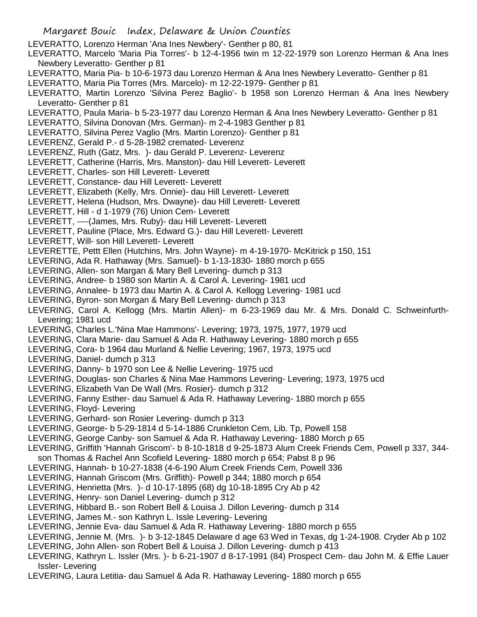- Margaret Bouic Index, Delaware & Union Counties LEVERATTO, Lorenzo Herman 'Ana Ines Newbery'- Genther p 80, 81 LEVERATTO, Marcelo 'Maria Pia Torres'- b 12-4-1956 twin m 12-22-1979 son Lorenzo Herman & Ana Ines Newbery Leveratto- Genther p 81 LEVERATTO, Maria Pia- b 10-6-1973 dau Lorenzo Herman & Ana Ines Newbery Leveratto- Genther p 81 LEVERATTO, Maria Pia Torres (Mrs. Marcelo)- m 12-22-1979- Genther p 81 LEVERATTO, Martin Lorenzo 'Silvina Perez Baglio'- b 1958 son Lorenzo Herman & Ana Ines Newbery Leveratto- Genther p 81 LEVERATTO, Paula Maria- b 5-23-1977 dau Lorenzo Herman & Ana Ines Newbery Leveratto- Genther p 81 LEVERATTO, Silvina Donovan (Mrs. German)- m 2-4-1983 Genther p 81 LEVERATTO, Silvina Perez Vaglio (Mrs. Martin Lorenzo)- Genther p 81 LEVERENZ, Gerald P.- d 5-28-1982 cremated- Leverenz LEVERENZ, Ruth (Gatz, Mrs. )- dau Gerald P. Leverenz- Leverenz LEVERETT, Catherine (Harris, Mrs. Manston)- dau Hill Leverett- Leverett LEVERETT, Charles- son Hill Leverett- Leverett LEVERETT, Constance- dau Hill Leverett- Leverett LEVERETT, Elizabeth (Kelly, Mrs. Onnie)- dau Hill Leverett- Leverett LEVERETT, Helena (Hudson, Mrs. Dwayne)- dau Hill Leverett- Leverett LEVERETT, Hill - d 1-1979 (76) Union Cem- Leverett LEVERETT, ----(James, Mrs. Ruby)- dau Hill Leverett- Leverett LEVERETT, Pauline (Place, Mrs. Edward G.)- dau Hill Leverett- Leverett LEVERETT, Will- son Hill Leverett- Leverett LEVERETTE, Pettt Ellen (Hutchins, Mrs. John Wayne)- m 4-19-1970- McKitrick p 150, 151 LEVERING, Ada R. Hathaway (Mrs. Samuel)- b 1-13-1830- 1880 morch p 655 LEVERING, Allen- son Margan & Mary Bell Levering- dumch p 313 LEVERING, Andree- b 1980 son Martin A. & Carol A. Levering- 1981 ucd LEVERING, Annalee- b 1973 dau Martin A. & Carol A. Kellogg Levering- 1981 ucd LEVERING, Byron- son Morgan & Mary Bell Levering- dumch p 313 LEVERING, Carol A. Kellogg (Mrs. Martin Allen)- m 6-23-1969 dau Mr. & Mrs. Donald C. Schweinfurth-Levering; 1981 ucd LEVERING, Charles L.'Nina Mae Hammons'- Levering; 1973, 1975, 1977, 1979 ucd LEVERING, Clara Marie- dau Samuel & Ada R. Hathaway Levering- 1880 morch p 655 LEVERING, Cora- b 1964 dau Murland & Nellie Levering; 1967, 1973, 1975 ucd LEVERING, Daniel- dumch p 313 LEVERING, Danny- b 1970 son Lee & Nellie Levering- 1975 ucd LEVERING, Douglas- son Charles & Nina Mae Hammons Levering- Levering; 1973, 1975 ucd LEVERING, Elizabeth Van De Wall (Mrs. Rosier)- dumch p 312 LEVERING, Fanny Esther- dau Samuel & Ada R. Hathaway Levering- 1880 morch p 655 LEVERING, Floyd- Levering LEVERING, Gerhard- son Rosier Levering- dumch p 313 LEVERING, George- b 5-29-1814 d 5-14-1886 Crunkleton Cem, Lib. Tp, Powell 158 LEVERING, George Canby- son Samuel & Ada R. Hathaway Levering- 1880 Morch p 65 LEVERING, Griffith 'Hannah Griscom'- b 8-10-1818 d 9-25-1873 Alum Creek Friends Cem, Powell p 337, 344 son Thomas & Rachel Ann Scofield Levering- 1880 morch p 654; Pabst 8 p 96 LEVERING, Hannah- b 10-27-1838 (4-6-190 Alum Creek Friends Cem, Powell 336 LEVERING, Hannah Griscom (Mrs. Griffith)- Powell p 344; 1880 morch p 654 LEVERING, Henrietta (Mrs. )- d 10-17-1895 (68) dg 10-18-1895 Cry Ab p 42 LEVERING, Henry- son Daniel Levering- dumch p 312 LEVERING, Hibbard B.- son Robert Bell & Louisa J. Dillon Levering- dumch p 314 LEVERING, James M.- son Kathryn L. Issle Levering- Levering LEVERING, Jennie Eva- dau Samuel & Ada R. Hathaway Levering- 1880 morch p 655 LEVERING, Jennie M. (Mrs. )- b 3-12-1845 Delaware d age 63 Wed in Texas, dg 1-24-1908. Cryder Ab p 102 LEVERING, John Allen- son Robert Bell & Louisa J. Dillon Levering- dumch p 413 LEVERING, Kathryn L. Issler (Mrs. )- b 6-21-1907 d 8-17-1991 (84) Prospect Cem- dau John M. & Effie Lauer Issler- Levering
- LEVERING, Laura Letitia- dau Samuel & Ada R. Hathaway Levering- 1880 morch p 655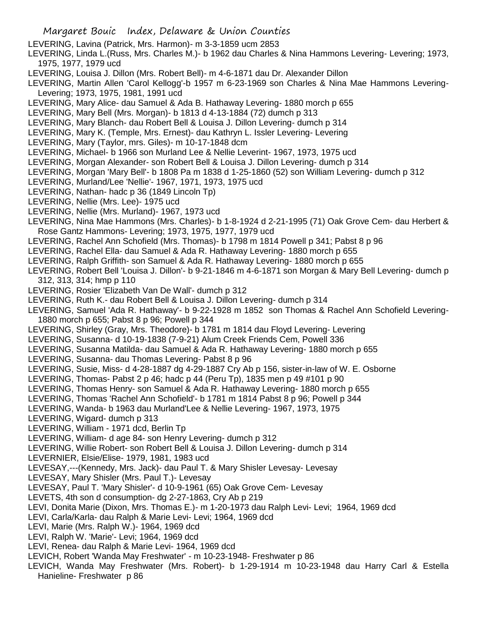- LEVERING, Lavina (Patrick, Mrs. Harmon)- m 3-3-1859 ucm 2853
- LEVERING, Linda L.(Russ, Mrs. Charles M.)- b 1962 dau Charles & Nina Hammons Levering- Levering; 1973, 1975, 1977, 1979 ucd
- LEVERING, Louisa J. Dillon (Mrs. Robert Bell)- m 4-6-1871 dau Dr. Alexander Dillon
- LEVERING, Martin Allen 'Carol Kellogg'-b 1957 m 6-23-1969 son Charles & Nina Mae Hammons Levering-Levering; 1973, 1975, 1981, 1991 ucd
- LEVERING, Mary Alice- dau Samuel & Ada B. Hathaway Levering- 1880 morch p 655
- LEVERING, Mary Bell (Mrs. Morgan)- b 1813 d 4-13-1884 (72) dumch p 313
- LEVERING, Mary Blanch- dau Robert Bell & Louisa J. Dillon Levering- dumch p 314
- LEVERING, Mary K. (Temple, Mrs. Ernest)- dau Kathryn L. Issler Levering- Levering
- LEVERING, Mary (Taylor, mrs. Giles)- m 10-17-1848 dcm
- LEVERING, Michael- b 1966 son Murland Lee & Nellie Leverint- 1967, 1973, 1975 ucd
- LEVERING, Morgan Alexander- son Robert Bell & Louisa J. Dillon Levering- dumch p 314
- LEVERING, Morgan 'Mary Bell'- b 1808 Pa m 1838 d 1-25-1860 (52) son William Levering- dumch p 312
- LEVERING, Murland/Lee 'Nellie'- 1967, 1971, 1973, 1975 ucd
- LEVERING, Nathan- hadc p 36 (1849 Lincoln Tp)
- LEVERING, Nellie (Mrs. Lee)- 1975 ucd
- LEVERING, Nellie (Mrs. Murland)- 1967, 1973 ucd
- LEVERING, Nina Mae Hammons (Mrs. Charles)- b 1-8-1924 d 2-21-1995 (71) Oak Grove Cem- dau Herbert & Rose Gantz Hammons- Levering; 1973, 1975, 1977, 1979 ucd
- LEVERING, Rachel Ann Schofield (Mrs. Thomas)- b 1798 m 1814 Powell p 341; Pabst 8 p 96
- LEVERING, Rachel Ella- dau Samuel & Ada R. Hathaway Levering- 1880 morch p 655
- LEVERING, Ralph Griffith- son Samuel & Ada R. Hathaway Levering- 1880 morch p 655
- LEVERING, Robert Bell 'Louisa J. Dillon'- b 9-21-1846 m 4-6-1871 son Morgan & Mary Bell Levering- dumch p 312, 313, 314; hmp p 110
- LEVERING, Rosier 'Elizabeth Van De Wall'- dumch p 312
- LEVERING, Ruth K.- dau Robert Bell & Louisa J. Dillon Levering- dumch p 314
- LEVERING, Samuel 'Ada R. Hathaway'- b 9-22-1928 m 1852 son Thomas & Rachel Ann Schofield Levering-1880 morch p 655; Pabst 8 p 96; Powell p 344
- LEVERING, Shirley (Gray, Mrs. Theodore)- b 1781 m 1814 dau Floyd Levering- Levering
- LEVERING, Susanna- d 10-19-1838 (7-9-21) Alum Creek Friends Cem, Powell 336
- LEVERING, Susanna Matilda- dau Samuel & Ada R. Hathaway Levering- 1880 morch p 655
- LEVERING, Susanna- dau Thomas Levering- Pabst 8 p 96
- LEVERING, Susie, Miss- d 4-28-1887 dg 4-29-1887 Cry Ab p 156, sister-in-law of W. E. Osborne
- LEVERING, Thomas- Pabst 2 p 46; hadc p 44 (Peru Tp), 1835 men p 49 #101 p 90
- LEVERING, Thomas Henry- son Samuel & Ada R. Hathaway Levering- 1880 morch p 655
- LEVERING, Thomas 'Rachel Ann Schofield'- b 1781 m 1814 Pabst 8 p 96; Powell p 344
- LEVERING, Wanda- b 1963 dau Murland'Lee & Nellie Levering- 1967, 1973, 1975
- LEVERING, Wigard- dumch p 313
- LEVERING, William 1971 dcd, Berlin Tp
- LEVERING, William- d age 84- son Henry Levering- dumch p 312
- LEVERING, Willie Robert- son Robert Bell & Louisa J. Dillon Levering- dumch p 314
- LEVERNIER, Elsie/Elise- 1979, 1981, 1983 ucd
- LEVESAY,---(Kennedy, Mrs. Jack)- dau Paul T. & Mary Shisler Levesay- Levesay
- LEVESAY, Mary Shisler (Mrs. Paul T.)- Levesay
- LEVESAY, Paul T. 'Mary Shisler'- d 10-9-1961 (65) Oak Grove Cem- Levesay
- LEVETS, 4th son d consumption- dg 2-27-1863, Cry Ab p 219
- LEVI, Donita Marie (Dixon, Mrs. Thomas E.)- m 1-20-1973 dau Ralph Levi- Levi; 1964, 1969 dcd
- LEVI, Carla/Karla- dau Ralph & Marie Levi- Levi; 1964, 1969 dcd
- LEVI, Marie (Mrs. Ralph W.)- 1964, 1969 dcd
- LEVI, Ralph W. 'Marie'- Levi; 1964, 1969 dcd
- LEVI, Renea- dau Ralph & Marie Levi- 1964, 1969 dcd
- LEVICH, Robert 'Wanda May Freshwater' m 10-23-1948- Freshwater p 86
- LEVICH, Wanda May Freshwater (Mrs. Robert)- b 1-29-1914 m 10-23-1948 dau Harry Carl & Estella Hanieline- Freshwater p 86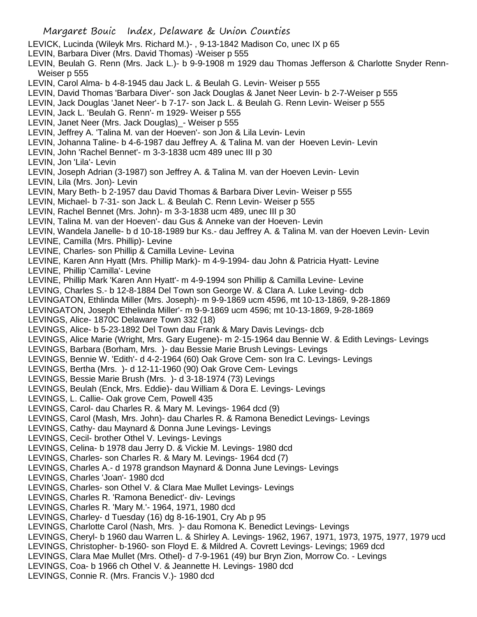LEVICK, Lucinda (Wileyk Mrs. Richard M.)- , 9-13-1842 Madison Co, unec IX p 65

- LEVIN, Barbara Diver (Mrs. David Thomas) -Weiser p 555
- LEVIN, Beulah G. Renn (Mrs. Jack L.)- b 9-9-1908 m 1929 dau Thomas Jefferson & Charlotte Snyder Renn-Weiser p 555
- LEVIN, Carol Alma- b 4-8-1945 dau Jack L. & Beulah G. Levin- Weiser p 555
- LEVIN, David Thomas 'Barbara Diver'- son Jack Douglas & Janet Neer Levin- b 2-7-Weiser p 555
- LEVIN, Jack Douglas 'Janet Neer'- b 7-17- son Jack L. & Beulah G. Renn Levin- Weiser p 555
- LEVIN, Jack L. 'Beulah G. Renn'- m 1929- Weiser p 555
- LEVIN, Janet Neer (Mrs. Jack Douglas) Weiser p 555
- LEVIN, Jeffrey A. 'Talina M. van der Hoeven'- son Jon & Lila Levin- Levin
- LEVIN, Johanna Taline- b 4-6-1987 dau Jeffrey A. & Talina M. van der Hoeven Levin- Levin
- LEVIN, John 'Rachel Bennet'- m 3-3-1838 ucm 489 unec III p 30

LEVIN, Jon 'Lila'- Levin

LEVIN, Joseph Adrian (3-1987) son Jeffrey A. & Talina M. van der Hoeven Levin- Levin

LEVIN, Lila (Mrs. Jon)- Levin

- LEVIN, Mary Beth- b 2-1957 dau David Thomas & Barbara Diver Levin- Weiser p 555
- LEVIN, Michael- b 7-31- son Jack L. & Beulah C. Renn Levin- Weiser p 555
- LEVIN, Rachel Bennet (Mrs. John)- m 3-3-1838 ucm 489, unec III p 30
- LEVIN, Talina M. van der Hoeven'- dau Gus & Anneke van der Hoeven- Levin
- LEVIN, Wandela Janelle- b d 10-18-1989 bur Ks.- dau Jeffrey A. & Talina M. van der Hoeven Levin- Levin
- LEVINE, Camilla (Mrs. Phillip)- Levine
- LEVINE, Charles- son Phillip & Camilla Levine- Levina
- LEVINE, Karen Ann Hyatt (Mrs. Phillip Mark)- m 4-9-1994- dau John & Patricia Hyatt- Levine

LEVINE, Phillip 'Camilla'- Levine

- LEVINE, Phillip Mark 'Karen Ann Hyatt'- m 4-9-1994 son Phillip & Camilla Levine- Levine
- LEVING, Charles S.- b 12-8-1884 Del Town son George W. & Clara A. Luke Leving- dcb
- LEVINGATON, Ethlinda Miller (Mrs. Joseph)- m 9-9-1869 ucm 4596, mt 10-13-1869, 9-28-1869
- LEVINGATON, Joseph 'Ethelinda Miller'- m 9-9-1869 ucm 4596; mt 10-13-1869, 9-28-1869
- LEVINGS, Alice- 1870C Delaware Town 332 (18)
- LEVINGS, Alice- b 5-23-1892 Del Town dau Frank & Mary Davis Levings- dcb
- LEVINGS, Alice Marie (Wright, Mrs. Gary Eugene)- m 2-15-1964 dau Bennie W. & Edith Levings- Levings
- LEVINGS, Barbara (Borham, Mrs. )- dau Bessie Marie Brush Levings- Levings
- LEVINGS, Bennie W. 'Edith'- d 4-2-1964 (60) Oak Grove Cem- son Ira C. Levings- Levings
- LEVINGS, Bertha (Mrs. )- d 12-11-1960 (90) Oak Grove Cem- Levings
- LEVINGS, Bessie Marie Brush (Mrs. )- d 3-18-1974 (73) Levings
- LEVINGS, Beulah (Enck, Mrs. Eddie)- dau William & Dora E. Levings- Levings
- LEVINGS, L. Callie- Oak grove Cem, Powell 435
- LEVINGS, Carol- dau Charles R. & Mary M. Levings- 1964 dcd (9)
- LEVINGS, Carol (Mash, Mrs. John)- dau Charles R. & Ramona Benedict Levings- Levings
- LEVINGS, Cathy- dau Maynard & Donna June Levings- Levings
- LEVINGS, Cecil- brother Othel V. Levings- Levings
- LEVINGS, Celina- b 1978 dau Jerry D. & Vickie M. Levings- 1980 dcd
- LEVINGS, Charles- son Charles R. & Mary M. Levings- 1964 dcd (7)
- LEVINGS, Charles A.- d 1978 grandson Maynard & Donna June Levings- Levings
- LEVINGS, Charles 'Joan'- 1980 dcd
- LEVINGS, Charles- son Othel V. & Clara Mae Mullet Levings- Levings
- LEVINGS, Charles R. 'Ramona Benedict'- div- Levings
- LEVINGS, Charles R. 'Mary M.'- 1964, 1971, 1980 dcd
- LEVINGS, Charley- d Tuesday (16) dg 8-16-1901, Cry Ab p 95
- LEVINGS, Charlotte Carol (Nash, Mrs. )- dau Romona K. Benedict Levings- Levings
- LEVINGS, Cheryl- b 1960 dau Warren L. & Shirley A. Levings- 1962, 1967, 1971, 1973, 1975, 1977, 1979 ucd
- LEVINGS, Christopher- b-1960- son Floyd E. & Mildred A. Covrett Levings- Levings; 1969 dcd
- LEVINGS, Clara Mae Mullet (Mrs. Othel)- d 7-9-1961 (49) bur Bryn Zion, Morrow Co. Levings
- LEVINGS, Coa- b 1966 ch Othel V. & Jeannette H. Levings- 1980 dcd
- LEVINGS, Connie R. (Mrs. Francis V.)- 1980 dcd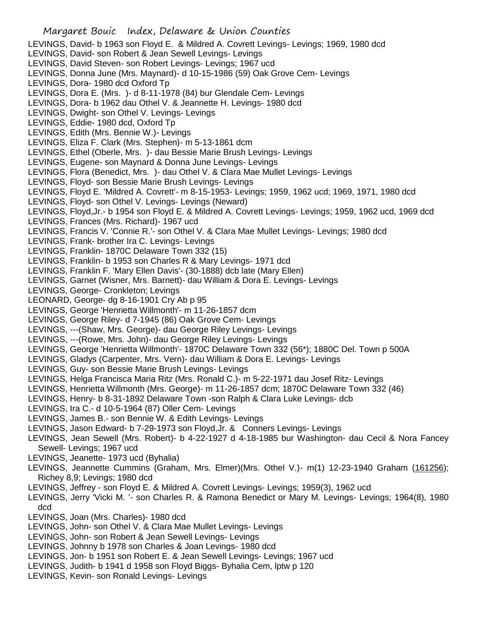LEVINGS, David- b 1963 son Floyd E. & Mildred A. Covrett Levings- Levings; 1969, 1980 dcd

- LEVINGS, David- son Robert & Jean Sewell Levings- Levings
- LEVINGS, David Steven- son Robert Levings- Levings; 1967 ucd
- LEVINGS, Donna June (Mrs. Maynard)- d 10-15-1986 (59) Oak Grove Cem- Levings
- LEVINGS, Dora- 1980 dcd Oxford Tp
- LEVINGS, Dora E. (Mrs. )- d 8-11-1978 (84) bur Glendale Cem- Levings
- LEVINGS, Dora- b 1962 dau Othel V. & Jeannette H. Levings- 1980 dcd
- LEVINGS, Dwight- son Othel V. Levings- Levings
- LEVINGS, Eddie- 1980 dcd, Oxford Tp
- LEVINGS, Edith (Mrs. Bennie W.)- Levings
- LEVINGS, Eliza F. Clark (Mrs. Stephen)- m 5-13-1861 dcm
- LEVINGS, Ethel (Oberle, Mrs. )- dau Bessie Marie Brush Levings- Levings
- LEVINGS, Eugene- son Maynard & Donna June Levings- Levings
- LEVINGS, Flora (Benedict, Mrs. )- dau Othel V. & Clara Mae Mullet Levings- Levings
- LEVINGS, Floyd- son Bessie Marie Brush Levings- Levings
- LEVINGS, Floyd E. 'Mildred A. Covrett'- m 8-15-1953- Levings; 1959, 1962 ucd; 1969, 1971, 1980 dcd
- LEVINGS, Floyd- son Othel V. Levings- Levings (Neward)
- LEVINGS, Floyd,Jr.- b 1954 son Floyd E. & Mildred A. Covrett Levings- Levings; 1959, 1962 ucd, 1969 dcd
- LEVINGS, Frances (Mrs. Richard)- 1967 ucd
- LEVINGS, Francis V. 'Connie R.'- son Othel V. & Clara Mae Mullet Levings- Levings; 1980 dcd
- LEVINGS, Frank- brother Ira C. Levings- Levings
- LEVINGS, Franklin- 1870C Delaware Town 332 (15)
- LEVINGS, Franklin- b 1953 son Charles R & Mary Levings- 1971 dcd
- LEVINGS, Franklin F. 'Mary Ellen Davis'- (30-1888) dcb late (Mary Ellen)
- LEVINGS, Garnet (Wisner, Mrs. Barnett)- dau William & Dora E. Levings- Levings
- LEVINGS, George- Cronkleton; Levings
- LEONARD, George- dg 8-16-1901 Cry Ab p 95
- LEVINGS, George 'Henrietta Willmonth'- m 11-26-1857 dcm
- LEVINGS, George Riley- d 7-1945 (86) Oak Grove Cem- Levings
- LEVINGS, ---(Shaw, Mrs. George)- dau George Riley Levings- Levings
- LEVINGS, ---(Rowe, Mrs. John)- dau George Riley Levings- Levings
- LEVINGS, George 'Henrietta Willmonth'- 1870C Delaware Town 332 (56\*); 1880C Del. Town p 500A
- LEVINGS, Gladys (Carpenter, Mrs. Vern)- dau William & Dora E. Levings- Levings
- LEVINGS, Guy- son Bessie Marie Brush Levings- Levings
- LEVINGS, Helga Francisca Maria Ritz (Mrs. Ronald C.)- m 5-22-1971 dau Josef Ritz- Levings
- LEVINGS, Henrietta Willmonth (Mrs. George)- m 11-26-1857 dcm; 1870C Delaware Town 332 (46)
- LEVINGS, Henry- b 8-31-1892 Delaware Town -son Ralph & Clara Luke Levings- dcb
- LEVINGS, Ira C.- d 10-5-1964 (87) Oller Cem- Levings
- LEVINGS, James B.- son Bennie W. & Edith Levings- Levings
- LEVINGS, Jason Edward- b 7-29-1973 son Floyd,Jr. & Conners Levings- Levings
- LEVINGS, Jean Sewell (Mrs. Robert)- b 4-22-1927 d 4-18-1985 bur Washington- dau Cecil & Nora Fancey Sewell- Levings; 1967 ucd
- LEVINGS, Jeanette- 1973 ucd (Byhalia)
- LEVINGS, Jeannette Cummins (Graham, Mrs. Elmer)(Mrs. Othel V.)- m(1) 12-23-1940 Graham (161256); Richey 8,9; Levings; 1980 dcd
- LEVINGS, Jeffrey son Floyd E. & Mildred A. Covrett Levings- Levings; 1959(3), 1962 ucd
- LEVINGS, Jerry 'Vicki M. '- son Charles R. & Ramona Benedict or Mary M. Levings- Levings; 1964(8), 1980 dcd
- LEVINGS, Joan (Mrs. Charles)- 1980 dcd
- LEVINGS, John- son Othel V. & Clara Mae Mullet Levings- Levings
- LEVINGS, John- son Robert & Jean Sewell Levings- Levings
- LEVINGS, Johnny b 1978 son Charles & Joan Levings- 1980 dcd
- LEVINGS, Jon- b 1951 son Robert E. & Jean Sewell Levings- Levings; 1967 ucd
- LEVINGS, Judith- b 1941 d 1958 son Floyd Biggs- Byhalia Cem, lptw p 120
- LEVINGS, Kevin- son Ronald Levings- Levings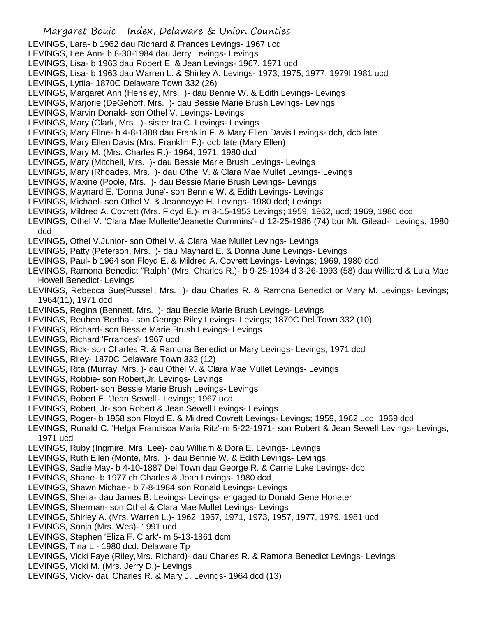- LEVINGS, Lara- b 1962 dau Richard & Frances Levings- 1967 ucd
- LEVINGS, Lee Ann- b 8-30-1984 dau Jerry Levings- Levings
- LEVINGS, Lisa- b 1963 dau Robert E. & Jean Levings- 1967, 1971 ucd
- LEVINGS, Lisa- b 1963 dau Warren L. & Shirley A. Levings- 1973, 1975, 1977, 1979l 1981 ucd
- LEVINGS, Lyttia- 1870C Delaware Town 332 (26)
- LEVINGS, Margaret Ann (Hensley, Mrs. )- dau Bennie W. & Edith Levings- Levings
- LEVINGS, Marjorie (DeGehoff, Mrs. )- dau Bessie Marie Brush Levings- Levings
- LEVINGS, Marvin Donald- son Othel V. Levings- Levings
- LEVINGS, Mary (Clark, Mrs. )- sister Ira C. Levings- Levings
- LEVINGS, Mary Ellne- b 4-8-1888 dau Franklin F. & Mary Ellen Davis Levings- dcb, dcb late
- LEVINGS, Mary Ellen Davis (Mrs. Franklin F.)- dcb late (Mary Ellen)
- LEVINGS, Mary M. (Mrs. Charles R.)- 1964, 1971, 1980 dcd
- LEVINGS, Mary (Mitchell, Mrs. )- dau Bessie Marie Brush Levings- Levings
- LEVINGS, Mary (Rhoades, Mrs. )- dau Othel V. & Clara Mae Mullet Levings- Levings
- LEVINGS, Maxine (Poole, Mrs. )- dau Bessie Marie Brush Levings- Levings
- LEVINGS, Maynard E. 'Donna June'- son Bennie W. & Edith Levings- Levings
- LEVINGS, Michael- son Othel V. & Jeanneyye H. Levings- 1980 dcd; Levings
- LEVINGS, Mildred A. Covrett (Mrs. Floyd E.)- m 8-15-1953 Levings; 1959, 1962, ucd; 1969, 1980 dcd
- LEVINGS, Othel V. 'Clara Mae Mullette'Jeanette Cummins'- d 12-25-1986 (74) bur Mt. Gilead- Levings; 1980 dcd
- LEVINGS, Othel V,Junior- son Othel V. & Clara Mae Mullet Levings- Levings
- LEVINGS, Patty (Peterson, Mrs. )- dau Maynard E. & Donna June Levings- Levings
- LEVINGS, Paul- b 1964 son Floyd E. & Mildred A. Covrett Levings- Levings; 1969, 1980 dcd
- LEVINGS, Ramona Benedict "Ralph" (Mrs. Charles R.)- b 9-25-1934 d 3-26-1993 (58) dau Williard & Lula Mae Howell Benedict- Levings
- LEVINGS, Rebecca Sue(Russell, Mrs. )- dau Charles R. & Ramona Benedict or Mary M. Levings- Levings; 1964(11), 1971 dcd
- LEVINGS, Regina (Bennett, Mrs. )- dau Bessie Marie Brush Levings- Levings
- LEVINGS, Reuben 'Bertha'- son George Riley Levings- Levings; 1870C Del Town 332 (10)
- LEVINGS, Richard- son Bessie Marie Brush Levings- Levings
- LEVINGS, Richard 'Frrances'- 1967 ucd
- LEVINGS, Rick- son Charles R. & Ramona Benedict or Mary Levings- Levings; 1971 dcd
- LEVINGS, Riley- 1870C Delaware Town 332 (12)
- LEVINGS, Rita (Murray, Mrs. )- dau Othel V. & Clara Mae Mullet Levings- Levings
- LEVINGS, Robbie- son Robert,Jr. Levings- Levings
- LEVINGS, Robert- son Bessie Marie Brush Levings- Levings
- LEVINGS, Robert E. 'Jean Sewell'- Levings; 1967 ucd
- LEVINGS, Robert, Jr- son Robert & Jean Sewell Levings- Levings
- LEVINGS, Roger- b 1958 son Floyd E. & Mildred Covrett Levings- Levings; 1959, 1962 ucd; 1969 dcd
- LEVINGS, Ronald C. 'Helga Francisca Maria Ritz'-m 5-22-1971- son Robert & Jean Sewell Levings- Levings; 1971 ucd
- LEVINGS, Ruby (Ingmire, Mrs. Lee)- dau William & Dora E. Levings- Levings
- LEVINGS, Ruth Ellen (Monte, Mrs. )- dau Bennie W. & Edith Levings- Levings
- LEVINGS, Sadie May- b 4-10-1887 Del Town dau George R. & Carrie Luke Levings- dcb
- LEVINGS, Shane- b 1977 ch Charles & Joan Levings- 1980 dcd
- LEVINGS, Shawn Michael- b 7-8-1984 son Ronald Levings- Levings
- LEVINGS, Sheila- dau James B. Levings- Levings- engaged to Donald Gene Honeter
- LEVINGS, Sherman- son Othel & Clara Mae Mullet Levings- Levings
- LEVINGS, Shirley A. (Mrs. Warren L.)- 1962, 1967, 1971, 1973, 1957, 1977, 1979, 1981 ucd
- LEVINGS, Sonja (Mrs. Wes)- 1991 ucd
- LEVINGS, Stephen 'Eliza F. Clark'- m 5-13-1861 dcm
- LEVINGS, Tina L.- 1980 dcd; Delaware Tp
- LEVINGS, Vicki Faye (Riley,Mrs. Richard)- dau Charles R. & Ramona Benedict Levings- Levings
- LEVINGS, Vicki M. (Mrs. Jerry D.)- Levings
- LEVINGS, Vicky- dau Charles R. & Mary J. Levings- 1964 dcd (13)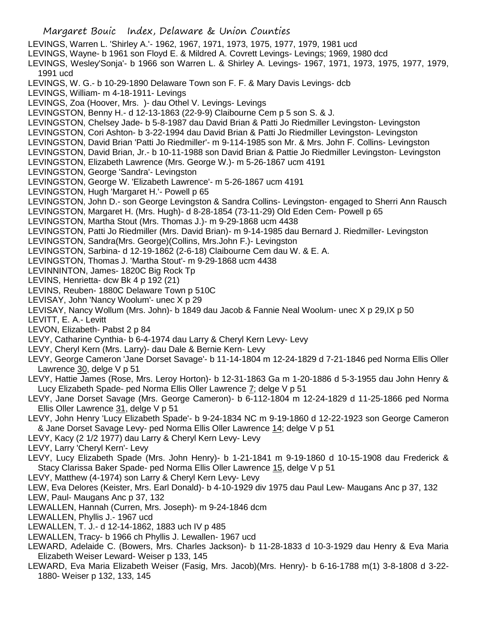Margaret Bouic Index, Delaware & Union Counties LEVINGS, Warren L. 'Shirley A.'- 1962, 1967, 1971, 1973, 1975, 1977, 1979, 1981 ucd LEVINGS, Wayne- b 1961 son Floyd E. & Mildred A. Covrett Levings- Levings; 1969, 1980 dcd LEVINGS, Wesley'Sonja'- b 1966 son Warren L. & Shirley A. Levings- 1967, 1971, 1973, 1975, 1977, 1979, 1991 ucd LEVINGS, W. G.- b 10-29-1890 Delaware Town son F. F. & Mary Davis Levings- dcb LEVINGS, William- m 4-18-1911- Levings LEVINGS, Zoa (Hoover, Mrs. )- dau Othel V. Levings- Levings LEVINGSTON, Benny H.- d 12-13-1863 (22-9-9) Claibourne Cem p 5 son S. & J. LEVINGSTON, Chelsey Jade- b 5-8-1987 dau David Brian & Patti Jo Riedmiller Levingston- Levingston LEVINGSTON, Cori Ashton- b 3-22-1994 dau David Brian & Patti Jo Riedmiller Levingston- Levingston LEVINGSTON, David Brian 'Patti Jo Riedmiller'- m 9-114-1985 son Mr. & Mrs. John F. Collins- Levingston LEVINGSTON, David Brian, Jr.- b 10-11-1988 son David Brian & Pattie Jo Riedmiller Levingston- Levingston LEVINGSTON, Elizabeth Lawrence (Mrs. George W.)- m 5-26-1867 ucm 4191 LEVINGSTON, George 'Sandra'- Levingston LEVINGSTON, George W. 'Elizabeth Lawrence'- m 5-26-1867 ucm 4191 LEVINGSTON, Hugh 'Margaret H.'- Powell p 65 LEVINGSTON, John D.- son George Levingston & Sandra Collins- Levingston- engaged to Sherri Ann Rausch LEVINGSTON, Margaret H. (Mrs. Hugh)- d 8-28-1854 (73-11-29) Old Eden Cem- Powell p 65 LEVINGSTON, Martha Stout (Mrs. Thomas J.)- m 9-29-1868 ucm 4438 LEVINGSTON, Patti Jo Riedmiller (Mrs. David Brian)- m 9-14-1985 dau Bernard J. Riedmiller- Levingston LEVINGSTON, Sandra(Mrs. George)(Collins, Mrs.John F.)- Levingston LEVINGSTON, Sarbina- d 12-19-1862 (2-6-18) Claibourne Cem dau W. & E. A. LEVINGSTON, Thomas J. 'Martha Stout'- m 9-29-1868 ucm 4438 LEVINNINTON, James- 1820C Big Rock Tp LEVINS, Henrietta- dcw Bk 4 p 192 (21) LEVINS, Reuben- 1880C Delaware Town p 510C LEVISAY, John 'Nancy Woolum'- unec X p 29 LEVISAY, Nancy Wollum (Mrs. John)- b 1849 dau Jacob & Fannie Neal Woolum- unec X p 29,IX p 50 LEVITT, E. A.- Levitt LEVON, Elizabeth- Pabst 2 p 84 LEVY, Catharine Cynthia- b 6-4-1974 dau Larry & Cheryl Kern Levy- Levy LEVY, Cheryl Kern (Mrs. Larry)- dau Dale & Bernie Kern- Levy LEVY, George Cameron 'Jane Dorset Savage'- b 11-14-1804 m 12-24-1829 d 7-21-1846 ped Norma Ellis Oller Lawrence 30, delge V p 51 LEVY, Hattie James (Rose, Mrs. Leroy Horton)- b 12-31-1863 Ga m 1-20-1886 d 5-3-1955 dau John Henry & Lucy Elizabeth Spade- ped Norma Ellis Oller Lawrence 7; delge V p 51 LEVY, Jane Dorset Savage (Mrs. George Cameron)- b 6-112-1804 m 12-24-1829 d 11-25-1866 ped Norma Ellis Oller Lawrence 31, delge V p 51 LEVY, John Henry 'Lucy Elizabeth Spade'- b 9-24-1834 NC m 9-19-1860 d 12-22-1923 son George Cameron & Jane Dorset Savage Levy- ped Norma Ellis Oller Lawrence 14; delge V p 51 LEVY, Kacy (2 1/2 1977) dau Larry & Cheryl Kern Levy- Levy LEVY, Larry 'Cheryl Kern'- Levy LEVY, Lucy Elizabeth Spade (Mrs. John Henry)- b 1-21-1841 m 9-19-1860 d 10-15-1908 dau Frederick & Stacy Clarissa Baker Spade- ped Norma Ellis Oller Lawrence 15, delge V p 51 LEVY, Matthew (4-1974) son Larry & Cheryl Kern Levy- Levy LEW, Eva Delores (Keister, Mrs. Earl Donald)- b 4-10-1929 div 1975 dau Paul Lew- Maugans Anc p 37, 132 LEW, Paul- Maugans Anc p 37, 132 LEWALLEN, Hannah (Curren, Mrs. Joseph)- m 9-24-1846 dcm LEWALLEN, Phyllis J.- 1967 ucd LEWALLEN, T. J.- d 12-14-1862, 1883 uch IV p 485 LEWALLEN, Tracy- b 1966 ch Phyllis J. Lewallen- 1967 ucd LEWARD, Adelaide C. (Bowers, Mrs. Charles Jackson)- b 11-28-1833 d 10-3-1929 dau Henry & Eva Maria Elizabeth Weiser Leward- Weiser p 133, 145 LEWARD, Eva Maria Elizabeth Weiser (Fasig, Mrs. Jacob)(Mrs. Henry)- b 6-16-1788 m(1) 3-8-1808 d 3-22-

1880- Weiser p 132, 133, 145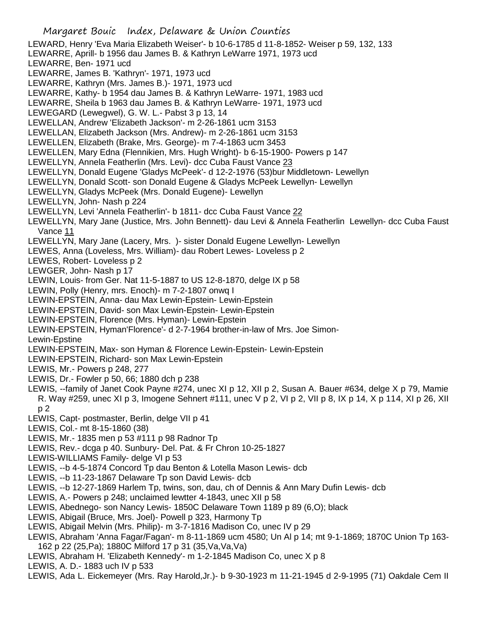- Margaret Bouic Index, Delaware & Union Counties LEWARD, Henry 'Eva Maria Elizabeth Weiser'- b 10-6-1785 d 11-8-1852- Weiser p 59, 132, 133 LEWARRE, Aprill- b 1956 dau James B. & Kathryn LeWarre 1971, 1973 ucd LEWARRE, Ben- 1971 ucd LEWARRE, James B. 'Kathryn'- 1971, 1973 ucd LEWARRE, Kathryn (Mrs. James B.)- 1971, 1973 ucd LEWARRE, Kathy- b 1954 dau James B. & Kathryn LeWarre- 1971, 1983 ucd LEWARRE, Sheila b 1963 dau James B. & Kathryn LeWarre- 1971, 1973 ucd LEWEGARD (Lewegwel), G. W. L.- Pabst 3 p 13, 14 LEWELLAN, Andrew 'Elizabeth Jackson'- m 2-26-1861 ucm 3153 LEWELLAN, Elizabeth Jackson (Mrs. Andrew)- m 2-26-1861 ucm 3153 LEWELLEN, Elizabeth (Brake, Mrs. George)- m 7-4-1863 ucm 3453 LEWELLEN, Mary Edna (Flennikien, Mrs. Hugh Wright)- b 6-15-1900- Powers p 147 LEWELLYN, Annela Featherlin (Mrs. Levi)- dcc Cuba Faust Vance 23 LEWELLYN, Donald Eugene 'Gladys McPeek'- d 12-2-1976 (53)bur Middletown- Lewellyn LEWELLYN, Donald Scott- son Donald Eugene & Gladys McPeek Lewellyn- Lewellyn LEWELLYN, Gladys McPeek (Mrs. Donald Eugene)- Lewellyn LEWELLYN, John- Nash p 224 LEWELLYN, Levi 'Annela Featherlin'- b 1811- dcc Cuba Faust Vance 22 LEWELLYN, Mary Jane (Justice, Mrs. John Bennett)- dau Levi & Annela Featherlin Lewellyn- dcc Cuba Faust Vance 11 LEWELLYN, Mary Jane (Lacery, Mrs. )- sister Donald Eugene Lewellyn- Lewellyn LEWES, Anna (Loveless, Mrs. William)- dau Robert Lewes- Loveless p 2 LEWES, Robert- Loveless p 2 LEWGER, John- Nash p 17 LEWIN, Louis- from Ger. Nat 11-5-1887 to US 12-8-1870, delge IX p 58 LEWIN, Polly (Henry, mrs. Enoch)- m 7-2-1807 onwq I LEWIN-EPSTEIN, Anna- dau Max Lewin-Epstein- Lewin-Epstein LEWIN-EPSTEIN, David- son Max Lewin-Epstein- Lewin-Epstein LEWIN-EPSTEIN, Florence (Mrs. Hyman)- Lewin-Epstein LEWIN-EPSTEIN, Hyman'Florence'- d 2-7-1964 brother-in-law of Mrs. Joe Simon-Lewin-Epstine LEWIN-EPSTEIN, Max- son Hyman & Florence Lewin-Epstein- Lewin-Epstein LEWIN-EPSTEIN, Richard- son Max Lewin-Epstein LEWIS, Mr.- Powers p 248, 277 LEWIS, Dr.- Fowler p 50, 66; 1880 dch p 238 LEWIS, --family of Janet Cook Payne #274, unec XI p 12, XII p 2, Susan A. Bauer #634, delge X p 79, Mamie R. Way #259, unec XI p 3, Imogene Sehnert #111, unec V p 2, VI p 2, VII p 8, IX p 14, X p 114, XI p 26, XII p 2 LEWIS, Capt- postmaster, Berlin, delge VII p 41 LEWIS, Col.- mt 8-15-1860 (38) LEWIS, Mr.- 1835 men p 53 #111 p 98 Radnor Tp LEWIS, Rev.- dcga p 40. Sunbury- Del. Pat. & Fr Chron 10-25-1827 LEWIS-WILLIAMS Family- delge VI p 53 LEWIS, --b 4-5-1874 Concord Tp dau Benton & Lotella Mason Lewis- dcb LEWIS, --b 11-23-1867 Delaware Tp son David Lewis- dcb LEWIS, --b 12-27-1869 Harlem Tp, twins, son, dau, ch of Dennis & Ann Mary Dufin Lewis- dcb LEWIS, A.- Powers p 248; unclaimed lewtter 4-1843, unec XII p 58 LEWIS, Abednego- son Nancy Lewis- 1850C Delaware Town 1189 p 89 (6,O); black LEWIS, Abigail (Bruce, Mrs. Joel)- Powell p 323, Harmony Tp LEWIS, Abigail Melvin (Mrs. Philip)- m 3-7-1816 Madison Co, unec IV p 29 LEWIS, Abraham 'Anna Fagar/Fagan'- m 8-11-1869 ucm 4580; Un Al p 14; mt 9-1-1869; 1870C Union Tp 163- 162 p 22 (25,Pa); 1880C Milford 17 p 31 (35,Va,Va,Va) LEWIS, Abraham H. 'Elizabeth Kennedy'- m 1-2-1845 Madison Co, unec X p 8
- LEWIS, A. D.- 1883 uch IV p 533
- LEWIS, Ada L. Eickemeyer (Mrs. Ray Harold,Jr.)- b 9-30-1923 m 11-21-1945 d 2-9-1995 (71) Oakdale Cem II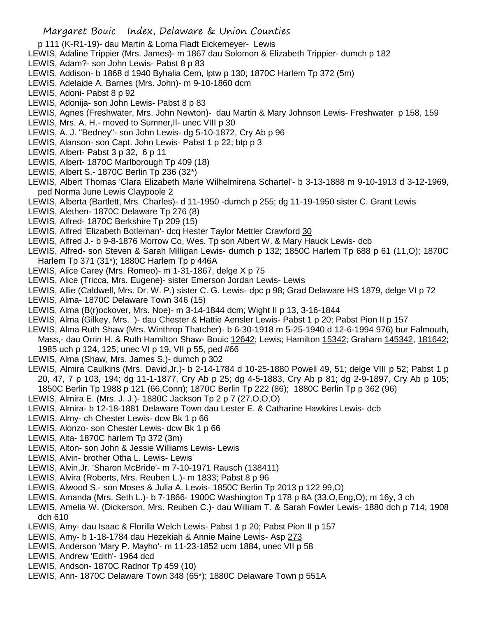- p 111 (K-R1-19)- dau Martin & Lorna Fladt Eickemeyer- Lewis
- LEWIS, Adaline Trippier (Mrs. James)- m 1867 dau Solomon & Elizabeth Trippier- dumch p 182
- LEWIS, Adam?- son John Lewis- Pabst 8 p 83
- LEWIS, Addison- b 1868 d 1940 Byhalia Cem, lptw p 130; 1870C Harlem Tp 372 (5m)
- LEWIS, Adelaide A. Barnes (Mrs. John)- m 9-10-1860 dcm
- LEWIS, Adoni- Pabst 8 p 92
- LEWIS, Adonija- son John Lewis- Pabst 8 p 83
- LEWIS, Agnes (Freshwater, Mrs. John Newton)- dau Martin & Mary Johnson Lewis- Freshwater p 158, 159
- LEWIS, Mrs. A. H.- moved to Sumner,Il- unec VIII p 30
- LEWIS, A. J. "Bedney"- son John Lewis- dg 5-10-1872, Cry Ab p 96
- LEWIS, Alanson- son Capt. John Lewis- Pabst 1 p 22; btp p 3
- LEWIS, Albert- Pabst 3 p 32, 6 p 11
- LEWIS, Albert- 1870C Marlborough Tp 409 (18)
- LEWIS, Albert S.- 1870C Berlin Tp 236 (32\*)
- LEWIS, Albert Thomas 'Clara Elizabeth Marie Wilhelmirena Schartel'- b 3-13-1888 m 9-10-1913 d 3-12-1969, ped Norma June Lewis Claypoole 2
- LEWIS, Alberta (Bartlett, Mrs. Charles)- d 11-1950 -dumch p 255; dg 11-19-1950 sister C. Grant Lewis
- LEWIS, Alethen- 1870C Delaware Tp 276 (8)
- LEWIS, Alfred- 1870C Berkshire Tp 209 (15)
- LEWIS, Alfred 'Elizabeth Botleman'- dcq Hester Taylor Mettler Crawford 30
- LEWIS, Alfred J.- b 9-8-1876 Morrow Co, Wes. Tp son Albert W. & Mary Hauck Lewis- dcb
- LEWIS, Alfred- son Steven & Sarah Milligan Lewis- dumch p 132; 1850C Harlem Tp 688 p 61 (11,O); 1870C Harlem Tp 371 (31\*); 1880C Harlem Tp p 446A
- LEWIS, Alice Carey (Mrs. Romeo)- m 1-31-1867, delge X p 75
- LEWIS, Alice (Tricca, Mrs. Eugene)- sister Emerson Jordan Lewis- Lewis
- LEWIS, Allie (Caldwell, Mrs. Dr. W. P.) sister C. G. Lewis- dpc p 98; Grad Delaware HS 1879, delge VI p 72
- LEWIS, Alma- 1870C Delaware Town 346 (15)
- LEWIS, Alma (B(r)ockover, Mrs. Noe)- m 3-14-1844 dcm; Wight II p 13, 3-16-1844
- LEWIS, Alma (Gilkey, Mrs. )- dau Chester & Hattie Aensler Lewis- Pabst 1 p 20; Pabst Pion II p 157
- LEWIS, Alma Ruth Shaw (Mrs. Winthrop Thatcher)- b 6-30-1918 m 5-25-1940 d 12-6-1994 976) bur Falmouth, Mass,- dau Orrin H. & Ruth Hamilton Shaw- Bouic 12642; Lewis; Hamilton 15342; Graham 145342, 181642; 1985 uch p 124, 125; unec VI p 19, VII p 55, ped #66
- LEWIS, Alma (Shaw, Mrs. James S.)- dumch p 302
- LEWIS, Almira Caulkins (Mrs. David,Jr.)- b 2-14-1784 d 10-25-1880 Powell 49, 51; delge VIII p 52; Pabst 1 p 20, 47, 7 p 103, 194; dg 11-1-1877, Cry Ab p 25; dg 4-5-1883, Cry Ab p 81; dg 2-9-1897, Cry Ab p 105; 1850C Berlin Tp 1988 p 121 (66,Conn); 1870C Berlin Tp 222 (86); 1880C Berlin Tp p 362 (96)
- LEWIS, Almira E. (Mrs. J. J.)- 1880C Jackson Tp 2 p 7 (27,O,O,O)
- LEWIS, Almira- b 12-18-1881 Delaware Town dau Lester E. & Catharine Hawkins Lewis- dcb
- LEWIS, Almy- ch Chester Lewis- dcw Bk 1 p 66
- LEWIS, Alonzo- son Chester Lewis- dcw Bk 1 p 66
- LEWIS, Alta- 1870C harlem Tp 372 (3m)
- LEWIS, Alton- son John & Jessie Williams Lewis- Lewis
- LEWIS, Alvin- brother Otha L. Lewis- Lewis
- LEWIS, Alvin,Jr. 'Sharon McBride'- m 7-10-1971 Rausch (138411)
- LEWIS, Alvira (Roberts, Mrs. Reuben L.)- m 1833; Pabst 8 p 96
- LEWIS, Alwood S.- son Moses & Julia A. Lewis- 1850C Berlin Tp 2013 p 122 99,O)
- LEWIS, Amanda (Mrs. Seth L.)- b 7-1866- 1900C Washington Tp 178 p 8A (33,O,Eng,O); m 16y, 3 ch
- LEWIS, Amelia W. (Dickerson, Mrs. Reuben C.)- dau William T. & Sarah Fowler Lewis- 1880 dch p 714; 1908 dch 610
- LEWIS, Amy- dau Isaac & Florilla Welch Lewis- Pabst 1 p 20; Pabst Pion II p 157
- LEWIS, Amy- b 1-18-1784 dau Hezekiah & Annie Maine Lewis- Asp 273
- LEWIS, Anderson 'Mary P. Mayho'- m 11-23-1852 ucm 1884, unec VII p 58
- LEWIS, Andrew 'Edith'- 1964 dcd
- LEWIS, Andson- 1870C Radnor Tp 459 (10)
- LEWIS, Ann- 1870C Delaware Town 348 (65\*); 1880C Delaware Town p 551A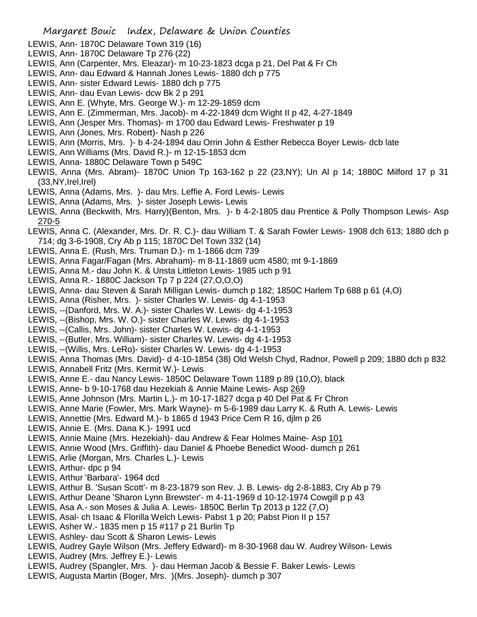- LEWIS, Ann- 1870C Delaware Town 319 (16)
- LEWIS, Ann- 1870C Delaware Tp 276 (22)
- LEWIS, Ann (Carpenter, Mrs. Eleazar)- m 10-23-1823 dcga p 21, Del Pat & Fr Ch
- LEWIS, Ann- dau Edward & Hannah Jones Lewis- 1880 dch p 775
- LEWIS, Ann- sister Edward Lewis- 1880 dch p 775
- LEWIS, Ann- dau Evan Lewis- dcw Bk 2 p 291
- LEWIS, Ann E. (Whyte, Mrs. George W.)- m 12-29-1859 dcm
- LEWIS, Ann E. (Zimmerman, Mrs. Jacob)- m 4-22-1849 dcm Wight II p 42, 4-27-1849
- LEWIS, Ann (Jesper Mrs. Thomas)- m 1700 dau Edward Lewis- Freshwater p 19
- LEWIS, Ann (Jones, Mrs. Robert)- Nash p 226
- LEWIS, Ann (Morris, Mrs. )- b 4-24-1894 dau Orrin John & Esther Rebecca Boyer Lewis- dcb late
- LEWIS, Ann Williams (Mrs. David R.)- m 12-15-1853 dcm
- LEWIS, Anna- 1880C Delaware Town p 549C
- LEWIS, Anna (Mrs. Abram)- 1870C Union Tp 163-162 p 22 (23,NY); Un Al p 14; 1880C Milford 17 p 31 (33,NY,Irel,Irel)
- LEWIS, Anna (Adams, Mrs. )- dau Mrs. Leffie A. Ford Lewis- Lewis
- LEWIS, Anna (Adams, Mrs. )- sister Joseph Lewis- Lewis
- LEWIS, Anna (Beckwith, Mrs. Harry)(Benton, Mrs. )- b 4-2-1805 dau Prentice & Polly Thompson Lewis- Asp 270-5
- LEWIS, Anna C. (Alexander, Mrs. Dr. R. C.)- dau William T. & Sarah Fowler Lewis- 1908 dch 613; 1880 dch p 714; dg 3-6-1908, Cry Ab p 115; 1870C Del Town 332 (14)
- LEWIS, Anna E. (Rush, Mrs. Truman D.)- m 1-1866 dcm 739
- LEWIS, Anna Fagar/Fagan (Mrs. Abraham)- m 8-11-1869 ucm 4580; mt 9-1-1869
- LEWIS, Anna M.- dau John K. & Unsta Littleton Lewis- 1985 uch p 91
- LEWIS, Anna R.- 1880C Jackson Tp 7 p 224 (27,O,O,O)
- LEWIS, Anna- dau Steven & Sarah Milligan Lewis- dumch p 182; 1850C Harlem Tp 688 p 61 (4,O)
- LEWIS, Anna (Risher, Mrs. )- sister Charles W. Lewis- dg 4-1-1953
- LEWIS, --(Danford, Mrs. W. A.)- sister Charles W. Lewis- dg 4-1-1953
- LEWIS, --(Bishop, Mrs. W. O.)- sister Charles W. Lewis- dg 4-1-1953
- LEWIS, --(Callis, Mrs. John)- sister Charles W. Lewis- dg 4-1-1953
- LEWIS, --(Butler, Mrs. William)- sister Charles W. Lewis- dg 4-1-1953
- LEWIS, --(Willis, Mrs. LeRo)- sister Charles W. Lewis- dg 4-1-1953
- LEWIS, Anna Thomas (Mrs. David)- d 4-10-1854 (38) Old Welsh Chyd, Radnor, Powell p 209; 1880 dch p 832
- LEWIS, Annabell Fritz (Mrs. Kermit W.)- Lewis
- LEWIS, Anne E.- dau Nancy Lewis- 1850C Delaware Town 1189 p 89 (10,O), black
- LEWIS, Anne- b 9-10-1768 dau Hezekiah & Annie Maine Lewis- Asp 269
- LEWIS, Anne Johnson (Mrs. Martin L.)- m 10-17-1827 dcga p 40 Del Pat & Fr Chron
- LEWIS, Anne Marie (Fowler, Mrs. Mark Wayne)- m 5-6-1989 dau Larry K. & Ruth A. Lewis- Lewis
- LEWIS, Annettie (Mrs. Edward M.)- b 1865 d 1943 Price Cem R 16, djlm p 26
- LEWIS, Annie E. (Mrs. Dana K.)- 1991 ucd
- LEWIS, Annie Maine (Mrs. Hezekiah)- dau Andrew & Fear Holmes Maine- Asp 101
- LEWIS, Annie Wood (Mrs. Griffith)- dau Daniel & Phoebe Benedict Wood- dumch p 261
- LEWIS, Arlie (Morgan, Mrs. Charles L.)- Lewis
- LEWIS, Arthur- dpc p 94
- LEWIS, Arthur 'Barbara'- 1964 dcd
- LEWIS, Arthur B. 'Susan Scott'- m 8-23-1879 son Rev. J. B. Lewis- dg 2-8-1883, Cry Ab p 79
- LEWIS, Arthur Deane 'Sharon Lynn Brewster'- m 4-11-1969 d 10-12-1974 Cowgill p p 43
- LEWIS, Asa A.- son Moses & Julia A. Lewis- 1850C Berlin Tp 2013 p 122 (7,O)
- LEWIS, Asal- ch Isaac & Florilla Welch Lewis- Pabst 1 p 20; Pabst Pion II p 157
- LEWIS, Asher W.- 1835 men p 15 #117 p 21 Burlin Tp
- LEWIS, Ashley- dau Scott & Sharon Lewis- Lewis
- LEWIS, Audrey Gayle Wilson (Mrs. Jeffery Edward)- m 8-30-1968 dau W. Audrey Wilson- Lewis
- LEWIS, Audrey (Mrs. Jeffrey E.)- Lewis
- LEWIS, Audrey (Spangler, Mrs. )- dau Herman Jacob & Bessie F. Baker Lewis- Lewis
- LEWIS, Augusta Martin (Boger, Mrs. )(Mrs. Joseph)- dumch p 307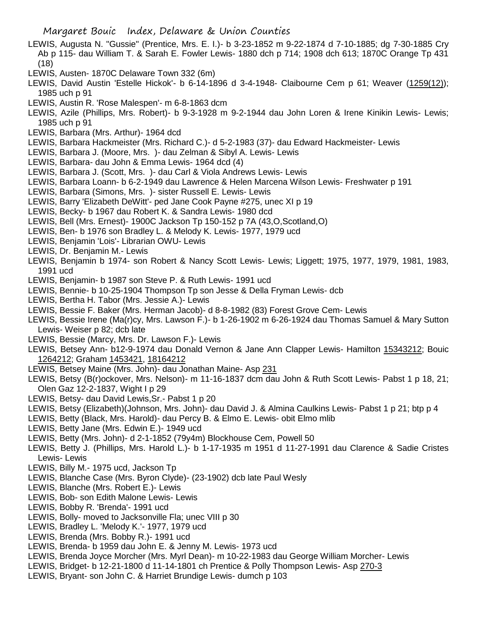- LEWIS, Augusta N. "Gussie" (Prentice, Mrs. E. I.)- b 3-23-1852 m 9-22-1874 d 7-10-1885; dg 7-30-1885 Cry Ab p 115- dau William T. & Sarah E. Fowler Lewis- 1880 dch p 714; 1908 dch 613; 1870C Orange Tp 431 (18)
- LEWIS, Austen- 1870C Delaware Town 332 (6m)
- LEWIS, David Austin 'Estelle Hickok'- b 6-14-1896 d 3-4-1948- Claibourne Cem p 61; Weaver (1259(12)); 1985 uch p 91
- LEWIS, Austin R. 'Rose Malespen'- m 6-8-1863 dcm
- LEWIS, Azile (Phillips, Mrs. Robert)- b 9-3-1928 m 9-2-1944 dau John Loren & Irene Kinikin Lewis- Lewis; 1985 uch p 91
- LEWIS, Barbara (Mrs. Arthur)- 1964 dcd
- LEWIS, Barbara Hackmeister (Mrs. Richard C.)- d 5-2-1983 (37)- dau Edward Hackmeister- Lewis
- LEWIS, Barbara J. (Moore, Mrs. )- dau Zelman & Sibyl A. Lewis- Lewis
- LEWIS, Barbara- dau John & Emma Lewis- 1964 dcd (4)
- LEWIS, Barbara J. (Scott, Mrs. )- dau Carl & Viola Andrews Lewis- Lewis
- LEWIS, Barbara Loann- b 6-2-1949 dau Lawrence & Helen Marcena Wilson Lewis- Freshwater p 191
- LEWIS, Barbara (Simons, Mrs. )- sister Russell E. Lewis- Lewis
- LEWIS, Barry 'Elizabeth DeWitt'- ped Jane Cook Payne #275, unec XI p 19
- LEWIS, Becky- b 1967 dau Robert K. & Sandra Lewis- 1980 dcd
- LEWIS, Bell (Mrs. Ernest)- 1900C Jackson Tp 150-152 p 7A (43,O,Scotland,O)
- LEWIS, Ben- b 1976 son Bradley L. & Melody K. Lewis- 1977, 1979 ucd
- LEWIS, Benjamin 'Lois'- Librarian OWU- Lewis
- LEWIS, Dr. Benjamin M.- Lewis
- LEWIS, Benjamin b 1974- son Robert & Nancy Scott Lewis- Lewis; Liggett; 1975, 1977, 1979, 1981, 1983, 1991 ucd
- LEWIS, Benjamin- b 1987 son Steve P. & Ruth Lewis- 1991 ucd
- LEWIS, Bennie- b 10-25-1904 Thompson Tp son Jesse & Della Fryman Lewis- dcb
- LEWIS, Bertha H. Tabor (Mrs. Jessie A.)- Lewis
- LEWIS, Bessie F. Baker (Mrs. Herman Jacob)- d 8-8-1982 (83) Forest Grove Cem- Lewis
- LEWIS, Bessie Irene (Ma(r)cy, Mrs. Lawson F.)- b 1-26-1902 m 6-26-1924 dau Thomas Samuel & Mary Sutton Lewis- Weiser p 82; dcb late
- LEWIS, Bessie (Marcy, Mrs. Dr. Lawson F.)- Lewis
- LEWIS, Betsey Ann- b12-9-1974 dau Donald Vernon & Jane Ann Clapper Lewis- Hamilton 15343212; Bouic 1264212; Graham 1453421, 18164212
- LEWIS, Betsey Maine (Mrs. John)- dau Jonathan Maine- Asp 231
- LEWIS, Betsy (B(r)ockover, Mrs. Nelson)- m 11-16-1837 dcm dau John & Ruth Scott Lewis- Pabst 1 p 18, 21; Olen Gaz 12-2-1837, Wight I p 29
- LEWIS, Betsy- dau David Lewis,Sr.- Pabst 1 p 20
- LEWIS, Betsy (Elizabeth)(Johnson, Mrs. John)- dau David J. & Almina Caulkins Lewis- Pabst 1 p 21; btp p 4
- LEWIS, Betty (Black, Mrs. Harold)- dau Percy B. & Elmo E. Lewis- obit Elmo mlib
- LEWIS, Betty Jane (Mrs. Edwin E.)- 1949 ucd
- LEWIS, Betty (Mrs. John)- d 2-1-1852 (79y4m) Blockhouse Cem, Powell 50
- LEWIS, Betty J. (Phillips, Mrs. Harold L.)- b 1-17-1935 m 1951 d 11-27-1991 dau Clarence & Sadie Cristes Lewis- Lewis
- LEWIS, Billy M.- 1975 ucd, Jackson Tp
- LEWIS, Blanche Case (Mrs. Byron Clyde)- (23-1902) dcb late Paul Wesly
- LEWIS, Blanche (Mrs. Robert E.)- Lewis
- LEWIS, Bob- son Edith Malone Lewis- Lewis
- LEWIS, Bobby R. 'Brenda'- 1991 ucd
- LEWIS, Bolly- moved to Jacksonville Fla; unec VIII p 30
- LEWIS, Bradley L. 'Melody K.'- 1977, 1979 ucd
- LEWIS, Brenda (Mrs. Bobby R.)- 1991 ucd
- LEWIS, Brenda- b 1959 dau John E. & Jenny M. Lewis- 1973 ucd
- LEWIS, Brenda Joyce Morcher (Mrs. Myrl Dean)- m 10-22-1983 dau George William Morcher- Lewis
- LEWIS, Bridget- b 12-21-1800 d 11-14-1801 ch Prentice & Polly Thompson Lewis- Asp 270-3
- LEWIS, Bryant- son John C. & Harriet Brundige Lewis- dumch p 103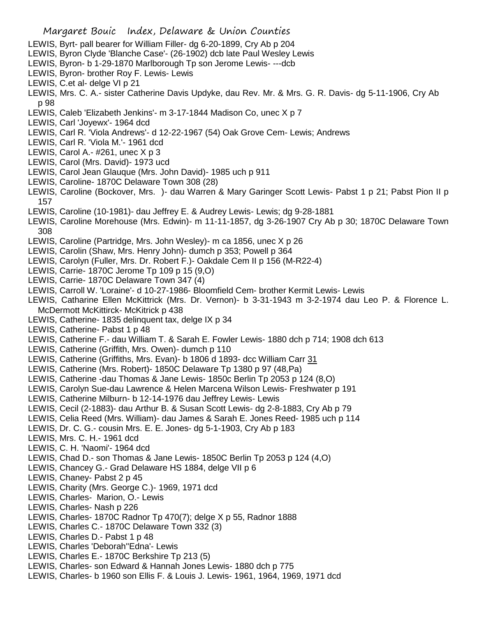- LEWIS, Byrt- pall bearer for William Filler- dg 6-20-1899, Cry Ab p 204
- LEWIS, Byron Clyde 'Blanche Case'- (26-1902) dcb late Paul Wesley Lewis
- LEWIS, Byron- b 1-29-1870 Marlborough Tp son Jerome Lewis- ---dcb
- LEWIS, Byron- brother Roy F. Lewis- Lewis
- LEWIS, C.et al- delge VI p 21
- LEWIS, Mrs. C. A.- sister Catherine Davis Updyke, dau Rev. Mr. & Mrs. G. R. Davis- dg 5-11-1906, Cry Ab p 98
- LEWIS, Caleb 'Elizabeth Jenkins'- m 3-17-1844 Madison Co, unec X p 7
- LEWIS, Carl 'Joyewx'- 1964 dcd
- LEWIS, Carl R. 'Viola Andrews'- d 12-22-1967 (54) Oak Grove Cem- Lewis; Andrews
- LEWIS, Carl R. 'Viola M.'- 1961 dcd
- LEWIS, Carol A.- #261, unec X p 3
- LEWIS, Carol (Mrs. David)- 1973 ucd
- LEWIS, Carol Jean Glauque (Mrs. John David)- 1985 uch p 911
- LEWIS, Caroline- 1870C Delaware Town 308 (28)
- LEWIS, Caroline (Bockover, Mrs. )- dau Warren & Mary Garinger Scott Lewis- Pabst 1 p 21; Pabst Pion II p 157
- LEWIS, Caroline (10-1981)- dau Jeffrey E. & Audrey Lewis- Lewis; dg 9-28-1881
- LEWIS, Caroline Morehouse (Mrs. Edwin)- m 11-11-1857, dg 3-26-1907 Cry Ab p 30; 1870C Delaware Town 308
- LEWIS, Caroline (Partridge, Mrs. John Wesley)- m ca 1856, unec X p 26
- LEWIS, Carolin (Shaw, Mrs. Henry John)- dumch p 353; Powell p 364
- LEWIS, Carolyn (Fuller, Mrs. Dr. Robert F.)- Oakdale Cem II p 156 (M-R22-4)
- LEWIS, Carrie- 1870C Jerome Tp 109 p 15 (9,O)
- LEWIS, Carrie- 1870C Delaware Town 347 (4)
- LEWIS, Carroll W. 'Loraine'- d 10-27-1986- Bloomfield Cem- brother Kermit Lewis- Lewis
- LEWIS, Catharine Ellen McKittrick (Mrs. Dr. Vernon)- b 3-31-1943 m 3-2-1974 dau Leo P. & Florence L. McDermott McKittirck- McKitrick p 438
- LEWIS, Catherine- 1835 delinquent tax, delge IX p 34
- LEWIS, Catherine- Pabst 1 p 48
- LEWIS, Catherine F.- dau William T. & Sarah E. Fowler Lewis- 1880 dch p 714; 1908 dch 613
- LEWIS, Catherine (Griffith, Mrs. Owen)- dumch p 110
- LEWIS, Catherine (Griffiths, Mrs. Evan)- b 1806 d 1893- dcc William Carr 31
- LEWIS, Catherine (Mrs. Robert)- 1850C Delaware Tp 1380 p 97 (48,Pa)
- LEWIS, Catherine -dau Thomas & Jane Lewis- 1850c Berlin Tp 2053 p 124 (8,O)
- LEWIS, Carolyn Sue-dau Lawrence & Helen Marcena Wilson Lewis- Freshwater p 191
- LEWIS, Catherine Milburn- b 12-14-1976 dau Jeffrey Lewis- Lewis
- LEWIS, Cecil (2-1883)- dau Arthur B. & Susan Scott Lewis- dg 2-8-1883, Cry Ab p 79
- LEWIS, Celia Reed (Mrs. William)- dau James & Sarah E. Jones Reed- 1985 uch p 114
- LEWIS, Dr. C. G.- cousin Mrs. E. E. Jones- dg 5-1-1903, Cry Ab p 183
- LEWIS, Mrs. C. H.- 1961 dcd
- LEWIS, C. H. 'Naomi'- 1964 dcd
- LEWIS, Chad D.- son Thomas & Jane Lewis- 1850C Berlin Tp 2053 p 124 (4,O)
- LEWIS, Chancey G.- Grad Delaware HS 1884, delge VII p 6
- LEWIS, Chaney- Pabst 2 p 45
- LEWIS, Charity (Mrs. George C.)- 1969, 1971 dcd
- LEWIS, Charles- Marion, O.- Lewis
- LEWIS, Charles- Nash p 226
- LEWIS, Charles- 1870C Radnor Tp 470(7); delge X p 55, Radnor 1888
- LEWIS, Charles C.- 1870C Delaware Town 332 (3)
- LEWIS, Charles D.- Pabst 1 p 48
- LEWIS, Charles 'Deborah''Edna'- Lewis
- LEWIS, Charles E.- 1870C Berkshire Tp 213 (5)
- LEWIS, Charles- son Edward & Hannah Jones Lewis- 1880 dch p 775
- LEWIS, Charles- b 1960 son Ellis F. & Louis J. Lewis- 1961, 1964, 1969, 1971 dcd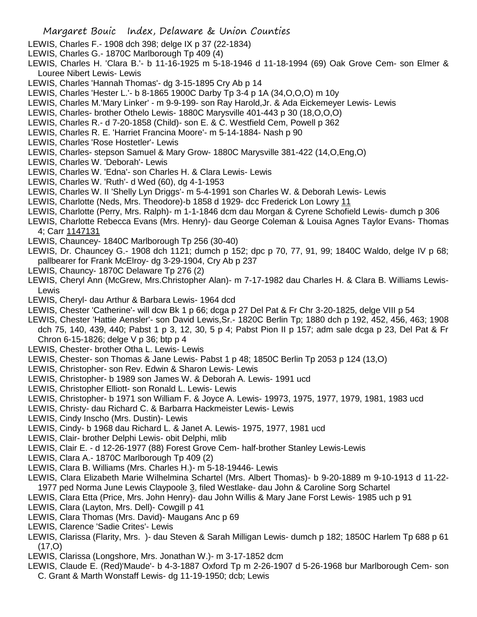- LEWIS, Charles F.- 1908 dch 398; delge IX p 37 (22-1834)
- LEWIS, Charles G.- 1870C Marlborough Tp 409 (4)
- LEWIS, Charles H. 'Clara B.'- b 11-16-1925 m 5-18-1946 d 11-18-1994 (69) Oak Grove Cem- son Elmer & Louree Nibert Lewis- Lewis
- LEWIS, Charles 'Hannah Thomas'- dg 3-15-1895 Cry Ab p 14
- LEWIS, Charles 'Hester L.'- b 8-1865 1900C Darby Tp 3-4 p 1A (34,O,O,O) m 10y
- LEWIS, Charles M.'Mary Linker' m 9-9-199- son Ray Harold,Jr. & Ada Eickemeyer Lewis- Lewis
- LEWIS, Charles- brother Othelo Lewis- 1880C Marysville 401-443 p 30 (18,O,O,O)
- LEWIS, Charles R.- d 7-20-1858 (Child)- son E. & C. Westfield Cem, Powell p 362
- LEWIS, Charles R. E. 'Harriet Francina Moore'- m 5-14-1884- Nash p 90
- LEWIS, Charles 'Rose Hostetler'- Lewis
- LEWIS, Charles- stepson Samuel & Mary Grow- 1880C Marysville 381-422 (14,O,Eng,O)
- LEWIS, Charles W. 'Deborah'- Lewis
- LEWIS, Charles W. 'Edna'- son Charles H. & Clara Lewis- Lewis
- LEWIS, Charles W. 'Ruth'- d Wed (60), dg 4-1-1953
- LEWIS, Charles W. II 'Shelly Lyn Driggs'- m 5-4-1991 son Charles W. & Deborah Lewis- Lewis
- LEWIS, Charlotte (Neds, Mrs. Theodore)-b 1858 d 1929- dcc Frederick Lon Lowry 11
- LEWIS, Charlotte (Perry, Mrs. Ralph)- m 1-1-1846 dcm dau Morgan & Cyrene Schofield Lewis- dumch p 306
- LEWIS, Charlotte Rebecca Evans (Mrs. Henry)- dau George Coleman & Louisa Agnes Taylor Evans- Thomas 4; Carr 1147131
- LEWIS, Chauncey- 1840C Marlborough Tp 256 (30-40)
- LEWIS, Dr. Chauncey G.- 1908 dch 1121; dumch p 152; dpc p 70, 77, 91, 99; 1840C Waldo, delge IV p 68; pallbearer for Frank McElroy- dg 3-29-1904, Cry Ab p 237
- LEWIS, Chauncy- 1870C Delaware Tp 276 (2)
- LEWIS, Cheryl Ann (McGrew, Mrs.Christopher Alan)- m 7-17-1982 dau Charles H. & Clara B. Williams Lewis-**Lewis**
- LEWIS, Cheryl- dau Arthur & Barbara Lewis- 1964 dcd
- LEWIS, Chester 'Catherine'- will dcw Bk 1 p 66; dcga p 27 Del Pat & Fr Chr 3-20-1825, delge VIII p 54
- LEWIS, Chester 'Hattie Aensler'- son David Lewis,Sr.- 1820C Berlin Tp; 1880 dch p 192, 452, 456, 463; 1908
- dch 75, 140, 439, 440; Pabst 1 p 3, 12, 30, 5 p 4; Pabst Pion II p 157; adm sale dcga p 23, Del Pat & Fr Chron 6-15-1826; delge V p 36; btp p 4
- LEWIS, Chester- brother Otha L. Lewis- Lewis
- LEWIS, Chester- son Thomas & Jane Lewis- Pabst 1 p 48; 1850C Berlin Tp 2053 p 124 (13,O)
- LEWIS, Christopher- son Rev. Edwin & Sharon Lewis- Lewis
- LEWIS, Christopher- b 1989 son James W. & Deborah A. Lewis- 1991 ucd
- LEWIS, Christopher Elliott- son Ronald L. Lewis- Lewis
- LEWIS, Christopher- b 1971 son William F. & Joyce A. Lewis- 19973, 1975, 1977, 1979, 1981, 1983 ucd
- LEWIS, Christy- dau Richard C. & Barbarra Hackmeister Lewis- Lewis
- LEWIS, Cindy Inscho (Mrs. Dustin)- Lewis
- LEWIS, Cindy- b 1968 dau Richard L. & Janet A. Lewis- 1975, 1977, 1981 ucd
- LEWIS, Clair- brother Delphi Lewis- obit Delphi, mlib
- LEWIS, Clair E. d 12-26-1977 (88) Forest Grove Cem- half-brother Stanley Lewis-Lewis
- LEWIS, Clara A.- 1870C Marlborough Tp 409 (2)
- LEWIS, Clara B. Williams (Mrs. Charles H.)- m 5-18-19446- Lewis
- LEWIS, Clara Elizabeth Marie Wilhelmina Schartel (Mrs. Albert Thomas)- b 9-20-1889 m 9-10-1913 d 11-22- 1977 ped Norma June Lewis Claypoole 3, filed Westlake- dau John & Caroline Sorg Schartel
- LEWIS, Clara Etta (Price, Mrs. John Henry)- dau John Willis & Mary Jane Forst Lewis- 1985 uch p 91
- LEWIS, Clara (Layton, Mrs. Dell)- Cowgill p 41
- LEWIS, Clara Thomas (Mrs. David)- Maugans Anc p 69
- LEWIS, Clarence 'Sadie Crites'- Lewis
- LEWIS, Clarissa (Flarity, Mrs. )- dau Steven & Sarah Milligan Lewis- dumch p 182; 1850C Harlem Tp 688 p 61  $(17, 0)$
- LEWIS, Clarissa (Longshore, Mrs. Jonathan W.)- m 3-17-1852 dcm
- LEWIS, Claude E. (Red)'Maude'- b 4-3-1887 Oxford Tp m 2-26-1907 d 5-26-1968 bur Marlborough Cem- son C. Grant & Marth Wonstaff Lewis- dg 11-19-1950; dcb; Lewis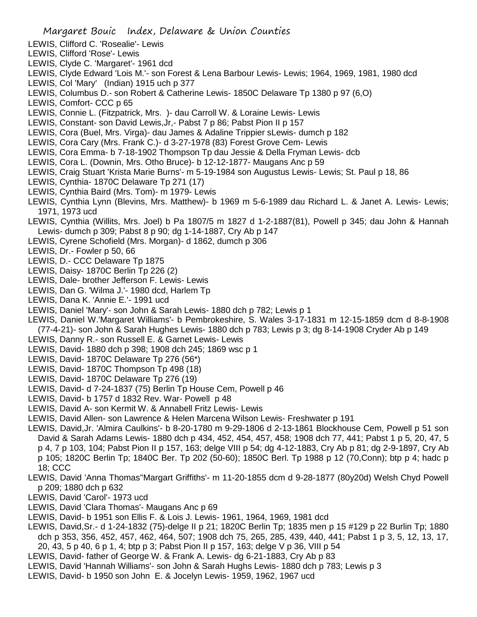- LEWIS, Clifford C. 'Rosealie'- Lewis
- LEWIS, Clifford 'Rose'- Lewis
- LEWIS, Clyde C. 'Margaret'- 1961 dcd
- LEWIS, Clyde Edward 'Lois M.'- son Forest & Lena Barbour Lewis- Lewis; 1964, 1969, 1981, 1980 dcd
- LEWIS, Col 'Mary' (Indian) 1915 uch p 377
- LEWIS, Columbus D.- son Robert & Catherine Lewis- 1850C Delaware Tp 1380 p 97 (6,O)
- LEWIS, Comfort- CCC p 65
- LEWIS, Connie L. (Fitzpatrick, Mrs. )- dau Carroll W. & Loraine Lewis- Lewis
- LEWIS, Constant- son David Lewis,Jr,- Pabst 7 p 86; Pabst Pion II p 157
- LEWIS, Cora (Buel, Mrs. Virga)- dau James & Adaline Trippier sLewis- dumch p 182
- LEWIS, Cora Cary (Mrs. Frank C.)- d 3-27-1978 (83) Forest Grove Cem- Lewis
- LEWIS, Cora Emma- b 7-18-1902 Thompson Tp dau Jessie & Della Fryman Lewis- dcb
- LEWIS, Cora L. (Downin, Mrs. Otho Bruce)- b 12-12-1877- Maugans Anc p 59
- LEWIS, Craig Stuart 'Krista Marie Burns'- m 5-19-1984 son Augustus Lewis- Lewis; St. Paul p 18, 86
- LEWIS, Cynthia- 1870C Delaware Tp 271 (17)
- LEWIS, Cynthia Baird (Mrs. Tom)- m 1979- Lewis
- LEWIS, Cynthia Lynn (Blevins, Mrs. Matthew)- b 1969 m 5-6-1989 dau Richard L. & Janet A. Lewis- Lewis; 1971, 1973 ucd
- LEWIS, Cynthia (Willits, Mrs. Joel) b Pa 1807/5 m 1827 d 1-2-1887(81), Powell p 345; dau John & Hannah Lewis- dumch p 309; Pabst 8 p 90; dg 1-14-1887, Cry Ab p 147
- LEWIS, Cyrene Schofield (Mrs. Morgan)- d 1862, dumch p 306
- LEWIS, Dr.- Fowler p 50, 66
- LEWIS, D.- CCC Delaware Tp 1875
- LEWIS, Daisy- 1870C Berlin Tp 226 (2)
- LEWIS, Dale- brother Jefferson F. Lewis- Lewis
- LEWIS, Dan G. 'Wilma J.'- 1980 dcd, Harlem Tp
- LEWIS, Dana K. 'Annie E.'- 1991 ucd
- LEWIS, Daniel 'Mary'- son John & Sarah Lewis- 1880 dch p 782; Lewis p 1
- LEWIS, Daniel W.'Margaret Williams'- b Pembrokeshire, S. Wales 3-17-1831 m 12-15-1859 dcm d 8-8-1908 (77-4-21)- son John & Sarah Hughes Lewis- 1880 dch p 783; Lewis p 3; dg 8-14-1908 Cryder Ab p 149
- LEWIS, Danny R.- son Russell E. & Garnet Lewis- Lewis
- LEWIS, David- 1880 dch p 398; 1908 dch 245; 1869 wsc p 1
- LEWIS, David- 1870C Delaware Tp 276 (56\*)
- LEWIS, David- 1870C Thompson Tp 498 (18)
- LEWIS, David- 1870C Delaware Tp 276 (19)
- LEWIS, David- d 7-24-1837 (75) Berlin Tp House Cem, Powell p 46
- LEWIS, David- b 1757 d 1832 Rev. War- Powell p 48
- LEWIS, David A- son Kermit W. & Annabell Fritz Lewis- Lewis
- LEWIS, David Allen- son Lawrence & Helen Marcena Wilson Lewis- Freshwater p 191
- LEWIS, David,Jr. 'Almira Caulkins'- b 8-20-1780 m 9-29-1806 d 2-13-1861 Blockhouse Cem, Powell p 51 son David & Sarah Adams Lewis- 1880 dch p 434, 452, 454, 457, 458; 1908 dch 77, 441; Pabst 1 p 5, 20, 47, 5 p 4, 7 p 103, 104; Pabst Pion II p 157, 163; delge VIII p 54; dg 4-12-1883, Cry Ab p 81; dg 2-9-1897, Cry Ab p 105; 1820C Berlin Tp; 1840C Ber. Tp 202 (50-60); 1850C Berl. Tp 1988 p 12 (70,Conn); btp p 4; hadc p 18; CCC
- LEWIS, David 'Anna Thomas''Margart Griffiths'- m 11-20-1855 dcm d 9-28-1877 (80y20d) Welsh Chyd Powell p 209; 1880 dch p 632
- LEWIS, David 'Carol'- 1973 ucd
- LEWIS, David 'Clara Thomas'- Maugans Anc p 69
- LEWIS, David- b 1951 son Ellis F. & Lois J. Lewis- 1961, 1964, 1969, 1981 dcd
- LEWIS, David,Sr.- d 1-24-1832 (75)-delge II p 21; 1820C Berlin Tp; 1835 men p 15 #129 p 22 Burlin Tp; 1880 dch p 353, 356, 452, 457, 462, 464, 507; 1908 dch 75, 265, 285, 439, 440, 441; Pabst 1 p 3, 5, 12, 13, 17, 20, 43, 5 p 40, 6 p 1, 4; btp p 3; Pabst Pion II p 157, 163; delge V p 36, VIII p 54
- LEWIS, David- father of George W. & Frank A. Lewis- dg 6-21-1883, Cry Ab p 83
- LEWIS, David 'Hannah Williams'- son John & Sarah Hughs Lewis- 1880 dch p 783; Lewis p 3
- LEWIS, David- b 1950 son John E. & Jocelyn Lewis- 1959, 1962, 1967 ucd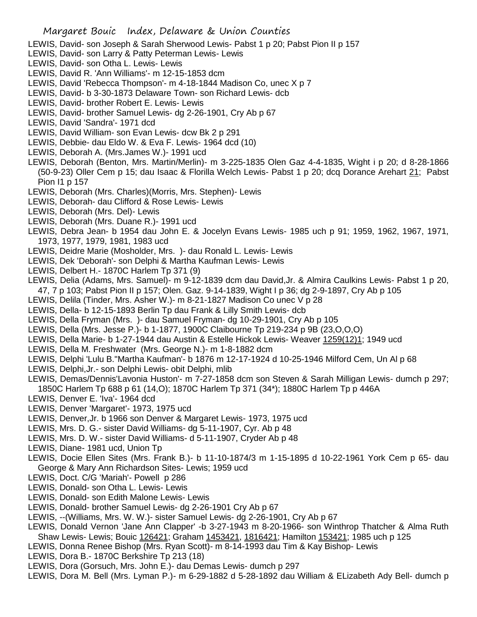- LEWIS, David- son Joseph & Sarah Sherwood Lewis- Pabst 1 p 20; Pabst Pion II p 157
- LEWIS, David- son Larry & Patty Peterman Lewis- Lewis
- LEWIS, David- son Otha L. Lewis- Lewis
- LEWIS, David R. 'Ann Williams'- m 12-15-1853 dcm
- LEWIS, David 'Rebecca Thompson'- m 4-18-1844 Madison Co, unec X p 7
- LEWIS, David- b 3-30-1873 Delaware Town- son Richard Lewis- dcb
- LEWIS, David- brother Robert E. Lewis- Lewis
- LEWIS, David- brother Samuel Lewis- dg 2-26-1901, Cry Ab p 67
- LEWIS, David 'Sandra'- 1971 dcd
- LEWIS, David William- son Evan Lewis- dcw Bk 2 p 291
- LEWIS, Debbie- dau Eldo W. & Eva F. Lewis- 1964 dcd (10)
- LEWIS, Deborah A. (Mrs.James W.)- 1991 ucd
- LEWIS, Deborah (Benton, Mrs. Martin/Merlin)- m 3-225-1835 Olen Gaz 4-4-1835, Wight i p 20; d 8-28-1866 (50-9-23) Oller Cem p 15; dau Isaac & Florilla Welch Lewis- Pabst 1 p 20; dcq Dorance Arehart 21; Pabst Pion I1 p 157
- LEWIS, Deborah (Mrs. Charles)(Morris, Mrs. Stephen)- Lewis
- LEWIS, Deborah- dau Clifford & Rose Lewis- Lewis
- LEWIS, Deborah (Mrs. Del)- Lewis
- LEWIS, Deborah (Mrs. Duane R.)- 1991 ucd
- LEWIS, Debra Jean- b 1954 dau John E. & Jocelyn Evans Lewis- 1985 uch p 91; 1959, 1962, 1967, 1971, 1973, 1977, 1979, 1981, 1983 ucd
- LEWIS, Deidre Marie (Mosholder, Mrs. )- dau Ronald L. Lewis- Lewis
- LEWIS, Dek 'Deborah'- son Delphi & Martha Kaufman Lewis- Lewis
- LEWIS, Delbert H.- 1870C Harlem Tp 371 (9)
- LEWIS, Delia (Adams, Mrs. Samuel)- m 9-12-1839 dcm dau David,Jr. & Almira Caulkins Lewis- Pabst 1 p 20, 47, 7 p 103; Pabst Pion II p 157; Olen. Gaz. 9-14-1839, Wight I p 36; dg 2-9-1897, Cry Ab p 105
- LEWIS, Delila (Tinder, Mrs. Asher W.)- m 8-21-1827 Madison Co unec V p 28
- LEWIS, Della- b 12-15-1893 Berlin Tp dau Frank & Lilly Smith Lewis- dcb
- LEWIS, Della Fryman (Mrs. )- dau Samuel Fryman- dg 10-29-1901, Cry Ab p 105
- LEWIS, Della (Mrs. Jesse P.)- b 1-1877, 1900C Claibourne Tp 219-234 p 9B (23,O,O,O)
- LEWIS, Della Marie- b 1-27-1944 dau Austin & Estelle Hickok Lewis- Weaver 1259(12)1; 1949 ucd
- LEWIS, Della M. Freshwater (Mrs. George N.)- m 1-8-1882 dcm
- LEWIS, Delphi 'Lulu B.''Martha Kaufman'- b 1876 m 12-17-1924 d 10-25-1946 Milford Cem, Un Al p 68
- LEWIS, Delphi,Jr.- son Delphi Lewis- obit Delphi, mlib
- LEWIS, Demas/Dennis'Lavonia Huston'- m 7-27-1858 dcm son Steven & Sarah Milligan Lewis- dumch p 297; 1850C Harlem Tp 688 p 61 (14,O); 1870C Harlem Tp 371 (34\*); 1880C Harlem Tp p 446A
- LEWIS, Denver E. 'Iva'- 1964 dcd
- LEWIS, Denver 'Margaret'- 1973, 1975 ucd
- LEWIS, Denver,Jr. b 1966 son Denver & Margaret Lewis- 1973, 1975 ucd
- LEWIS, Mrs. D. G.- sister David Williams- dg 5-11-1907, Cyr. Ab p 48
- LEWIS, Mrs. D. W.- sister David Williams- d 5-11-1907, Cryder Ab p 48
- LEWIS, Diane- 1981 ucd, Union Tp
- LEWIS, Docie Ellen Sites (Mrs. Frank B.)- b 11-10-1874/3 m 1-15-1895 d 10-22-1961 York Cem p 65- dau George & Mary Ann Richardson Sites- Lewis; 1959 ucd
- LEWIS, Doct. C/G 'Mariah'- Powell p 286
- LEWIS, Donald- son Otha L. Lewis- Lewis
- LEWIS, Donald- son Edith Malone Lewis- Lewis
- LEWIS, Donald- brother Samuel Lewis- dg 2-26-1901 Cry Ab p 67
- LEWIS, --(Williams, Mrs. W. W.)- sister Samuel Lewis- dg 2-26-1901, Cry Ab p 67
- LEWIS, Donald Vernon 'Jane Ann Clapper' -b 3-27-1943 m 8-20-1966- son Winthrop Thatcher & Alma Ruth Shaw Lewis- Lewis; Bouic 126421; Graham 1453421, 1816421; Hamilton 153421; 1985 uch p 125
- LEWIS, Donna Renee Bishop (Mrs. Ryan Scott)- m 8-14-1993 dau Tim & Kay Bishop- Lewis
- LEWIS, Dora B.- 1870C Berkshire Tp 213 (18)
- LEWIS, Dora (Gorsuch, Mrs. John E.)- dau Demas Lewis- dumch p 297
- LEWIS, Dora M. Bell (Mrs. Lyman P.)- m 6-29-1882 d 5-28-1892 dau William & ELizabeth Ady Bell- dumch p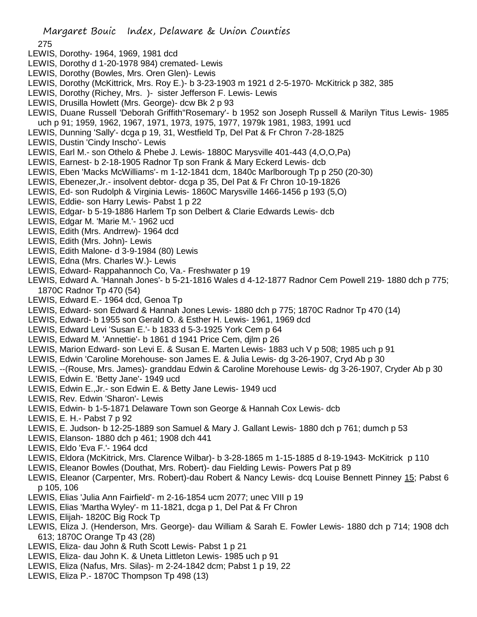- 275
- LEWIS, Dorothy- 1964, 1969, 1981 dcd
- LEWIS, Dorothy d 1-20-1978 984) cremated- Lewis
- LEWIS, Dorothy (Bowles, Mrs. Oren Glen)- Lewis
- LEWIS, Dorothy (McKittrick, Mrs. Roy E.)- b 3-23-1903 m 1921 d 2-5-1970- McKitrick p 382, 385
- LEWIS, Dorothy (Richey, Mrs. )- sister Jefferson F. Lewis- Lewis
- LEWIS, Drusilla Howlett (Mrs. George)- dcw Bk 2 p 93
- LEWIS, Duane Russell 'Deborah Griffith''Rosemary'- b 1952 son Joseph Russell & Marilyn Titus Lewis- 1985 uch p 91; 1959, 1962, 1967, 1971, 1973, 1975, 1977, 1979k 1981, 1983, 1991 ucd
- LEWIS, Dunning 'Sally'- dcga p 19, 31, Westfield Tp, Del Pat & Fr Chron 7-28-1825
- LEWIS, Dustin 'Cindy Inscho'- Lewis
- LEWIS, Earl M.- son Othelo & Phebe J. Lewis- 1880C Marysville 401-443 (4,O,O,Pa)
- LEWIS, Earnest- b 2-18-1905 Radnor Tp son Frank & Mary Eckerd Lewis- dcb
- LEWIS, Eben 'Macks McWilliams'- m 1-12-1841 dcm, 1840c Marlborough Tp p 250 (20-30)
- LEWIS, Ebenezer,Jr.- insolvent debtor- dcga p 35, Del Pat & Fr Chron 10-19-1826
- LEWIS, Ed- son Rudolph & Virginia Lewis- 1860C Marysville 1466-1456 p 193 (5,O)
- LEWIS, Eddie- son Harry Lewis- Pabst 1 p 22
- LEWIS, Edgar- b 5-19-1886 Harlem Tp son Delbert & Clarie Edwards Lewis- dcb
- LEWIS, Edgar M. 'Marie M.'- 1962 ucd
- LEWIS, Edith (Mrs. Andrrew)- 1964 dcd
- LEWIS, Edith (Mrs. John)- Lewis
- LEWIS, Edith Malone- d 3-9-1984 (80) Lewis
- LEWIS, Edna (Mrs. Charles W.)- Lewis
- LEWIS, Edward- Rappahannoch Co, Va.- Freshwater p 19
- LEWIS, Edward A. 'Hannah Jones'- b 5-21-1816 Wales d 4-12-1877 Radnor Cem Powell 219- 1880 dch p 775; 1870C Radnor Tp 470 (54)
- LEWIS, Edward E.- 1964 dcd, Genoa Tp
- LEWIS, Edward- son Edward & Hannah Jones Lewis- 1880 dch p 775; 1870C Radnor Tp 470 (14)
- LEWIS, Edward- b 1955 son Gerald O. & Esther H. Lewis- 1961, 1969 dcd
- LEWIS, Edward Levi 'Susan E.'- b 1833 d 5-3-1925 York Cem p 64
- LEWIS, Edward M. 'Annettie'- b 1861 d 1941 Price Cem, djlm p 26
- LEWIS, Marion Edward- son Levi E. & Susan E. Marten Lewis- 1883 uch V p 508; 1985 uch p 91
- LEWIS, Edwin 'Caroline Morehouse- son James E. & Julia Lewis- dg 3-26-1907, Cryd Ab p 30
- LEWIS, --(Rouse, Mrs. James)- granddau Edwin & Caroline Morehouse Lewis- dg 3-26-1907, Cryder Ab p 30
- LEWIS, Edwin E. 'Betty Jane'- 1949 ucd
- LEWIS, Edwin E.,Jr.- son Edwin E. & Betty Jane Lewis- 1949 ucd
- LEWIS, Rev. Edwin 'Sharon'- Lewis
- LEWIS, Edwin- b 1-5-1871 Delaware Town son George & Hannah Cox Lewis- dcb
- LEWIS, E. H.- Pabst 7 p 92
- LEWIS, E. Judson- b 12-25-1889 son Samuel & Mary J. Gallant Lewis- 1880 dch p 761; dumch p 53
- LEWIS, Elanson- 1880 dch p 461; 1908 dch 441
- LEWIS, Eldo 'Eva F.'- 1964 dcd
- LEWIS, Eldora (McKitrick, Mrs. Clarence Wilbar)- b 3-28-1865 m 1-15-1885 d 8-19-1943- McKitrick p 110
- LEWIS, Eleanor Bowles (Douthat, Mrs. Robert)- dau Fielding Lewis- Powers Pat p 89
- LEWIS, Eleanor (Carpenter, Mrs. Robert)-dau Robert & Nancy Lewis- dcq Louise Bennett Pinney 15; Pabst 6 p 105, 106
- LEWIS, Elias 'Julia Ann Fairfield'- m 2-16-1854 ucm 2077; unec VIII p 19
- LEWIS, Elias 'Martha Wyley'- m 11-1821, dcga p 1, Del Pat & Fr Chron
- LEWIS, Elijah- 1820C Big Rock Tp
- LEWIS, Eliza J. (Henderson, Mrs. George)- dau William & Sarah E. Fowler Lewis- 1880 dch p 714; 1908 dch 613; 1870C Orange Tp 43 (28)
- LEWIS, Eliza- dau John & Ruth Scott Lewis- Pabst 1 p 21
- LEWIS, Eliza- dau John K. & Uneta Littleton Lewis- 1985 uch p 91
- LEWIS, Eliza (Nafus, Mrs. Silas)- m 2-24-1842 dcm; Pabst 1 p 19, 22
- LEWIS, Eliza P.- 1870C Thompson Tp 498 (13)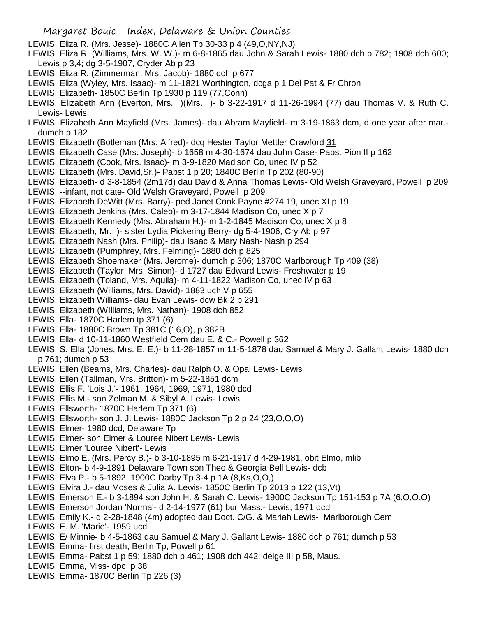LEWIS, Eliza R. (Mrs. Jesse)- 1880C Allen Tp 30-33 p 4 (49,O,NY,NJ)

- LEWIS, Eliza R. (Williams, Mrs. W. W.)- m 6-8-1865 dau John & Sarah Lewis- 1880 dch p 782; 1908 dch 600; Lewis p 3,4; dg 3-5-1907, Cryder Ab p 23
- LEWIS, Eliza R. (Zimmerman, Mrs. Jacob)- 1880 dch p 677
- LEWIS, Eliza (Wyley, Mrs. Isaac)- m 11-1821 Worthington, dcga p 1 Del Pat & Fr Chron
- LEWIS, Elizabeth- 1850C Berlin Tp 1930 p 119 (77,Conn)
- LEWIS, Elizabeth Ann (Everton, Mrs. )(Mrs. )- b 3-22-1917 d 11-26-1994 (77) dau Thomas V. & Ruth C. Lewis- Lewis
- LEWIS, Elizabeth Ann Mayfield (Mrs. James)- dau Abram Mayfield- m 3-19-1863 dcm, d one year after mar. dumch p 182
- LEWIS, Elizabeth (Botleman (Mrs. Alfred)- dcq Hester Taylor Mettler Crawford 31
- LEWIS, Elizabeth Case (Mrs. Joseph)- b 1658 m 4-30-1674 dau John Case- Pabst Pion II p 162
- LEWIS, Elizabeth (Cook, Mrs. Isaac)- m 3-9-1820 Madison Co, unec IV p 52
- LEWIS, Elizabeth (Mrs. David,Sr.)- Pabst 1 p 20; 1840C Berlin Tp 202 (80-90)
- LEWIS, Elizabeth- d 3-8-1854 (2m17d) dau David & Anna Thomas Lewis- Old Welsh Graveyard, Powell p 209
- LEWIS, --infant, not date- Old Welsh Graveyard, Powell p 209
- LEWIS, Elizabeth DeWitt (Mrs. Barry)- ped Janet Cook Payne #274 19, unec XI p 19
- LEWIS, Elizabeth Jenkins (Mrs. Caleb)- m 3-17-1844 Madison Co, unec X p 7
- LEWIS, Elizabeth Kennedy (Mrs. Abraham H.)- m 1-2-1845 Madison Co, unec X p 8
- LEWIS, Elizabeth, Mr. )- sister Lydia Pickering Berry- dg 5-4-1906, Cry Ab p 97
- LEWIS, Elizabeth Nash (Mrs. Philip)- dau Isaac & Mary Nash- Nash p 294
- LEWIS, Elizabeth (Pumphrey, Mrs. Felming)- 1880 dch p 825
- LEWIS, Elizabeth Shoemaker (Mrs. Jerome)- dumch p 306; 1870C Marlborough Tp 409 (38)
- LEWIS, Elizabeth (Taylor, Mrs. Simon)- d 1727 dau Edward Lewis- Freshwater p 19
- LEWIS, Elizabeth (Toland, Mrs. Aquila)- m 4-11-1822 Madison Co, unec IV p 63
- LEWIS, Elizabeth (Williams, Mrs. David)- 1883 uch V p 655
- LEWIS, Elizabeth Williams- dau Evan Lewis- dcw Bk 2 p 291
- LEWIS, Elizabeth (WIlliams, Mrs. Nathan)- 1908 dch 852
- LEWIS, Ella- 1870C Harlem tp 371 (6)
- LEWIS, Ella- 1880C Brown Tp 381C (16,O), p 382B
- LEWIS, Ella- d 10-11-1860 Westfield Cem dau E. & C.- Powell p 362
- LEWIS, S. Ella (Jones, Mrs. E. E.)- b 11-28-1857 m 11-5-1878 dau Samuel & Mary J. Gallant Lewis- 1880 dch p 761; dumch p 53
- LEWIS, Ellen (Beams, Mrs. Charles)- dau Ralph O. & Opal Lewis- Lewis
- LEWIS, Ellen (Tallman, Mrs. Britton)- m 5-22-1851 dcm
- LEWIS, Ellis F. 'Lois J.'- 1961, 1964, 1969, 1971, 1980 dcd
- LEWIS, Ellis M.- son Zelman M. & Sibyl A. Lewis- Lewis
- LEWIS, Ellsworth- 1870C Harlem Tp 371 (6)
- LEWIS, Ellsworth- son J. J. Lewis- 1880C Jackson Tp 2 p 24 (23,O,O,O)
- LEWIS, Elmer- 1980 dcd, Delaware Tp
- LEWIS, Elmer- son Elmer & Louree Nibert Lewis- Lewis
- LEWIS, Elmer 'Louree Nibert'- Lewis
- LEWIS, Elmo E. (Mrs. Percy B.)- b 3-10-1895 m 6-21-1917 d 4-29-1981, obit Elmo, mlib
- LEWIS, Elton- b 4-9-1891 Delaware Town son Theo & Georgia Bell Lewis- dcb
- LEWIS, Elva P.- b 5-1892, 1900C Darby Tp 3-4 p 1A (8,Ks,O,O,)
- LEWIS, Elvira J.- dau Moses & Julia A. Lewis- 1850C Berlin Tp 2013 p 122 (13,Vt)
- LEWIS, Emerson E.- b 3-1894 son John H. & Sarah C. Lewis- 1900C Jackson Tp 151-153 p 7A (6,O,O,O)
- LEWIS, Emerson Jordan 'Norma'- d 2-14-1977 (61) bur Mass.- Lewis; 1971 dcd
- LEWIS, Emily K.- d 2-28-1848 (4m) adopted dau Doct. C/G. & Mariah Lewis- Marlborough Cem
- LEWIS, E. M. 'Marie'- 1959 ucd
- LEWIS, E/ Minnie- b 4-5-1863 dau Samuel & Mary J. Gallant Lewis- 1880 dch p 761; dumch p 53
- LEWIS, Emma- first death, Berlin Tp, Powell p 61
- LEWIS, Emma- Pabst 1 p 59; 1880 dch p 461; 1908 dch 442; delge III p 58, Maus.
- LEWIS, Emma, Miss- dpc p 38
- LEWIS, Emma- 1870C Berlin Tp 226 (3)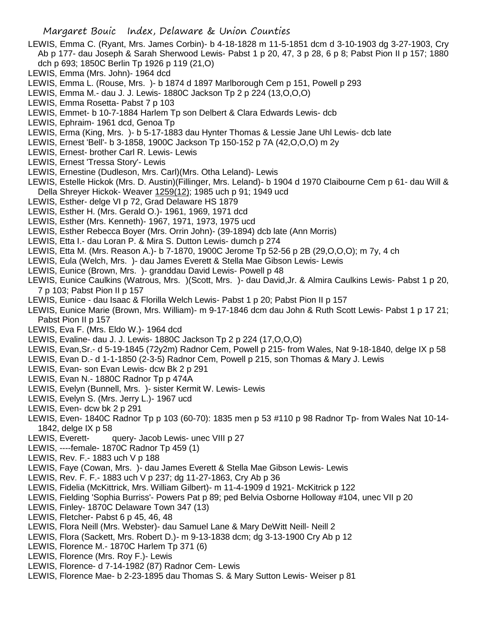- LEWIS, Emma C. (Ryant, Mrs. James Corbin)- b 4-18-1828 m 11-5-1851 dcm d 3-10-1903 dg 3-27-1903, Cry Ab p 177- dau Joseph & Sarah Sherwood Lewis- Pabst 1 p 20, 47, 3 p 28, 6 p 8; Pabst Pion II p 157; 1880 dch p 693; 1850C Berlin Tp 1926 p 119 (21,O)
- LEWIS, Emma (Mrs. John)- 1964 dcd
- LEWIS, Emma L. (Rouse, Mrs. )- b 1874 d 1897 Marlborough Cem p 151, Powell p 293
- LEWIS, Emma M.- dau J. J. Lewis- 1880C Jackson Tp 2 p 224 (13,O,O,O)
- LEWIS, Emma Rosetta- Pabst 7 p 103
- LEWIS, Emmet- b 10-7-1884 Harlem Tp son Delbert & Clara Edwards Lewis- dcb
- LEWIS, Ephraim- 1961 dcd, Genoa Tp
- LEWIS, Erma (King, Mrs. )- b 5-17-1883 dau Hynter Thomas & Lessie Jane Uhl Lewis- dcb late
- LEWIS, Ernest 'Bell'- b 3-1858, 1900C Jackson Tp 150-152 p 7A (42,O,O,O) m 2y
- LEWIS, Ernest- brother Carl R. Lewis- Lewis
- LEWIS, Ernest 'Tressa Story'- Lewis
- LEWIS, Ernestine (Dudleson, Mrs. Carl)(Mrs. Otha Leland)- Lewis
- LEWIS, Estelle Hickok (Mrs. D. Austin)(Fillinger, Mrs. Leland)- b 1904 d 1970 Claibourne Cem p 61- dau Will & Della Shreyer Hickok- Weaver 1259(12); 1985 uch p 91; 1949 ucd
- LEWIS, Esther- delge VI p 72, Grad Delaware HS 1879
- LEWIS, Esther H. (Mrs. Gerald O.)- 1961, 1969, 1971 dcd
- LEWIS, Esther (Mrs. Kenneth)- 1967, 1971, 1973, 1975 ucd
- LEWIS, Esther Rebecca Boyer (Mrs. Orrin John)- (39-1894) dcb late (Ann Morris)
- LEWIS, Etta I.- dau Loran P. & Mira S. Dutton Lewis- dumch p 274
- LEWIS, Etta M. (Mrs. Reason A.)- b 7-1870, 1900C Jerome Tp 52-56 p 2B (29,O,O,O); m 7y, 4 ch
- LEWIS, Eula (Welch, Mrs. )- dau James Everett & Stella Mae Gibson Lewis- Lewis
- LEWIS, Eunice (Brown, Mrs. )- granddau David Lewis- Powell p 48
- LEWIS, Eunice Caulkins (Watrous, Mrs. )(Scott, Mrs. )- dau David,Jr. & Almira Caulkins Lewis- Pabst 1 p 20, 7 p 103; Pabst Pion II p 157
- LEWIS, Eunice dau Isaac & Florilla Welch Lewis- Pabst 1 p 20; Pabst Pion II p 157
- LEWIS, Eunice Marie (Brown, Mrs. William)- m 9-17-1846 dcm dau John & Ruth Scott Lewis- Pabst 1 p 17 21; Pabst Pion II p 157
- LEWIS, Eva F. (Mrs. Eldo W.)- 1964 dcd
- LEWIS, Evaline- dau J. J. Lewis- 1880C Jackson Tp 2 p 224 (17,O,O,O)
- LEWIS, Evan,Sr.- d 5-19-1845 (72y2m) Radnor Cem, Powell p 215- from Wales, Nat 9-18-1840, delge IX p 58
- LEWIS, Evan D.- d 1-1-1850 (2-3-5) Radnor Cem, Powell p 215, son Thomas & Mary J. Lewis
- LEWIS, Evan- son Evan Lewis- dcw Bk 2 p 291
- LEWIS, Evan N.- 1880C Radnor Tp p 474A
- LEWIS, Evelyn (Bunnell, Mrs. )- sister Kermit W. Lewis- Lewis
- LEWIS, Evelyn S. (Mrs. Jerry L.)- 1967 ucd
- LEWIS, Even- dcw bk 2 p 291
- LEWIS, Even- 1840C Radnor Tp p 103 (60-70): 1835 men p 53 #110 p 98 Radnor Tp- from Wales Nat 10-14- 1842, delge IX p 58
- LEWIS, Everett- query- Jacob Lewis- unec VIII p 27
- LEWIS, ----female- 1870C Radnor Tp 459 (1)
- LEWIS, Rev. F.- 1883 uch V p 188
- LEWIS, Faye (Cowan, Mrs. )- dau James Everett & Stella Mae Gibson Lewis- Lewis
- LEWIS, Rev. F. F.- 1883 uch V p 237; dg 11-27-1863, Cry Ab p 36
- LEWIS, Fidelia (McKittrick, Mrs. William Gilbert)- m 11-4-1909 d 1921- McKitrick p 122
- LEWIS, Fielding 'Sophia Burriss'- Powers Pat p 89; ped Belvia Osborne Holloway #104, unec VII p 20
- LEWIS, Finley- 1870C Delaware Town 347 (13)
- LEWIS, Fletcher- Pabst 6 p 45, 46, 48
- LEWIS, Flora Neill (Mrs. Webster)- dau Samuel Lane & Mary DeWitt Neill- Neill 2
- LEWIS, Flora (Sackett, Mrs. Robert D.)- m 9-13-1838 dcm; dg 3-13-1900 Cry Ab p 12
- LEWIS, Florence M.- 1870C Harlem Tp 371 (6)
- LEWIS, Florence (Mrs. Roy F.)- Lewis
- LEWIS, Florence- d 7-14-1982 (87) Radnor Cem- Lewis
- LEWIS, Florence Mae- b 2-23-1895 dau Thomas S. & Mary Sutton Lewis- Weiser p 81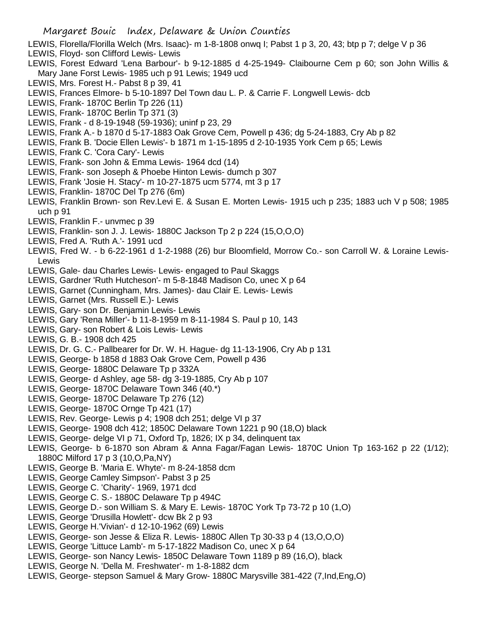- LEWIS, Florella/Florilla Welch (Mrs. Isaac)- m 1-8-1808 onwq I; Pabst 1 p 3, 20, 43; btp p 7; delge V p 36
- LEWIS, Floyd- son Clifford Lewis- Lewis
- LEWIS, Forest Edward 'Lena Barbour'- b 9-12-1885 d 4-25-1949- Claibourne Cem p 60; son John Willis & Mary Jane Forst Lewis- 1985 uch p 91 Lewis; 1949 ucd
- LEWIS, Mrs. Forest H.- Pabst 8 p 39, 41
- LEWIS, Frances Elmore- b 5-10-1897 Del Town dau L. P. & Carrie F. Longwell Lewis- dcb
- LEWIS, Frank- 1870C Berlin Tp 226 (11)
- LEWIS, Frank- 1870C Berlin Tp 371 (3)
- LEWIS, Frank d 8-19-1948 (59-1936); uninf p 23, 29
- LEWIS, Frank A.- b 1870 d 5-17-1883 Oak Grove Cem, Powell p 436; dg 5-24-1883, Cry Ab p 82
- LEWIS, Frank B. 'Docie Ellen Lewis'- b 1871 m 1-15-1895 d 2-10-1935 York Cem p 65; Lewis
- LEWIS, Frank C. 'Cora Cary'- Lewis
- LEWIS, Frank- son John & Emma Lewis- 1964 dcd (14)
- LEWIS, Frank- son Joseph & Phoebe Hinton Lewis- dumch p 307
- LEWIS, Frank 'Josie H. Stacy'- m 10-27-1875 ucm 5774, mt 3 p 17
- LEWIS, Franklin- 1870C Del Tp 276 (6m)
- LEWIS, Franklin Brown- son Rev.Levi E. & Susan E. Morten Lewis- 1915 uch p 235; 1883 uch V p 508; 1985 uch p 91
- LEWIS, Franklin F.- unvmec p 39
- LEWIS, Franklin- son J. J. Lewis- 1880C Jackson Tp 2 p 224 (15,O,O,O)
- LEWIS, Fred A. 'Ruth A.'- 1991 ucd
- LEWIS, Fred W. b 6-22-1961 d 1-2-1988 (26) bur Bloomfield, Morrow Co.- son Carroll W. & Loraine Lewis-Lewis
- LEWIS, Gale- dau Charles Lewis- Lewis- engaged to Paul Skaggs
- LEWIS, Gardner 'Ruth Hutcheson'- m 5-8-1848 Madison Co, unec X p 64
- LEWIS, Garnet (Cunningham, Mrs. James)- dau Clair E. Lewis- Lewis
- LEWIS, Garnet (Mrs. Russell E.)- Lewis
- LEWIS, Gary- son Dr. Benjamin Lewis- Lewis
- LEWIS, Gary 'Rena Miller'- b 11-8-1959 m 8-11-1984 S. Paul p 10, 143
- LEWIS, Gary- son Robert & Lois Lewis- Lewis
- LEWIS, G. B.- 1908 dch 425
- LEWIS, Dr. G. C.- Pallbearer for Dr. W. H. Hague- dg 11-13-1906, Cry Ab p 131
- LEWIS, George- b 1858 d 1883 Oak Grove Cem, Powell p 436
- LEWIS, George- 1880C Delaware Tp p 332A
- LEWIS, George- d Ashley, age 58- dg 3-19-1885, Cry Ab p 107
- LEWIS, George- 1870C Delaware Town 346 (40.\*)
- LEWIS, George- 1870C Delaware Tp 276 (12)
- LEWIS, George- 1870C Ornge Tp 421 (17)
- LEWIS, Rev. George- Lewis p 4; 1908 dch 251; delge VI p 37
- LEWIS, George- 1908 dch 412; 1850C Delaware Town 1221 p 90 (18,O) black
- LEWIS, George- delge VI p 71, Oxford Tp, 1826; IX p 34, delinquent tax
- LEWIS, George- b 6-1870 son Abram & Anna Fagar/Fagan Lewis- 1870C Union Tp 163-162 p 22 (1/12); 1880C Milford 17 p 3 (10,O,Pa,NY)
- LEWIS, George B. 'Maria E. Whyte'- m 8-24-1858 dcm
- LEWIS, George Camley Simpson'- Pabst 3 p 25
- LEWIS, George C. 'Charity'- 1969, 1971 dcd
- LEWIS, George C. S.- 1880C Delaware Tp p 494C
- LEWIS, George D.- son William S. & Mary E. Lewis- 1870C York Tp 73-72 p 10 (1,O)
- LEWIS, George 'Drusilla Howlett'- dcw Bk 2 p 93
- LEWIS, George H.'Vivian'- d 12-10-1962 (69) Lewis
- LEWIS, George- son Jesse & Eliza R. Lewis- 1880C Allen Tp 30-33 p 4 (13,O,O,O)
- LEWIS, George 'Littuce Lamb'- m 5-17-1822 Madison Co, unec X p 64
- LEWIS, George- son Nancy Lewis- 1850C Delaware Town 1189 p 89 (16,O), black
- LEWIS, George N. 'Della M. Freshwater'- m 1-8-1882 dcm
- LEWIS, George- stepson Samuel & Mary Grow- 1880C Marysville 381-422 (7,Ind,Eng,O)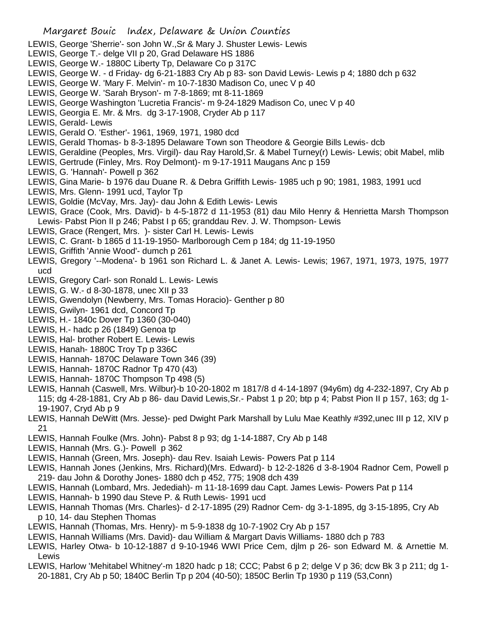- LEWIS, George 'Sherrie'- son John W.,Sr & Mary J. Shuster Lewis- Lewis
- LEWIS, George T.- delge VII p 20, Grad Delaware HS 1886
- LEWIS, George W.- 1880C Liberty Tp, Delaware Co p 317C
- LEWIS, George W. d Friday- dg 6-21-1883 Cry Ab p 83- son David Lewis- Lewis p 4; 1880 dch p 632
- LEWIS, George W. 'Mary F. Melvin'- m 10-7-1830 Madison Co, unec V p 40
- LEWIS, George W. 'Sarah Bryson'- m 7-8-1869; mt 8-11-1869
- LEWIS, George Washington 'Lucretia Francis'- m 9-24-1829 Madison Co, unec V p 40
- LEWIS, Georgia E. Mr. & Mrs. dg 3-17-1908, Cryder Ab p 117
- LEWIS, Gerald- Lewis
- LEWIS, Gerald O. 'Esther'- 1961, 1969, 1971, 1980 dcd
- LEWIS, Gerald Thomas- b 8-3-1895 Delaware Town son Theodore & Georgie Bills Lewis- dcb
- LEWIS, Geraldine (Peoples, Mrs. Virgil)- dau Ray Harold,Sr. & Mabel Turney(r) Lewis- Lewis; obit Mabel, mlib
- LEWIS, Gertrude (Finley, Mrs. Roy Delmont)- m 9-17-1911 Maugans Anc p 159
- LEWIS, G. 'Hannah'- Powell p 362
- LEWIS, Gina Marie- b 1976 dau Duane R. & Debra Griffith Lewis- 1985 uch p 90; 1981, 1983, 1991 ucd
- LEWIS, Mrs. Glenn- 1991 ucd, Taylor Tp
- LEWIS, Goldie (McVay, Mrs. Jay)- dau John & Edith Lewis- Lewis
- LEWIS, Grace (Cook, Mrs. David)- b 4-5-1872 d 11-1953 (81) dau Milo Henry & Henrietta Marsh Thompson Lewis- Pabst Pion II p 246; Pabst I p 65; granddau Rev. J. W. Thompson- Lewis
- LEWIS, Grace (Rengert, Mrs. )- sister Carl H. Lewis- Lewis
- LEWIS, C. Grant- b 1865 d 11-19-1950- Marlborough Cem p 184; dg 11-19-1950
- LEWIS, Griffith 'Annie Wood'- dumch p 261
- LEWIS, Gregory '--Modena'- b 1961 son Richard L. & Janet A. Lewis- Lewis; 1967, 1971, 1973, 1975, 1977 ucd
- LEWIS, Gregory Carl- son Ronald L. Lewis- Lewis
- LEWIS, G. W.- d 8-30-1878, unec XII p 33
- LEWIS, Gwendolyn (Newberry, Mrs. Tomas Horacio)- Genther p 80
- LEWIS, Gwilyn- 1961 dcd, Concord Tp
- LEWIS, H.- 1840c Dover Tp 1360 (30-040)
- LEWIS, H.- hadc p 26 (1849) Genoa tp
- LEWIS, Hal- brother Robert E. Lewis- Lewis
- LEWIS, Hanah- 1880C Troy Tp p 336C
- LEWIS, Hannah- 1870C Delaware Town 346 (39)
- LEWIS, Hannah- 1870C Radnor Tp 470 (43)
- LEWIS, Hannah- 1870C Thompson Tp 498 (5)
- LEWIS, Hannah (Caswell, Mrs. Wilbur)-b 10-20-1802 m 1817/8 d 4-14-1897 (94y6m) dg 4-232-1897, Cry Ab p 115; dg 4-28-1881, Cry Ab p 86- dau David Lewis,Sr.- Pabst 1 p 20; btp p 4; Pabst Pion II p 157, 163; dg 1- 19-1907, Cryd Ab p 9
- LEWIS, Hannah DeWitt (Mrs. Jesse)- ped Dwight Park Marshall by Lulu Mae Keathly #392,unec III p 12, XIV p 21
- LEWIS, Hannah Foulke (Mrs. John)- Pabst 8 p 93; dg 1-14-1887, Cry Ab p 148
- LEWIS, Hannah (Mrs. G.) Powell p 362
- LEWIS, Hannah (Green, Mrs. Joseph)- dau Rev. Isaiah Lewis- Powers Pat p 114
- LEWIS, Hannah Jones (Jenkins, Mrs. Richard)(Mrs. Edward)- b 12-2-1826 d 3-8-1904 Radnor Cem, Powell p 219- dau John & Dorothy Jones- 1880 dch p 452, 775; 1908 dch 439
- LEWIS, Hannah (Lombard, Mrs. Jedediah)- m 11-18-1699 dau Capt. James Lewis- Powers Pat p 114
- LEWIS, Hannah- b 1990 dau Steve P. & Ruth Lewis- 1991 ucd
- LEWIS, Hannah Thomas (Mrs. Charles)- d 2-17-1895 (29) Radnor Cem- dg 3-1-1895, dg 3-15-1895, Cry Ab p 10, 14- dau Stephen Thomas
- LEWIS, Hannah (Thomas, Mrs. Henry)- m 5-9-1838 dg 10-7-1902 Cry Ab p 157
- LEWIS, Hannah Williams (Mrs. David)- dau William & Margart Davis Williams- 1880 dch p 783
- LEWIS, Harley Otwa- b 10-12-1887 d 9-10-1946 WWI Price Cem, djlm p 26- son Edward M. & Arnettie M. Lewis
- LEWIS, Harlow 'Mehitabel Whitney'-m 1820 hadc p 18; CCC; Pabst 6 p 2; delge V p 36; dcw Bk 3 p 211; dg 1- 20-1881, Cry Ab p 50; 1840C Berlin Tp p 204 (40-50); 1850C Berlin Tp 1930 p 119 (53,Conn)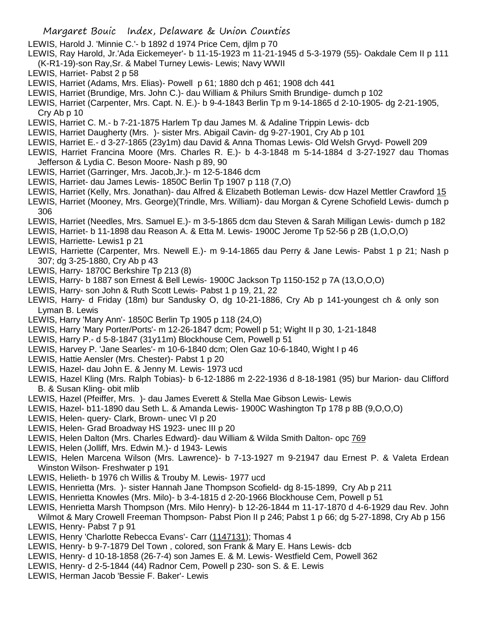- LEWIS, Harold J. 'Minnie C.'- b 1892 d 1974 Price Cem, djlm p 70
- LEWIS, Ray Harold, Jr.'Ada Eickemeyer'- b 11-15-1923 m 11-21-1945 d 5-3-1979 (55)- Oakdale Cem II p 111 (K-R1-19)-son Ray,Sr. & Mabel Turney Lewis- Lewis; Navy WWII
- LEWIS, Harriet- Pabst 2 p 58
- LEWIS, Harriet (Adams, Mrs. Elias)- Powell p 61; 1880 dch p 461; 1908 dch 441
- LEWIS, Harriet (Brundige, Mrs. John C.)- dau William & Philurs Smith Brundige- dumch p 102
- LEWIS, Harriet (Carpenter, Mrs. Capt. N. E.)- b 9-4-1843 Berlin Tp m 9-14-1865 d 2-10-1905- dg 2-21-1905, Cry Ab p 10
- LEWIS, Harriet C. M.- b 7-21-1875 Harlem Tp dau James M. & Adaline Trippin Lewis- dcb
- LEWIS, Harriet Daugherty (Mrs. )- sister Mrs. Abigail Cavin- dg 9-27-1901, Cry Ab p 101
- LEWIS, Harriet E.- d 3-27-1865 (23y1m) dau David & Anna Thomas Lewis- Old Welsh Grvyd- Powell 209
- LEWIS, Harriet Francina Moore (Mrs. Charles R. E.)- b 4-3-1848 m 5-14-1884 d 3-27-1927 dau Thomas Jefferson & Lydia C. Beson Moore- Nash p 89, 90
- LEWIS, Harriet (Garringer, Mrs. Jacob,Jr.)- m 12-5-1846 dcm
- LEWIS, Harriet- dau James Lewis- 1850C Berlin Tp 1907 p 118 (7,O)
- LEWIS, Harriet (Kelly, Mrs. Jonathan)- dau Alfred & Elizabeth Botleman Lewis- dcw Hazel Mettler Crawford 15
- LEWIS, Harriet (Mooney, Mrs. George)(Trindle, Mrs. William)- dau Morgan & Cyrene Schofield Lewis- dumch p 306
- LEWIS, Harriet (Needles, Mrs. Samuel E.)- m 3-5-1865 dcm dau Steven & Sarah Milligan Lewis- dumch p 182
- LEWIS, Harriet- b 11-1898 dau Reason A. & Etta M. Lewis- 1900C Jerome Tp 52-56 p 2B (1,O,O,O)
- LEWIS, Harriette- Lewis1 p 21
- LEWIS, Harriette (Carpenter, Mrs. Newell E.)- m 9-14-1865 dau Perry & Jane Lewis- Pabst 1 p 21; Nash p 307; dg 3-25-1880, Cry Ab p 43
- LEWIS, Harry- 1870C Berkshire Tp 213 (8)
- LEWIS, Harry- b 1887 son Ernest & Bell Lewis- 1900C Jackson Tp 1150-152 p 7A (13,O,O,O)
- LEWIS, Harry- son John & Ruth Scott Lewis- Pabst 1 p 19, 21, 22
- LEWIS, Harry- d Friday (18m) bur Sandusky O, dg 10-21-1886, Cry Ab p 141-youngest ch & only son Lyman B. Lewis
- LEWIS, Harry 'Mary Ann'- 1850C Berlin Tp 1905 p 118 (24,O)
- LEWIS, Harry 'Mary Porter/Ports'- m 12-26-1847 dcm; Powell p 51; Wight II p 30, 1-21-1848
- LEWIS, Harry P.- d 5-8-1847 (31y11m) Blockhouse Cem, Powell p 51
- LEWIS, Harvey P. 'Jane Searles'- m 10-6-1840 dcm; Olen Gaz 10-6-1840, Wight I p 46
- LEWIS, Hattie Aensler (Mrs. Chester)- Pabst 1 p 20
- LEWIS, Hazel- dau John E. & Jenny M. Lewis- 1973 ucd
- LEWIS, Hazel Kling (Mrs. Ralph Tobias)- b 6-12-1886 m 2-22-1936 d 8-18-1981 (95) bur Marion- dau Clifford B. & Susan Kling- obit mlib
- LEWIS, Hazel (Pfeiffer, Mrs. )- dau James Everett & Stella Mae Gibson Lewis- Lewis
- LEWIS, Hazel- b11-1890 dau Seth L. & Amanda Lewis- 1900C Washington Tp 178 p 8B (9,O,O,O)
- LEWIS, Helen- query- Clark, Brown- unec VI p 20
- LEWIS, Helen- Grad Broadway HS 1923- unec III p 20
- LEWIS, Helen Dalton (Mrs. Charles Edward)- dau William & Wilda Smith Dalton- opc 769
- LEWIS, Helen (Jolliff, Mrs. Edwin M.)- d 1943- Lewis
- LEWIS, Helen Marcena Wilson (Mrs. Lawrence)- b 7-13-1927 m 9-21947 dau Ernest P. & Valeta Erdean Winston Wilson- Freshwater p 191
- LEWIS, Helieth- b 1976 ch Willis & Trouby M. Lewis- 1977 ucd
- LEWIS, Henrietta (Mrs. )- sister Hannah Jane Thompson Scofield- dg 8-15-1899, Cry Ab p 211
- LEWIS, Henrietta Knowles (Mrs. Milo)- b 3-4-1815 d 2-20-1966 Blockhouse Cem, Powell p 51
- LEWIS, Henrietta Marsh Thompson (Mrs. Milo Henry)- b 12-26-1844 m 11-17-1870 d 4-6-1929 dau Rev. John
- Wilmot & Mary Crowell Freeman Thompson- Pabst Pion II p 246; Pabst 1 p 66; dg 5-27-1898, Cry Ab p 156 LEWIS, Henry- Pabst 7 p 91
- LEWIS, Henry 'Charlotte Rebecca Evans'- Carr (1147131); Thomas 4
- LEWIS, Henry- b 9-7-1879 Del Town , colored, son Frank & Mary E. Hans Lewis- dcb
- LEWIS, Henry- d 10-18-1858 (26-7-4) son James E. & M. Lewis- Westfield Cem, Powell 362
- LEWIS, Henry- d 2-5-1844 (44) Radnor Cem, Powell p 230- son S. & E. Lewis
- LEWIS, Herman Jacob 'Bessie F. Baker'- Lewis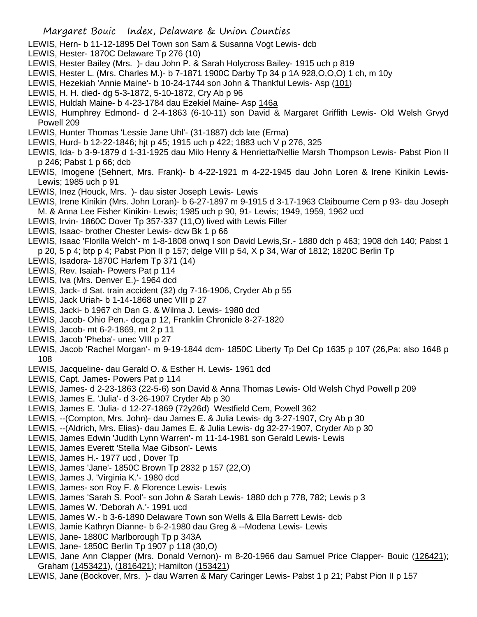- LEWIS, Hern- b 11-12-1895 Del Town son Sam & Susanna Vogt Lewis- dcb
- LEWIS, Hester- 1870C Delaware Tp 276 (10)
- LEWIS, Hester Bailey (Mrs. )- dau John P. & Sarah Holycross Bailey- 1915 uch p 819
- LEWIS, Hester L. (Mrs. Charles M.)- b 7-1871 1900C Darby Tp 34 p 1A 928,O,O,O) 1 ch, m 10y
- LEWIS, Hezekiah 'Annie Maine'- b 10-24-1744 son John & Thankful Lewis- Asp (101)
- LEWIS, H. H. died- dg 5-3-1872, 5-10-1872, Cry Ab p 96
- LEWIS, Huldah Maine- b 4-23-1784 dau Ezekiel Maine- Asp 146a
- LEWIS, Humphrey Edmond- d 2-4-1863 (6-10-11) son David & Margaret Griffith Lewis- Old Welsh Grvyd Powell 209
- LEWIS, Hunter Thomas 'Lessie Jane Uhl'- (31-1887) dcb late (Erma)
- LEWIS, Hurd- b 12-22-1846; hjt p 45; 1915 uch p 422; 1883 uch V p 276, 325
- LEWIS, Ida- b 3-9-1879 d 1-31-1925 dau Milo Henry & Henrietta/Nellie Marsh Thompson Lewis- Pabst Pion II p 246; Pabst 1 p 66; dcb
- LEWIS, Imogene (Sehnert, Mrs. Frank)- b 4-22-1921 m 4-22-1945 dau John Loren & Irene Kinikin Lewis-Lewis; 1985 uch p 91
- LEWIS, Inez (Houck, Mrs. )- dau sister Joseph Lewis- Lewis
- LEWIS, Irene Kinikin (Mrs. John Loran)- b 6-27-1897 m 9-1915 d 3-17-1963 Claibourne Cem p 93- dau Joseph M. & Anna Lee Fisher Kinikin- Lewis; 1985 uch p 90, 91- Lewis; 1949, 1959, 1962 ucd
- LEWIS, Irvin- 1860C Dover Tp 357-337 (11,O) lived with Lewis Filler
- LEWIS, Isaac- brother Chester Lewis- dcw Bk 1 p 66
- LEWIS, Isaac 'Florilla Welch'- m 1-8-1808 onwq I son David Lewis,Sr.- 1880 dch p 463; 1908 dch 140; Pabst 1
- p 20, 5 p 4; btp p 4; Pabst Pion II p 157; delge VIII p 54, X p 34, War of 1812; 1820C Berlin Tp
- LEWIS, Isadora- 1870C Harlem Tp 371 (14)
- LEWIS, Rev. Isaiah- Powers Pat p 114
- LEWIS, Iva (Mrs. Denver E.)- 1964 dcd
- LEWIS, Jack- d Sat. train accident (32) dg 7-16-1906, Cryder Ab p 55
- LEWIS, Jack Uriah- b 1-14-1868 unec VIII p 27
- LEWIS, Jacki- b 1967 ch Dan G. & Wilma J. Lewis- 1980 dcd
- LEWIS, Jacob- Ohio Pen.- dcga p 12, Franklin Chronicle 8-27-1820
- LEWIS, Jacob- mt 6-2-1869, mt 2 p 11
- LEWIS, Jacob 'Pheba'- unec VIII p 27
- LEWIS, Jacob 'Rachel Morgan'- m 9-19-1844 dcm- 1850C Liberty Tp Del Cp 1635 p 107 (26,Pa: also 1648 p 108
- LEWIS, Jacqueline- dau Gerald O. & Esther H. Lewis- 1961 dcd
- LEWIS, Capt. James- Powers Pat p 114
- LEWIS, James- d 2-23-1863 (22-5-6) son David & Anna Thomas Lewis- Old Welsh Chyd Powell p 209
- LEWIS, James E. 'Julia'- d 3-26-1907 Cryder Ab p 30
- LEWIS, James E. 'Julia- d 12-27-1869 (72y26d) Westfield Cem, Powell 362
- LEWIS, --(Compton, Mrs. John)- dau James E. & Julia Lewis- dg 3-27-1907, Cry Ab p 30
- LEWIS, --(Aldrich, Mrs. Elias)- dau James E. & Julia Lewis- dg 32-27-1907, Cryder Ab p 30
- LEWIS, James Edwin 'Judith Lynn Warren'- m 11-14-1981 son Gerald Lewis- Lewis
- LEWIS, James Everett 'Stella Mae Gibson'- Lewis
- LEWIS, James H.- 1977 ucd , Dover Tp
- LEWIS, James 'Jane'- 1850C Brown Tp 2832 p 157 (22,O)
- LEWIS, James J. 'Virginia K.'- 1980 dcd
- LEWIS, James- son Roy F. & Florence Lewis- Lewis
- LEWIS, James 'Sarah S. Pool'- son John & Sarah Lewis- 1880 dch p 778, 782; Lewis p 3
- LEWIS, James W. 'Deborah A.'- 1991 ucd
- LEWIS, James W.- b 3-6-1890 Delaware Town son Wells & Ella Barrett Lewis- dcb
- LEWIS, Jamie Kathryn Dianne- b 6-2-1980 dau Greg & --Modena Lewis- Lewis
- LEWIS, Jane- 1880C Marlborough Tp p 343A
- LEWIS, Jane- 1850C Berlin Tp 1907 p 118 (30,O)
- LEWIS, Jane Ann Clapper (Mrs. Donald Vernon)- m 8-20-1966 dau Samuel Price Clapper- Bouic (126421); Graham (1453421), (1816421); Hamilton (153421)
- LEWIS, Jane (Bockover, Mrs. )- dau Warren & Mary Caringer Lewis- Pabst 1 p 21; Pabst Pion II p 157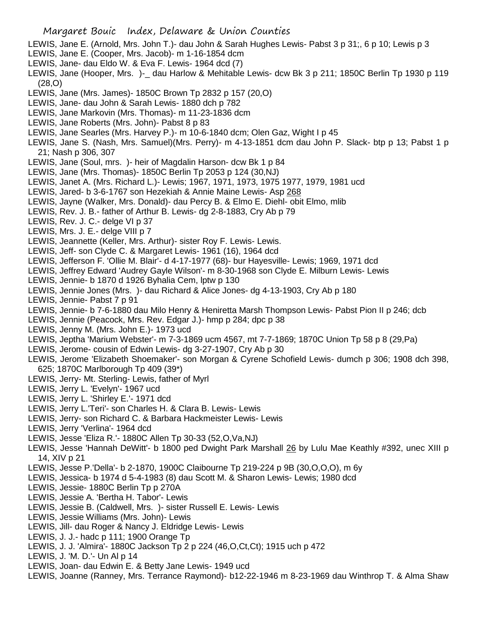- LEWIS, Jane E. (Arnold, Mrs. John T.)- dau John & Sarah Hughes Lewis- Pabst 3 p 31;, 6 p 10; Lewis p 3
- LEWIS, Jane E. (Cooper, Mrs. Jacob)- m 1-16-1854 dcm
- LEWIS, Jane- dau Eldo W. & Eva F. Lewis- 1964 dcd (7)
- LEWIS, Jane (Hooper, Mrs. )- dau Harlow & Mehitable Lewis- dcw Bk 3 p 211; 1850C Berlin Tp 1930 p 119 (28,O)
- LEWIS, Jane (Mrs. James)- 1850C Brown Tp 2832 p 157 (20,O)
- LEWIS, Jane- dau John & Sarah Lewis- 1880 dch p 782
- LEWIS, Jane Markovin (Mrs. Thomas)- m 11-23-1836 dcm
- LEWIS, Jane Roberts (Mrs. John)- Pabst 8 p 83
- LEWIS, Jane Searles (Mrs. Harvey P.)- m 10-6-1840 dcm; Olen Gaz, Wight I p 45
- LEWIS, Jane S. (Nash, Mrs. Samuel)(Mrs. Perry)- m 4-13-1851 dcm dau John P. Slack- btp p 13; Pabst 1 p 21; Nash p 306, 307
- LEWIS, Jane (Soul, mrs. )- heir of Magdalin Harson- dcw Bk 1 p 84
- LEWIS, Jane (Mrs. Thomas)- 1850C Berlin Tp 2053 p 124 (30,NJ)
- LEWIS, Janet A. (Mrs. Richard L.)- Lewis; 1967, 1971, 1973, 1975 1977, 1979, 1981 ucd
- LEWIS, Jared- b 3-6-1767 son Hezekiah & Annie Maine Lewis- Asp 268
- LEWIS, Jayne (Walker, Mrs. Donald)- dau Percy B. & Elmo E. Diehl- obit Elmo, mlib
- LEWIS, Rev. J. B.- father of Arthur B. Lewis- dg 2-8-1883, Cry Ab p 79
- LEWIS, Rev. J. C.- delge VI p 37
- LEWIS, Mrs. J. E.- delge VIII p 7
- LEWIS, Jeannette (Keller, Mrs. Arthur)- sister Roy F. Lewis- Lewis.
- LEWIS, Jeff- son Clyde C. & Margaret Lewis- 1961 (16), 1964 dcd
- LEWIS, Jefferson F. 'Ollie M. Blair'- d 4-17-1977 (68)- bur Hayesville- Lewis; 1969, 1971 dcd
- LEWIS, Jeffrey Edward 'Audrey Gayle Wilson'- m 8-30-1968 son Clyde E. Milburn Lewis- Lewis
- LEWIS, Jennie- b 1870 d 1926 Byhalia Cem, lptw p 130
- LEWIS, Jennie Jones (Mrs. )- dau Richard & Alice Jones- dg 4-13-1903, Cry Ab p 180
- LEWIS, Jennie- Pabst 7 p 91
- LEWIS, Jennie- b 7-6-1880 dau Milo Henry & Heniretta Marsh Thompson Lewis- Pabst Pion II p 246; dcb
- LEWIS, Jennie (Peacock, Mrs. Rev. Edgar J.)- hmp p 284; dpc p 38
- LEWIS, Jenny M. (Mrs. John E.)- 1973 ucd
- LEWIS, Jeptha 'Marium Webster'- m 7-3-1869 ucm 4567, mt 7-7-1869; 1870C Union Tp 58 p 8 (29,Pa)
- LEWIS, Jerome- cousin of Edwin Lewis- dg 3-27-1907, Cry Ab p 30
- LEWIS, Jerome 'Elizabeth Shoemaker'- son Morgan & Cyrene Schofield Lewis- dumch p 306; 1908 dch 398, 625; 1870C Marlborough Tp 409 (39\*)
- LEWIS, Jerry- Mt. Sterling- Lewis, father of Myrl
- LEWIS, Jerry L. 'Evelyn'- 1967 ucd
- LEWIS, Jerry L. 'Shirley E.'- 1971 dcd
- LEWIS, Jerry L.'Teri'- son Charles H. & Clara B. Lewis- Lewis
- LEWIS, Jerry- son Richard C. & Barbara Hackmeister Lewis- Lewis
- LEWIS, Jerry 'Verlina'- 1964 dcd
- LEWIS, Jesse 'Eliza R.'- 1880C Allen Tp 30-33 (52,O,Va,NJ)
- LEWIS, Jesse 'Hannah DeWitt'- b 1800 ped Dwight Park Marshall 26 by Lulu Mae Keathly #392, unec XIII p 14, XIV p 21
- LEWIS, Jesse P.'Della'- b 2-1870, 1900C Claibourne Tp 219-224 p 9B (30,O,O,O), m 6y
- LEWIS, Jessica- b 1974 d 5-4-1983 (8) dau Scott M. & Sharon Lewis- Lewis; 1980 dcd
- LEWIS, Jessie- 1880C Berlin Tp p 270A
- LEWIS, Jessie A. 'Bertha H. Tabor'- Lewis
- LEWIS, Jessie B. (Caldwell, Mrs. )- sister Russell E. Lewis- Lewis
- LEWIS, Jessie Williams (Mrs. John)- Lewis
- LEWIS, Jill- dau Roger & Nancy J. Eldridge Lewis- Lewis
- LEWIS, J. J.- hadc p 111; 1900 Orange Tp
- LEWIS, J. J. 'Almira'- 1880C Jackson Tp 2 p 224 (46,O,Ct,Ct); 1915 uch p 472
- LEWIS, J. 'M. D.'- Un Al p 14
- LEWIS, Joan- dau Edwin E. & Betty Jane Lewis- 1949 ucd
- LEWIS, Joanne (Ranney, Mrs. Terrance Raymond)- b12-22-1946 m 8-23-1969 dau Winthrop T. & Alma Shaw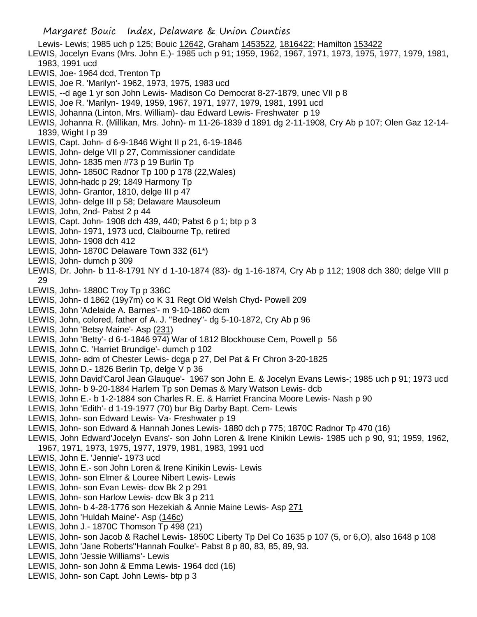Lewis- Lewis; 1985 uch p 125; Bouic 12642, Graham 1453522, 1816422; Hamilton 153422

- LEWIS, Jocelyn Evans (Mrs. John E.)- 1985 uch p 91; 1959, 1962, 1967, 1971, 1973, 1975, 1977, 1979, 1981, 1983, 1991 ucd
- LEWIS, Joe- 1964 dcd, Trenton Tp
- LEWIS, Joe R. 'Marilyn'- 1962, 1973, 1975, 1983 ucd
- LEWIS, --d age 1 yr son John Lewis- Madison Co Democrat 8-27-1879, unec VII p 8
- LEWIS, Joe R. 'Marilyn- 1949, 1959, 1967, 1971, 1977, 1979, 1981, 1991 ucd
- LEWIS, Johanna (Linton, Mrs. William)- dau Edward Lewis- Freshwater p 19
- LEWIS, Johanna R. (Millikan, Mrs. John)- m 11-26-1839 d 1891 dg 2-11-1908, Cry Ab p 107; Olen Gaz 12-14- 1839, Wight I p 39
- LEWIS, Capt. John- d 6-9-1846 Wight II p 21, 6-19-1846
- LEWIS, John- delge VII p 27, Commissioner candidate
- LEWIS, John- 1835 men #73 p 19 Burlin Tp
- LEWIS, John- 1850C Radnor Tp 100 p 178 (22,Wales)
- LEWIS, John-hadc p 29; 1849 Harmony Tp
- LEWIS, John- Grantor, 1810, delge III p 47
- LEWIS, John- delge III p 58; Delaware Mausoleum
- LEWIS, John, 2nd- Pabst 2 p 44
- LEWIS, Capt. John- 1908 dch 439, 440; Pabst 6 p 1; btp p 3
- LEWIS, John- 1971, 1973 ucd, Claibourne Tp, retired
- LEWIS, John- 1908 dch 412
- LEWIS, John- 1870C Delaware Town 332 (61\*)
- LEWIS, John- dumch p 309
- LEWIS, Dr. John- b 11-8-1791 NY d 1-10-1874 (83)- dg 1-16-1874, Cry Ab p 112; 1908 dch 380; delge VIII p 29
- LEWIS, John- 1880C Troy Tp p 336C
- LEWIS, John- d 1862 (19y7m) co K 31 Regt Old Welsh Chyd- Powell 209
- LEWIS, John 'Adelaide A. Barnes'- m 9-10-1860 dcm
- LEWIS, John, colored, father of A. J. "Bedney"- dg 5-10-1872, Cry Ab p 96
- LEWIS, John 'Betsy Maine'- Asp (231)
- LEWIS, John 'Betty'- d 6-1-1846 974) War of 1812 Blockhouse Cem, Powell p 56
- LEWIS, John C. 'Harriet Brundige'- dumch p 102
- LEWIS, John- adm of Chester Lewis- dcga p 27, Del Pat & Fr Chron 3-20-1825
- LEWIS, John D.- 1826 Berlin Tp, delge V p 36
- LEWIS, John David'Carol Jean Glauque'- 1967 son John E. & Jocelyn Evans Lewis-; 1985 uch p 91; 1973 ucd
- LEWIS, John- b 9-20-1884 Harlem Tp son Demas & Mary Watson Lewis- dcb
- LEWIS, John E.- b 1-2-1884 son Charles R. E. & Harriet Francina Moore Lewis- Nash p 90
- LEWIS, John 'Edith'- d 1-19-1977 (70) bur Big Darby Bapt. Cem- Lewis
- LEWIS, John- son Edward Lewis- Va- Freshwater p 19
- LEWIS, John- son Edward & Hannah Jones Lewis- 1880 dch p 775; 1870C Radnor Tp 470 (16)
- LEWIS, John Edward'Jocelyn Evans'- son John Loren & Irene Kinikin Lewis- 1985 uch p 90, 91; 1959, 1962, 1967, 1971, 1973, 1975, 1977, 1979, 1981, 1983, 1991 ucd
- LEWIS, John E. 'Jennie'- 1973 ucd
- LEWIS, John E.- son John Loren & Irene Kinikin Lewis- Lewis
- LEWIS, John- son Elmer & Louree Nibert Lewis- Lewis
- LEWIS, John- son Evan Lewis- dcw Bk 2 p 291
- LEWIS, John- son Harlow Lewis- dcw Bk 3 p 211
- LEWIS, John- b 4-28-1776 son Hezekiah & Annie Maine Lewis- Asp 271
- LEWIS, John 'Huldah Maine'- Asp (146c)
- LEWIS, John J.- 1870C Thomson Tp 498 (21)
- LEWIS, John- son Jacob & Rachel Lewis- 1850C Liberty Tp Del Co 1635 p 107 (5, or 6,O), also 1648 p 108
- LEWIS, John 'Jane Roberts''Hannah Foulke'- Pabst 8 p 80, 83, 85, 89, 93.
- LEWIS, John 'Jessie Williams'- Lewis
- LEWIS, John- son John & Emma Lewis- 1964 dcd (16)
- LEWIS, John- son Capt. John Lewis- btp p 3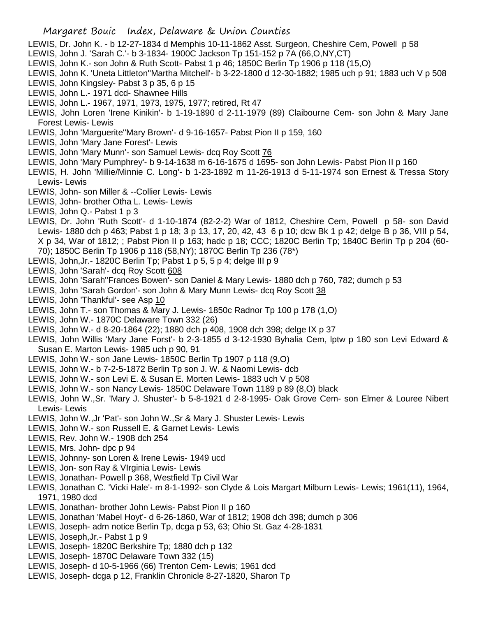## Margaret Bouic Index, Delaware & Union Counties

- LEWIS, Dr. John K. b 12-27-1834 d Memphis 10-11-1862 Asst. Surgeon, Cheshire Cem, Powell p 58
- LEWIS, John J. 'Sarah C.'- b 3-1834- 1900C Jackson Tp 151-152 p 7A (66,O,NY,CT)
- LEWIS, John K.- son John & Ruth Scott- Pabst 1 p 46; 1850C Berlin Tp 1906 p 118 (15,O)
- LEWIS, John K. 'Uneta Littleton''Martha Mitchell'- b 3-22-1800 d 12-30-1882; 1985 uch p 91; 1883 uch V p 508
- LEWIS, John Kingsley- Pabst 3 p 35, 6 p 15
- LEWIS, John L.- 1971 dcd- Shawnee Hills
- LEWIS, John L.- 1967, 1971, 1973, 1975, 1977; retired, Rt 47
- LEWIS, John Loren 'Irene Kinikin'- b 1-19-1890 d 2-11-1979 (89) Claibourne Cem- son John & Mary Jane Forest Lewis- Lewis
- LEWIS, John 'Marguerite''Mary Brown'- d 9-16-1657- Pabst Pion II p 159, 160
- LEWIS, John 'Mary Jane Forest'- Lewis
- LEWIS, John 'Mary Munn'- son Samuel Lewis- dcq Roy Scott 76
- LEWIS, John 'Mary Pumphrey'- b 9-14-1638 m 6-16-1675 d 1695- son John Lewis- Pabst Pion II p 160
- LEWIS, H. John 'Millie/Minnie C. Long'- b 1-23-1892 m 11-26-1913 d 5-11-1974 son Ernest & Tressa Story Lewis- Lewis
- LEWIS, John- son Miller & --Collier Lewis- Lewis
- LEWIS, John- brother Otha L. Lewis- Lewis
- LEWIS, John Q.- Pabst 1 p 3
- LEWIS, Dr. John 'Ruth Scott'- d 1-10-1874 (82-2-2) War of 1812, Cheshire Cem, Powell p 58- son David Lewis- 1880 dch p 463; Pabst 1 p 18; 3 p 13, 17, 20, 42, 43 6 p 10; dcw Bk 1 p 42; delge B p 36, VIII p 54, X p 34, War of 1812; ; Pabst Pion II p 163; hadc p 18; CCC; 1820C Berlin Tp; 1840C Berlin Tp p 204 (60- 70); 1850C Berlin Tp 1906 p 118 (58,NY); 1870C Berlin Tp 236 (78\*)
- LEWIS, John,Jr.- 1820C Berlin Tp; Pabst 1 p 5, 5 p 4; delge III p 9
- LEWIS, John 'Sarah'- dcq Roy Scott 608
- LEWIS, John 'Sarah''Frances Bowen'- son Daniel & Mary Lewis- 1880 dch p 760, 782; dumch p 53
- LEWIS, John 'Sarah Gordon'- son John & Mary Munn Lewis- dcq Roy Scott 38
- LEWIS, John 'Thankful'- see Asp 10
- LEWIS, John T.- son Thomas & Mary J. Lewis- 1850c Radnor Tp 100 p 178 (1,O)
- LEWIS, John W.- 1870C Delaware Town 332 (26)
- LEWIS, John W.- d 8-20-1864 (22); 1880 dch p 408, 1908 dch 398; delge IX p 37
- LEWIS, John Willis 'Mary Jane Forst'- b 2-3-1855 d 3-12-1930 Byhalia Cem, lptw p 180 son Levi Edward & Susan E. Marton Lewis- 1985 uch p 90, 91
- LEWIS, John W.- son Jane Lewis- 1850C Berlin Tp 1907 p 118 (9,O)
- LEWIS, John W.- b 7-2-5-1872 Berlin Tp son J. W. & Naomi Lewis- dcb
- LEWIS, John W.- son Levi E. & Susan E. Morten Lewis- 1883 uch V p 508
- LEWIS, John W.- son Nancy Lewis- 1850C Delaware Town 1189 p 89 (8,O) black
- LEWIS, John W.,Sr. 'Mary J. Shuster'- b 5-8-1921 d 2-8-1995- Oak Grove Cem- son Elmer & Louree Nibert Lewis- Lewis
- LEWIS, John W.,Jr 'Pat'- son John W.,Sr & Mary J. Shuster Lewis- Lewis
- LEWIS, John W.- son Russell E. & Garnet Lewis- Lewis
- LEWIS, Rev. John W.- 1908 dch 254
- LEWIS, Mrs. John- dpc p 94
- LEWIS, Johnny- son Loren & Irene Lewis- 1949 ucd
- LEWIS, Jon- son Ray & VIrginia Lewis- Lewis
- LEWIS, Jonathan- Powell p 368, Westfield Tp Civil War
- LEWIS, Jonathan C. 'Vicki Hale'- m 8-1-1992- son Clyde & Lois Margart Milburn Lewis- Lewis; 1961(11), 1964, 1971, 1980 dcd
- LEWIS, Jonathan- brother John Lewis- Pabst Pion II p 160
- LEWIS, Jonathan 'Mabel Hoyt'- d 6-26-1860, War of 1812; 1908 dch 398; dumch p 306
- LEWIS, Joseph- adm notice Berlin Tp, dcga p 53, 63; Ohio St. Gaz 4-28-1831
- LEWIS, Joseph,Jr.- Pabst 1 p 9
- LEWIS, Joseph- 1820C Berkshire Tp; 1880 dch p 132
- LEWIS, Joseph- 1870C Delaware Town 332 (15)
- LEWIS, Joseph- d 10-5-1966 (66) Trenton Cem- Lewis; 1961 dcd
- LEWIS, Joseph- dcga p 12, Franklin Chronicle 8-27-1820, Sharon Tp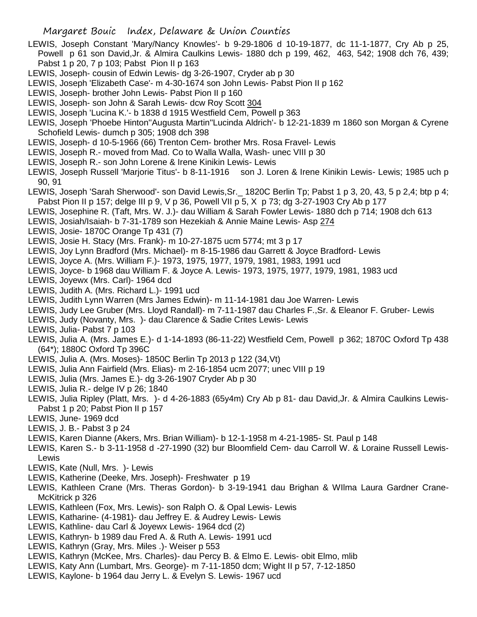- LEWIS, Joseph Constant 'Mary/Nancy Knowles'- b 9-29-1806 d 10-19-1877, dc 11-1-1877, Cry Ab p 25, Powell p 61 son David,Jr. & Almira Caulkins Lewis- 1880 dch p 199, 462, 463, 542; 1908 dch 76, 439; Pabst 1 p 20, 7 p 103; Pabst Pion II p 163
- LEWIS, Joseph- cousin of Edwin Lewis- dg 3-26-1907, Cryder ab p 30
- LEWIS, Joseph 'Elizabeth Case'- m 4-30-1674 son John Lewis- Pabst Pion II p 162
- LEWIS, Joseph- brother John Lewis- Pabst Pion II p 160
- LEWIS, Joseph- son John & Sarah Lewis- dcw Roy Scott 304
- LEWIS, Joseph 'Lucina K.'- b 1838 d 1915 Westfield Cem, Powell p 363
- LEWIS, Joseph 'Phoebe Hinton''Augusta Martin''Lucinda Aldrich'- b 12-21-1839 m 1860 son Morgan & Cyrene Schofield Lewis- dumch p 305; 1908 dch 398
- LEWIS, Joseph- d 10-5-1966 (66) Trenton Cem- brother Mrs. Rosa Fravel- Lewis
- LEWIS, Joseph R.- moved from Mad. Co to Walla Walla, Wash- unec VIII p 30
- LEWIS, Joseph R.- son John Lorene & Irene Kinikin Lewis- Lewis
- LEWIS, Joseph Russell 'Marjorie Titus'- b 8-11-1916 son J. Loren & Irene Kinikin Lewis- Lewis; 1985 uch p 90, 91
- LEWIS, Joseph 'Sarah Sherwood'- son David Lewis,Sr.\_ 1820C Berlin Tp; Pabst 1 p 3, 20, 43, 5 p 2,4; btp p 4; Pabst Pion II p 157; delge III p 9, V p 36, Powell VII p 5, X p 73; dg 3-27-1903 Cry Ab p 177
- LEWIS, Josephine R. (Taft, Mrs. W. J.)- dau William & Sarah Fowler Lewis- 1880 dch p 714; 1908 dch 613
- LEWIS, Josiah/Isaiah- b 7-31-1789 son Hezekiah & Annie Maine Lewis- Asp 274
- LEWIS, Josie- 1870C Orange Tp 431 (7)
- LEWIS, Josie H. Stacy (Mrs. Frank)- m 10-27-1875 ucm 5774; mt 3 p 17
- LEWIS, Joy Lynn Bradford (Mrs. Michael)- m 8-15-1986 dau Garrett & Joyce Bradford- Lewis
- LEWIS, Joyce A. (Mrs. William F.)- 1973, 1975, 1977, 1979, 1981, 1983, 1991 ucd
- LEWIS, Joyce- b 1968 dau William F. & Joyce A. Lewis- 1973, 1975, 1977, 1979, 1981, 1983 ucd
- LEWIS, Joyewx (Mrs. Carl)- 1964 dcd
- LEWIS, Judith A. (Mrs. Richard L.)- 1991 ucd
- LEWIS, Judith Lynn Warren (Mrs James Edwin)- m 11-14-1981 dau Joe Warren- Lewis
- LEWIS, Judy Lee Gruber (Mrs. Lloyd Randall)- m 7-11-1987 dau Charles F.,Sr. & Eleanor F. Gruber- Lewis
- LEWIS, Judy (Novanty, Mrs. )- dau Clarence & Sadie Crites Lewis- Lewis
- LEWIS, Julia- Pabst 7 p 103
- LEWIS, Julia A. (Mrs. James E.)- d 1-14-1893 (86-11-22) Westfield Cem, Powell p 362; 1870C Oxford Tp 438 (64\*); 1880C Oxford Tp 396C
- LEWIS, Julia A. (Mrs. Moses)- 1850C Berlin Tp 2013 p 122 (34,Vt)
- LEWIS, Julia Ann Fairfield (Mrs. Elias)- m 2-16-1854 ucm 2077; unec VIII p 19
- LEWIS, Julia (Mrs. James E.)- dg 3-26-1907 Cryder Ab p 30
- LEWIS, Julia R.- delge IV p 26; 1840
- LEWIS, Julia Ripley (Platt, Mrs. )- d 4-26-1883 (65y4m) Cry Ab p 81- dau David,Jr. & Almira Caulkins Lewis-Pabst 1 p 20; Pabst Pion II p 157
- LEWIS, June- 1969 dcd
- LEWIS, J. B.- Pabst 3 p 24
- LEWIS, Karen Dianne (Akers, Mrs. Brian William)- b 12-1-1958 m 4-21-1985- St. Paul p 148
- LEWIS, Karen S.- b 3-11-1958 d -27-1990 (32) bur Bloomfield Cem- dau Carroll W. & Loraine Russell Lewis-Lewis
- LEWIS, Kate (Null, Mrs. )- Lewis
- LEWIS, Katherine (Deeke, Mrs. Joseph)- Freshwater p 19
- LEWIS, Kathleen Crane (Mrs. Theras Gordon)- b 3-19-1941 dau Brighan & WIlma Laura Gardner Crane-McKitrick p 326
- LEWIS, Kathleen (Fox, Mrs. Lewis)- son Ralph O. & Opal Lewis- Lewis
- LEWIS, Katharine- (4-1981)- dau Jeffrey E. & Audrey Lewis- Lewis
- LEWIS, Kathline- dau Carl & Joyewx Lewis- 1964 dcd (2)
- LEWIS, Kathryn- b 1989 dau Fred A. & Ruth A. Lewis- 1991 ucd
- LEWIS, Kathryn (Gray, Mrs. Miles .)- Weiser p 553
- LEWIS, Kathryn (McKee, Mrs. Charles)- dau Percy B. & Elmo E. Lewis- obit Elmo, mlib
- LEWIS, Katy Ann (Lumbart, Mrs. George)- m 7-11-1850 dcm; Wight II p 57, 7-12-1850
- LEWIS, Kaylone- b 1964 dau Jerry L. & Evelyn S. Lewis- 1967 ucd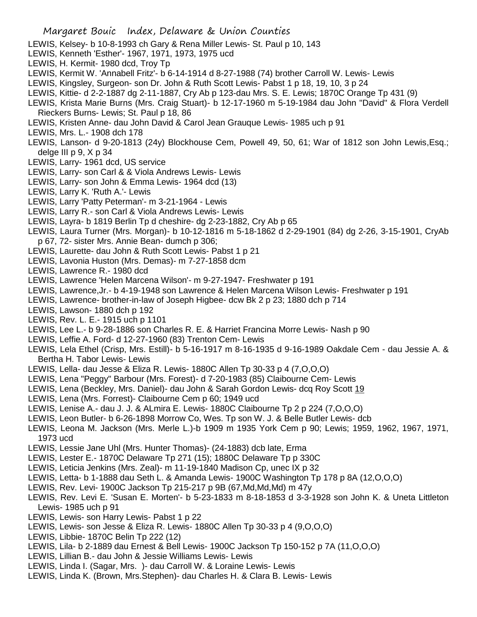- LEWIS, Kelsey- b 10-8-1993 ch Gary & Rena Miller Lewis- St. Paul p 10, 143
- LEWIS, Kenneth 'Esther'- 1967, 1971, 1973, 1975 ucd
- LEWIS, H. Kermit- 1980 dcd, Troy Tp
- LEWIS, Kermit W. 'Annabell Fritz'- b 6-14-1914 d 8-27-1988 (74) brother Carroll W. Lewis- Lewis
- LEWIS, Kingsley, Surgeon- son Dr. John & Ruth Scott Lewis- Pabst 1 p 18, 19, 10, 3 p 24
- LEWIS, Kittie- d 2-2-1887 dg 2-11-1887, Cry Ab p 123-dau Mrs. S. E. Lewis; 1870C Orange Tp 431 (9)
- LEWIS, Krista Marie Burns (Mrs. Craig Stuart)- b 12-17-1960 m 5-19-1984 dau John "David" & Flora Verdell Rieckers Burns- Lewis; St. Paul p 18, 86
- LEWIS, Kristen Anne- dau John David & Carol Jean Grauque Lewis- 1985 uch p 91
- LEWIS, Mrs. L.- 1908 dch 178
- LEWIS, Lanson- d 9-20-1813 (24y) Blockhouse Cem, Powell 49, 50, 61; War of 1812 son John Lewis,Esq.; delge III p 9, X p 34
- LEWIS, Larry- 1961 dcd, US service
- LEWIS, Larry- son Carl & & Viola Andrews Lewis- Lewis
- LEWIS, Larry- son John & Emma Lewis- 1964 dcd (13)
- LEWIS, Larry K. 'Ruth A.'- Lewis
- LEWIS, Larry 'Patty Peterman'- m 3-21-1964 Lewis
- LEWIS, Larry R.- son Carl & Viola Andrews Lewis- Lewis
- LEWIS, Layra- b 1819 Berlin Tp d cheshire- dg 2-23-1882, Cry Ab p 65
- LEWIS, Laura Turner (Mrs. Morgan)- b 10-12-1816 m 5-18-1862 d 2-29-1901 (84) dg 2-26, 3-15-1901, CryAb p 67, 72- sister Mrs. Annie Bean- dumch p 306;
- LEWIS, Laurette- dau John & Ruth Scott Lewis- Pabst 1 p 21
- LEWIS, Lavonia Huston (Mrs. Demas)- m 7-27-1858 dcm
- LEWIS, Lawrence R.- 1980 dcd
- LEWIS, Lawrence 'Helen Marcena Wilson'- m 9-27-1947- Freshwater p 191
- LEWIS, Lawrence,Jr.- b 4-19-1948 son Lawrence & Helen Marcena Wilson Lewis- Freshwater p 191
- LEWIS, Lawrence- brother-in-law of Joseph Higbee- dcw Bk 2 p 23; 1880 dch p 714
- LEWIS, Lawson- 1880 dch p 192
- LEWIS, Rev. L. E.- 1915 uch p 1101
- LEWIS, Lee L.- b 9-28-1886 son Charles R. E. & Harriet Francina Morre Lewis- Nash p 90
- LEWIS, Leffie A. Ford- d 12-27-1960 (83) Trenton Cem- Lewis
- LEWIS, Lela Ethel (Crisp, Mrs. Estill)- b 5-16-1917 m 8-16-1935 d 9-16-1989 Oakdale Cem dau Jessie A. & Bertha H. Tabor Lewis- Lewis
- LEWIS, Lella- dau Jesse & Eliza R. Lewis- 1880C Allen Tp 30-33 p 4 (7,O,O,O)
- LEWIS, Lena "Peggy" Barbour (Mrs. Forest)- d 7-20-1983 (85) Claibourne Cem- Lewis
- LEWIS, Lena (Beckley, Mrs. Daniel)- dau John & Sarah Gordon Lewis- dcq Roy Scott 19
- LEWIS, Lena (Mrs. Forrest)- Claibourne Cem p 60; 1949 ucd
- LEWIS, Lenise A.- dau J. J. & ALmira E. Lewis- 1880C Claibourne Tp 2 p 224 (7,O,O,O)
- LEWIS, Leon Butler- b 6-26-1898 Morrow Co, Wes. Tp son W. J. & Belle Butler Lewis- dcb
- LEWIS, Leona M. Jackson (Mrs. Merle L.)-b 1909 m 1935 York Cem p 90; Lewis; 1959, 1962, 1967, 1971, 1973 ucd
- LEWIS, Lessie Jane Uhl (Mrs. Hunter Thomas)- (24-1883) dcb late, Erma
- LEWIS, Lester E.- 1870C Delaware Tp 271 (15); 1880C Delaware Tp p 330C
- LEWIS, Leticia Jenkins (Mrs. Zeal)- m 11-19-1840 Madison Cp, unec IX p 32
- LEWIS, Letta- b 1-1888 dau Seth L. & Amanda Lewis- 1900C Washington Tp 178 p 8A (12,O,O,O)
- LEWIS, Rev. Levi- 1900C Jackson Tp 215-217 p 9B (67,Md,Md,Md) m 47y
- LEWIS, Rev. Levi E. 'Susan E. Morten'- b 5-23-1833 m 8-18-1853 d 3-3-1928 son John K. & Uneta Littleton Lewis- 1985 uch p 91
- LEWIS, Lewis- son Harry Lewis- Pabst 1 p 22
- LEWIS, Lewis- son Jesse & Eliza R. Lewis- 1880C Allen Tp 30-33 p 4 (9,O,O,O)
- LEWIS, Libbie- 1870C Belin Tp 222 (12)
- LEWIS, Lila- b 2-1889 dau Ernest & Bell Lewis- 1900C Jackson Tp 150-152 p 7A (11,O,O,O)
- LEWIS, Lillian B.- dau John & Jessie Williams Lewis- Lewis
- LEWIS, Linda I. (Sagar, Mrs. )- dau Carroll W. & Loraine Lewis- Lewis
- LEWIS, Linda K. (Brown, Mrs.Stephen)- dau Charles H. & Clara B. Lewis- Lewis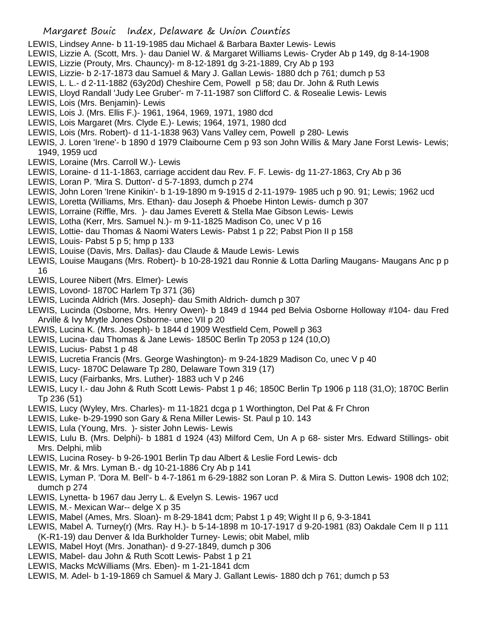## Margaret Bouic Index, Delaware & Union Counties

- LEWIS, Lindsey Anne- b 11-19-1985 dau Michael & Barbara Baxter Lewis- Lewis
- LEWIS, Lizzie A. (Scott, Mrs. )- dau Daniel W. & Margaret Williams Lewis- Cryder Ab p 149, dg 8-14-1908
- LEWIS, Lizzie (Prouty, Mrs. Chauncy)- m 8-12-1891 dg 3-21-1889, Cry Ab p 193
- LEWIS, Lizzie- b 2-17-1873 dau Samuel & Mary J. Gallan Lewis- 1880 dch p 761; dumch p 53
- LEWIS, L. L.- d 2-11-1882 (63y20d) Cheshire Cem, Powell p 58; dau Dr. John & Ruth Lewis
- LEWIS, Lloyd Randall 'Judy Lee Gruber'- m 7-11-1987 son Clifford C. & Rosealie Lewis- Lewis
- LEWIS, Lois (Mrs. Benjamin)- Lewis
- LEWIS, Lois J. (Mrs. Ellis F.)- 1961, 1964, 1969, 1971, 1980 dcd
- LEWIS, Lois Margaret (Mrs. Clyde E.)- Lewis; 1964, 1971, 1980 dcd
- LEWIS, Lois (Mrs. Robert)- d 11-1-1838 963) Vans Valley cem, Powell p 280- Lewis
- LEWIS, J. Loren 'Irene'- b 1890 d 1979 Claibourne Cem p 93 son John Willis & Mary Jane Forst Lewis- Lewis; 1949, 1959 ucd
- LEWIS, Loraine (Mrs. Carroll W.)- Lewis
- LEWIS, Loraine- d 11-1-1863, carriage accident dau Rev. F. F. Lewis- dg 11-27-1863, Cry Ab p 36
- LEWIS, Loran P. 'Mira S. Dutton'- d 5-7-1893, dumch p 274
- LEWIS, John Loren 'Irene Kinikin'- b 1-19-1890 m 9-1915 d 2-11-1979- 1985 uch p 90. 91; Lewis; 1962 ucd
- LEWIS, Loretta (Williams, Mrs. Ethan)- dau Joseph & Phoebe Hinton Lewis- dumch p 307
- LEWIS, Lorraine (Riffle, Mrs. )- dau James Everett & Stella Mae Gibson Lewis- Lewis
- LEWIS, Lotha (Kerr, Mrs. Samuel N.)- m 9-11-1825 Madison Co, unec V p 16
- LEWIS, Lottie- dau Thomas & Naomi Waters Lewis- Pabst 1 p 22; Pabst Pion II p 158
- LEWIS, Louis- Pabst 5 p 5; hmp p 133
- LEWIS, Louise (Davis, Mrs. Dallas)- dau Claude & Maude Lewis- Lewis
- LEWIS, Louise Maugans (Mrs. Robert)- b 10-28-1921 dau Ronnie & Lotta Darling Maugans- Maugans Anc p p 16
- LEWIS, Louree Nibert (Mrs. Elmer)- Lewis
- LEWIS, Lovond- 1870C Harlem Tp 371 (36)
- LEWIS, Lucinda Aldrich (Mrs. Joseph)- dau Smith Aldrich- dumch p 307
- LEWIS, Lucinda (Osborne, Mrs. Henry Owen)- b 1849 d 1944 ped Belvia Osborne Holloway #104- dau Fred Arville & Ivy Mrytle Jones Osborne- unec VII p 20
- LEWIS, Lucina K. (Mrs. Joseph)- b 1844 d 1909 Westfield Cem, Powell p 363
- LEWIS, Lucina- dau Thomas & Jane Lewis- 1850C Berlin Tp 2053 p 124 (10,O)
- LEWIS, Lucius- Pabst 1 p 48
- LEWIS, Lucretia Francis (Mrs. George Washington)- m 9-24-1829 Madison Co, unec V p 40
- LEWIS, Lucy- 1870C Delaware Tp 280, Delaware Town 319 (17)
- LEWIS, Lucy (Fairbanks, Mrs. Luther)- 1883 uch V p 246
- LEWIS, Lucy I.- dau John & Ruth Scott Lewis- Pabst 1 p 46; 1850C Berlin Tp 1906 p 118 (31,O); 1870C Berlin Tp 236 (51)
- LEWIS, Lucy (Wyley, Mrs. Charles)- m 11-1821 dcga p 1 Worthington, Del Pat & Fr Chron
- LEWIS, Luke- b-29-1990 son Gary & Rena Miller Lewis- St. Paul p 10. 143
- LEWIS, Lula (Young, Mrs. )- sister John Lewis- Lewis
- LEWIS, Lulu B. (Mrs. Delphi)- b 1881 d 1924 (43) Milford Cem, Un A p 68- sister Mrs. Edward Stillings- obit Mrs. Delphi, mlib
- LEWIS, Lucina Rosey- b 9-26-1901 Berlin Tp dau Albert & Leslie Ford Lewis- dcb
- LEWIS, Mr. & Mrs. Lyman B.- dg 10-21-1886 Cry Ab p 141
- LEWIS, Lyman P. 'Dora M. Bell'- b 4-7-1861 m 6-29-1882 son Loran P. & Mira S. Dutton Lewis- 1908 dch 102; dumch p 274
- LEWIS, Lynetta- b 1967 dau Jerry L. & Evelyn S. Lewis- 1967 ucd
- LEWIS, M.- Mexican War-- delge X p 35
- LEWIS, Mabel (Ames, Mrs. Sloan)- m 8-29-1841 dcm; Pabst 1 p 49; Wight II p 6, 9-3-1841
- LEWIS, Mabel A. Turney(r) (Mrs. Ray H.)- b 5-14-1898 m 10-17-1917 d 9-20-1981 (83) Oakdale Cem II p 111 (K-R1-19) dau Denver & Ida Burkholder Turney- Lewis; obit Mabel, mlib
- LEWIS, Mabel Hoyt (Mrs. Jonathan)- d 9-27-1849, dumch p 306
- LEWIS, Mabel- dau John & Ruth Scott Lewis- Pabst 1 p 21
- LEWIS, Macks McWilliams (Mrs. Eben)- m 1-21-1841 dcm
- LEWIS, M. Adel- b 1-19-1869 ch Samuel & Mary J. Gallant Lewis- 1880 dch p 761; dumch p 53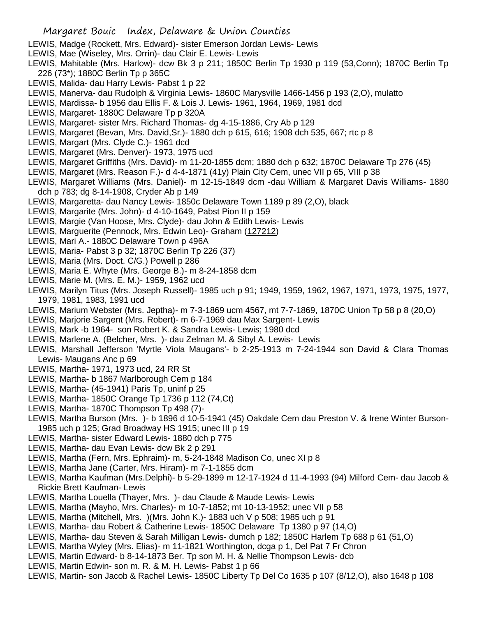- LEWIS, Madge (Rockett, Mrs. Edward)- sister Emerson Jordan Lewis- Lewis
- LEWIS, Mae (Wiseley, Mrs. Orrin)- dau Clair E. Lewis- Lewis
- LEWIS, Mahitable (Mrs. Harlow)- dcw Bk 3 p 211; 1850C Berlin Tp 1930 p 119 (53,Conn); 1870C Berlin Tp 226 (73\*); 1880C Berlin Tp p 365C
- LEWIS, Malida- dau Harry Lewis- Pabst 1 p 22
- LEWIS, Manerva- dau Rudolph & Virginia Lewis- 1860C Marysville 1466-1456 p 193 (2,O), mulatto
- LEWIS, Mardissa- b 1956 dau Ellis F. & Lois J. Lewis- 1961, 1964, 1969, 1981 dcd
- LEWIS, Margaret- 1880C Delaware Tp p 320A
- LEWIS, Margaret- sister Mrs. Richard Thomas- dg 4-15-1886, Cry Ab p 129
- LEWIS, Margaret (Bevan, Mrs. David,Sr.)- 1880 dch p 615, 616; 1908 dch 535, 667; rtc p 8
- LEWIS, Margart (Mrs. Clyde C.)- 1961 dcd
- LEWIS, Margaret (Mrs. Denver)- 1973, 1975 ucd
- LEWIS, Margaret Griffiths (Mrs. David)- m 11-20-1855 dcm; 1880 dch p 632; 1870C Delaware Tp 276 (45)
- LEWIS, Margaret (Mrs. Reason F.)- d 4-4-1871 (41y) Plain City Cem, unec VII p 65, VIII p 38
- LEWIS, Margaret Williams (Mrs. Daniel)- m 12-15-1849 dcm -dau William & Margaret Davis Williams- 1880 dch p 783; dg 8-14-1908, Cryder Ab p 149
- LEWIS, Margaretta- dau Nancy Lewis- 1850c Delaware Town 1189 p 89 (2,O), black
- LEWIS, Margarite (Mrs. John)- d 4-10-1649, Pabst Pion II p 159
- LEWIS, Margie (Van Hoose, Mrs. Clyde)- dau John & Edith Lewis- Lewis
- LEWIS, Marguerite (Pennock, Mrs. Edwin Leo)- Graham (127212)
- LEWIS, Mari A.- 1880C Delaware Town p 496A
- LEWIS, Maria- Pabst 3 p 32; 1870C Berlin Tp 226 (37)
- LEWIS, Maria (Mrs. Doct. C/G.) Powell p 286
- LEWIS, Maria E. Whyte (Mrs. George B.)- m 8-24-1858 dcm
- LEWIS, Marie M. (Mrs. E. M.)- 1959, 1962 ucd
- LEWIS, Marilyn Titus (Mrs. Joseph Russell)- 1985 uch p 91; 1949, 1959, 1962, 1967, 1971, 1973, 1975, 1977, 1979, 1981, 1983, 1991 ucd
- LEWIS, Marium Webster (Mrs. Jeptha)- m 7-3-1869 ucm 4567, mt 7-7-1869, 1870C Union Tp 58 p 8 (20,O)
- LEWIS, Marjorie Sargent (Mrs. Robert)- m 6-7-1969 dau Max Sargent- Lewis
- LEWIS, Mark -b 1964- son Robert K. & Sandra Lewis- Lewis; 1980 dcd
- LEWIS, Marlene A. (Belcher, Mrs. )- dau Zelman M. & Sibyl A. Lewis- Lewis
- LEWIS, Marshall Jefferson 'Myrtle Viola Maugans'- b 2-25-1913 m 7-24-1944 son David & Clara Thomas Lewis- Maugans Anc p 69
- LEWIS, Martha- 1971, 1973 ucd, 24 RR St
- LEWIS, Martha- b 1867 Marlborough Cem p 184
- LEWIS, Martha- (45-1941) Paris Tp, uninf p 25
- LEWIS, Martha- 1850C Orange Tp 1736 p 112 (74,Ct)
- LEWIS, Martha- 1870C Thompson Tp 498 (7)-
- LEWIS, Martha Burson (Mrs. )- b 1896 d 10-5-1941 (45) Oakdale Cem dau Preston V. & Irene Winter Burson-1985 uch p 125; Grad Broadway HS 1915; unec III p 19
- LEWIS, Martha- sister Edward Lewis- 1880 dch p 775
- LEWIS, Martha- dau Evan Lewis- dcw Bk 2 p 291
- LEWIS, Martha (Fern, Mrs. Ephraim)- m, 5-24-1848 Madison Co, unec XI p 8
- LEWIS, Martha Jane (Carter, Mrs. Hiram)- m 7-1-1855 dcm
- LEWIS, Martha Kaufman (Mrs.Delphi)- b 5-29-1899 m 12-17-1924 d 11-4-1993 (94) Milford Cem- dau Jacob & Rickie Brett Kaufman- Lewis
- LEWIS, Martha Louella (Thayer, Mrs. )- dau Claude & Maude Lewis- Lewis
- LEWIS, Martha (Mayho, Mrs. Charles)- m 10-7-1852; mt 10-13-1952; unec VII p 58
- LEWIS, Martha (Mitchell, Mrs. )(Mrs. John K.)- 1883 uch V p 508; 1985 uch p 91
- LEWIS, Martha- dau Robert & Catherine Lewis- 1850C Delaware Tp 1380 p 97 (14,O)
- LEWIS, Martha- dau Steven & Sarah Milligan Lewis- dumch p 182; 1850C Harlem Tp 688 p 61 (51,O)
- LEWIS, Martha Wyley (Mrs. Elias)- m 11-1821 Worthington, dcga p 1, Del Pat 7 Fr Chron
- LEWIS, Martin Edward- b 8-14-1873 Ber. Tp son M. H. & Nellie Thompson Lewis- dcb
- LEWIS, Martin Edwin- son m. R. & M. H. Lewis- Pabst 1 p 66
- LEWIS, Martin- son Jacob & Rachel Lewis- 1850C Liberty Tp Del Co 1635 p 107 (8/12,O), also 1648 p 108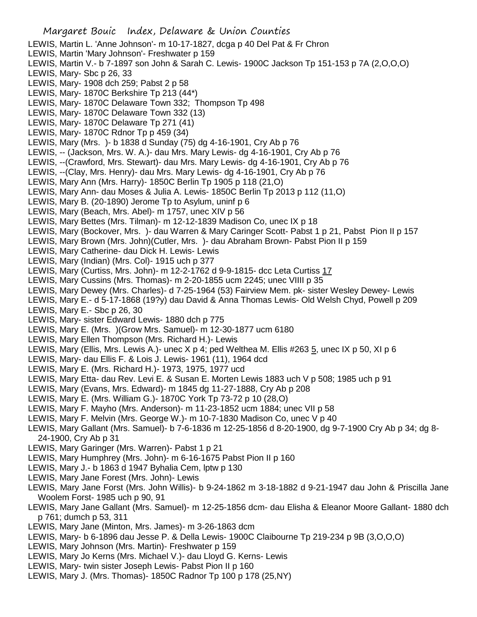- LEWIS, Martin L. 'Anne Johnson'- m 10-17-1827, dcga p 40 Del Pat & Fr Chron LEWIS, Martin 'Mary Johnson'- Freshwater p 159 LEWIS, Martin V.- b 7-1897 son John & Sarah C. Lewis- 1900C Jackson Tp 151-153 p 7A (2,O,O,O) LEWIS, Mary- Sbc p 26, 33 LEWIS, Mary- 1908 dch 259; Pabst 2 p 58 LEWIS, Mary- 1870C Berkshire Tp 213 (44\*) LEWIS, Mary- 1870C Delaware Town 332; Thompson Tp 498 LEWIS, Mary- 1870C Delaware Town 332 (13) LEWIS, Mary- 1870C Delaware Tp 271 (41) LEWIS, Mary- 1870C Rdnor Tp p 459 (34) LEWIS, Mary (Mrs. )- b 1838 d Sunday (75) dg 4-16-1901, Cry Ab p 76 LEWIS, -- (Jackson, Mrs. W. A.)- dau Mrs. Mary Lewis- dg 4-16-1901, Cry Ab p 76 LEWIS, --(Crawford, Mrs. Stewart)- dau Mrs. Mary Lewis- dg 4-16-1901, Cry Ab p 76 LEWIS, --(Clay, Mrs. Henry)- dau Mrs. Mary Lewis- dg 4-16-1901, Cry Ab p 76 LEWIS, Mary Ann (Mrs. Harry)- 1850C Berlin Tp 1905 p 118 (21,O) LEWIS, Mary Ann- dau Moses & Julia A. Lewis- 1850C Berlin Tp 2013 p 112 (11,O) LEWIS, Mary B. (20-1890) Jerome Tp to Asylum, uninf p 6 LEWIS, Mary (Beach, Mrs. Abel)- m 1757, unec XIV p 56 LEWIS, Mary Bettes (Mrs. Tilman)- m 12-12-1839 Madison Co, unec IX p 18 LEWIS, Mary (Bockover, Mrs. )- dau Warren & Mary Caringer Scott- Pabst 1 p 21, Pabst Pion II p 157 LEWIS, Mary Brown (Mrs. John)(Cutler, Mrs. )- dau Abraham Brown- Pabst Pion II p 159 LEWIS, Mary Catherine- dau Dick H. Lewis- Lewis LEWIS, Mary (Indian) (Mrs. Col)- 1915 uch p 377 LEWIS, Mary (Curtiss, Mrs. John)- m 12-2-1762 d 9-9-1815- dcc Leta Curtiss 17 LEWIS, Mary Cussins (Mrs. Thomas)- m 2-20-1855 ucm 2245; unec VIIII p 35 LEWIS, Mary Dewey (Mrs. Charles)- d 7-25-1964 (53) Fairview Mem. pk- sister Wesley Dewey- Lewis LEWIS, Mary E.- d 5-17-1868 (19?y) dau David & Anna Thomas Lewis- Old Welsh Chyd, Powell p 209 LEWIS, Mary E.- Sbc p 26, 30 LEWIS, Mary- sister Edward Lewis- 1880 dch p 775 LEWIS, Mary E. (Mrs. )(Grow Mrs. Samuel)- m 12-30-1877 ucm 6180 LEWIS, Mary Ellen Thompson (Mrs. Richard H.)- Lewis LEWIS, Mary (Ellis, Mrs. Lewis A.)- unec X p 4; ped Welthea M. Ellis #263 5, unec IX p 50, XI p 6 LEWIS, Mary- dau Ellis F. & Lois J. Lewis- 1961 (11), 1964 dcd LEWIS, Mary E. (Mrs. Richard H.)- 1973, 1975, 1977 ucd LEWIS, Mary Etta- dau Rev. Levi E. & Susan E. Morten Lewis 1883 uch V p 508; 1985 uch p 91 LEWIS, Mary (Evans, Mrs. Edward)- m 1845 dg 11-27-1888, Cry Ab p 208 LEWIS, Mary E. (Mrs. William G.)- 1870C York Tp 73-72 p 10 (28,O) LEWIS, Mary F. Mayho (Mrs. Anderson)- m 11-23-1852 ucm 1884; unec VII p 58 LEWIS, Mary F. Melvin (Mrs. George W.)- m 10-7-1830 Madison Co, unec V p 40 LEWIS, Mary Gallant (Mrs. Samuel)- b 7-6-1836 m 12-25-1856 d 8-20-1900, dg 9-7-1900 Cry Ab p 34; dg 8- 24-1900, Cry Ab p 31 LEWIS, Mary Garinger (Mrs. Warren)- Pabst 1 p 21 LEWIS, Mary Humphrey (Mrs. John)- m 6-16-1675 Pabst Pion II p 160 LEWIS, Mary J.- b 1863 d 1947 Byhalia Cem, lptw p 130 LEWIS, Mary Jane Forest (Mrs. John)- Lewis LEWIS, Mary Jane Forst (Mrs. John Willis)- b 9-24-1862 m 3-18-1882 d 9-21-1947 dau John & Priscilla Jane Woolem Forst- 1985 uch p 90, 91 LEWIS, Mary Jane Gallant (Mrs. Samuel)- m 12-25-1856 dcm- dau Elisha & Eleanor Moore Gallant- 1880 dch p 761; dumch p 53, 311 LEWIS, Mary Jane (Minton, Mrs. James)- m 3-26-1863 dcm LEWIS, Mary- b 6-1896 dau Jesse P. & Della Lewis- 1900C Claibourne Tp 219-234 p 9B (3,O,O,O) LEWIS, Mary Johnson (Mrs. Martin)- Freshwater p 159 LEWIS, Mary Jo Kerns (Mrs. Michael V.)- dau Lloyd G. Kerns- Lewis
- LEWIS, Mary- twin sister Joseph Lewis- Pabst Pion II p 160
- LEWIS, Mary J. (Mrs. Thomas)- 1850C Radnor Tp 100 p 178 (25,NY)

Margaret Bouic Index, Delaware & Union Counties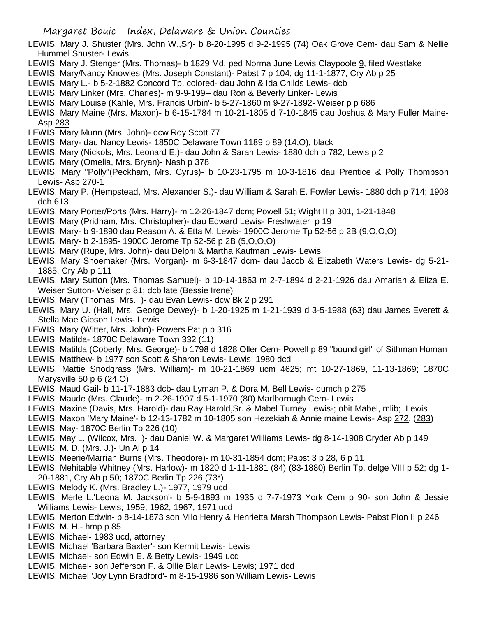- LEWIS, Mary J. Shuster (Mrs. John W.,Sr)- b 8-20-1995 d 9-2-1995 (74) Oak Grove Cem- dau Sam & Nellie Hummel Shuster- Lewis
- LEWIS, Mary J. Stenger (Mrs. Thomas)- b 1829 Md, ped Norma June Lewis Claypoole 9, filed Westlake
- LEWIS, Mary/Nancy Knowles (Mrs. Joseph Constant)- Pabst 7 p 104; dg 11-1-1877, Cry Ab p 25
- LEWIS, Mary L.- b 5-2-1882 Concord Tp, colored- dau John & Ida Childs Lewis- dcb
- LEWIS, Mary Linker (Mrs. Charles)- m 9-9-199-- dau Ron & Beverly Linker- Lewis
- LEWIS, Mary Louise (Kahle, Mrs. Francis Urbin'- b 5-27-1860 m 9-27-1892- Weiser p p 686
- LEWIS, Mary Maine (Mrs. Maxon)- b 6-15-1784 m 10-21-1805 d 7-10-1845 dau Joshua & Mary Fuller Maine-Asp 283
- LEWIS, Mary Munn (Mrs. John)- dcw Roy Scott 77
- LEWIS, Mary- dau Nancy Lewis- 1850C Delaware Town 1189 p 89 (14,O), black
- LEWIS, Mary (Nickols, Mrs. Leonard E.)- dau John & Sarah Lewis- 1880 dch p 782; Lewis p 2
- LEWIS, Mary (Omelia, Mrs. Bryan)- Nash p 378
- LEWIS, Mary "Polly"(Peckham, Mrs. Cyrus)- b 10-23-1795 m 10-3-1816 dau Prentice & Polly Thompson Lewis- Asp 270-1
- LEWIS, Mary P. (Hempstead, Mrs. Alexander S.)- dau William & Sarah E. Fowler Lewis- 1880 dch p 714; 1908 dch 613
- LEWIS, Mary Porter/Ports (Mrs. Harry)- m 12-26-1847 dcm; Powell 51; Wight II p 301, 1-21-1848
- LEWIS, Mary (Pridham, Mrs. Christopher)- dau Edward Lewis- Freshwater p 19
- LEWIS, Mary- b 9-1890 dau Reason A. & Etta M. Lewis- 1900C Jerome Tp 52-56 p 2B (9,O,O,O)
- LEWIS, Mary- b 2-1895- 1900C Jerome Tp 52-56 p 2B (5,O,O,O)
- LEWIS, Mary (Rupe, Mrs. John)- dau Delphi & Martha Kaufman Lewis- Lewis
- LEWIS, Mary Shoemaker (Mrs. Morgan)- m 6-3-1847 dcm- dau Jacob & Elizabeth Waters Lewis- dg 5-21- 1885, Cry Ab p 111
- LEWIS, Mary Sutton (Mrs. Thomas Samuel)- b 10-14-1863 m 2-7-1894 d 2-21-1926 dau Amariah & Eliza E. Weiser Sutton- Weiser p 81; dcb late (Bessie Irene)
- LEWIS, Mary (Thomas, Mrs. )- dau Evan Lewis- dcw Bk 2 p 291
- LEWIS, Mary U. (Hall, Mrs. George Dewey)- b 1-20-1925 m 1-21-1939 d 3-5-1988 (63) dau James Everett & Stella Mae Gibson Lewis- Lewis
- LEWIS, Mary (Witter, Mrs. John)- Powers Pat p p 316
- LEWIS, Matilda- 1870C Delaware Town 332 (11)
- LEWIS, Matilda (Coberly, Mrs. George)- b 1798 d 1828 Oller Cem- Powell p 89 "bound girl" of Sithman Homan
- LEWIS, Matthew- b 1977 son Scott & Sharon Lewis- Lewis; 1980 dcd
- LEWIS, Mattie Snodgrass (Mrs. William)- m 10-21-1869 ucm 4625; mt 10-27-1869, 11-13-1869; 1870C Marysville 50 p 6 (24,O)
- LEWIS, Maud Gail- b 11-17-1883 dcb- dau Lyman P. & Dora M. Bell Lewis- dumch p 275
- LEWIS, Maude (Mrs. Claude)- m 2-26-1907 d 5-1-1970 (80) Marlborough Cem- Lewis
- LEWIS, Maxine (Davis, Mrs. Harold)- dau Ray Harold,Sr. & Mabel Turney Lewis-; obit Mabel, mlib; Lewis
- LEWIS, Maxon 'Mary Maine'- b 12-13-1782 m 10-1805 son Hezekiah & Annie maine Lewis- Asp 272, (283)
- LEWIS, May- 1870C Berlin Tp 226 (10)
- LEWIS, May L. (Wilcox, Mrs. )- dau Daniel W. & Margaret Williams Lewis- dg 8-14-1908 Cryder Ab p 149
- LEWIS, M. D. (Mrs. J.)- Un Al p 14
- LEWIS, Meerie/Marriah Burns (Mrs. Theodore)- m 10-31-1854 dcm; Pabst 3 p 28, 6 p 11
- LEWIS, Mehitable Whitney (Mrs. Harlow)- m 1820 d 1-11-1881 (84) (83-1880) Berlin Tp, delge VIII p 52; dg 1- 20-1881, Cry Ab p 50; 1870C Berlin Tp 226 (73\*)
- LEWIS, Melody K. (Mrs. Bradley L.)- 1977, 1979 ucd
- LEWIS, Merle L.'Leona M. Jackson'- b 5-9-1893 m 1935 d 7-7-1973 York Cem p 90- son John & Jessie Williams Lewis- Lewis; 1959, 1962, 1967, 1971 ucd
- LEWIS, Merton Edwin- b 8-14-1873 son Milo Henry & Henrietta Marsh Thompson Lewis- Pabst Pion II p 246
- LEWIS, M. H.- hmp p 85
- LEWIS, Michael- 1983 ucd, attorney
- LEWIS, Michael 'Barbara Baxter'- son Kermit Lewis- Lewis
- LEWIS, Michael- son Edwin E. & Betty Lewis- 1949 ucd
- LEWIS, Michael- son Jefferson F. & Ollie Blair Lewis- Lewis; 1971 dcd
- LEWIS, Michael 'Joy Lynn Bradford'- m 8-15-1986 son William Lewis- Lewis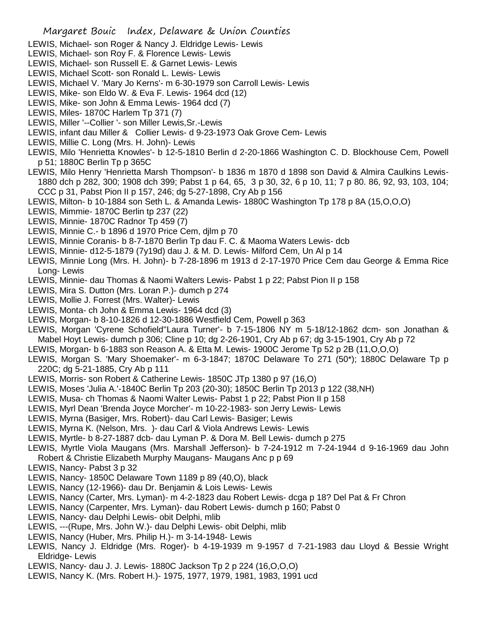- LEWIS, Michael- son Roger & Nancy J. Eldridge Lewis- Lewis
- LEWIS, Michael- son Roy F. & Florence Lewis- Lewis
- LEWIS, Michael- son Russell E. & Garnet Lewis- Lewis
- LEWIS, Michael Scott- son Ronald L. Lewis- Lewis
- LEWIS, Michael V. 'Mary Jo Kerns'- m 6-30-1979 son Carroll Lewis- Lewis
- LEWIS, Mike- son Eldo W. & Eva F. Lewis- 1964 dcd (12)
- LEWIS, Mike- son John & Emma Lewis- 1964 dcd (7)
- LEWIS, Miles- 1870C Harlem Tp 371 (7)
- LEWIS, Miller '--Collier '- son Miller Lewis,Sr.-Lewis
- LEWIS, infant dau Miller & Collier Lewis- d 9-23-1973 Oak Grove Cem- Lewis
- LEWIS, Millie C. Long (Mrs. H. John)- Lewis
- LEWIS, Milo 'Henrietta Knowles'- b 12-5-1810 Berlin d 2-20-1866 Washington C. D. Blockhouse Cem, Powell p 51; 1880C Berlin Tp p 365C
- LEWIS, Milo Henry 'Henrietta Marsh Thompson'- b 1836 m 1870 d 1898 son David & Almira Caulkins Lewis-1880 dch p 282, 300; 1908 dch 399; Pabst 1 p 64, 65, 3 p 30, 32, 6 p 10, 11; 7 p 80. 86, 92, 93, 103, 104; CCC p 31, Pabst Pion II p 157, 246; dg 5-27-1898, Cry Ab p 156
- LEWIS, Milton- b 10-1884 son Seth L. & Amanda Lewis- 1880C Washington Tp 178 p 8A (15,O,O,O)
- LEWIS, Mimmie- 1870C Berlin tp 237 (22)
- LEWIS, Minnie- 1870C Radnor Tp 459 (7)
- LEWIS, Minnie C.- b 1896 d 1970 Price Cem, djlm p 70
- LEWIS, Minnie Coranis- b 8-7-1870 Berlin Tp dau F. C. & Maoma Waters Lewis- dcb
- LEWIS, Minnie- d12-5-1879 (7y19d) dau J. & M. D. Lewis- Milford Cem, Un Al p 14
- LEWIS, Minnie Long (Mrs. H. John)- b 7-28-1896 m 1913 d 2-17-1970 Price Cem dau George & Emma Rice Long- Lewis
- LEWIS, Minnie- dau Thomas & Naomi Walters Lewis- Pabst 1 p 22; Pabst Pion II p 158
- LEWIS, Mira S. Dutton (Mrs. Loran P.)- dumch p 274
- LEWIS, Mollie J. Forrest (Mrs. Walter)- Lewis
- LEWIS, Monta- ch John & Emma Lewis- 1964 dcd (3)
- LEWIS, Morgan- b 8-10-1826 d 12-30-1886 Westfield Cem, Powell p 363
- LEWIS, Morgan 'Cyrene Schofield''Laura Turner'- b 7-15-1806 NY m 5-18/12-1862 dcm- son Jonathan & Mabel Hoyt Lewis- dumch p 306; Cline p 10; dg 2-26-1901, Cry Ab p 67; dg 3-15-1901, Cry Ab p 72
- LEWIS, Morgan- b 6-1883 son Reason A. & Etta M. Lewis- 1900C Jerome Tp 52 p 2B (11,O,O,O)
- LEWIS, Morgan S. 'Mary Shoemaker'- m 6-3-1847; 1870C Delaware To 271 (50\*); 1880C Delaware Tp p 220C; dg 5-21-1885, Cry Ab p 111
- LEWIS, Morris- son Robert & Catherine Lewis- 1850C JTp 1380 p 97 (16,O)
- LEWIS, Moses 'Julia A.'-1840C Berlin Tp 203 (20-30); 1850C Berlin Tp 2013 p 122 (38,NH)
- LEWIS, Musa- ch Thomas & Naomi Walter Lewis- Pabst 1 p 22; Pabst Pion II p 158
- LEWIS, Myrl Dean 'Brenda Joyce Morcher'- m 10-22-1983- son Jerry Lewis- Lewis
- LEWIS, Myrna (Basiger, Mrs. Robert)- dau Carl Lewis- Basiger; Lewis
- LEWIS, Myrna K. (Nelson, Mrs. )- dau Carl & Viola Andrews Lewis- Lewis
- LEWIS, Myrtle- b 8-27-1887 dcb- dau Lyman P. & Dora M. Bell Lewis- dumch p 275
- LEWIS, Myrtle Viola Maugans (Mrs. Marshall Jefferson)- b 7-24-1912 m 7-24-1944 d 9-16-1969 dau John Robert & Christie Elizabeth Murphy Maugans- Maugans Anc p p 69
- LEWIS, Nancy- Pabst 3 p 32
- LEWIS, Nancy- 1850C Delaware Town 1189 p 89 (40,O), black
- LEWIS, Nancy (12-1966)- dau Dr. Benjamin & Lois Lewis- Lewis
- LEWIS, Nancy (Carter, Mrs. Lyman)- m 4-2-1823 dau Robert Lewis- dcga p 18? Del Pat & Fr Chron
- LEWIS, Nancy (Carpenter, Mrs. Lyman)- dau Robert Lewis- dumch p 160; Pabst 0
- LEWIS, Nancy- dau Delphi Lewis- obit Delphi, mlib
- LEWIS, ---(Rupe, Mrs. John W.)- dau Delphi Lewis- obit Delphi, mlib
- LEWIS, Nancy (Huber, Mrs. Philip H.)- m 3-14-1948- Lewis
- LEWIS, Nancy J. Eldridge (Mrs. Roger)- b 4-19-1939 m 9-1957 d 7-21-1983 dau Lloyd & Bessie Wright Eldridge- Lewis
- LEWIS, Nancy- dau J. J. Lewis- 1880C Jackson Tp 2 p 224 (16,O,O,O)
- LEWIS, Nancy K. (Mrs. Robert H.)- 1975, 1977, 1979, 1981, 1983, 1991 ucd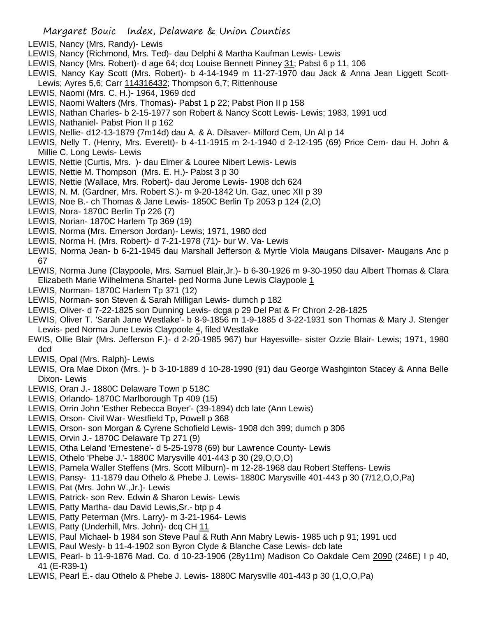- LEWIS, Nancy (Mrs. Randy)- Lewis
- LEWIS, Nancy (Richmond, Mrs. Ted)- dau Delphi & Martha Kaufman Lewis- Lewis
- LEWIS, Nancy (Mrs. Robert)- d age 64; dcq Louise Bennett Pinney 31; Pabst 6 p 11, 106
- LEWIS, Nancy Kay Scott (Mrs. Robert)- b 4-14-1949 m 11-27-1970 dau Jack & Anna Jean Liggett Scott-Lewis; Ayres 5,6; Carr 114316432; Thompson 6,7; Rittenhouse
- LEWIS, Naomi (Mrs. C. H.)- 1964, 1969 dcd
- LEWIS, Naomi Walters (Mrs. Thomas)- Pabst 1 p 22; Pabst Pion II p 158
- LEWIS, Nathan Charles- b 2-15-1977 son Robert & Nancy Scott Lewis- Lewis; 1983, 1991 ucd
- LEWIS, Nathaniel- Pabst Pion II p 162
- LEWIS, Nellie- d12-13-1879 (7m14d) dau A. & A. Dilsaver- Milford Cem, Un Al p 14
- LEWIS, Nelly T. (Henry, Mrs. Everett)- b 4-11-1915 m 2-1-1940 d 2-12-195 (69) Price Cem- dau H. John & Millie C. Long Lewis- Lewis
- LEWIS, Nettie (Curtis, Mrs. )- dau Elmer & Louree Nibert Lewis- Lewis
- LEWIS, Nettie M. Thompson (Mrs. E. H.)- Pabst 3 p 30
- LEWIS, Nettie (Wallace, Mrs. Robert)- dau Jerome Lewis- 1908 dch 624
- LEWIS, N. M. (Gardner, Mrs. Robert S.)- m 9-20-1842 Un. Gaz, unec XII p 39
- LEWIS, Noe B.- ch Thomas & Jane Lewis- 1850C Berlin Tp 2053 p 124 (2,O)
- LEWIS, Nora- 1870C Berlin Tp 226 (7)
- LEWIS, Norian- 1870C Harlem Tp 369 (19)
- LEWIS, Norma (Mrs. Emerson Jordan)- Lewis; 1971, 1980 dcd
- LEWIS, Norma H. (Mrs. Robert)- d 7-21-1978 (71)- bur W. Va- Lewis
- LEWIS, Norma Jean- b 6-21-1945 dau Marshall Jefferson & Myrtle Viola Maugans Dilsaver- Maugans Anc p 67
- LEWIS, Norma June (Claypoole, Mrs. Samuel Blair,Jr.)- b 6-30-1926 m 9-30-1950 dau Albert Thomas & Clara Elizabeth Marie Wilhelmena Shartel- ped Norma June Lewis Claypoole 1
- LEWIS, Norman- 1870C Harlem Tp 371 (12)
- LEWIS, Norman- son Steven & Sarah Milligan Lewis- dumch p 182
- LEWIS, Oliver- d 7-22-1825 son Dunning Lewis- dcga p 29 Del Pat & Fr Chron 2-28-1825
- LEWIS, Oliver T. 'Sarah Jane Westlake'- b 8-9-1856 m 1-9-1885 d 3-22-1931 son Thomas & Mary J. Stenger Lewis- ped Norma June Lewis Claypoole 4, filed Westlake
- EWIS, Ollie Blair (Mrs. Jefferson F.)- d 2-20-1985 967) bur Hayesville- sister Ozzie Blair- Lewis; 1971, 1980 dcd
- LEWIS, Opal (Mrs. Ralph)- Lewis
- LEWIS, Ora Mae Dixon (Mrs. )- b 3-10-1889 d 10-28-1990 (91) dau George Washginton Stacey & Anna Belle Dixon- Lewis
- LEWIS, Oran J.- 1880C Delaware Town p 518C
- LEWIS, Orlando- 1870C Marlborough Tp 409 (15)
- LEWIS, Orrin John 'Esther Rebecca Boyer'- (39-1894) dcb late (Ann Lewis)
- LEWIS, Orson- Civil War- Westfield Tp, Powell p 368
- LEWIS, Orson- son Morgan & Cyrene Schofield Lewis- 1908 dch 399; dumch p 306
- LEWIS, Orvin J.- 1870C Delaware Tp 271 (9)
- LEWIS, Otha Leland 'Ernestene'- d 5-25-1978 (69) bur Lawrence County- Lewis
- LEWIS, Othelo 'Phebe J.'- 1880C Marysville 401-443 p 30 (29,O,O,O)
- LEWIS, Pamela Waller Steffens (Mrs. Scott Milburn)- m 12-28-1968 dau Robert Steffens- Lewis
- LEWIS, Pansy- 11-1879 dau Othelo & Phebe J. Lewis- 1880C Marysville 401-443 p 30 (7/12,O,O,Pa)
- LEWIS, Pat (Mrs. John W.,Jr.)- Lewis
- LEWIS, Patrick- son Rev. Edwin & Sharon Lewis- Lewis
- LEWIS, Patty Martha- dau David Lewis,Sr.- btp p 4
- LEWIS, Patty Peterman (Mrs. Larry)- m 3-21-1964- Lewis
- LEWIS, Patty (Underhill, Mrs. John)- dcq CH 11
- LEWIS, Paul Michael- b 1984 son Steve Paul & Ruth Ann Mabry Lewis- 1985 uch p 91; 1991 ucd
- LEWIS, Paul Wesly- b 11-4-1902 son Byron Clyde & Blanche Case Lewis- dcb late
- LEWIS, Pearl- b 11-9-1876 Mad. Co. d 10-23-1906 (28y11m) Madison Co Oakdale Cem 2090 (246E) I p 40, 41 (E-R39-1)
- LEWIS, Pearl E.- dau Othelo & Phebe J. Lewis- 1880C Marysville 401-443 p 30 (1,O,O,Pa)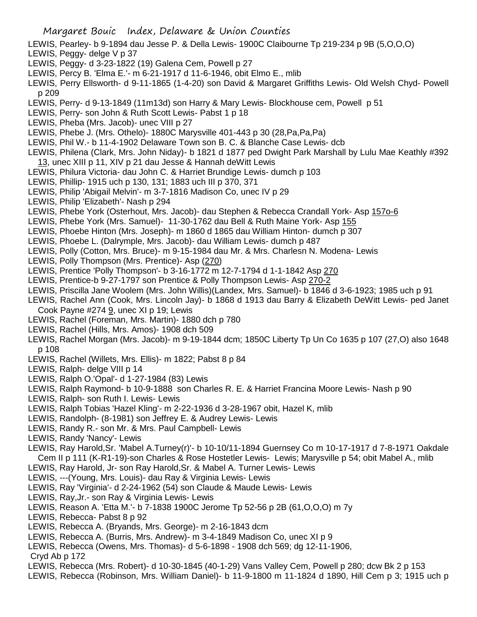- LEWIS, Pearley- b 9-1894 dau Jesse P. & Della Lewis- 1900C Claibourne Tp 219-234 p 9B (5,O,O,O)
- LEWIS, Peggy- delge V p 37
- LEWIS, Peggy- d 3-23-1822 (19) Galena Cem, Powell p 27
- LEWIS, Percy B. 'Elma E.'- m 6-21-1917 d 11-6-1946, obit Elmo E., mlib
- LEWIS, Perry Ellsworth- d 9-11-1865 (1-4-20) son David & Margaret Griffiths Lewis- Old Welsh Chyd- Powell p 209
- LEWIS, Perry- d 9-13-1849 (11m13d) son Harry & Mary Lewis- Blockhouse cem, Powell p 51
- LEWIS, Perry- son John & Ruth Scott Lewis- Pabst 1 p 18
- LEWIS, Pheba (Mrs. Jacob)- unec VIII p 27
- LEWIS, Phebe J. (Mrs. Othelo)- 1880C Marysville 401-443 p 30 (28,Pa,Pa,Pa)
- LEWIS, Phil W.- b 11-4-1902 Delaware Town son B. C. & Blanche Case Lewis- dcb
- LEWIS, Philena (Clark, Mrs. John Niday)- b 1821 d 1877 ped Dwight Park Marshall by Lulu Mae Keathly #392 13, unec XIII p 11, XIV p 21 dau Jesse & Hannah deWitt Lewis
- LEWIS, Philura Victoria- dau John C. & Harriet Brundige Lewis- dumch p 103
- LEWIS, Phillip- 1915 uch p 130, 131; 1883 uch III p 370, 371
- LEWIS, Philip 'Abigail Melvin'- m 3-7-1816 Madison Co, unec IV p 29
- LEWIS, Philip 'Elizabeth'- Nash p 294
- LEWIS, Phebe York (Osterhout, Mrs. Jacob)- dau Stephen & Rebecca Crandall York- Asp 157o-6
- LEWIS, Phebe York (Mrs. Samuel)- 11-30-1762 dau Bell & Ruth Maine York- Asp 155
- LEWIS, Phoebe Hinton (Mrs. Joseph)- m 1860 d 1865 dau William Hinton- dumch p 307
- LEWIS, Phoebe L. (Dalrymple, Mrs. Jacob)- dau William Lewis- dumch p 487
- LEWIS, Polly (Cotton, Mrs. Bruce)- m 9-15-1984 dau Mr. & Mrs. Charlesn N. Modena- Lewis
- LEWIS, Polly Thompson (Mrs. Prentice)- Asp (270)
- LEWIS, Prentice 'Polly Thompson'- b 3-16-1772 m 12-7-1794 d 1-1-1842 Asp 270
- LEWIS, Prentice-b 9-27-1797 son Prentice & Polly Thompson Lewis- Asp 270-2
- LEWIS, Priscilla Jane Woolem (Mrs. John Willis)(Landex, Mrs. Samuel)- b 1846 d 3-6-1923; 1985 uch p 91
- LEWIS, Rachel Ann (Cook, Mrs. Lincoln Jay)- b 1868 d 1913 dau Barry & Elizabeth DeWitt Lewis- ped Janet Cook Payne #274 9, unec XI p 19; Lewis
- LEWIS, Rachel (Foreman, Mrs. Martin)- 1880 dch p 780
- LEWIS, Rachel (Hills, Mrs. Amos)- 1908 dch 509
- LEWIS, Rachel Morgan (Mrs. Jacob)- m 9-19-1844 dcm; 1850C Liberty Tp Un Co 1635 p 107 (27,O) also 1648 p 108
- LEWIS, Rachel (Willets, Mrs. Ellis)- m 1822; Pabst 8 p 84
- LEWIS, Ralph- delge VIII p 14
- LEWIS, Ralph O.'Opal'- d 1-27-1984 (83) Lewis
- LEWIS, Ralph Raymond- b 10-9-1888 son Charles R. E. & Harriet Francina Moore Lewis- Nash p 90
- LEWIS, Ralph- son Ruth I. Lewis- Lewis
- LEWIS, Ralph Tobias 'Hazel Kling'- m 2-22-1936 d 3-28-1967 obit, Hazel K, mlib
- LEWIS, Randolph- (8-1981) son Jeffrey E. & Audrey Lewis- Lewis
- LEWIS, Randy R.- son Mr. & Mrs. Paul Campbell- Lewis
- LEWIS, Randy 'Nancy'- Lewis
- LEWIS, Ray Harold,Sr. 'Mabel A.Turney(r)'- b 10-10/11-1894 Guernsey Co m 10-17-1917 d 7-8-1971 Oakdale Cem II p 111 (K-R1-19)-son Charles & Rose Hostetler Lewis- Lewis; Marysville p 54; obit Mabel A., mlib
- LEWIS, Ray Harold, Jr- son Ray Harold,Sr. & Mabel A. Turner Lewis- Lewis
- LEWIS, ---(Young, Mrs. Louis)- dau Ray & Virginia Lewis- Lewis
- LEWIS, Ray 'Virginia'- d 2-24-1962 (54) son Claude & Maude Lewis- Lewis
- LEWIS, Ray,Jr.- son Ray & Virginia Lewis- Lewis
- LEWIS, Reason A. 'Etta M.'- b 7-1838 1900C Jerome Tp 52-56 p 2B (61,O,O,O) m 7y
- LEWIS, Rebecca- Pabst 8 p 92
- LEWIS, Rebecca A. (Bryands, Mrs. George)- m 2-16-1843 dcm
- LEWIS, Rebecca A. (Burris, Mrs. Andrew)- m 3-4-1849 Madison Co, unec XI p 9
- LEWIS, Rebecca (Owens, Mrs. Thomas)- d 5-6-1898 1908 dch 569; dg 12-11-1906,
- Cryd Ab p 172
- LEWIS, Rebecca (Mrs. Robert)- d 10-30-1845 (40-1-29) Vans Valley Cem, Powell p 280; dcw Bk 2 p 153
- LEWIS, Rebecca (Robinson, Mrs. William Daniel)- b 11-9-1800 m 11-1824 d 1890, Hill Cem p 3; 1915 uch p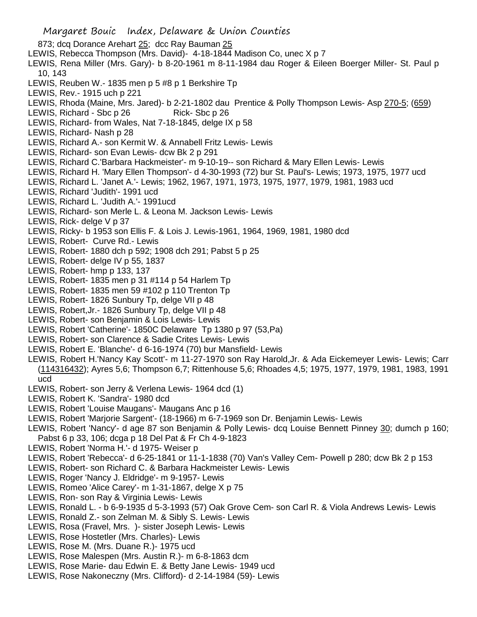- Margaret Bouic Index, Delaware & Union Counties 873; dcq Dorance Arehart 25; dcc Ray Bauman 25 LEWIS, Rebecca Thompson (Mrs. David)- 4-18-1844 Madison Co, unec X p 7 LEWIS, Rena Miller (Mrs. Gary)- b 8-20-1961 m 8-11-1984 dau Roger & Eileen Boerger Miller- St. Paul p 10, 143 LEWIS, Reuben W.- 1835 men p 5 #8 p 1 Berkshire Tp LEWIS, Rev.- 1915 uch p 221 LEWIS, Rhoda (Maine, Mrs. Jared)- b 2-21-1802 dau Prentice & Polly Thompson Lewis- Asp 270-5; (659) LEWIS, Richard - Sbc p 26 Rick- Sbc p 26 LEWIS, Richard- from Wales, Nat 7-18-1845, delge IX p 58 LEWIS, Richard- Nash p 28 LEWIS, Richard A.- son Kermit W. & Annabell Fritz Lewis- Lewis LEWIS, Richard- son Evan Lewis- dcw Bk 2 p 291 LEWIS, Richard C.'Barbara Hackmeister'- m 9-10-19-- son Richard & Mary Ellen Lewis- Lewis LEWIS, Richard H. 'Mary Ellen Thompson'- d 4-30-1993 (72) bur St. Paul's- Lewis; 1973, 1975, 1977 ucd LEWIS, Richard L. 'Janet A.'- Lewis; 1962, 1967, 1971, 1973, 1975, 1977, 1979, 1981, 1983 ucd LEWIS, Richard 'Judith'- 1991 ucd LEWIS, Richard L. 'Judith A.'- 1991ucd LEWIS, Richard- son Merle L. & Leona M. Jackson Lewis- Lewis LEWIS, Rick- delge V p 37 LEWIS, Ricky- b 1953 son Ellis F. & Lois J. Lewis-1961, 1964, 1969, 1981, 1980 dcd LEWIS, Robert- Curve Rd.- Lewis LEWIS, Robert- 1880 dch p 592; 1908 dch 291; Pabst 5 p 25 LEWIS, Robert- delge IV p 55, 1837 LEWIS, Robert- hmp p 133, 137 LEWIS, Robert- 1835 men p 31 #114 p 54 Harlem Tp LEWIS, Robert- 1835 men 59 #102 p 110 Trenton Tp LEWIS, Robert- 1826 Sunbury Tp, delge VII p 48 LEWIS, Robert,Jr.- 1826 Sunbury Tp, delge VII p 48 LEWIS, Robert- son Benjamin & Lois Lewis- Lewis LEWIS, Robert 'Catherine'- 1850C Delaware Tp 1380 p 97 (53,Pa) LEWIS, Robert- son Clarence & Sadie Crites Lewis- Lewis LEWIS, Robert E. 'Blanche'- d 6-16-1974 (70) bur Mansfield- Lewis LEWIS, Robert H.'Nancy Kay Scott'- m 11-27-1970 son Ray Harold,Jr. & Ada Eickemeyer Lewis- Lewis; Carr (114316432); Ayres 5,6; Thompson 6,7; Rittenhouse 5,6; Rhoades 4,5; 1975, 1977, 1979, 1981, 1983, 1991 ucd LEWIS, Robert- son Jerry & Verlena Lewis- 1964 dcd (1) LEWIS, Robert K. 'Sandra'- 1980 dcd LEWIS, Robert 'Louise Maugans'- Maugans Anc p 16 LEWIS, Robert 'Marjorie Sargent'- (18-1966) m 6-7-1969 son Dr. Benjamin Lewis- Lewis LEWIS, Robert 'Nancy'- d age 87 son Benjamin & Polly Lewis- dcq Louise Bennett Pinney 30; dumch p 160; Pabst 6 p 33, 106; dcga p 18 Del Pat & Fr Ch 4-9-1823 LEWIS, Robert 'Norma H.'- d 1975- Weiser p LEWIS, Robert 'Rebecca'- d 6-25-1841 or 11-1-1838 (70) Van's Valley Cem- Powell p 280; dcw Bk 2 p 153 LEWIS, Robert- son Richard C. & Barbara Hackmeister Lewis- Lewis LEWIS, Roger 'Nancy J. Eldridge'- m 9-1957- Lewis LEWIS, Romeo 'Alice Carey'- m 1-31-1867, delge X p 75 LEWIS, Ron- son Ray & Virginia Lewis- Lewis LEWIS, Ronald L. - b 6-9-1935 d 5-3-1993 (57) Oak Grove Cem- son Carl R. & Viola Andrews Lewis- Lewis LEWIS, Ronald Z.- son Zelman M. & Sibly S. Lewis- Lewis LEWIS, Rosa (Fravel, Mrs. )- sister Joseph Lewis- Lewis LEWIS, Rose Hostetler (Mrs. Charles)- Lewis
- LEWIS, Rose M. (Mrs. Duane R.)- 1975 ucd
- LEWIS, Rose Malespen (Mrs. Austin R.)- m 6-8-1863 dcm
- LEWIS, Rose Marie- dau Edwin E. & Betty Jane Lewis- 1949 ucd
- LEWIS, Rose Nakoneczny (Mrs. Clifford)- d 2-14-1984 (59)- Lewis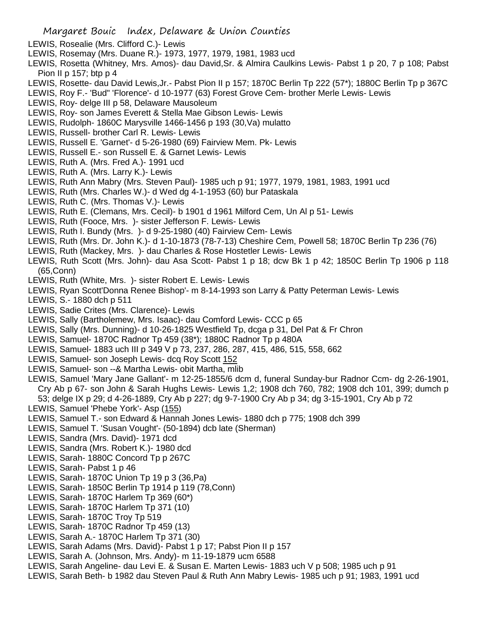- LEWIS, Rosealie (Mrs. Clifford C.)- Lewis
- LEWIS, Rosemay (Mrs. Duane R.)- 1973, 1977, 1979, 1981, 1983 ucd
- LEWIS, Rosetta (Whitney, Mrs. Amos)- dau David,Sr. & Almira Caulkins Lewis- Pabst 1 p 20, 7 p 108; Pabst Pion II p 157; btp p 4
- LEWIS, Rosette- dau David Lewis,Jr.- Pabst Pion II p 157; 1870C Berlin Tp 222 (57\*); 1880C Berlin Tp p 367C
- LEWIS, Roy F.- 'Bud" 'Florence'- d 10-1977 (63) Forest Grove Cem- brother Merle Lewis- Lewis
- LEWIS, Roy- delge III p 58, Delaware Mausoleum
- LEWIS, Roy- son James Everett & Stella Mae Gibson Lewis- Lewis
- LEWIS, Rudolph- 1860C Marysville 1466-1456 p 193 (30,Va) mulatto
- LEWIS, Russell- brother Carl R. Lewis- Lewis
- LEWIS, Russell E. 'Garnet'- d 5-26-1980 (69) Fairview Mem. Pk- Lewis
- LEWIS, Russell E.- son Russell E. & Garnet Lewis- Lewis
- LEWIS, Ruth A. (Mrs. Fred A.)- 1991 ucd
- LEWIS, Ruth A. (Mrs. Larry K.)- Lewis
- LEWIS, Ruth Ann Mabry (Mrs. Steven Paul)- 1985 uch p 91; 1977, 1979, 1981, 1983, 1991 ucd
- LEWIS, Ruth (Mrs. Charles W.)- d Wed dg 4-1-1953 (60) bur Pataskala
- LEWIS, Ruth C. (Mrs. Thomas V.)- Lewis
- LEWIS, Ruth E. (Clemans, Mrs. Cecil)- b 1901 d 1961 Milford Cem, Un Al p 51- Lewis
- LEWIS, Ruth (Fooce, Mrs. )- sister Jefferson F. Lewis- Lewis
- LEWIS, Ruth I. Bundy (Mrs. )- d 9-25-1980 (40) Fairview Cem- Lewis
- LEWIS, Ruth (Mrs. Dr. John K.)- d 1-10-1873 (78-7-13) Cheshire Cem, Powell 58; 1870C Berlin Tp 236 (76)
- LEWIS, Ruth (Mackey, Mrs. )- dau Charles & Rose Hostetler Lewis- Lewis
- LEWIS, Ruth Scott (Mrs. John)- dau Asa Scott- Pabst 1 p 18; dcw Bk 1 p 42; 1850C Berlin Tp 1906 p 118 (65,Conn)
- LEWIS, Ruth (White, Mrs. )- sister Robert E. Lewis- Lewis
- LEWIS, Ryan Scott'Donna Renee Bishop'- m 8-14-1993 son Larry & Patty Peterman Lewis- Lewis
- LEWIS, S.- 1880 dch p 511
- LEWIS, Sadie Crites (Mrs. Clarence)- Lewis
- LEWIS, Sally (Bartholemew, Mrs. Isaac)- dau Comford Lewis- CCC p 65
- LEWIS, Sally (Mrs. Dunning)- d 10-26-1825 Westfield Tp, dcga p 31, Del Pat & Fr Chron
- LEWIS, Samuel- 1870C Radnor Tp 459 (38\*); 1880C Radnor Tp p 480A
- LEWIS, Samuel- 1883 uch III p 349 V p 73, 237, 286, 287, 415, 486, 515, 558, 662
- LEWIS, Samuel- son Joseph Lewis- dcq Roy Scott 152
- LEWIS, Samuel- son --& Martha Lewis- obit Martha, mlib
- LEWIS, Samuel 'Mary Jane Gallant'- m 12-25-1855/6 dcm d, funeral Sunday-bur Radnor Ccm- dg 2-26-1901, Cry Ab p 67- son John & Sarah Hughs Lewis- Lewis 1,2; 1908 dch 760, 782; 1908 dch 101, 399; dumch p 53; delge IX p 29; d 4-26-1889, Cry Ab p 227; dg 9-7-1900 Cry Ab p 34; dg 3-15-1901, Cry Ab p 72
- LEWIS, Samuel 'Phebe York'- Asp (155)
- LEWIS, Samuel T.- son Edward & Hannah Jones Lewis- 1880 dch p 775; 1908 dch 399
- LEWIS, Samuel T. 'Susan Vought'- (50-1894) dcb late (Sherman)
- LEWIS, Sandra (Mrs. David)- 1971 dcd
- LEWIS, Sandra (Mrs. Robert K.)- 1980 dcd
- LEWIS, Sarah- 1880C Concord Tp p 267C
- LEWIS, Sarah- Pabst 1 p 46
- LEWIS, Sarah- 1870C Union Tp 19 p 3 (36,Pa)
- LEWIS, Sarah- 1850C Berlin Tp 1914 p 119 (78,Conn)
- LEWIS, Sarah- 1870C Harlem Tp 369 (60\*)
- LEWIS, Sarah- 1870C Harlem Tp 371 (10)
- LEWIS, Sarah- 1870C Troy Tp 519
- LEWIS, Sarah- 1870C Radnor Tp 459 (13)
- LEWIS, Sarah A.- 1870C Harlem Tp 371 (30)
- LEWIS, Sarah Adams (Mrs. David)- Pabst 1 p 17; Pabst Pion II p 157
- LEWIS, Sarah A. (Johnson, Mrs. Andy)- m 11-19-1879 ucm 6588
- LEWIS, Sarah Angeline- dau Levi E. & Susan E. Marten Lewis- 1883 uch V p 508; 1985 uch p 91
- LEWIS, Sarah Beth- b 1982 dau Steven Paul & Ruth Ann Mabry Lewis- 1985 uch p 91; 1983, 1991 ucd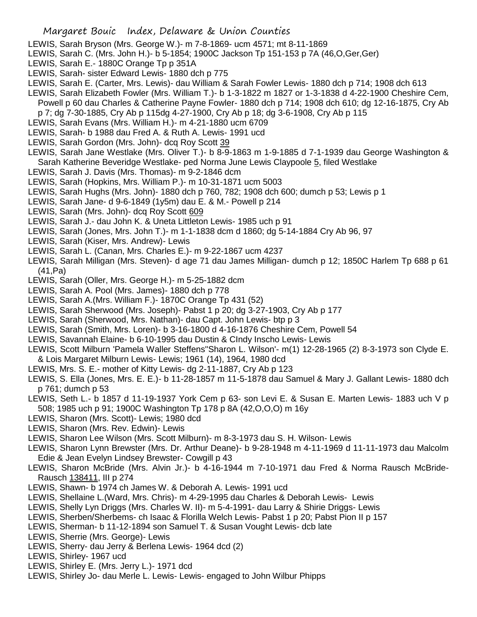- LEWIS, Sarah Bryson (Mrs. George W.)- m 7-8-1869- ucm 4571; mt 8-11-1869
- LEWIS, Sarah C. (Mrs. John H.)- b 5-1854; 1900C Jackson Tp 151-153 p 7A (46,O,Ger,Ger)
- LEWIS, Sarah E.- 1880C Orange Tp p 351A
- LEWIS, Sarah- sister Edward Lewis- 1880 dch p 775
- LEWIS, Sarah E. (Carter, Mrs. Lewis)- dau William & Sarah Fowler Lewis- 1880 dch p 714; 1908 dch 613
- LEWIS, Sarah Elizabeth Fowler (Mrs. William T.)- b 1-3-1822 m 1827 or 1-3-1838 d 4-22-1900 Cheshire Cem,
- Powell p 60 dau Charles & Catherine Payne Fowler- 1880 dch p 714; 1908 dch 610; dg 12-16-1875, Cry Ab
- p 7; dg 7-30-1885, Cry Ab p 115dg 4-27-1900, Cry Ab p 18; dg 3-6-1908, Cry Ab p 115
- LEWIS, Sarah Evans (Mrs. William H.)- m 4-21-1880 ucm 6709
- LEWIS, Sarah- b 1988 dau Fred A. & Ruth A. Lewis- 1991 ucd
- LEWIS, Sarah Gordon (Mrs. John)- dcq Roy Scott 39
- LEWIS, Sarah Jane Westlake (Mrs. Oliver T.)- b 8-9-1863 m 1-9-1885 d 7-1-1939 dau George Washington & Sarah Katherine Beveridge Westlake- ped Norma June Lewis Claypoole 5, filed Westlake
- LEWIS, Sarah J. Davis (Mrs. Thomas)- m 9-2-1846 dcm
- LEWIS, Sarah (Hopkins, Mrs. William P.)- m 10-31-1871 ucm 5003
- LEWIS, Sarah Hughs (Mrs. John)- 1880 dch p 760, 782; 1908 dch 600; dumch p 53; Lewis p 1
- LEWIS, Sarah Jane- d 9-6-1849 (1y5m) dau E. & M.- Powell p 214
- LEWIS, Sarah (Mrs. John)- dcq Roy Scott 609
- LEWIS, Sarah J.- dau John K. & Uneta Littleton Lewis- 1985 uch p 91
- LEWIS, Sarah (Jones, Mrs. John T.)- m 1-1-1838 dcm d 1860; dg 5-14-1884 Cry Ab 96, 97
- LEWIS, Sarah (Kiser, Mrs. Andrew)- Lewis
- LEWIS, Sarah L. (Canan, Mrs. Charles E.)- m 9-22-1867 ucm 4237
- LEWIS, Sarah Milligan (Mrs. Steven)- d age 71 dau James Milligan- dumch p 12; 1850C Harlem Tp 688 p 61 (41,Pa)
- LEWIS, Sarah (Oller, Mrs. George H.)- m 5-25-1882 dcm
- LEWIS, Sarah A. Pool (Mrs. James)- 1880 dch p 778
- LEWIS, Sarah A.(Mrs. William F.)- 1870C Orange Tp 431 (52)
- LEWIS, Sarah Sherwood (Mrs. Joseph)- Pabst 1 p 20; dg 3-27-1903, Cry Ab p 177
- LEWIS, Sarah (Sherwood, Mrs. Nathan)- dau Capt. John Lewis- btp p 3
- LEWIS, Sarah (Smith, Mrs. Loren)- b 3-16-1800 d 4-16-1876 Cheshire Cem, Powell 54
- LEWIS, Savannah Elaine- b 6-10-1995 dau Dustin & CIndy Inscho Lewis- Lewis
- LEWIS, Scott Milburn 'Pamela Waller Steffens''Sharon L. Wilson'- m(1) 12-28-1965 (2) 8-3-1973 son Clyde E. & Lois Margaret Milburn Lewis- Lewis; 1961 (14), 1964, 1980 dcd
- LEWIS, Mrs. S. E.- mother of Kitty Lewis- dg 2-11-1887, Cry Ab p 123
- LEWIS, S. Ella (Jones, Mrs. E. E.)- b 11-28-1857 m 11-5-1878 dau Samuel & Mary J. Gallant Lewis- 1880 dch p 761; dumch p 53
- LEWIS, Seth L.- b 1857 d 11-19-1937 York Cem p 63- son Levi E. & Susan E. Marten Lewis- 1883 uch V p 508; 1985 uch p 91; 1900C Washington Tp 178 p 8A (42,O,O,O) m 16y
- LEWIS, Sharon (Mrs. Scott)- Lewis; 1980 dcd
- LEWIS, Sharon (Mrs. Rev. Edwin)- Lewis
- LEWIS, Sharon Lee Wilson (Mrs. Scott Milburn)- m 8-3-1973 dau S. H. Wilson- Lewis
- LEWIS, Sharon Lynn Brewster (Mrs. Dr. Arthur Deane)- b 9-28-1948 m 4-11-1969 d 11-11-1973 dau Malcolm Edie & Jean Evelyn Lindsey Brewster- Cowgill p 43
- LEWIS, Sharon McBride (Mrs. Alvin Jr.)- b 4-16-1944 m 7-10-1971 dau Fred & Norma Rausch McBride-Rausch 138411, III p 274
- LEWIS, Shawn- b 1974 ch James W. & Deborah A. Lewis- 1991 ucd
- LEWIS, Shellaine L.(Ward, Mrs. Chris)- m 4-29-1995 dau Charles & Deborah Lewis- Lewis
- LEWIS, Shelly Lyn Driggs (Mrs. Charles W. II)- m 5-4-1991- dau Larry & Shirie Driggs- Lewis
- LEWIS, Sherben/Sherbems- ch Isaac & Florilla Welch Lewis- Pabst 1 p 20; Pabst Pion II p 157
- LEWIS, Sherman- b 11-12-1894 son Samuel T. & Susan Vought Lewis- dcb late
- LEWIS, Sherrie (Mrs. George)- Lewis
- LEWIS, Sherry- dau Jerry & Berlena Lewis- 1964 dcd (2)
- LEWIS, Shirley- 1967 ucd
- LEWIS, Shirley E. (Mrs. Jerry L.)- 1971 dcd
- LEWIS, Shirley Jo- dau Merle L. Lewis- Lewis- engaged to John Wilbur Phipps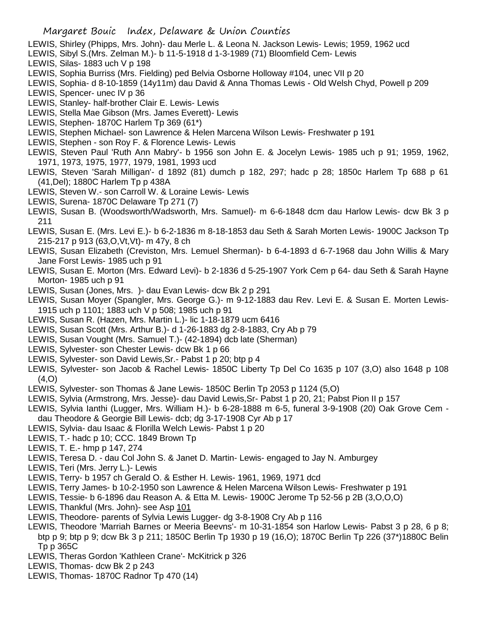- LEWIS, Shirley (Phipps, Mrs. John)- dau Merle L. & Leona N. Jackson Lewis- Lewis; 1959, 1962 ucd
- LEWIS, Sibyl S.(Mrs. Zelman M.)- b 11-5-1918 d 1-3-1989 (71) Bloomfield Cem- Lewis
- LEWIS, Silas- 1883 uch V p 198
- LEWIS, Sophia Burriss (Mrs. Fielding) ped Belvia Osborne Holloway #104, unec VII p 20
- LEWIS, Sophia- d 8-10-1859 (14y11m) dau David & Anna Thomas Lewis Old Welsh Chyd, Powell p 209
- LEWIS, Spencer- unec IV p 36
- LEWIS, Stanley- half-brother Clair E. Lewis- Lewis
- LEWIS, Stella Mae Gibson (Mrs. James Everett)- Lewis
- LEWIS, Stephen- 1870C Harlem Tp 369 (61\*)
- LEWIS, Stephen Michael- son Lawrence & Helen Marcena Wilson Lewis- Freshwater p 191
- LEWIS, Stephen son Roy F. & Florence Lewis- Lewis
- LEWIS, Steven Paul 'Ruth Ann Mabry'- b 1956 son John E. & Jocelyn Lewis- 1985 uch p 91; 1959, 1962, 1971, 1973, 1975, 1977, 1979, 1981, 1993 ucd
- LEWIS, Steven 'Sarah Milligan'- d 1892 (81) dumch p 182, 297; hadc p 28; 1850c Harlem Tp 688 p 61 (41,Del); 1880C Harlem Tp p 438A
- LEWIS, Steven W.- son Carroll W. & Loraine Lewis- Lewis
- LEWIS, Surena- 1870C Delaware Tp 271 (7)
- LEWIS, Susan B. (Woodsworth/Wadsworth, Mrs. Samuel)- m 6-6-1848 dcm dau Harlow Lewis- dcw Bk 3 p 211
- LEWIS, Susan E. (Mrs. Levi E.)- b 6-2-1836 m 8-18-1853 dau Seth & Sarah Morten Lewis- 1900C Jackson Tp 215-217 p 913 (63,O,Vt,Vt)- m 47y, 8 ch
- LEWIS, Susan Elizabeth (Creviston, Mrs. Lemuel Sherman)- b 6-4-1893 d 6-7-1968 dau John Willis & Mary Jane Forst Lewis- 1985 uch p 91
- LEWIS, Susan E. Morton (Mrs. Edward Levi)- b 2-1836 d 5-25-1907 York Cem p 64- dau Seth & Sarah Hayne Morton- 1985 uch p 91
- LEWIS, Susan (Jones, Mrs. )- dau Evan Lewis- dcw Bk 2 p 291
- LEWIS, Susan Moyer (Spangler, Mrs. George G.)- m 9-12-1883 dau Rev. Levi E. & Susan E. Morten Lewis-1915 uch p 1101; 1883 uch V p 508; 1985 uch p 91
- LEWIS, Susan R. (Hazen, Mrs. Martin L.)- lic 1-18-1879 ucm 6416
- LEWIS, Susan Scott (Mrs. Arthur B.)- d 1-26-1883 dg 2-8-1883, Cry Ab p 79
- LEWIS, Susan Vought (Mrs. Samuel T.)- (42-1894) dcb late (Sherman)
- LEWIS, Sylvester- son Chester Lewis- dcw Bk 1 p 66
- LEWIS, Sylvester- son David Lewis,Sr.- Pabst 1 p 20; btp p 4
- LEWIS, Sylvester- son Jacob & Rachel Lewis- 1850C Liberty Tp Del Co 1635 p 107 (3,O) also 1648 p 108  $(4, 0)$
- LEWIS, Sylvester- son Thomas & Jane Lewis- 1850C Berlin Tp 2053 p 1124 (5,O)
- LEWIS, Sylvia (Armstrong, Mrs. Jesse)- dau David Lewis,Sr- Pabst 1 p 20, 21; Pabst Pion II p 157
- LEWIS, Sylvia Ianthi (Lugger, Mrs. William H.)- b 6-28-1888 m 6-5, funeral 3-9-1908 (20) Oak Grove Cem -
- dau Theodore & Georgie Bill Lewis- dcb; dg 3-17-1908 Cyr Ab p 17
- LEWIS, Sylvia- dau Isaac & Florilla Welch Lewis- Pabst 1 p 20
- LEWIS, T.- hadc p 10; CCC. 1849 Brown Tp
- LEWIS, T. E.- hmp p 147, 274
- LEWIS, Teresa D. dau Col John S. & Janet D. Martin- Lewis- engaged to Jay N. Amburgey
- LEWIS, Teri (Mrs. Jerry L.)- Lewis
- LEWIS, Terry- b 1957 ch Gerald O. & Esther H. Lewis- 1961, 1969, 1971 dcd
- LEWIS, Terry James- b 10-2-1950 son Lawrence & Helen Marcena Wilson Lewis- Freshwater p 191
- LEWIS, Tessie- b 6-1896 dau Reason A. & Etta M. Lewis- 1900C Jerome Tp 52-56 p 2B (3,O,O,O)
- LEWIS, Thankful (Mrs. John)- see Asp 101
- LEWIS, Theodore- parents of Sylvia Lewis Lugger- dg 3-8-1908 Cry Ab p 116
- LEWIS, Theodore 'Marriah Barnes or Meeria Beevns'- m 10-31-1854 son Harlow Lewis- Pabst 3 p 28, 6 p 8; btp p 9; btp p 9; dcw Bk 3 p 211; 1850C Berlin Tp 1930 p 19 (16,O); 1870C Berlin Tp 226 (37\*)1880C Belin Tp p 365C
- LEWIS, Theras Gordon 'Kathleen Crane'- McKitrick p 326
- LEWIS, Thomas- dcw Bk 2 p 243
- LEWIS, Thomas- 1870C Radnor Tp 470 (14)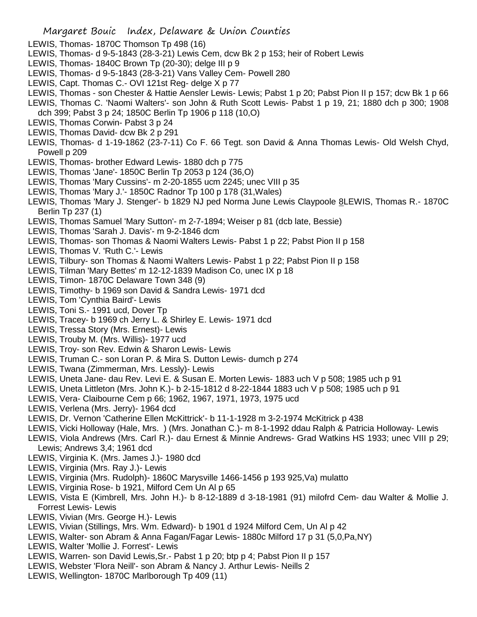- LEWIS, Thomas- 1870C Thomson Tp 498 (16)
- LEWIS, Thomas- d 9-5-1843 (28-3-21) Lewis Cem, dcw Bk 2 p 153; heir of Robert Lewis
- LEWIS, Thomas- 1840C Brown Tp (20-30); delge III p 9
- LEWIS, Thomas- d 9-5-1843 (28-3-21) Vans Valley Cem- Powell 280
- LEWIS, Capt. Thomas C.- OVI 121st Reg- delge X p 77
- LEWIS, Thomas son Chester & Hattie Aensler Lewis- Lewis; Pabst 1 p 20; Pabst Pion II p 157; dcw Bk 1 p 66
- LEWIS, Thomas C. 'Naomi Walters'- son John & Ruth Scott Lewis- Pabst 1 p 19, 21; 1880 dch p 300; 1908 dch 399; Pabst 3 p 24; 1850C Berlin Tp 1906 p 118 (10,O)
- LEWIS, Thomas Corwin- Pabst 3 p 24
- LEWIS, Thomas David- dcw Bk 2 p 291
- LEWIS, Thomas- d 1-19-1862 (23-7-11) Co F. 66 Tegt. son David & Anna Thomas Lewis- Old Welsh Chyd, Powell p 209
- LEWIS, Thomas- brother Edward Lewis- 1880 dch p 775
- LEWIS, Thomas 'Jane'- 1850C Berlin Tp 2053 p 124 (36,O)
- LEWIS, Thomas 'Mary Cussins'- m 2-20-1855 ucm 2245; unec VIII p 35
- LEWIS, Thomas 'Mary J.'- 1850C Radnor Tp 100 p 178 (31,Wales)
- LEWIS, Thomas 'Mary J. Stenger'- b 1829 NJ ped Norma June Lewis Claypoole 8LEWIS, Thomas R.- 1870C Berlin Tp 237 (1)
- LEWIS, Thomas Samuel 'Mary Sutton'- m 2-7-1894; Weiser p 81 (dcb late, Bessie)
- LEWIS, Thomas 'Sarah J. Davis'- m 9-2-1846 dcm
- LEWIS, Thomas- son Thomas & Naomi Walters Lewis- Pabst 1 p 22; Pabst Pion II p 158
- LEWIS, Thomas V. 'Ruth C.'- Lewis
- LEWIS, Tilbury- son Thomas & Naomi Walters Lewis- Pabst 1 p 22; Pabst Pion II p 158
- LEWIS, Tilman 'Mary Bettes' m 12-12-1839 Madison Co, unec IX p 18
- LEWIS, Timon- 1870C Delaware Town 348 (9)
- LEWIS, Timothy- b 1969 son David & Sandra Lewis- 1971 dcd
- LEWIS, Tom 'Cynthia Baird'- Lewis
- LEWIS, Toni S.- 1991 ucd, Dover Tp
- LEWIS, Tracey- b 1969 ch Jerry L. & Shirley E. Lewis- 1971 dcd
- LEWIS, Tressa Story (Mrs. Ernest)- Lewis
- LEWIS, Trouby M. (Mrs. Willis)- 1977 ucd
- LEWIS, Troy- son Rev. Edwin & Sharon Lewis- Lewis
- LEWIS, Truman C.- son Loran P. & Mira S. Dutton Lewis- dumch p 274
- LEWIS, Twana (Zimmerman, Mrs. Lessly)- Lewis
- LEWIS, Uneta Jane- dau Rev. Levi E. & Susan E. Morten Lewis- 1883 uch V p 508; 1985 uch p 91
- LEWIS, Uneta Littleton (Mrs. John K.)- b 2-15-1812 d 8-22-1844 1883 uch V p 508; 1985 uch p 91
- LEWIS, Vera- Claibourne Cem p 66; 1962, 1967, 1971, 1973, 1975 ucd
- LEWIS, Verlena (Mrs. Jerry)- 1964 dcd
- LEWIS, Dr. Vernon 'Catherine Ellen McKittrick'- b 11-1-1928 m 3-2-1974 McKitrick p 438
- LEWIS, Vicki Holloway (Hale, Mrs. ) (Mrs. Jonathan C.)- m 8-1-1992 ddau Ralph & Patricia Holloway- Lewis
- LEWIS, Viola Andrews (Mrs. Carl R.)- dau Ernest & Minnie Andrews- Grad Watkins HS 1933; unec VIII p 29; Lewis; Andrews 3,4; 1961 dcd
- LEWIS, Virginia K. (Mrs. James J.)- 1980 dcd
- LEWIS, Virginia (Mrs. Ray J.)- Lewis
- LEWIS, Virginia (Mrs. Rudolph)- 1860C Marysville 1466-1456 p 193 925,Va) mulatto
- LEWIS, Virginia Rose- b 1921, Milford Cem Un Al p 65
- LEWIS, Vista E (Kimbrell, Mrs. John H.)- b 8-12-1889 d 3-18-1981 (91) milofrd Cem- dau Walter & Mollie J. Forrest Lewis- Lewis
- LEWIS, Vivian (Mrs. George H.)- Lewis
- LEWIS, Vivian (Stillings, Mrs. Wm. Edward)- b 1901 d 1924 Milford Cem, Un Al p 42
- LEWIS, Walter- son Abram & Anna Fagan/Fagar Lewis- 1880c Milford 17 p 31 (5,0,Pa,NY)
- LEWIS, Walter 'Mollie J. Forrest'- Lewis
- LEWIS, Warren- son David Lewis,Sr.- Pabst 1 p 20; btp p 4; Pabst Pion II p 157
- LEWIS, Webster 'Flora Neill'- son Abram & Nancy J. Arthur Lewis- Neills 2
- LEWIS, Wellington- 1870C Marlborough Tp 409 (11)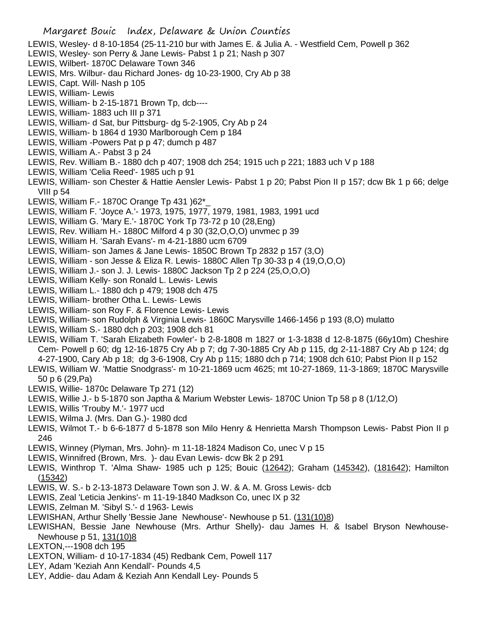- LEWIS, Wesley- d 8-10-1854 (25-11-210 bur with James E. & Julia A. Westfield Cem, Powell p 362
- LEWIS, Wesley- son Perry & Jane Lewis- Pabst 1 p 21; Nash p 307
- LEWIS, Wilbert- 1870C Delaware Town 346
- LEWIS, Mrs. Wilbur- dau Richard Jones- dg 10-23-1900, Cry Ab p 38
- LEWIS, Capt. Will- Nash p 105
- LEWIS, William- Lewis
- LEWIS, William- b 2-15-1871 Brown Tp, dcb----
- LEWIS, William- 1883 uch III p 371
- LEWIS, William- d Sat, bur Pittsburg- dg 5-2-1905, Cry Ab p 24
- LEWIS, William- b 1864 d 1930 Marlborough Cem p 184
- LEWIS, William -Powers Pat p p 47; dumch p 487
- LEWIS, William A.- Pabst 3 p 24
- LEWIS, Rev. William B.- 1880 dch p 407; 1908 dch 254; 1915 uch p 221; 1883 uch V p 188
- LEWIS, William 'Celia Reed'- 1985 uch p 91
- LEWIS, William- son Chester & Hattie Aensler Lewis- Pabst 1 p 20; Pabst Pion II p 157; dcw Bk 1 p 66; delge VIII p 54
- LEWIS, William F.- 1870C Orange Tp 431 )62\*\_
- LEWIS, William F. 'Joyce A.'- 1973, 1975, 1977, 1979, 1981, 1983, 1991 ucd
- LEWIS, William G. 'Mary E.'- 1870C York Tp 73-72 p 10 (28,Eng)
- LEWIS, Rev. William H.- 1880C Milford 4 p 30 (32,O,O,O) unvmec p 39
- LEWIS, William H. 'Sarah Evans'- m 4-21-1880 ucm 6709
- LEWIS, William- son James & Jane Lewis- 1850C Brown Tp 2832 p 157 (3,O)
- LEWIS, William son Jesse & Eliza R. Lewis- 1880C Allen Tp 30-33 p 4 (19,O,O,O)
- LEWIS, William J.- son J. J. Lewis- 1880C Jackson Tp 2 p 224 (25,O,O,O)
- LEWIS, William Kelly- son Ronald L. Lewis- Lewis
- LEWIS, William L.- 1880 dch p 479; 1908 dch 475
- LEWIS, William- brother Otha L. Lewis- Lewis
- LEWIS, William- son Roy F. & Florence Lewis- Lewis
- LEWIS, William- son Rudolph & Virginia Lewis- 1860C Marysville 1466-1456 p 193 (8,O) mulatto
- LEWIS, William S.- 1880 dch p 203; 1908 dch 81
- LEWIS, William T. 'Sarah Elizabeth Fowler'- b 2-8-1808 m 1827 or 1-3-1838 d 12-8-1875 (66y10m) Cheshire Cem- Powell p 60; dg 12-16-1875 Cry Ab p 7; dg 7-30-1885 Cry Ab p 115, dg 2-11-1887 Cry Ab p 124; dg 4-27-1900, Cary Ab p 18; dg 3-6-1908, Cry Ab p 115; 1880 dch p 714; 1908 dch 610; Pabst Pion II p 152
- LEWIS, William W. 'Mattie Snodgrass'- m 10-21-1869 ucm 4625; mt 10-27-1869, 11-3-1869; 1870C Marysville 50 p 6 (29,Pa)
- LEWIS, Willie- 1870c Delaware Tp 271 (12)
- LEWIS, Willie J.- b 5-1870 son Japtha & Marium Webster Lewis- 1870C Union Tp 58 p 8 (1/12,O)
- LEWIS, Willis 'Trouby M.'- 1977 ucd
- LEWIS, Wilma J. (Mrs. Dan G.)- 1980 dcd
- LEWIS, Wilmot T.- b 6-6-1877 d 5-1878 son Milo Henry & Henrietta Marsh Thompson Lewis- Pabst Pion II p 246
- LEWIS, Winney (Plyman, Mrs. John)- m 11-18-1824 Madison Co, unec V p 15
- LEWIS, Winnifred (Brown, Mrs. )- dau Evan Lewis- dcw Bk 2 p 291
- LEWIS, Winthrop T. 'Alma Shaw- 1985 uch p 125; Bouic (12642); Graham (145342), (181642); Hamilton (15342)
- LEWIS, W. S.- b 2-13-1873 Delaware Town son J. W. & A. M. Gross Lewis- dcb
- LEWIS, Zeal 'Leticia Jenkins'- m 11-19-1840 Madkson Co, unec IX p 32
- LEWIS, Zelman M. 'Sibyl S.'- d 1963- Lewis
- LEWISHAN, Arthur Shelly 'Bessie Jane Newhouse'- Newhouse p 51. (131(10)8)
- LEWISHAN, Bessie Jane Newhouse (Mrs. Arthur Shelly)- dau James H. & Isabel Bryson Newhouse-Newhouse p 51, 131(10)8
- LEXTON,---1908 dch 195
- LEXTON, William- d 10-17-1834 (45) Redbank Cem, Powell 117
- LEY, Adam 'Keziah Ann Kendall'- Pounds 4,5
- LEY, Addie- dau Adam & Keziah Ann Kendall Ley- Pounds 5